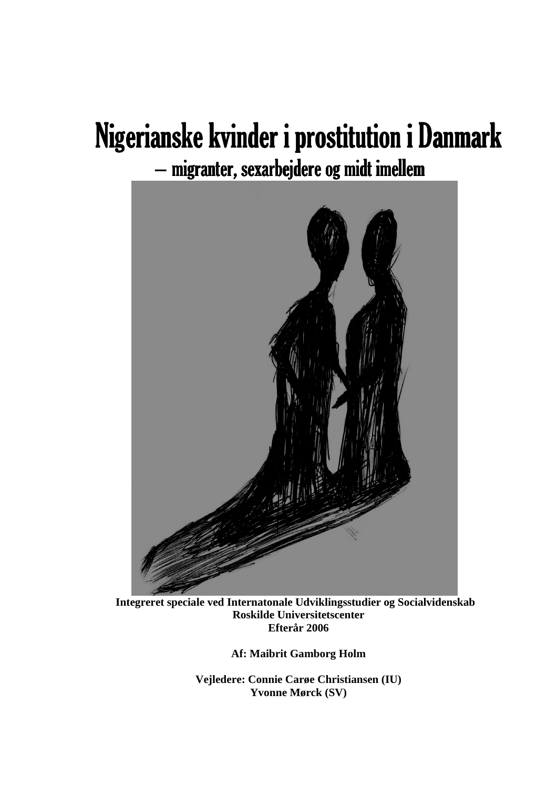# Nigerianske kvinder i prostitution i Danmark migranter, sexarbejdere og midt imellem



**Integreret speciale ved Internatonale Udviklingsstudier og Socialvidenskab Roskilde Universitetscenter Efterår 2006** 

**Af: Maibrit Gamborg Holm** 

**Vejledere: Connie Carøe Christiansen (IU) Yvonne Mørck (SV)**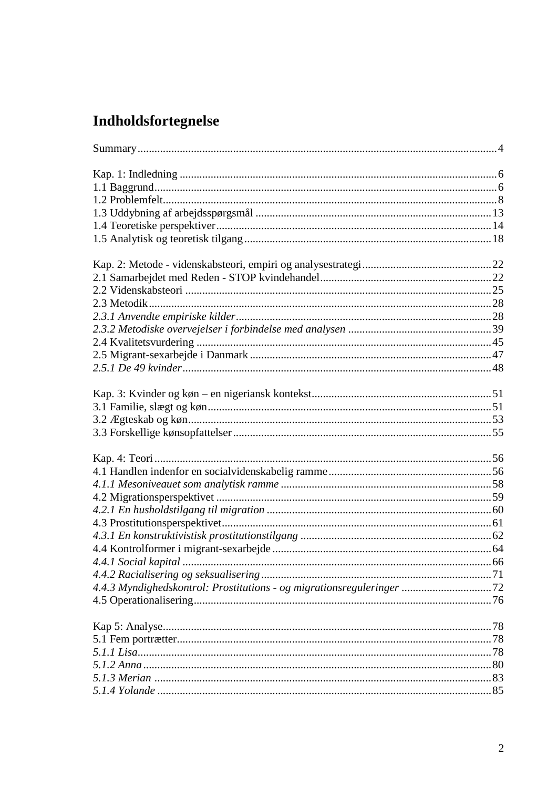# **Indholdsfortegnelse**

| 4.4.3 Myndighedskontrol: Prostitutions - og migrationsreguleringer 72 |  |
|-----------------------------------------------------------------------|--|
|                                                                       |  |
|                                                                       |  |
|                                                                       |  |
|                                                                       |  |
|                                                                       |  |
|                                                                       |  |
|                                                                       |  |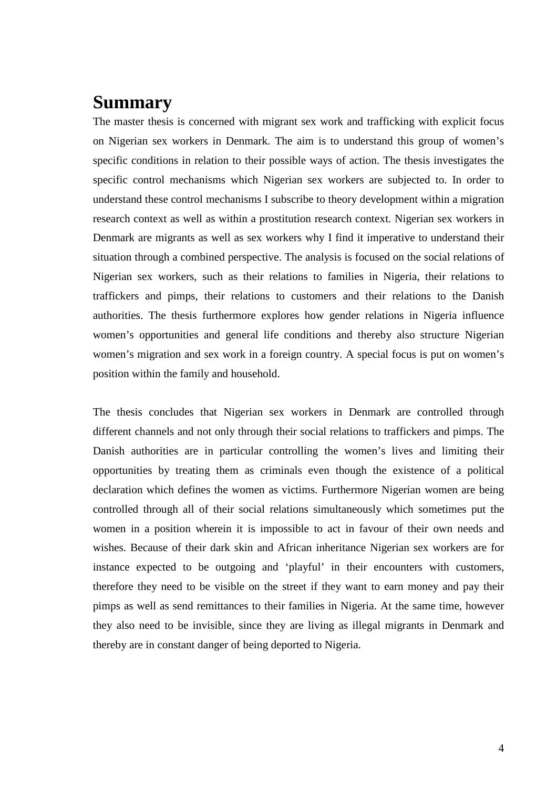# **Summary**

The master thesis is concerned with migrant sex work and trafficking with explicit focus on Nigerian sex workers in Denmark. The aim is to understand this group of women's specific conditions in relation to their possible ways of action. The thesis investigates the specific control mechanisms which Nigerian sex workers are subjected to. In order to understand these control mechanisms I subscribe to theory development within a migration research context as well as within a prostitution research context. Nigerian sex workers in Denmark are migrants as well as sex workers why I find it imperative to understand their situation through a combined perspective. The analysis is focused on the social relations of Nigerian sex workers, such as their relations to families in Nigeria, their relations to traffickers and pimps, their relations to customers and their relations to the Danish authorities. The thesis furthermore explores how gender relations in Nigeria influence women's opportunities and general life conditions and thereby also structure Nigerian women's migration and sex work in a foreign country. A special focus is put on women's position within the family and household.

The thesis concludes that Nigerian sex workers in Denmark are controlled through different channels and not only through their social relations to traffickers and pimps. The Danish authorities are in particular controlling the women's lives and limiting their opportunities by treating them as criminals even though the existence of a political declaration which defines the women as victims. Furthermore Nigerian women are being controlled through all of their social relations simultaneously which sometimes put the women in a position wherein it is impossible to act in favour of their own needs and wishes. Because of their dark skin and African inheritance Nigerian sex workers are for instance expected to be outgoing and 'playful' in their encounters with customers, therefore they need to be visible on the street if they want to earn money and pay their pimps as well as send remittances to their families in Nigeria. At the same time, however they also need to be invisible, since they are living as illegal migrants in Denmark and thereby are in constant danger of being deported to Nigeria.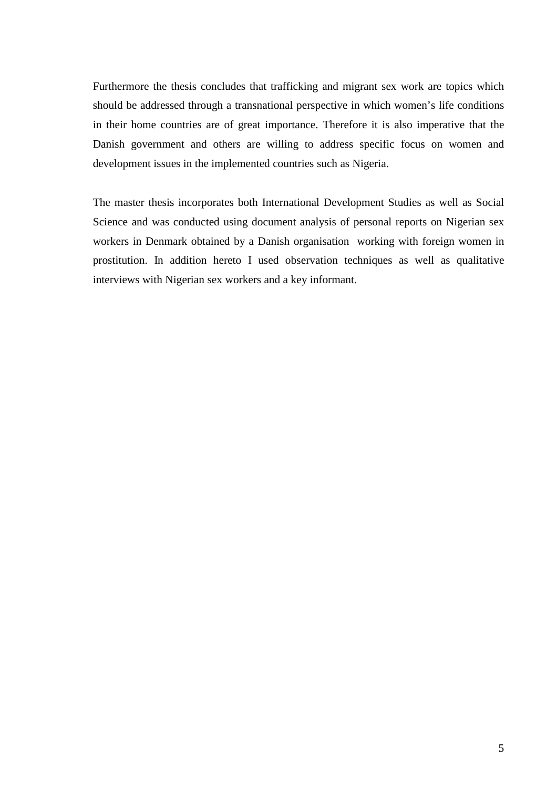Furthermore the thesis concludes that trafficking and migrant sex work are topics which should be addressed through a transnational perspective in which women's life conditions in their home countries are of great importance. Therefore it is also imperative that the Danish government and others are willing to address specific focus on women and development issues in the implemented countries such as Nigeria.

The master thesis incorporates both International Development Studies as well as Social Science and was conducted using document analysis of personal reports on Nigerian sex workers in Denmark obtained by a Danish organisation working with foreign women in prostitution. In addition hereto I used observation techniques as well as qualitative interviews with Nigerian sex workers and a key informant.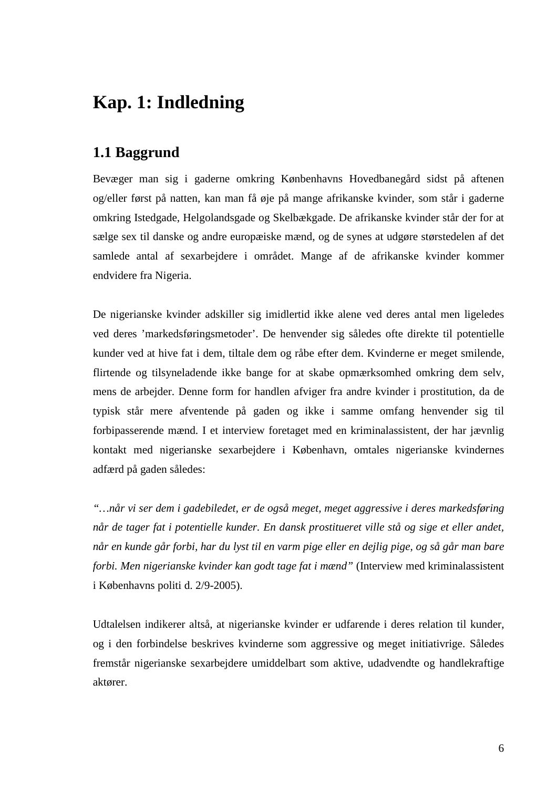# **Kap. 1: Indledning**

# **1.1 Baggrund**

Bevæger man sig i gaderne omkring Kønbenhavns Hovedbanegård sidst på aftenen og/eller først på natten, kan man få øje på mange afrikanske kvinder, som står i gaderne omkring Istedgade, Helgolandsgade og Skelbækgade. De afrikanske kvinder står der for at sælge sex til danske og andre europæiske mænd, og de synes at udgøre størstedelen af det samlede antal af sexarbejdere i området. Mange af de afrikanske kvinder kommer endvidere fra Nigeria.

De nigerianske kvinder adskiller sig imidlertid ikke alene ved deres antal men ligeledes ved deres 'markedsføringsmetoder'. De henvender sig således ofte direkte til potentielle kunder ved at hive fat i dem, tiltale dem og råbe efter dem. Kvinderne er meget smilende, flirtende og tilsyneladende ikke bange for at skabe opmærksomhed omkring dem selv, mens de arbejder. Denne form for handlen afviger fra andre kvinder i prostitution, da de typisk står mere afventende på gaden og ikke i samme omfang henvender sig til forbipasserende mænd. I et interview foretaget med en kriminalassistent, der har jævnlig kontakt med nigerianske sexarbejdere i København, omtales nigerianske kvindernes adfærd på gaden således:

*"…når vi ser dem i gadebiledet, er de også meget, meget aggressive i deres markedsføring når de tager fat i potentielle kunder. En dansk prostitueret ville stå og sige et eller andet, når en kunde går forbi, har du lyst til en varm pige eller en dejlig pige, og så går man bare forbi. Men nigerianske kvinder kan godt tage fat i mænd"* (Interview med kriminalassistent i Københavns politi d. 2/9-2005).

Udtalelsen indikerer altså, at nigerianske kvinder er udfarende i deres relation til kunder, og i den forbindelse beskrives kvinderne som aggressive og meget initiativrige. Således fremstår nigerianske sexarbejdere umiddelbart som aktive, udadvendte og handlekraftige aktører.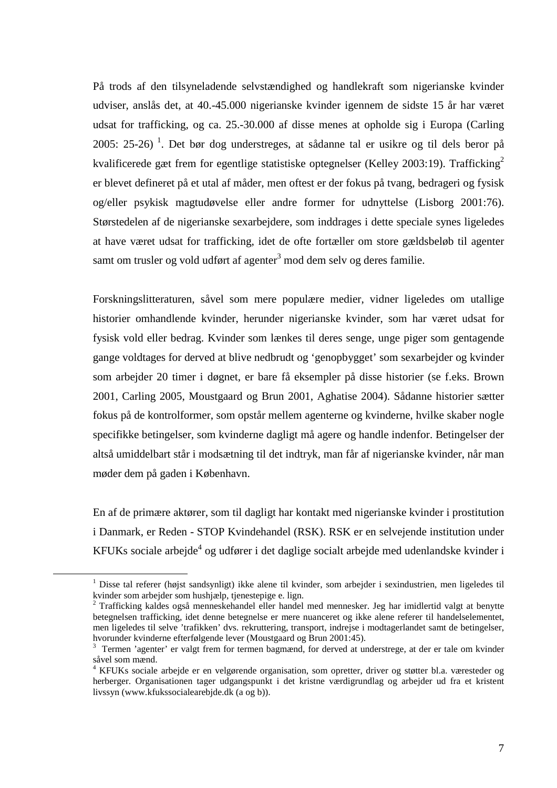På trods af den tilsyneladende selvstændighed og handlekraft som nigerianske kvinder udviser, anslås det, at 40.-45.000 nigerianske kvinder igennem de sidste 15 år har været udsat for trafficking, og ca. 25.-30.000 af disse menes at opholde sig i Europa (Carling 2005: 25-26)<sup>1</sup>. Det bør dog understreges, at sådanne tal er usikre og til dels beror på kvalificerede gæt frem for egentlige statistiske optegnelser (Kelley 2003:19). Trafficking<sup>2</sup> er blevet defineret på et utal af måder, men oftest er der fokus på tvang, bedrageri og fysisk og/eller psykisk magtudøvelse eller andre former for udnyttelse (Lisborg 2001:76). Størstedelen af de nigerianske sexarbejdere, som inddrages i dette speciale synes ligeledes at have været udsat for trafficking, idet de ofte fortæller om store gældsbeløb til agenter samt om trusler og vold udført af agenter<sup>3</sup> mod dem selv og deres familie.

Forskningslitteraturen, såvel som mere populære medier, vidner ligeledes om utallige historier omhandlende kvinder, herunder nigerianske kvinder, som har været udsat for fysisk vold eller bedrag. Kvinder som lænkes til deres senge, unge piger som gentagende gange voldtages for derved at blive nedbrudt og 'genopbygget' som sexarbejder og kvinder som arbejder 20 timer i døgnet, er bare få eksempler på disse historier (se f.eks. Brown 2001, Carling 2005, Moustgaard og Brun 2001, Aghatise 2004). Sådanne historier sætter fokus på de kontrolformer, som opstår mellem agenterne og kvinderne, hvilke skaber nogle specifikke betingelser, som kvinderne dagligt må agere og handle indenfor. Betingelser der altså umiddelbart står i modsætning til det indtryk, man får af nigerianske kvinder, når man møder dem på gaden i København.

En af de primære aktører, som til dagligt har kontakt med nigerianske kvinder i prostitution i Danmark, er Reden - STOP Kvindehandel (RSK). RSK er en selvejende institution under KFUKs sociale arbejde<sup>4</sup> og udfører i det daglige socialt arbejde med udenlandske kvinder i

<sup>&</sup>lt;sup>1</sup> Disse tal referer (højst sandsynligt) ikke alene til kvinder, som arbejder i sexindustrien, men ligeledes til kvinder som arbejder som hushjælp, tjenestepige e. lign.<br><sup>2</sup> Trafficking kaldes også menneskehandel eller handel med mennesker. Jeg har imidlertid valgt at benytte

betegnelsen trafficking, idet denne betegnelse er mere nuanceret og ikke alene referer til handelselementet, men ligeledes til selve 'trafikken' dvs. rekruttering, transport, indrejse i modtagerlandet samt de betingelser, hvorunder kvinderne efterfølgende lever (Moustgaard og Brun 2001:45).

<sup>&</sup>lt;sup>3</sup> Termen 'agenter' er valgt frem for termen bagmænd, for derved at understrege, at der er tale om kvinder såvel som mænd.

<sup>4</sup> KFUKs sociale arbejde er en velgørende organisation, som opretter, driver og støtter bl.a. væresteder og herberger. Organisationen tager udgangspunkt i det kristne værdigrundlag og arbejder ud fra et kristent livssyn (www.kfukssocialearebjde.dk (a og b)).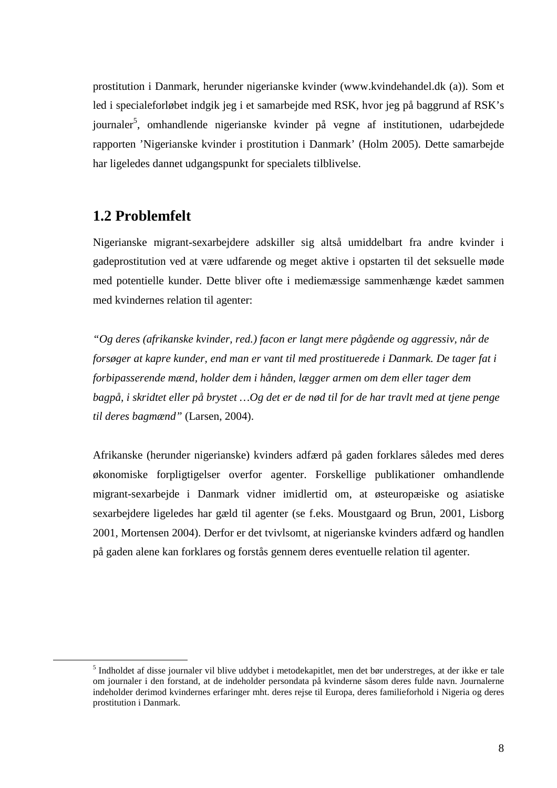prostitution i Danmark, herunder nigerianske kvinder (www.kvindehandel.dk (a)). Som et led i specialeforløbet indgik jeg i et samarbejde med RSK, hvor jeg på baggrund af RSK's journaler<sup>5</sup>, omhandlende nigerianske kvinder på vegne af institutionen, udarbejdede rapporten 'Nigerianske kvinder i prostitution i Danmark' (Holm 2005). Dette samarbejde har ligeledes dannet udgangspunkt for specialets tilblivelse.

### **1.2 Problemfelt**

 $\overline{a}$ 

Nigerianske migrant-sexarbejdere adskiller sig altså umiddelbart fra andre kvinder i gadeprostitution ved at være udfarende og meget aktive i opstarten til det seksuelle møde med potentielle kunder. Dette bliver ofte i mediemæssige sammenhænge kædet sammen med kvindernes relation til agenter:

*"Og deres (afrikanske kvinder, red.) facon er langt mere pågående og aggressiv, når de forsøger at kapre kunder, end man er vant til med prostituerede i Danmark. De tager fat i forbipasserende mænd, holder dem i hånden, lægger armen om dem eller tager dem bagpå, i skridtet eller på brystet …Og det er de nød til for de har travlt med at tjene penge til deres bagmænd"* (Larsen, 2004).

Afrikanske (herunder nigerianske) kvinders adfærd på gaden forklares således med deres økonomiske forpligtigelser overfor agenter. Forskellige publikationer omhandlende migrant-sexarbejde i Danmark vidner imidlertid om, at østeuropæiske og asiatiske sexarbejdere ligeledes har gæld til agenter (se f.eks. Moustgaard og Brun, 2001, Lisborg 2001, Mortensen 2004). Derfor er det tvivlsomt, at nigerianske kvinders adfærd og handlen på gaden alene kan forklares og forstås gennem deres eventuelle relation til agenter.

<sup>&</sup>lt;sup>5</sup> Indholdet af disse journaler vil blive uddybet i metodekapitlet, men det bør understreges, at der ikke er tale om journaler i den forstand, at de indeholder persondata på kvinderne såsom deres fulde navn. Journalerne indeholder derimod kvindernes erfaringer mht. deres rejse til Europa, deres familieforhold i Nigeria og deres prostitution i Danmark.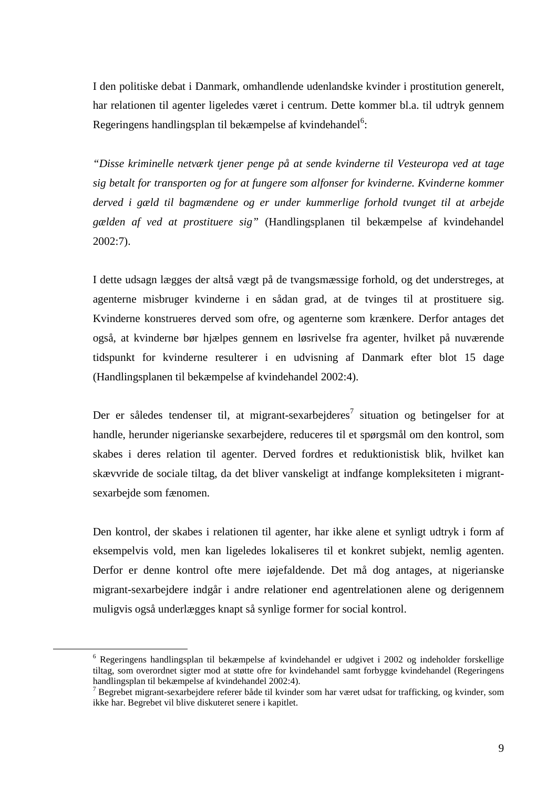I den politiske debat i Danmark, omhandlende udenlandske kvinder i prostitution generelt, har relationen til agenter ligeledes været i centrum. Dette kommer bl.a. til udtryk gennem Regeringens handlingsplan til bekæmpelse af kvindehandel<sup>6</sup>:

*"Disse kriminelle netværk tjener penge på at sende kvinderne til Vesteuropa ved at tage sig betalt for transporten og for at fungere som alfonser for kvinderne. Kvinderne kommer derved i gæld til bagmændene og er under kummerlige forhold tvunget til at arbejde gælden af ved at prostituere sig"* (Handlingsplanen til bekæmpelse af kvindehandel 2002:7).

I dette udsagn lægges der altså vægt på de tvangsmæssige forhold, og det understreges, at agenterne misbruger kvinderne i en sådan grad, at de tvinges til at prostituere sig. Kvinderne konstrueres derved som ofre, og agenterne som krænkere. Derfor antages det også, at kvinderne bør hjælpes gennem en løsrivelse fra agenter, hvilket på nuværende tidspunkt for kvinderne resulterer i en udvisning af Danmark efter blot 15 dage (Handlingsplanen til bekæmpelse af kvindehandel 2002:4).

Der er således tendenser til, at migrant-sexarbejderes<sup>7</sup> situation og betingelser for at handle, herunder nigerianske sexarbejdere, reduceres til et spørgsmål om den kontrol, som skabes i deres relation til agenter. Derved fordres et reduktionistisk blik, hvilket kan skævvride de sociale tiltag, da det bliver vanskeligt at indfange kompleksiteten i migrantsexarbejde som fænomen.

Den kontrol, der skabes i relationen til agenter, har ikke alene et synligt udtryk i form af eksempelvis vold, men kan ligeledes lokaliseres til et konkret subjekt, nemlig agenten. Derfor er denne kontrol ofte mere iøjefaldende. Det må dog antages, at nigerianske migrant-sexarbejdere indgår i andre relationer end agentrelationen alene og derigennem muligvis også underlægges knapt så synlige former for social kontrol.

<sup>6</sup> Regeringens handlingsplan til bekæmpelse af kvindehandel er udgivet i 2002 og indeholder forskellige tiltag, som overordnet sigter mod at støtte ofre for kvindehandel samt forbygge kvindehandel (Regeringens handlingsplan til bekæmpelse af kvindehandel 2002:4).

<sup>&</sup>lt;sup>7</sup> Begrebet migrant-sexarbejdere referer både til kvinder som har været udsat for trafficking, og kvinder, som ikke har. Begrebet vil blive diskuteret senere i kapitlet.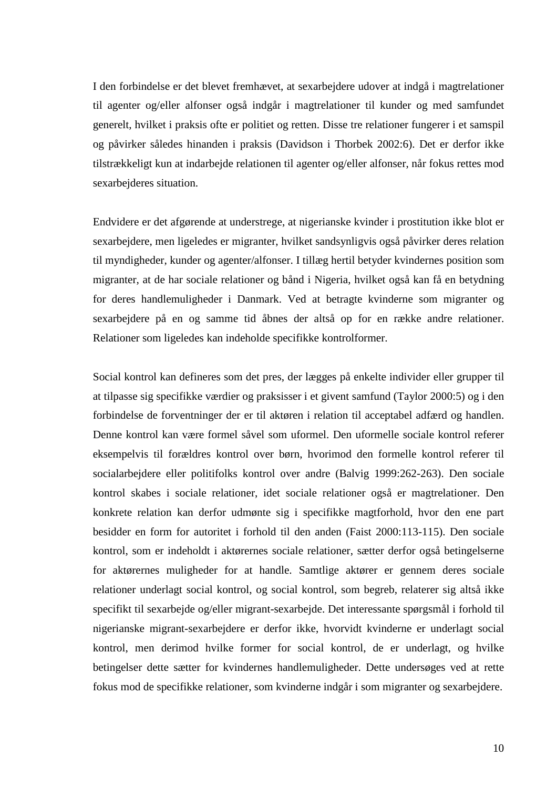I den forbindelse er det blevet fremhævet, at sexarbejdere udover at indgå i magtrelationer til agenter og/eller alfonser også indgår i magtrelationer til kunder og med samfundet generelt, hvilket i praksis ofte er politiet og retten. Disse tre relationer fungerer i et samspil og påvirker således hinanden i praksis (Davidson i Thorbek 2002:6). Det er derfor ikke tilstrækkeligt kun at indarbejde relationen til agenter og/eller alfonser, når fokus rettes mod sexarbejderes situation.

Endvidere er det afgørende at understrege, at nigerianske kvinder i prostitution ikke blot er sexarbejdere, men ligeledes er migranter, hvilket sandsynligvis også påvirker deres relation til myndigheder, kunder og agenter/alfonser. I tillæg hertil betyder kvindernes position som migranter, at de har sociale relationer og bånd i Nigeria, hvilket også kan få en betydning for deres handlemuligheder i Danmark. Ved at betragte kvinderne som migranter og sexarbejdere på en og samme tid åbnes der altså op for en række andre relationer. Relationer som ligeledes kan indeholde specifikke kontrolformer.

Social kontrol kan defineres som det pres, der lægges på enkelte individer eller grupper til at tilpasse sig specifikke værdier og praksisser i et givent samfund (Taylor 2000:5) og i den forbindelse de forventninger der er til aktøren i relation til acceptabel adfærd og handlen. Denne kontrol kan være formel såvel som uformel. Den uformelle sociale kontrol referer eksempelvis til forældres kontrol over børn, hvorimod den formelle kontrol referer til socialarbejdere eller politifolks kontrol over andre (Balvig 1999:262-263). Den sociale kontrol skabes i sociale relationer, idet sociale relationer også er magtrelationer. Den konkrete relation kan derfor udmønte sig i specifikke magtforhold, hvor den ene part besidder en form for autoritet i forhold til den anden (Faist 2000:113-115). Den sociale kontrol, som er indeholdt i aktørernes sociale relationer, sætter derfor også betingelserne for aktørernes muligheder for at handle. Samtlige aktører er gennem deres sociale relationer underlagt social kontrol, og social kontrol, som begreb, relaterer sig altså ikke specifikt til sexarbejde og/eller migrant-sexarbejde. Det interessante spørgsmål i forhold til nigerianske migrant-sexarbejdere er derfor ikke, hvorvidt kvinderne er underlagt social kontrol, men derimod hvilke former for social kontrol, de er underlagt, og hvilke betingelser dette sætter for kvindernes handlemuligheder. Dette undersøges ved at rette fokus mod de specifikke relationer, som kvinderne indgår i som migranter og sexarbejdere.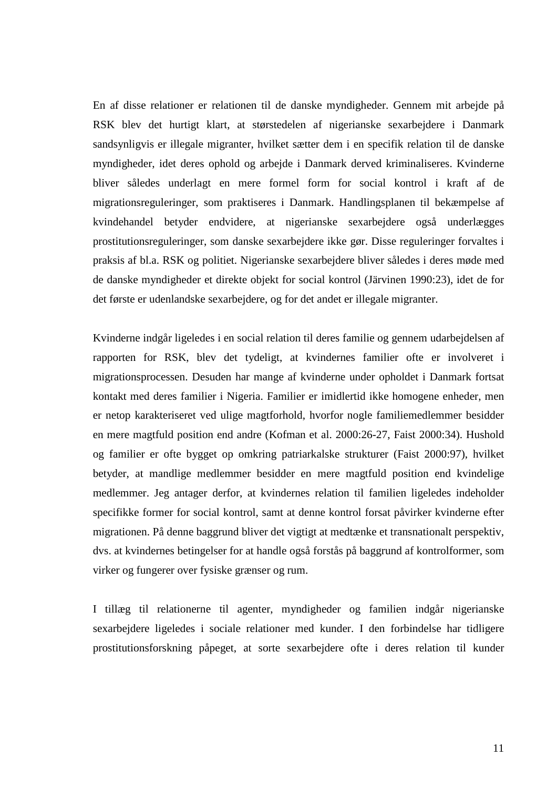En af disse relationer er relationen til de danske myndigheder. Gennem mit arbejde på RSK blev det hurtigt klart, at størstedelen af nigerianske sexarbejdere i Danmark sandsynligvis er illegale migranter, hvilket sætter dem i en specifik relation til de danske myndigheder, idet deres ophold og arbejde i Danmark derved kriminaliseres. Kvinderne bliver således underlagt en mere formel form for social kontrol i kraft af de migrationsreguleringer, som praktiseres i Danmark. Handlingsplanen til bekæmpelse af kvindehandel betyder endvidere, at nigerianske sexarbejdere også underlægges prostitutionsreguleringer, som danske sexarbejdere ikke gør. Disse reguleringer forvaltes i praksis af bl.a. RSK og politiet. Nigerianske sexarbejdere bliver således i deres møde med de danske myndigheder et direkte objekt for social kontrol (Järvinen 1990:23), idet de for det første er udenlandske sexarbejdere, og for det andet er illegale migranter.

Kvinderne indgår ligeledes i en social relation til deres familie og gennem udarbejdelsen af rapporten for RSK, blev det tydeligt, at kvindernes familier ofte er involveret i migrationsprocessen. Desuden har mange af kvinderne under opholdet i Danmark fortsat kontakt med deres familier i Nigeria. Familier er imidlertid ikke homogene enheder, men er netop karakteriseret ved ulige magtforhold, hvorfor nogle familiemedlemmer besidder en mere magtfuld position end andre (Kofman et al. 2000:26-27, Faist 2000:34). Hushold og familier er ofte bygget op omkring patriarkalske strukturer (Faist 2000:97), hvilket betyder, at mandlige medlemmer besidder en mere magtfuld position end kvindelige medlemmer. Jeg antager derfor, at kvindernes relation til familien ligeledes indeholder specifikke former for social kontrol, samt at denne kontrol forsat påvirker kvinderne efter migrationen. På denne baggrund bliver det vigtigt at medtænke et transnationalt perspektiv, dvs. at kvindernes betingelser for at handle også forstås på baggrund af kontrolformer, som virker og fungerer over fysiske grænser og rum.

I tillæg til relationerne til agenter, myndigheder og familien indgår nigerianske sexarbejdere ligeledes i sociale relationer med kunder. I den forbindelse har tidligere prostitutionsforskning påpeget, at sorte sexarbejdere ofte i deres relation til kunder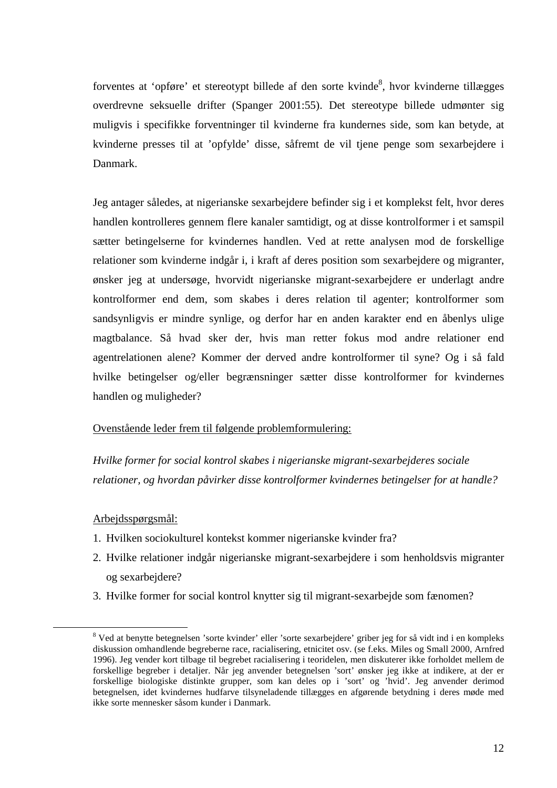forventes at 'opføre' et stereotypt billede af den sorte kvinde<sup>8</sup>, hvor kvinderne tillægges overdrevne seksuelle drifter (Spanger 2001:55). Det stereotype billede udmønter sig muligvis i specifikke forventninger til kvinderne fra kundernes side, som kan betyde, at kvinderne presses til at 'opfylde' disse, såfremt de vil tjene penge som sexarbejdere i Danmark.

Jeg antager således, at nigerianske sexarbejdere befinder sig i et komplekst felt, hvor deres handlen kontrolleres gennem flere kanaler samtidigt, og at disse kontrolformer i et samspil sætter betingelserne for kvindernes handlen. Ved at rette analysen mod de forskellige relationer som kvinderne indgår i, i kraft af deres position som sexarbejdere og migranter, ønsker jeg at undersøge, hvorvidt nigerianske migrant-sexarbejdere er underlagt andre kontrolformer end dem, som skabes i deres relation til agenter; kontrolformer som sandsynligvis er mindre synlige, og derfor har en anden karakter end en åbenlys ulige magtbalance. Så hvad sker der, hvis man retter fokus mod andre relationer end agentrelationen alene? Kommer der derved andre kontrolformer til syne? Og i så fald hvilke betingelser og/eller begrænsninger sætter disse kontrolformer for kvindernes handlen og muligheder?

#### Ovenstående leder frem til følgende problemformulering:

*Hvilke former for social kontrol skabes i nigerianske migrant-sexarbejderes sociale relationer, og hvordan påvirker disse kontrolformer kvindernes betingelser for at handle?* 

#### Arbejdsspørgsmål:

- 1. Hvilken sociokulturel kontekst kommer nigerianske kvinder fra?
- 2. Hvilke relationer indgår nigerianske migrant-sexarbejdere i som henholdsvis migranter og sexarbejdere?
- 3. Hvilke former for social kontrol knytter sig til migrant-sexarbejde som fænomen?

<sup>&</sup>lt;sup>8</sup> Ved at benytte betegnelsen 'sorte kvinder' eller 'sorte sexarbejdere' griber jeg for så vidt ind i en kompleks diskussion omhandlende begreberne race, racialisering, etnicitet osv. (se f.eks. Miles og Small 2000, Arnfred 1996). Jeg vender kort tilbage til begrebet racialisering i teoridelen, men diskuterer ikke forholdet mellem de forskellige begreber i detaljer. Når jeg anvender betegnelsen 'sort' ønsker jeg ikke at indikere, at der er forskellige biologiske distinkte grupper, som kan deles op i 'sort' og 'hvid'. Jeg anvender derimod betegnelsen, idet kvindernes hudfarve tilsyneladende tillægges en afgørende betydning i deres møde med ikke sorte mennesker såsom kunder i Danmark.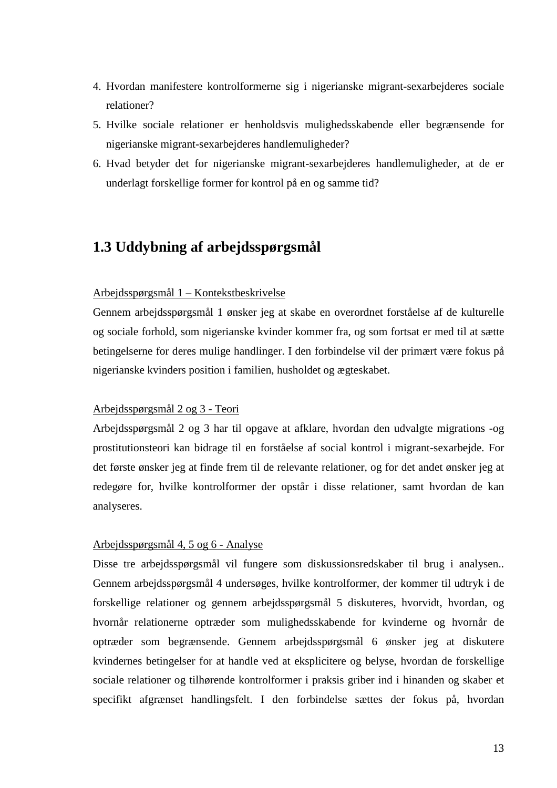- 4. Hvordan manifestere kontrolformerne sig i nigerianske migrant-sexarbejderes sociale relationer?
- 5. Hvilke sociale relationer er henholdsvis mulighedsskabende eller begrænsende for nigerianske migrant-sexarbejderes handlemuligheder?
- 6. Hvad betyder det for nigerianske migrant-sexarbejderes handlemuligheder, at de er underlagt forskellige former for kontrol på en og samme tid?

# **1.3 Uddybning af arbejdsspørgsmål**

#### Arbejdsspørgsmål 1 – Kontekstbeskrivelse

Gennem arbejdsspørgsmål 1 ønsker jeg at skabe en overordnet forståelse af de kulturelle og sociale forhold, som nigerianske kvinder kommer fra, og som fortsat er med til at sætte betingelserne for deres mulige handlinger. I den forbindelse vil der primært være fokus på nigerianske kvinders position i familien, husholdet og ægteskabet.

#### Arbejdsspørgsmål 2 og 3 - Teori

Arbejdsspørgsmål 2 og 3 har til opgave at afklare, hvordan den udvalgte migrations -og prostitutionsteori kan bidrage til en forståelse af social kontrol i migrant-sexarbejde. For det første ønsker jeg at finde frem til de relevante relationer, og for det andet ønsker jeg at redegøre for, hvilke kontrolformer der opstår i disse relationer, samt hvordan de kan analyseres.

#### Arbejdsspørgsmål 4, 5 og 6 - Analyse

Disse tre arbejdsspørgsmål vil fungere som diskussionsredskaber til brug i analysen.. Gennem arbejdsspørgsmål 4 undersøges, hvilke kontrolformer, der kommer til udtryk i de forskellige relationer og gennem arbejdsspørgsmål 5 diskuteres, hvorvidt, hvordan, og hvornår relationerne optræder som mulighedsskabende for kvinderne og hvornår de optræder som begrænsende. Gennem arbejdsspørgsmål 6 ønsker jeg at diskutere kvindernes betingelser for at handle ved at eksplicitere og belyse, hvordan de forskellige sociale relationer og tilhørende kontrolformer i praksis griber ind i hinanden og skaber et specifikt afgrænset handlingsfelt. I den forbindelse sættes der fokus på, hvordan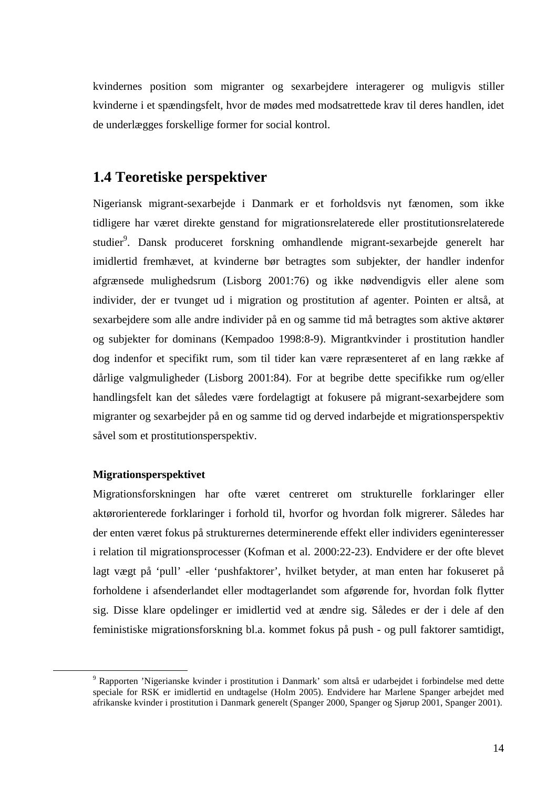kvindernes position som migranter og sexarbejdere interagerer og muligvis stiller kvinderne i et spændingsfelt, hvor de mødes med modsatrettede krav til deres handlen, idet de underlægges forskellige former for social kontrol.

## **1.4 Teoretiske perspektiver**

Nigeriansk migrant-sexarbejde i Danmark er et forholdsvis nyt fænomen, som ikke tidligere har været direkte genstand for migrationsrelaterede eller prostitutionsrelaterede studier<sup>9</sup>. Dansk produceret forskning omhandlende migrant-sexarbejde generelt har imidlertid fremhævet, at kvinderne bør betragtes som subjekter, der handler indenfor afgrænsede mulighedsrum (Lisborg 2001:76) og ikke nødvendigvis eller alene som individer, der er tvunget ud i migration og prostitution af agenter. Pointen er altså, at sexarbejdere som alle andre individer på en og samme tid må betragtes som aktive aktører og subjekter for dominans (Kempadoo 1998:8-9). Migrantkvinder i prostitution handler dog indenfor et specifikt rum, som til tider kan være repræsenteret af en lang række af dårlige valgmuligheder (Lisborg 2001:84). For at begribe dette specifikke rum og/eller handlingsfelt kan det således være fordelagtigt at fokusere på migrant-sexarbejdere som migranter og sexarbejder på en og samme tid og derved indarbejde et migrationsperspektiv såvel som et prostitutionsperspektiv.

#### **Migrationsperspektivet**

 $\overline{a}$ 

Migrationsforskningen har ofte været centreret om strukturelle forklaringer eller aktørorienterede forklaringer i forhold til, hvorfor og hvordan folk migrerer. Således har der enten været fokus på strukturernes determinerende effekt eller individers egeninteresser i relation til migrationsprocesser (Kofman et al. 2000:22-23). Endvidere er der ofte blevet lagt vægt på 'pull' -eller 'pushfaktorer', hvilket betyder, at man enten har fokuseret på forholdene i afsenderlandet eller modtagerlandet som afgørende for, hvordan folk flytter sig. Disse klare opdelinger er imidlertid ved at ændre sig. Således er der i dele af den feministiske migrationsforskning bl.a. kommet fokus på push - og pull faktorer samtidigt,

<sup>&</sup>lt;sup>9</sup> Rapporten 'Nigerianske kvinder i prostitution i Danmark' som altså er udarbejdet i forbindelse med dette speciale for RSK er imidlertid en undtagelse (Holm 2005). Endvidere har Marlene Spanger arbejdet med afrikanske kvinder i prostitution i Danmark generelt (Spanger 2000, Spanger og Sjørup 2001, Spanger 2001).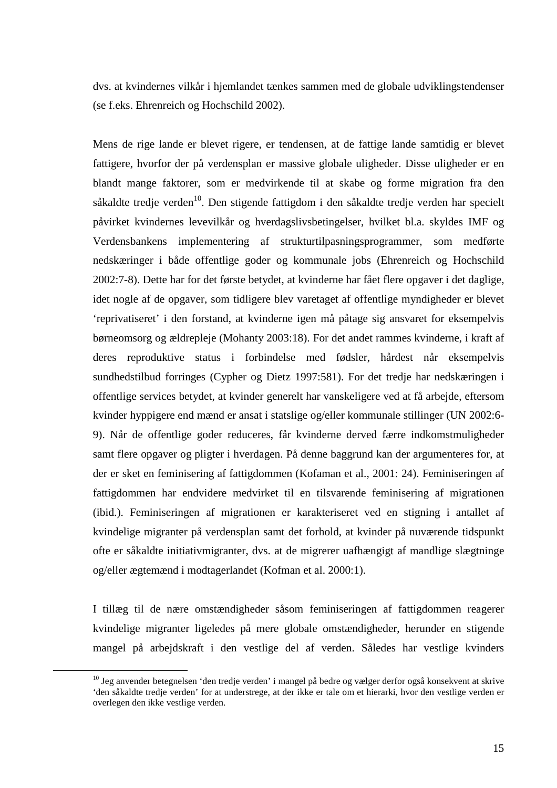dvs. at kvindernes vilkår i hjemlandet tænkes sammen med de globale udviklingstendenser (se f.eks. Ehrenreich og Hochschild 2002).

Mens de rige lande er blevet rigere, er tendensen, at de fattige lande samtidig er blevet fattigere, hvorfor der på verdensplan er massive globale uligheder. Disse uligheder er en blandt mange faktorer, som er medvirkende til at skabe og forme migration fra den såkaldte tredje verden<sup>10</sup>. Den stigende fattigdom i den såkaldte tredje verden har specielt påvirket kvindernes levevilkår og hverdagslivsbetingelser, hvilket bl.a. skyldes IMF og Verdensbankens implementering af strukturtilpasningsprogrammer, som medførte nedskæringer i både offentlige goder og kommunale jobs (Ehrenreich og Hochschild 2002:7-8). Dette har for det første betydet, at kvinderne har fået flere opgaver i det daglige, idet nogle af de opgaver, som tidligere blev varetaget af offentlige myndigheder er blevet 'reprivatiseret' i den forstand, at kvinderne igen må påtage sig ansvaret for eksempelvis børneomsorg og ældrepleje (Mohanty 2003:18). For det andet rammes kvinderne, i kraft af deres reproduktive status i forbindelse med fødsler, hårdest når eksempelvis sundhedstilbud forringes (Cypher og Dietz 1997:581). For det tredje har nedskæringen i offentlige services betydet, at kvinder generelt har vanskeligere ved at få arbejde, eftersom kvinder hyppigere end mænd er ansat i statslige og/eller kommunale stillinger (UN 2002:6- 9). Når de offentlige goder reduceres, får kvinderne derved færre indkomstmuligheder samt flere opgaver og pligter i hverdagen. På denne baggrund kan der argumenteres for, at der er sket en feminisering af fattigdommen (Kofaman et al., 2001: 24). Feminiseringen af fattigdommen har endvidere medvirket til en tilsvarende feminisering af migrationen (ibid.). Feminiseringen af migrationen er karakteriseret ved en stigning i antallet af kvindelige migranter på verdensplan samt det forhold, at kvinder på nuværende tidspunkt ofte er såkaldte initiativmigranter, dvs. at de migrerer uafhængigt af mandlige slægtninge og/eller ægtemænd i modtagerlandet (Kofman et al. 2000:1).

I tillæg til de nære omstændigheder såsom feminiseringen af fattigdommen reagerer kvindelige migranter ligeledes på mere globale omstændigheder, herunder en stigende mangel på arbejdskraft i den vestlige del af verden. Således har vestlige kvinders

<sup>10</sup> Jeg anvender betegnelsen 'den tredje verden' i mangel på bedre og vælger derfor også konsekvent at skrive 'den såkaldte tredje verden' for at understrege, at der ikke er tale om et hierarki, hvor den vestlige verden er overlegen den ikke vestlige verden.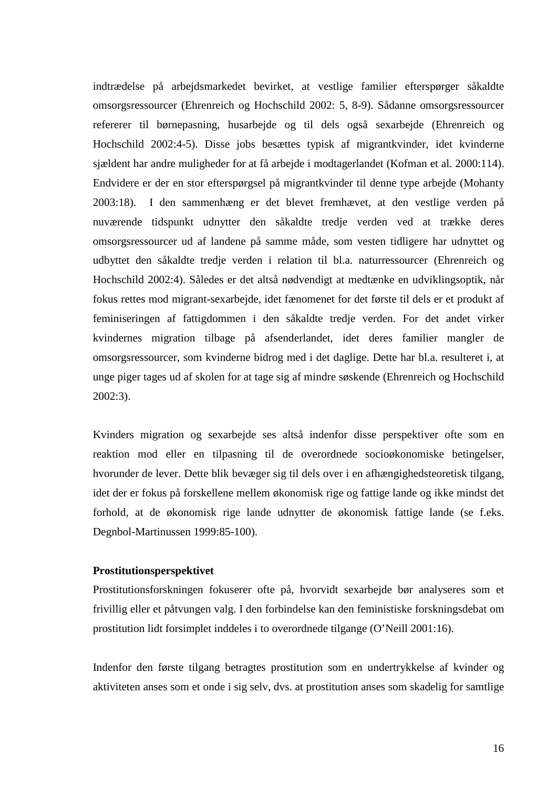indtrædelse på arbejdsmarkedet bevirket, at vestlige familier efterspørger såkaldte omsorgsressourcer (Ehrenreich og Hochschild 2002: 5, 8-9). Sådanne omsorgsressourcer refererer til børnepasning, husarbejde og til dels også sexarbejde (Ehrenreich og Hochschild 2002:4-5). Disse jobs besættes typisk af migrantkvinder, idet kvinderne sjældent har andre muligheder for at få arbejde i modtagerlandet (Kofman et al. 2000:114). Endvidere er der en stor efterspørgsel på migrantkvinder til denne type arbejde (Mohanty 2003:18). I den sammenhæng er det blevet fremhævet, at den vestlige verden på nuværende tidspunkt udnytter den såkaldte tredje verden ved at trække deres omsorgsressourcer ud af landene på samme måde, som vesten tidligere har udnyttet og udbyttet den såkaldte tredje verden i relation til bl.a. naturressourcer (Ehrenreich og Hochschild 2002:4). Således er det altså nødvendigt at medtænke en udviklingsoptik, når fokus rettes mod migrant-sexarbejde, idet fænomenet for det første til dels er et produkt af feminiseringen af fattigdommen i den såkaldte tredje verden. For det andet virker kvindernes migration tilbage på afsenderlandet, idet deres familier mangler de omsorgsressourcer, som kvinderne bidrog med i det daglige. Dette har bl.a. resulteret i, at unge piger tages ud af skolen for at tage sig af mindre søskende (Ehrenreich og Hochschild 2002:3).

Kvinders migration og sexarbejde ses altså indenfor disse perspektiver ofte som en reaktion mod eller en tilpasning til de overordnede socioøkonomiske betingelser, hvorunder de lever. Dette blik bevæger sig til dels over i en afhængighedsteoretisk tilgang, idet der er fokus på forskellene mellem økonomisk rige og fattige lande og ikke mindst det forhold, at de økonomisk rige lande udnytter de økonomisk fattige lande (se f.eks. Degnbol-Martinussen 1999:85-100).

#### **Prostitutionsperspektivet**

Prostitutionsforskningen fokuserer ofte på, hvorvidt sexarbejde bør analyseres som et frivillig eller et påtvungen valg. I den forbindelse kan den feministiske forskningsdebat om prostitution lidt forsimplet inddeles i to overordnede tilgange (O'Neill 2001:16).

Indenfor den første tilgang betragtes prostitution som en undertrykkelse af kvinder og aktiviteten anses som et onde i sig selv, dvs. at prostitution anses som skadelig for samtlige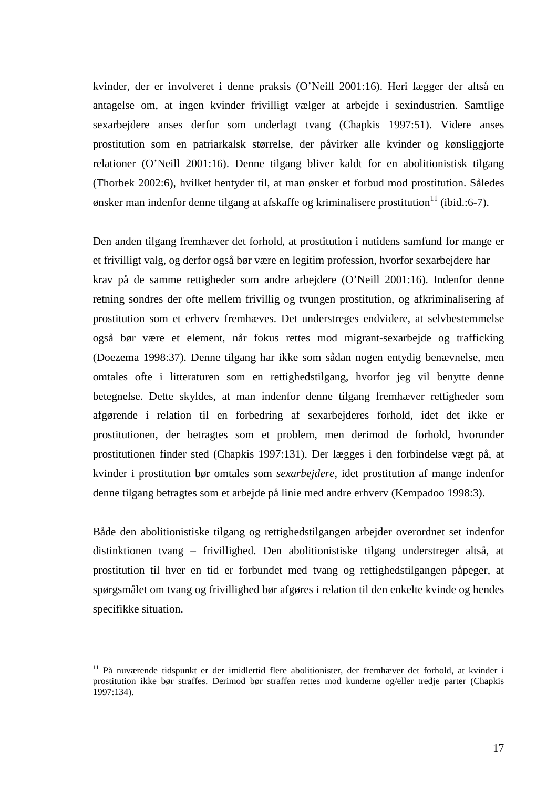kvinder, der er involveret i denne praksis (O'Neill 2001:16). Heri lægger der altså en antagelse om, at ingen kvinder frivilligt vælger at arbejde i sexindustrien. Samtlige sexarbejdere anses derfor som underlagt tvang (Chapkis 1997:51). Videre anses prostitution som en patriarkalsk størrelse, der påvirker alle kvinder og kønsliggjorte relationer (O'Neill 2001:16). Denne tilgang bliver kaldt for en abolitionistisk tilgang (Thorbek 2002:6), hvilket hentyder til, at man ønsker et forbud mod prostitution. Således ønsker man indenfor denne tilgang at afskaffe og kriminalisere prostitution<sup>11</sup> (ibid.:6-7).

Den anden tilgang fremhæver det forhold, at prostitution i nutidens samfund for mange er et frivilligt valg, og derfor også bør være en legitim profession, hvorfor sexarbejdere har krav på de samme rettigheder som andre arbejdere (O'Neill 2001:16). Indenfor denne retning sondres der ofte mellem frivillig og tvungen prostitution, og afkriminalisering af prostitution som et erhverv fremhæves. Det understreges endvidere, at selvbestemmelse også bør være et element, når fokus rettes mod migrant-sexarbejde og trafficking (Doezema 1998:37). Denne tilgang har ikke som sådan nogen entydig benævnelse, men omtales ofte i litteraturen som en rettighedstilgang, hvorfor jeg vil benytte denne betegnelse. Dette skyldes, at man indenfor denne tilgang fremhæver rettigheder som afgørende i relation til en forbedring af sexarbejderes forhold, idet det ikke er prostitutionen, der betragtes som et problem, men derimod de forhold, hvorunder prostitutionen finder sted (Chapkis 1997:131). Der lægges i den forbindelse vægt på, at kvinder i prostitution bør omtales som *sexarbejdere,* idet prostitution af mange indenfor denne tilgang betragtes som et arbejde på linie med andre erhverv (Kempadoo 1998:3).

Både den abolitionistiske tilgang og rettighedstilgangen arbejder overordnet set indenfor distinktionen tvang – frivillighed. Den abolitionistiske tilgang understreger altså, at prostitution til hver en tid er forbundet med tvang og rettighedstilgangen påpeger, at spørgsmålet om tvang og frivillighed bør afgøres i relation til den enkelte kvinde og hendes specifikke situation.

<sup>&</sup>lt;sup>11</sup> På nuværende tidspunkt er der imidlertid flere abolitionister, der fremhæver det forhold, at kvinder i prostitution ikke bør straffes. Derimod bør straffen rettes mod kunderne og/eller tredje parter (Chapkis 1997:134).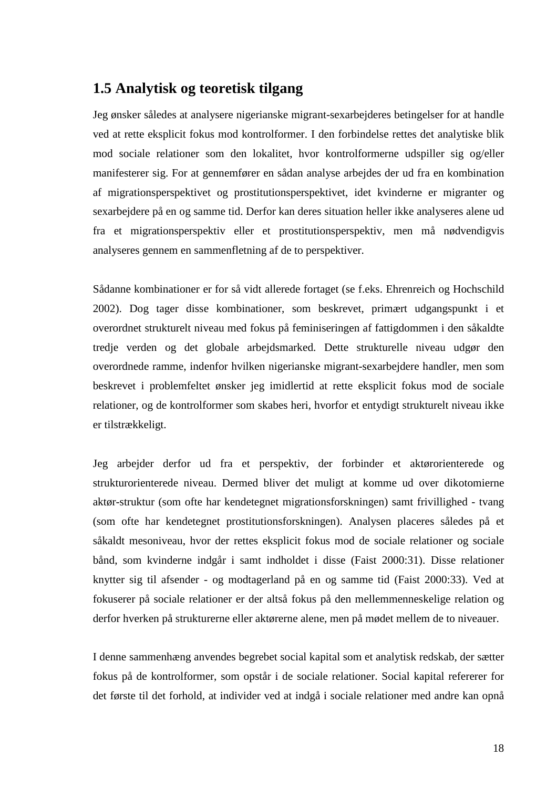## **1.5 Analytisk og teoretisk tilgang**

Jeg ønsker således at analysere nigerianske migrant-sexarbejderes betingelser for at handle ved at rette eksplicit fokus mod kontrolformer. I den forbindelse rettes det analytiske blik mod sociale relationer som den lokalitet, hvor kontrolformerne udspiller sig og/eller manifesterer sig. For at gennemfører en sådan analyse arbejdes der ud fra en kombination af migrationsperspektivet og prostitutionsperspektivet, idet kvinderne er migranter og sexarbejdere på en og samme tid. Derfor kan deres situation heller ikke analyseres alene ud fra et migrationsperspektiv eller et prostitutionsperspektiv, men må nødvendigvis analyseres gennem en sammenfletning af de to perspektiver.

Sådanne kombinationer er for så vidt allerede fortaget (se f.eks. Ehrenreich og Hochschild 2002). Dog tager disse kombinationer, som beskrevet, primært udgangspunkt i et overordnet strukturelt niveau med fokus på feminiseringen af fattigdommen i den såkaldte tredje verden og det globale arbejdsmarked. Dette strukturelle niveau udgør den overordnede ramme, indenfor hvilken nigerianske migrant-sexarbejdere handler, men som beskrevet i problemfeltet ønsker jeg imidlertid at rette eksplicit fokus mod de sociale relationer, og de kontrolformer som skabes heri, hvorfor et entydigt strukturelt niveau ikke er tilstrækkeligt.

Jeg arbejder derfor ud fra et perspektiv, der forbinder et aktørorienterede og strukturorienterede niveau. Dermed bliver det muligt at komme ud over dikotomierne aktør-struktur (som ofte har kendetegnet migrationsforskningen) samt frivillighed - tvang (som ofte har kendetegnet prostitutionsforskningen). Analysen placeres således på et såkaldt mesoniveau, hvor der rettes eksplicit fokus mod de sociale relationer og sociale bånd, som kvinderne indgår i samt indholdet i disse (Faist 2000:31). Disse relationer knytter sig til afsender - og modtagerland på en og samme tid (Faist 2000:33). Ved at fokuserer på sociale relationer er der altså fokus på den mellemmenneskelige relation og derfor hverken på strukturerne eller aktørerne alene, men på mødet mellem de to niveauer.

I denne sammenhæng anvendes begrebet social kapital som et analytisk redskab, der sætter fokus på de kontrolformer, som opstår i de sociale relationer. Social kapital refererer for det første til det forhold, at individer ved at indgå i sociale relationer med andre kan opnå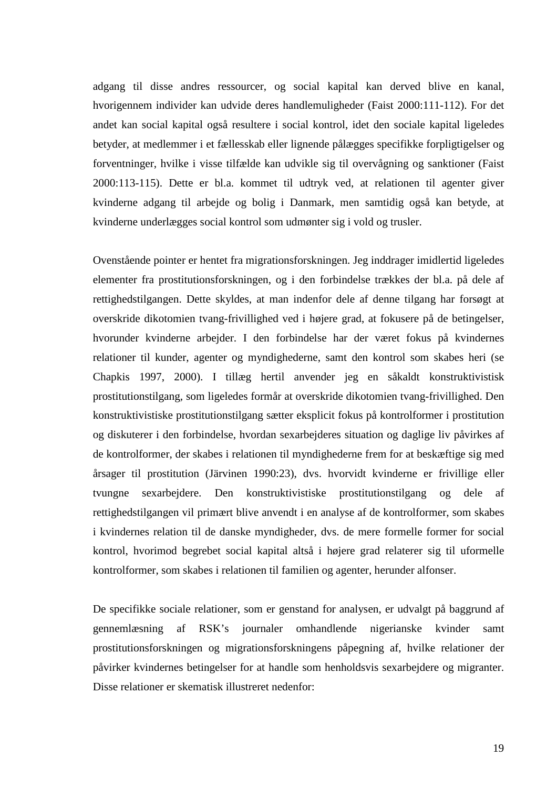adgang til disse andres ressourcer, og social kapital kan derved blive en kanal, hvorigennem individer kan udvide deres handlemuligheder (Faist 2000:111-112). For det andet kan social kapital også resultere i social kontrol, idet den sociale kapital ligeledes betyder, at medlemmer i et fællesskab eller lignende pålægges specifikke forpligtigelser og forventninger, hvilke i visse tilfælde kan udvikle sig til overvågning og sanktioner (Faist 2000:113-115). Dette er bl.a. kommet til udtryk ved, at relationen til agenter giver kvinderne adgang til arbejde og bolig i Danmark, men samtidig også kan betyde, at kvinderne underlægges social kontrol som udmønter sig i vold og trusler.

Ovenstående pointer er hentet fra migrationsforskningen. Jeg inddrager imidlertid ligeledes elementer fra prostitutionsforskningen, og i den forbindelse trækkes der bl.a. på dele af rettighedstilgangen. Dette skyldes, at man indenfor dele af denne tilgang har forsøgt at overskride dikotomien tvang-frivillighed ved i højere grad, at fokusere på de betingelser, hvorunder kvinderne arbejder. I den forbindelse har der været fokus på kvindernes relationer til kunder, agenter og myndighederne, samt den kontrol som skabes heri (se Chapkis 1997, 2000). I tillæg hertil anvender jeg en såkaldt konstruktivistisk prostitutionstilgang, som ligeledes formår at overskride dikotomien tvang-frivillighed. Den konstruktivistiske prostitutionstilgang sætter eksplicit fokus på kontrolformer i prostitution og diskuterer i den forbindelse, hvordan sexarbejderes situation og daglige liv påvirkes af de kontrolformer, der skabes i relationen til myndighederne frem for at beskæftige sig med årsager til prostitution (Järvinen 1990:23), dvs. hvorvidt kvinderne er frivillige eller tvungne sexarbejdere. Den konstruktivistiske prostitutionstilgang og dele af rettighedstilgangen vil primært blive anvendt i en analyse af de kontrolformer, som skabes i kvindernes relation til de danske myndigheder, dvs. de mere formelle former for social kontrol, hvorimod begrebet social kapital altså i højere grad relaterer sig til uformelle kontrolformer, som skabes i relationen til familien og agenter, herunder alfonser.

De specifikke sociale relationer, som er genstand for analysen, er udvalgt på baggrund af gennemlæsning af RSK's journaler omhandlende nigerianske kvinder samt prostitutionsforskningen og migrationsforskningens påpegning af, hvilke relationer der påvirker kvindernes betingelser for at handle som henholdsvis sexarbejdere og migranter. Disse relationer er skematisk illustreret nedenfor: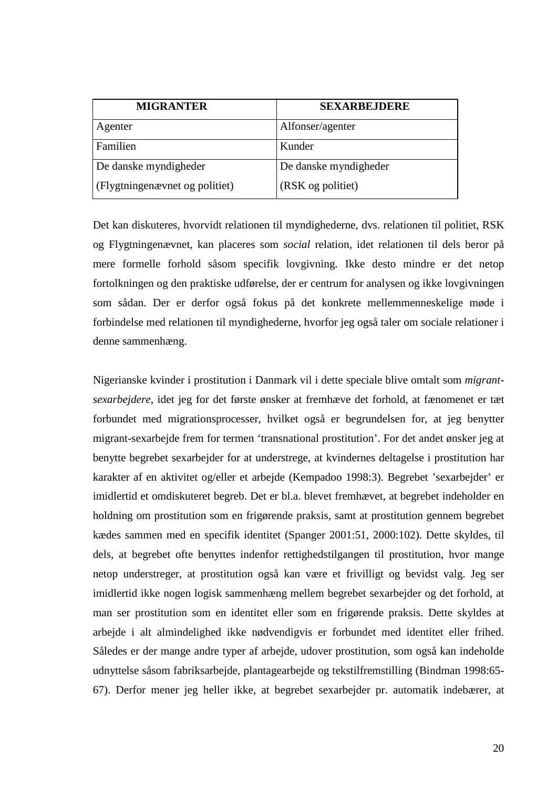| <b>MIGRANTER</b>               | <b>SEXARBEJDERE</b>   |
|--------------------------------|-----------------------|
| Agenter                        | Alfonser/agenter      |
| Familien                       | Kunder                |
| De danske myndigheder          | De danske myndigheder |
| (Flygtningenævnet og politiet) | (RSK og politiet)     |

Det kan diskuteres, hvorvidt relationen til myndighederne, dvs. relationen til politiet, RSK og Flygtningenævnet, kan placeres som *social* relation, idet relationen til dels beror på mere formelle forhold såsom specifik lovgivning. Ikke desto mindre er det netop fortolkningen og den praktiske udførelse, der er centrum for analysen og ikke lovgivningen som sådan. Der er derfor også fokus på det konkrete mellemmenneskelige møde i forbindelse med relationen til myndighederne, hvorfor jeg også taler om sociale relationer i denne sammenhæng.

Nigerianske kvinder i prostitution i Danmark vil i dette speciale blive omtalt som *migrantsexarbejdere*, idet jeg for det første ønsker at fremhæve det forhold, at fænomenet er tæt forbundet med migrationsprocesser, hvilket også er begrundelsen for, at jeg benytter migrant-sexarbejde frem for termen 'transnational prostitution'. For det andet ønsker jeg at benytte begrebet sexarbejder for at understrege, at kvindernes deltagelse i prostitution har karakter af en aktivitet og/eller et arbejde (Kempadoo 1998:3). Begrebet 'sexarbejder' er imidlertid et omdiskuteret begreb. Det er bl.a. blevet fremhævet, at begrebet indeholder en holdning om prostitution som en frigørende praksis, samt at prostitution gennem begrebet kædes sammen med en specifik identitet (Spanger 2001:51, 2000:102). Dette skyldes, til dels, at begrebet ofte benyttes indenfor rettighedstilgangen til prostitution, hvor mange netop understreger, at prostitution også kan være et frivilligt og bevidst valg. Jeg ser imidlertid ikke nogen logisk sammenhæng mellem begrebet sexarbejder og det forhold, at man ser prostitution som en identitet eller som en frigørende praksis. Dette skyldes at arbejde i alt almindelighed ikke nødvendigvis er forbundet med identitet eller frihed. Således er der mange andre typer af arbejde, udover prostitution, som også kan indeholde udnyttelse såsom fabriksarbejde, plantagearbejde og tekstilfremstilling (Bindman 1998:65- 67). Derfor mener jeg heller ikke, at begrebet sexarbejder pr. automatik indebærer, at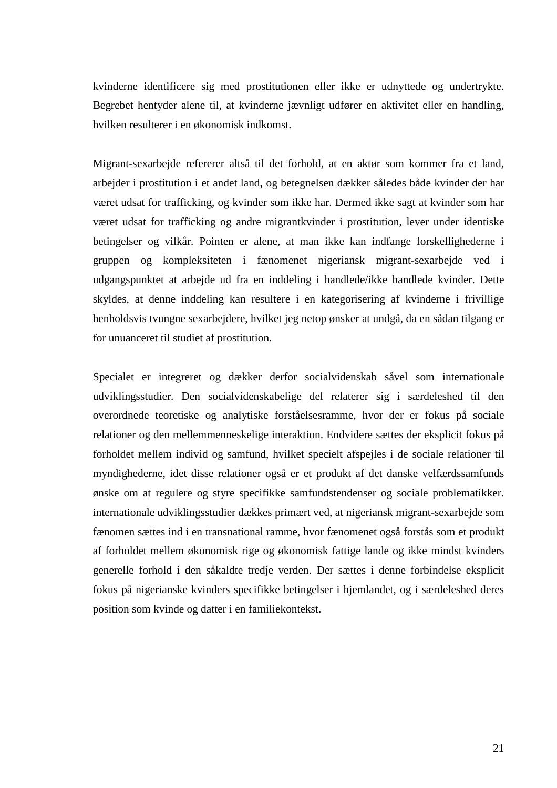kvinderne identificere sig med prostitutionen eller ikke er udnyttede og undertrykte. Begrebet hentyder alene til, at kvinderne jævnligt udfører en aktivitet eller en handling, hvilken resulterer i en økonomisk indkomst.

Migrant-sexarbejde refererer altså til det forhold, at en aktør som kommer fra et land, arbejder i prostitution i et andet land, og betegnelsen dækker således både kvinder der har været udsat for trafficking, og kvinder som ikke har. Dermed ikke sagt at kvinder som har været udsat for trafficking og andre migrantkvinder i prostitution, lever under identiske betingelser og vilkår. Pointen er alene, at man ikke kan indfange forskellighederne i gruppen og kompleksiteten i fænomenet nigeriansk migrant-sexarbejde ved i udgangspunktet at arbejde ud fra en inddeling i handlede/ikke handlede kvinder. Dette skyldes, at denne inddeling kan resultere i en kategorisering af kvinderne i frivillige henholdsvis tvungne sexarbejdere, hvilket jeg netop ønsker at undgå, da en sådan tilgang er for unuanceret til studiet af prostitution.

Specialet er integreret og dækker derfor socialvidenskab såvel som internationale udviklingsstudier. Den socialvidenskabelige del relaterer sig i særdeleshed til den overordnede teoretiske og analytiske forståelsesramme, hvor der er fokus på sociale relationer og den mellemmenneskelige interaktion. Endvidere sættes der eksplicit fokus på forholdet mellem individ og samfund, hvilket specielt afspejles i de sociale relationer til myndighederne, idet disse relationer også er et produkt af det danske velfærdssamfunds ønske om at regulere og styre specifikke samfundstendenser og sociale problematikker. internationale udviklingsstudier dækkes primært ved, at nigeriansk migrant-sexarbejde som fænomen sættes ind i en transnational ramme, hvor fænomenet også forstås som et produkt af forholdet mellem økonomisk rige og økonomisk fattige lande og ikke mindst kvinders generelle forhold i den såkaldte tredje verden. Der sættes i denne forbindelse eksplicit fokus på nigerianske kvinders specifikke betingelser i hjemlandet, og i særdeleshed deres position som kvinde og datter i en familiekontekst.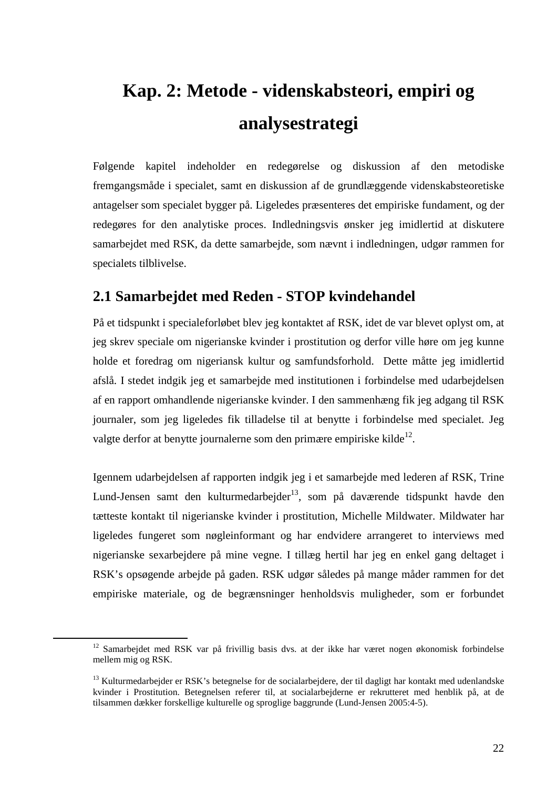# **Kap. 2: Metode - videnskabsteori, empiri og analysestrategi**

Følgende kapitel indeholder en redegørelse og diskussion af den metodiske fremgangsmåde i specialet, samt en diskussion af de grundlæggende videnskabsteoretiske antagelser som specialet bygger på. Ligeledes præsenteres det empiriske fundament, og der redegøres for den analytiske proces. Indledningsvis ønsker jeg imidlertid at diskutere samarbejdet med RSK, da dette samarbejde, som nævnt i indledningen, udgør rammen for specialets tilblivelse.

# **2.1 Samarbejdet med Reden - STOP kvindehandel**

På et tidspunkt i specialeforløbet blev jeg kontaktet af RSK, idet de var blevet oplyst om, at jeg skrev speciale om nigerianske kvinder i prostitution og derfor ville høre om jeg kunne holde et foredrag om nigeriansk kultur og samfundsforhold. Dette måtte jeg imidlertid afslå. I stedet indgik jeg et samarbejde med institutionen i forbindelse med udarbejdelsen af en rapport omhandlende nigerianske kvinder. I den sammenhæng fik jeg adgang til RSK journaler, som jeg ligeledes fik tilladelse til at benytte i forbindelse med specialet. Jeg valgte derfor at benytte journalerne som den primære empiriske kilde $^{12}$ .

Igennem udarbejdelsen af rapporten indgik jeg i et samarbejde med lederen af RSK, Trine Lund-Jensen samt den kulturmedarbejder<sup>13</sup>, som på daværende tidspunkt havde den tætteste kontakt til nigerianske kvinder i prostitution, Michelle Mildwater. Mildwater har ligeledes fungeret som nøgleinformant og har endvidere arrangeret to interviews med nigerianske sexarbejdere på mine vegne. I tillæg hertil har jeg en enkel gang deltaget i RSK's opsøgende arbejde på gaden. RSK udgør således på mange måder rammen for det empiriske materiale, og de begrænsninger henholdsvis muligheder, som er forbundet

<sup>&</sup>lt;sup>12</sup> Samarbejdet med RSK var på frivillig basis dvs. at der ikke har været nogen økonomisk forbindelse mellem mig og RSK.

<sup>&</sup>lt;sup>13</sup> Kulturmedarbejder er RSK's betegnelse for de socialarbejdere, der til dagligt har kontakt med udenlandske kvinder i Prostitution. Betegnelsen referer til, at socialarbejderne er rekrutteret med henblik på, at de tilsammen dækker forskellige kulturelle og sproglige baggrunde (Lund-Jensen 2005:4-5).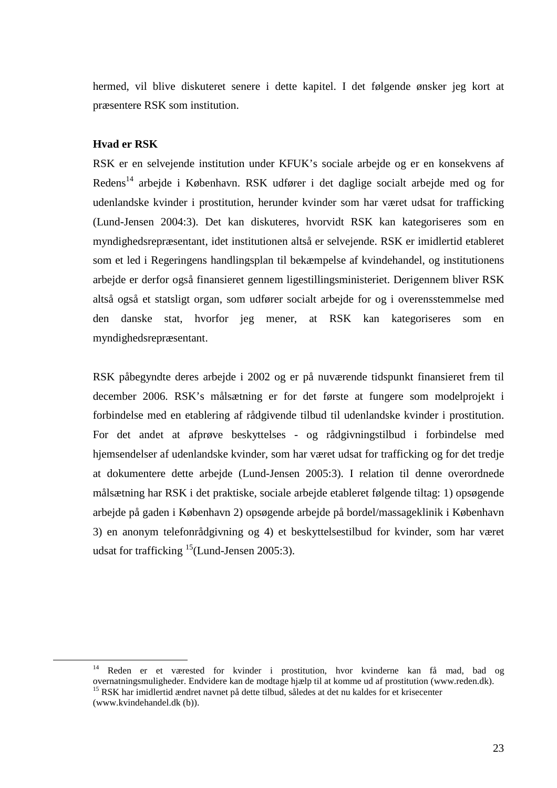hermed, vil blive diskuteret senere i dette kapitel. I det følgende ønsker jeg kort at præsentere RSK som institution.

#### **Hvad er RSK**

RSK er en selvejende institution under KFUK's sociale arbejde og er en konsekvens af Redens<sup>14</sup> arbejde i København. RSK udfører i det daglige socialt arbejde med og for udenlandske kvinder i prostitution, herunder kvinder som har været udsat for trafficking (Lund-Jensen 2004:3). Det kan diskuteres, hvorvidt RSK kan kategoriseres som en myndighedsrepræsentant, idet institutionen altså er selvejende. RSK er imidlertid etableret som et led i Regeringens handlingsplan til bekæmpelse af kvindehandel, og institutionens arbejde er derfor også finansieret gennem ligestillingsministeriet. Derigennem bliver RSK altså også et statsligt organ, som udfører socialt arbejde for og i overensstemmelse med den danske stat, hvorfor jeg mener, at RSK kan kategoriseres som en myndighedsrepræsentant.

RSK påbegyndte deres arbejde i 2002 og er på nuværende tidspunkt finansieret frem til december 2006. RSK's målsætning er for det første at fungere som modelprojekt i forbindelse med en etablering af rådgivende tilbud til udenlandske kvinder i prostitution. For det andet at afprøve beskyttelses - og rådgivningstilbud i forbindelse med hjemsendelser af udenlandske kvinder, som har været udsat for trafficking og for det tredje at dokumentere dette arbejde (Lund-Jensen 2005:3). I relation til denne overordnede målsætning har RSK i det praktiske, sociale arbejde etableret følgende tiltag: 1) opsøgende arbejde på gaden i København 2) opsøgende arbejde på bordel/massageklinik i København 3) en anonym telefonrådgivning og 4) et beskyttelsestilbud for kvinder, som har været udsat for trafficking  $15$ (Lund-Jensen 2005:3).

<sup>14</sup> Reden er et værested for kvinder i prostitution, hvor kvinderne kan få mad, bad og overnatningsmuligheder. Endvidere kan de modtage hjælp til at komme ud af prostitution (www.reden.dk). <sup>15</sup> RSK har imidlertid ændret navnet på dette tilbud, således at det nu kaldes for et krisecenter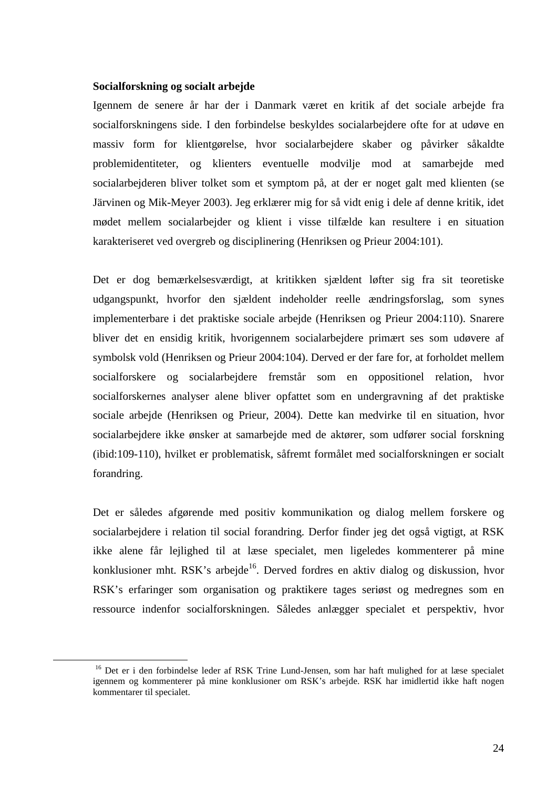#### **Socialforskning og socialt arbejde**

 $\overline{a}$ 

Igennem de senere år har der i Danmark været en kritik af det sociale arbejde fra socialforskningens side. I den forbindelse beskyldes socialarbejdere ofte for at udøve en massiv form for klientgørelse, hvor socialarbejdere skaber og påvirker såkaldte problemidentiteter, og klienters eventuelle modvilje mod at samarbejde med socialarbejderen bliver tolket som et symptom på, at der er noget galt med klienten (se Järvinen og Mik-Meyer 2003). Jeg erklærer mig for så vidt enig i dele af denne kritik, idet mødet mellem socialarbejder og klient i visse tilfælde kan resultere i en situation karakteriseret ved overgreb og disciplinering (Henriksen og Prieur 2004:101).

Det er dog bemærkelsesværdigt, at kritikken sjældent løfter sig fra sit teoretiske udgangspunkt, hvorfor den sjældent indeholder reelle ændringsforslag, som synes implementerbare i det praktiske sociale arbejde (Henriksen og Prieur 2004:110). Snarere bliver det en ensidig kritik, hvorigennem socialarbejdere primært ses som udøvere af symbolsk vold (Henriksen og Prieur 2004:104). Derved er der fare for, at forholdet mellem socialforskere og socialarbejdere fremstår som en oppositionel relation, hvor socialforskernes analyser alene bliver opfattet som en undergravning af det praktiske sociale arbejde (Henriksen og Prieur, 2004). Dette kan medvirke til en situation, hvor socialarbejdere ikke ønsker at samarbejde med de aktører, som udfører social forskning (ibid:109-110), hvilket er problematisk, såfremt formålet med socialforskningen er socialt forandring.

Det er således afgørende med positiv kommunikation og dialog mellem forskere og socialarbejdere i relation til social forandring. Derfor finder jeg det også vigtigt, at RSK ikke alene får lejlighed til at læse specialet, men ligeledes kommenterer på mine konklusioner mht. RSK's arbejde<sup>16</sup>. Derved fordres en aktiv dialog og diskussion, hvor RSK's erfaringer som organisation og praktikere tages seriøst og medregnes som en ressource indenfor socialforskningen. Således anlægger specialet et perspektiv, hvor

<sup>&</sup>lt;sup>16</sup> Det er i den forbindelse leder af RSK Trine Lund-Jensen, som har haft mulighed for at læse specialet igennem og kommenterer på mine konklusioner om RSK's arbejde. RSK har imidlertid ikke haft nogen kommentarer til specialet.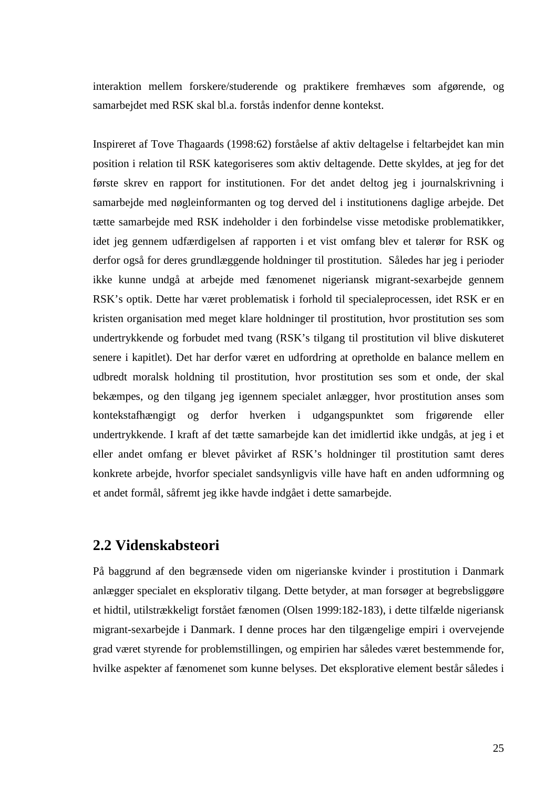interaktion mellem forskere/studerende og praktikere fremhæves som afgørende, og samarbejdet med RSK skal bl.a. forstås indenfor denne kontekst.

Inspireret af Tove Thagaards (1998:62) forståelse af aktiv deltagelse i feltarbejdet kan min position i relation til RSK kategoriseres som aktiv deltagende. Dette skyldes, at jeg for det første skrev en rapport for institutionen. For det andet deltog jeg i journalskrivning i samarbejde med nøgleinformanten og tog derved del i institutionens daglige arbejde. Det tætte samarbejde med RSK indeholder i den forbindelse visse metodiske problematikker, idet jeg gennem udfærdigelsen af rapporten i et vist omfang blev et talerør for RSK og derfor også for deres grundlæggende holdninger til prostitution. Således har jeg i perioder ikke kunne undgå at arbejde med fænomenet nigeriansk migrant-sexarbejde gennem RSK's optik. Dette har været problematisk i forhold til specialeprocessen, idet RSK er en kristen organisation med meget klare holdninger til prostitution, hvor prostitution ses som undertrykkende og forbudet med tvang (RSK's tilgang til prostitution vil blive diskuteret senere i kapitlet). Det har derfor været en udfordring at opretholde en balance mellem en udbredt moralsk holdning til prostitution, hvor prostitution ses som et onde, der skal bekæmpes, og den tilgang jeg igennem specialet anlægger, hvor prostitution anses som kontekstafhængigt og derfor hverken i udgangspunktet som frigørende eller undertrykkende. I kraft af det tætte samarbejde kan det imidlertid ikke undgås, at jeg i et eller andet omfang er blevet påvirket af RSK's holdninger til prostitution samt deres konkrete arbejde, hvorfor specialet sandsynligvis ville have haft en anden udformning og et andet formål, såfremt jeg ikke havde indgået i dette samarbejde.

### **2.2 Videnskabsteori**

På baggrund af den begrænsede viden om nigerianske kvinder i prostitution i Danmark anlægger specialet en eksplorativ tilgang. Dette betyder, at man forsøger at begrebsliggøre et hidtil, utilstrækkeligt forstået fænomen (Olsen 1999:182-183), i dette tilfælde nigeriansk migrant-sexarbejde i Danmark. I denne proces har den tilgængelige empiri i overvejende grad været styrende for problemstillingen, og empirien har således været bestemmende for, hvilke aspekter af fænomenet som kunne belyses. Det eksplorative element består således i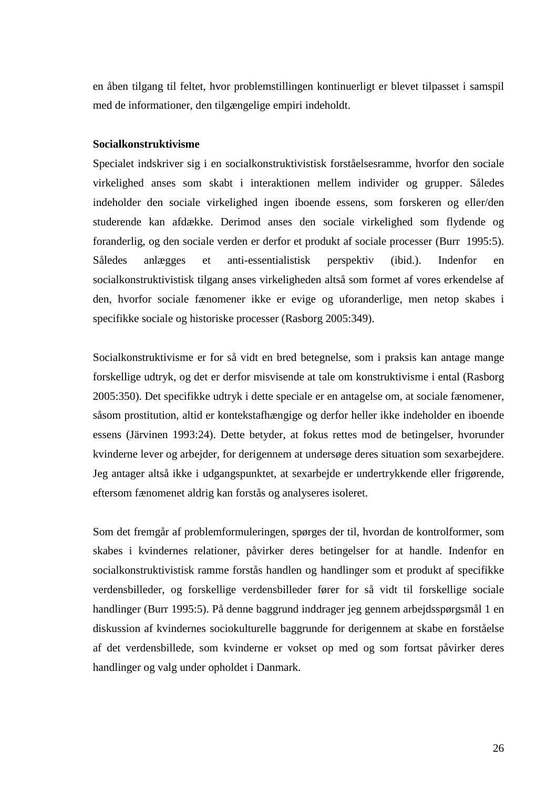en åben tilgang til feltet, hvor problemstillingen kontinuerligt er blevet tilpasset i samspil med de informationer, den tilgængelige empiri indeholdt.

#### **Socialkonstruktivisme**

Specialet indskriver sig i en socialkonstruktivistisk forståelsesramme, hvorfor den sociale virkelighed anses som skabt i interaktionen mellem individer og grupper. Således indeholder den sociale virkelighed ingen iboende essens, som forskeren og eller/den studerende kan afdække. Derimod anses den sociale virkelighed som flydende og foranderlig, og den sociale verden er derfor et produkt af sociale processer (Burr 1995:5). Således anlægges et anti-essentialistisk perspektiv (ibid.). Indenfor en socialkonstruktivistisk tilgang anses virkeligheden altså som formet af vores erkendelse af den, hvorfor sociale fænomener ikke er evige og uforanderlige, men netop skabes i specifikke sociale og historiske processer (Rasborg 2005:349).

Socialkonstruktivisme er for så vidt en bred betegnelse, som i praksis kan antage mange forskellige udtryk, og det er derfor misvisende at tale om konstruktivisme i ental (Rasborg 2005:350). Det specifikke udtryk i dette speciale er en antagelse om, at sociale fænomener, såsom prostitution, altid er kontekstafhængige og derfor heller ikke indeholder en iboende essens (Järvinen 1993:24). Dette betyder, at fokus rettes mod de betingelser, hvorunder kvinderne lever og arbejder, for derigennem at undersøge deres situation som sexarbejdere. Jeg antager altså ikke i udgangspunktet, at sexarbejde er undertrykkende eller frigørende, eftersom fænomenet aldrig kan forstås og analyseres isoleret.

Som det fremgår af problemformuleringen, spørges der til, hvordan de kontrolformer, som skabes i kvindernes relationer, påvirker deres betingelser for at handle. Indenfor en socialkonstruktivistisk ramme forstås handlen og handlinger som et produkt af specifikke verdensbilleder, og forskellige verdensbilleder fører for så vidt til forskellige sociale handlinger (Burr 1995:5). På denne baggrund inddrager jeg gennem arbejdsspørgsmål 1 en diskussion af kvindernes sociokulturelle baggrunde for derigennem at skabe en forståelse af det verdensbillede, som kvinderne er vokset op med og som fortsat påvirker deres handlinger og valg under opholdet i Danmark.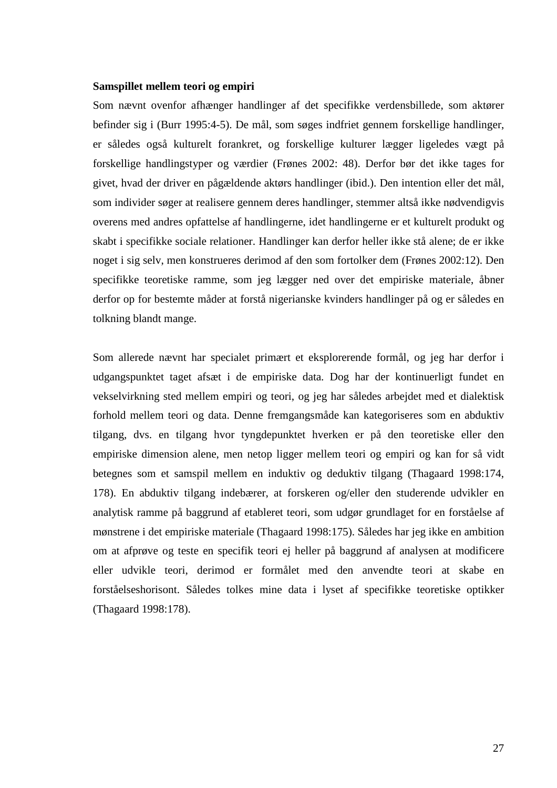#### **Samspillet mellem teori og empiri**

Som nævnt ovenfor afhænger handlinger af det specifikke verdensbillede, som aktører befinder sig i (Burr 1995:4-5). De mål, som søges indfriet gennem forskellige handlinger, er således også kulturelt forankret, og forskellige kulturer lægger ligeledes vægt på forskellige handlingstyper og værdier (Frønes 2002: 48). Derfor bør det ikke tages for givet, hvad der driver en pågældende aktørs handlinger (ibid.). Den intention eller det mål, som individer søger at realisere gennem deres handlinger, stemmer altså ikke nødvendigvis overens med andres opfattelse af handlingerne, idet handlingerne er et kulturelt produkt og skabt i specifikke sociale relationer. Handlinger kan derfor heller ikke stå alene; de er ikke noget i sig selv, men konstrueres derimod af den som fortolker dem (Frønes 2002:12). Den specifikke teoretiske ramme, som jeg lægger ned over det empiriske materiale, åbner derfor op for bestemte måder at forstå nigerianske kvinders handlinger på og er således en tolkning blandt mange.

Som allerede nævnt har specialet primært et eksplorerende formål, og jeg har derfor i udgangspunktet taget afsæt i de empiriske data. Dog har der kontinuerligt fundet en vekselvirkning sted mellem empiri og teori, og jeg har således arbejdet med et dialektisk forhold mellem teori og data. Denne fremgangsmåde kan kategoriseres som en abduktiv tilgang, dvs. en tilgang hvor tyngdepunktet hverken er på den teoretiske eller den empiriske dimension alene, men netop ligger mellem teori og empiri og kan for så vidt betegnes som et samspil mellem en induktiv og deduktiv tilgang (Thagaard 1998:174, 178). En abduktiv tilgang indebærer, at forskeren og/eller den studerende udvikler en analytisk ramme på baggrund af etableret teori, som udgør grundlaget for en forståelse af mønstrene i det empiriske materiale (Thagaard 1998:175). Således har jeg ikke en ambition om at afprøve og teste en specifik teori ej heller på baggrund af analysen at modificere eller udvikle teori, derimod er formålet med den anvendte teori at skabe en forståelseshorisont. Således tolkes mine data i lyset af specifikke teoretiske optikker (Thagaard 1998:178).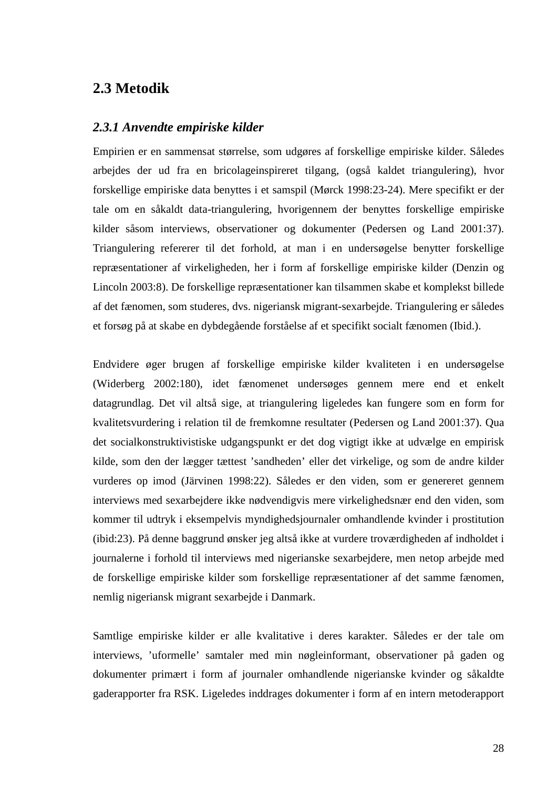### **2.3 Metodik**

#### *2.3.1 Anvendte empiriske kilder*

Empirien er en sammensat størrelse, som udgøres af forskellige empiriske kilder. Således arbejdes der ud fra en bricolageinspireret tilgang, (også kaldet triangulering), hvor forskellige empiriske data benyttes i et samspil (Mørck 1998:23-24). Mere specifikt er der tale om en såkaldt data-triangulering, hvorigennem der benyttes forskellige empiriske kilder såsom interviews, observationer og dokumenter (Pedersen og Land 2001:37). Triangulering refererer til det forhold, at man i en undersøgelse benytter forskellige repræsentationer af virkeligheden, her i form af forskellige empiriske kilder (Denzin og Lincoln 2003:8). De forskellige repræsentationer kan tilsammen skabe et komplekst billede af det fænomen, som studeres, dvs. nigeriansk migrant-sexarbejde. Triangulering er således et forsøg på at skabe en dybdegående forståelse af et specifikt socialt fænomen (Ibid.).

Endvidere øger brugen af forskellige empiriske kilder kvaliteten i en undersøgelse (Widerberg 2002:180), idet fænomenet undersøges gennem mere end et enkelt datagrundlag. Det vil altså sige, at triangulering ligeledes kan fungere som en form for kvalitetsvurdering i relation til de fremkomne resultater (Pedersen og Land 2001:37). Qua det socialkonstruktivistiske udgangspunkt er det dog vigtigt ikke at udvælge en empirisk kilde, som den der lægger tættest 'sandheden' eller det virkelige, og som de andre kilder vurderes op imod (Järvinen 1998:22). Således er den viden, som er genereret gennem interviews med sexarbejdere ikke nødvendigvis mere virkelighedsnær end den viden, som kommer til udtryk i eksempelvis myndighedsjournaler omhandlende kvinder i prostitution (ibid:23). På denne baggrund ønsker jeg altså ikke at vurdere troværdigheden af indholdet i journalerne i forhold til interviews med nigerianske sexarbejdere, men netop arbejde med de forskellige empiriske kilder som forskellige repræsentationer af det samme fænomen, nemlig nigeriansk migrant sexarbejde i Danmark.

Samtlige empiriske kilder er alle kvalitative i deres karakter. Således er der tale om interviews, 'uformelle' samtaler med min nøgleinformant, observationer på gaden og dokumenter primært i form af journaler omhandlende nigerianske kvinder og såkaldte gaderapporter fra RSK. Ligeledes inddrages dokumenter i form af en intern metoderapport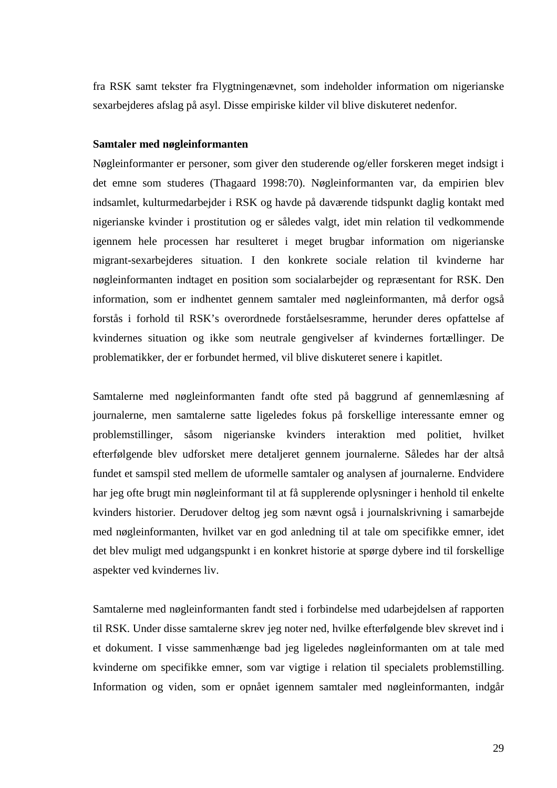fra RSK samt tekster fra Flygtningenævnet, som indeholder information om nigerianske sexarbejderes afslag på asyl. Disse empiriske kilder vil blive diskuteret nedenfor.

#### **Samtaler med nøgleinformanten**

Nøgleinformanter er personer, som giver den studerende og/eller forskeren meget indsigt i det emne som studeres (Thagaard 1998:70). Nøgleinformanten var, da empirien blev indsamlet, kulturmedarbejder i RSK og havde på daværende tidspunkt daglig kontakt med nigerianske kvinder i prostitution og er således valgt, idet min relation til vedkommende igennem hele processen har resulteret i meget brugbar information om nigerianske migrant-sexarbejderes situation. I den konkrete sociale relation til kvinderne har nøgleinformanten indtaget en position som socialarbejder og repræsentant for RSK. Den information, som er indhentet gennem samtaler med nøgleinformanten, må derfor også forstås i forhold til RSK's overordnede forståelsesramme, herunder deres opfattelse af kvindernes situation og ikke som neutrale gengivelser af kvindernes fortællinger. De problematikker, der er forbundet hermed, vil blive diskuteret senere i kapitlet.

Samtalerne med nøgleinformanten fandt ofte sted på baggrund af gennemlæsning af journalerne, men samtalerne satte ligeledes fokus på forskellige interessante emner og problemstillinger, såsom nigerianske kvinders interaktion med politiet, hvilket efterfølgende blev udforsket mere detaljeret gennem journalerne. Således har der altså fundet et samspil sted mellem de uformelle samtaler og analysen af journalerne. Endvidere har jeg ofte brugt min nøgleinformant til at få supplerende oplysninger i henhold til enkelte kvinders historier. Derudover deltog jeg som nævnt også i journalskrivning i samarbejde med nøgleinformanten, hvilket var en god anledning til at tale om specifikke emner, idet det blev muligt med udgangspunkt i en konkret historie at spørge dybere ind til forskellige aspekter ved kvindernes liv.

Samtalerne med nøgleinformanten fandt sted i forbindelse med udarbejdelsen af rapporten til RSK. Under disse samtalerne skrev jeg noter ned, hvilke efterfølgende blev skrevet ind i et dokument. I visse sammenhænge bad jeg ligeledes nøgleinformanten om at tale med kvinderne om specifikke emner, som var vigtige i relation til specialets problemstilling. Information og viden, som er opnået igennem samtaler med nøgleinformanten, indgår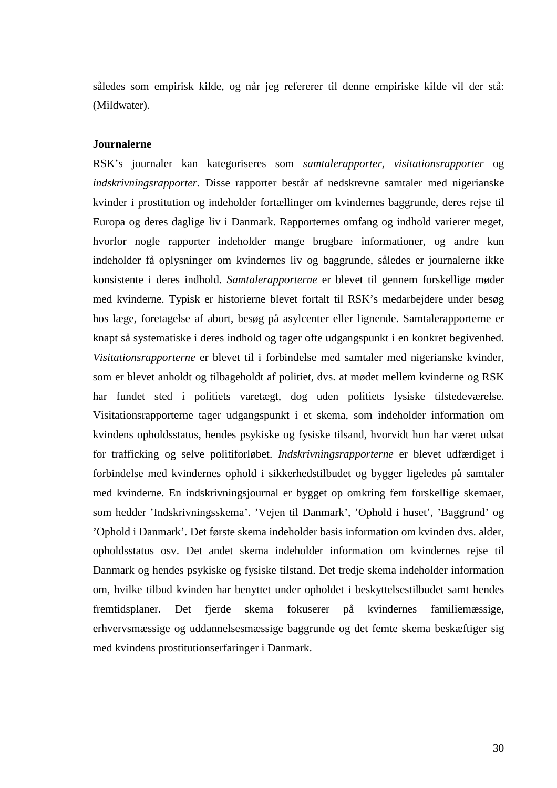således som empirisk kilde, og når jeg refererer til denne empiriske kilde vil der stå: (Mildwater).

#### **Journalerne**

RSK's journaler kan kategoriseres som *samtalerapporter*, *visitationsrapporter* og *indskrivningsrapporter.* Disse rapporter består af nedskrevne samtaler med nigerianske kvinder i prostitution og indeholder fortællinger om kvindernes baggrunde, deres rejse til Europa og deres daglige liv i Danmark. Rapporternes omfang og indhold varierer meget, hvorfor nogle rapporter indeholder mange brugbare informationer, og andre kun indeholder få oplysninger om kvindernes liv og baggrunde, således er journalerne ikke konsistente i deres indhold. *Samtalerapporterne* er blevet til gennem forskellige møder med kvinderne. Typisk er historierne blevet fortalt til RSK's medarbejdere under besøg hos læge, foretagelse af abort, besøg på asylcenter eller lignende. Samtalerapporterne er knapt så systematiske i deres indhold og tager ofte udgangspunkt i en konkret begivenhed. *Visitationsrapporterne* er blevet til i forbindelse med samtaler med nigerianske kvinder, som er blevet anholdt og tilbageholdt af politiet, dvs. at mødet mellem kvinderne og RSK har fundet sted i politiets varetægt, dog uden politiets fysiske tilstedeværelse. Visitationsrapporterne tager udgangspunkt i et skema, som indeholder information om kvindens opholdsstatus, hendes psykiske og fysiske tilsand, hvorvidt hun har været udsat for trafficking og selve politiforløbet. *Indskrivningsrapporterne* er blevet udfærdiget i forbindelse med kvindernes ophold i sikkerhedstilbudet og bygger ligeledes på samtaler med kvinderne. En indskrivningsjournal er bygget op omkring fem forskellige skemaer, som hedder 'Indskrivningsskema'. 'Vejen til Danmark', 'Ophold i huset', 'Baggrund' og 'Ophold i Danmark'. Det første skema indeholder basis information om kvinden dvs. alder, opholdsstatus osv. Det andet skema indeholder information om kvindernes rejse til Danmark og hendes psykiske og fysiske tilstand. Det tredje skema indeholder information om, hvilke tilbud kvinden har benyttet under opholdet i beskyttelsestilbudet samt hendes fremtidsplaner. Det fjerde skema fokuserer på kvindernes familiemæssige, erhvervsmæssige og uddannelsesmæssige baggrunde og det femte skema beskæftiger sig med kvindens prostitutionserfaringer i Danmark.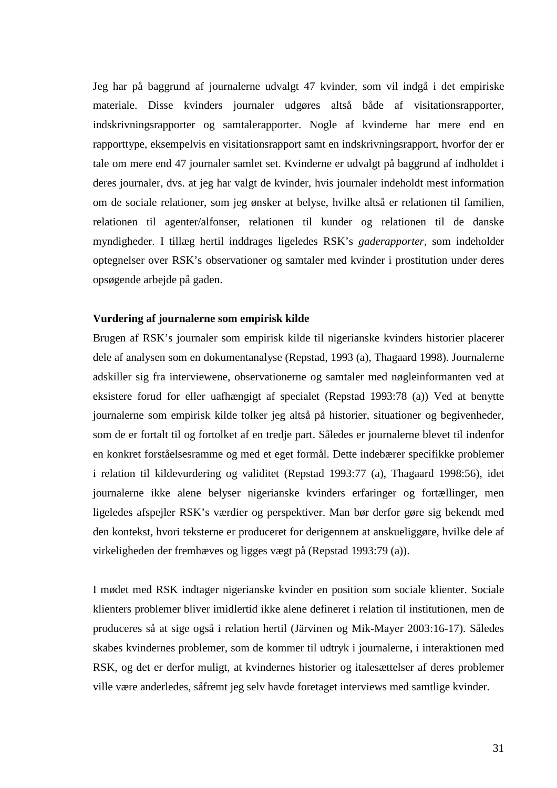Jeg har på baggrund af journalerne udvalgt 47 kvinder, som vil indgå i det empiriske materiale. Disse kvinders journaler udgøres altså både af visitationsrapporter, indskrivningsrapporter og samtalerapporter. Nogle af kvinderne har mere end en rapporttype, eksempelvis en visitationsrapport samt en indskrivningsrapport, hvorfor der er tale om mere end 47 journaler samlet set. Kvinderne er udvalgt på baggrund af indholdet i deres journaler, dvs. at jeg har valgt de kvinder, hvis journaler indeholdt mest information om de sociale relationer, som jeg ønsker at belyse, hvilke altså er relationen til familien, relationen til agenter/alfonser, relationen til kunder og relationen til de danske myndigheder. I tillæg hertil inddrages ligeledes RSK's *gaderapporter,* som indeholder optegnelser over RSK's observationer og samtaler med kvinder i prostitution under deres opsøgende arbejde på gaden.

#### **Vurdering af journalerne som empirisk kilde**

Brugen af RSK's journaler som empirisk kilde til nigerianske kvinders historier placerer dele af analysen som en dokumentanalyse (Repstad, 1993 (a), Thagaard 1998). Journalerne adskiller sig fra interviewene, observationerne og samtaler med nøgleinformanten ved at eksistere forud for eller uafhængigt af specialet (Repstad 1993:78 (a)) Ved at benytte journalerne som empirisk kilde tolker jeg altså på historier, situationer og begivenheder, som de er fortalt til og fortolket af en tredje part. Således er journalerne blevet til indenfor en konkret forståelsesramme og med et eget formål. Dette indebærer specifikke problemer i relation til kildevurdering og validitet (Repstad 1993:77 (a), Thagaard 1998:56), idet journalerne ikke alene belyser nigerianske kvinders erfaringer og fortællinger, men ligeledes afspejler RSK's værdier og perspektiver. Man bør derfor gøre sig bekendt med den kontekst, hvori teksterne er produceret for derigennem at anskueliggøre, hvilke dele af virkeligheden der fremhæves og ligges vægt på (Repstad 1993:79 (a)).

I mødet med RSK indtager nigerianske kvinder en position som sociale klienter. Sociale klienters problemer bliver imidlertid ikke alene defineret i relation til institutionen, men de produceres så at sige også i relation hertil (Järvinen og Mik-Mayer 2003:16-17). Således skabes kvindernes problemer, som de kommer til udtryk i journalerne, i interaktionen med RSK, og det er derfor muligt, at kvindernes historier og italesættelser af deres problemer ville være anderledes, såfremt jeg selv havde foretaget interviews med samtlige kvinder.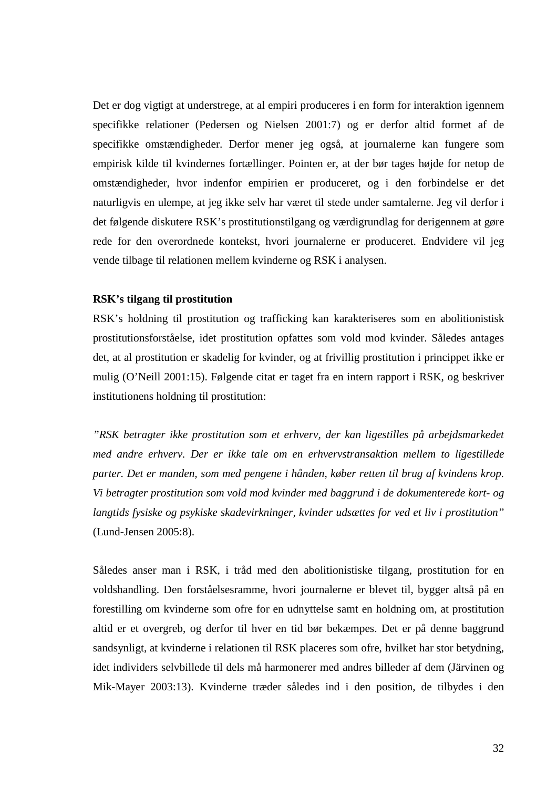Det er dog vigtigt at understrege, at al empiri produceres i en form for interaktion igennem specifikke relationer (Pedersen og Nielsen 2001:7) og er derfor altid formet af de specifikke omstændigheder. Derfor mener jeg også, at journalerne kan fungere som empirisk kilde til kvindernes fortællinger. Pointen er, at der bør tages højde for netop de omstændigheder, hvor indenfor empirien er produceret, og i den forbindelse er det naturligvis en ulempe, at jeg ikke selv har været til stede under samtalerne. Jeg vil derfor i det følgende diskutere RSK's prostitutionstilgang og værdigrundlag for derigennem at gøre rede for den overordnede kontekst, hvori journalerne er produceret. Endvidere vil jeg vende tilbage til relationen mellem kvinderne og RSK i analysen.

#### **RSK's tilgang til prostitution**

RSK's holdning til prostitution og trafficking kan karakteriseres som en abolitionistisk prostitutionsforståelse, idet prostitution opfattes som vold mod kvinder. Således antages det, at al prostitution er skadelig for kvinder, og at frivillig prostitution i princippet ikke er mulig (O'Neill 2001:15). Følgende citat er taget fra en intern rapport i RSK, og beskriver institutionens holdning til prostitution:

*"RSK betragter ikke prostitution som et erhverv, der kan ligestilles på arbejdsmarkedet med andre erhverv. Der er ikke tale om en erhvervstransaktion mellem to ligestillede parter. Det er manden, som med pengene i hånden, køber retten til brug af kvindens krop. Vi betragter prostitution som vold mod kvinder med baggrund i de dokumenterede kort- og langtids fysiske og psykiske skadevirkninger, kvinder udsættes for ved et liv i prostitution"* (Lund-Jensen 2005:8).

Således anser man i RSK, i tråd med den abolitionistiske tilgang, prostitution for en voldshandling. Den forståelsesramme, hvori journalerne er blevet til, bygger altså på en forestilling om kvinderne som ofre for en udnyttelse samt en holdning om, at prostitution altid er et overgreb, og derfor til hver en tid bør bekæmpes. Det er på denne baggrund sandsynligt, at kvinderne i relationen til RSK placeres som ofre, hvilket har stor betydning, idet individers selvbillede til dels må harmonerer med andres billeder af dem (Järvinen og Mik-Mayer 2003:13). Kvinderne træder således ind i den position, de tilbydes i den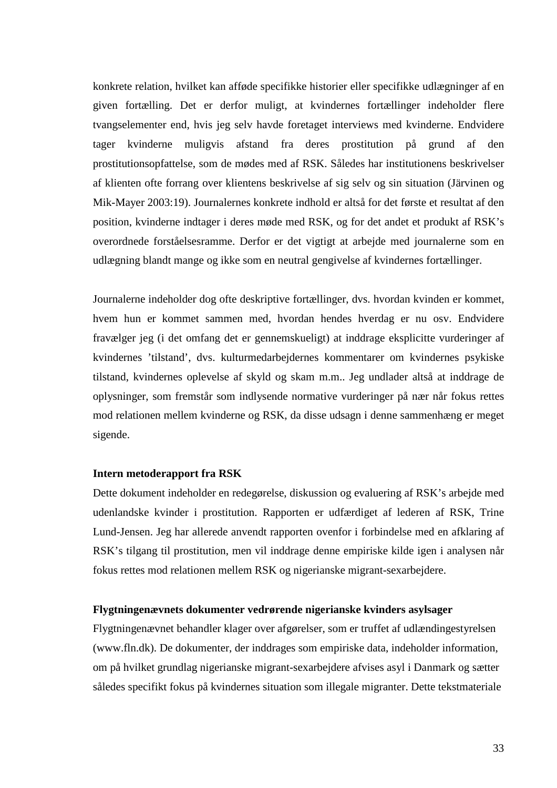konkrete relation, hvilket kan afføde specifikke historier eller specifikke udlægninger af en given fortælling. Det er derfor muligt, at kvindernes fortællinger indeholder flere tvangselementer end, hvis jeg selv havde foretaget interviews med kvinderne. Endvidere tager kvinderne muligvis afstand fra deres prostitution på grund af den prostitutionsopfattelse, som de mødes med af RSK. Således har institutionens beskrivelser af klienten ofte forrang over klientens beskrivelse af sig selv og sin situation (Järvinen og Mik-Mayer 2003:19). Journalernes konkrete indhold er altså for det første et resultat af den position, kvinderne indtager i deres møde med RSK, og for det andet et produkt af RSK's overordnede forståelsesramme. Derfor er det vigtigt at arbejde med journalerne som en udlægning blandt mange og ikke som en neutral gengivelse af kvindernes fortællinger.

Journalerne indeholder dog ofte deskriptive fortællinger, dvs. hvordan kvinden er kommet, hvem hun er kommet sammen med, hvordan hendes hverdag er nu osv. Endvidere fravælger jeg (i det omfang det er gennemskueligt) at inddrage eksplicitte vurderinger af kvindernes 'tilstand', dvs. kulturmedarbejdernes kommentarer om kvindernes psykiske tilstand, kvindernes oplevelse af skyld og skam m.m.. Jeg undlader altså at inddrage de oplysninger, som fremstår som indlysende normative vurderinger på nær når fokus rettes mod relationen mellem kvinderne og RSK, da disse udsagn i denne sammenhæng er meget sigende.

#### **Intern metoderapport fra RSK**

Dette dokument indeholder en redegørelse, diskussion og evaluering af RSK's arbejde med udenlandske kvinder i prostitution. Rapporten er udfærdiget af lederen af RSK, Trine Lund-Jensen. Jeg har allerede anvendt rapporten ovenfor i forbindelse med en afklaring af RSK's tilgang til prostitution, men vil inddrage denne empiriske kilde igen i analysen når fokus rettes mod relationen mellem RSK og nigerianske migrant-sexarbejdere.

#### **Flygtningenævnets dokumenter vedrørende nigerianske kvinders asylsager**

Flygtningenævnet behandler klager over afgørelser, som er truffet af udlændingestyrelsen (www.fln.dk). De dokumenter, der inddrages som empiriske data, indeholder information, om på hvilket grundlag nigerianske migrant-sexarbejdere afvises asyl i Danmark og sætter således specifikt fokus på kvindernes situation som illegale migranter. Dette tekstmateriale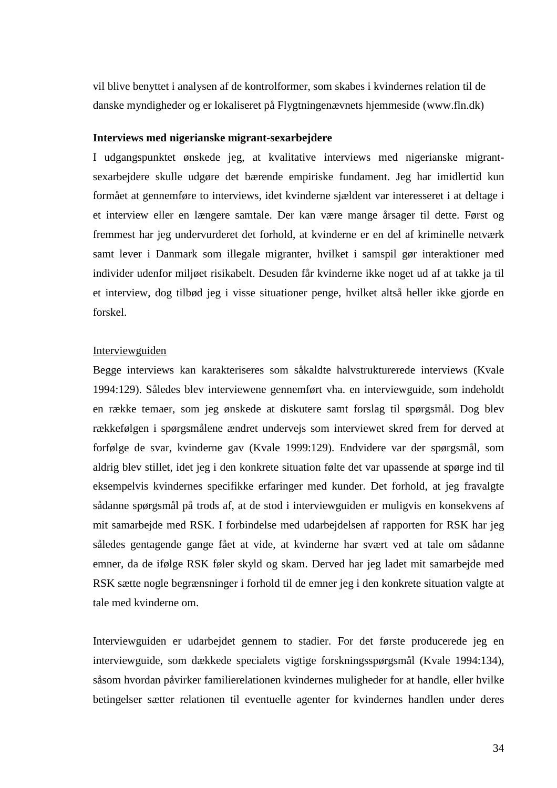vil blive benyttet i analysen af de kontrolformer, som skabes i kvindernes relation til de danske myndigheder og er lokaliseret på Flygtningenævnets hjemmeside (www.fln.dk)

#### **Interviews med nigerianske migrant-sexarbejdere**

I udgangspunktet ønskede jeg, at kvalitative interviews med nigerianske migrantsexarbejdere skulle udgøre det bærende empiriske fundament. Jeg har imidlertid kun formået at gennemføre to interviews, idet kvinderne sjældent var interesseret i at deltage i et interview eller en længere samtale. Der kan være mange årsager til dette. Først og fremmest har jeg undervurderet det forhold, at kvinderne er en del af kriminelle netværk samt lever i Danmark som illegale migranter, hvilket i samspil gør interaktioner med individer udenfor miljøet risikabelt. Desuden får kvinderne ikke noget ud af at takke ja til et interview, dog tilbød jeg i visse situationer penge, hvilket altså heller ikke gjorde en forskel.

#### **Interviewguiden**

Begge interviews kan karakteriseres som såkaldte halvstrukturerede interviews (Kvale 1994:129). Således blev interviewene gennemført vha. en interviewguide, som indeholdt en række temaer, som jeg ønskede at diskutere samt forslag til spørgsmål. Dog blev rækkefølgen i spørgsmålene ændret undervejs som interviewet skred frem for derved at forfølge de svar, kvinderne gav (Kvale 1999:129). Endvidere var der spørgsmål, som aldrig blev stillet, idet jeg i den konkrete situation følte det var upassende at spørge ind til eksempelvis kvindernes specifikke erfaringer med kunder. Det forhold, at jeg fravalgte sådanne spørgsmål på trods af, at de stod i interviewguiden er muligvis en konsekvens af mit samarbejde med RSK. I forbindelse med udarbejdelsen af rapporten for RSK har jeg således gentagende gange fået at vide, at kvinderne har svært ved at tale om sådanne emner, da de ifølge RSK føler skyld og skam. Derved har jeg ladet mit samarbejde med RSK sætte nogle begrænsninger i forhold til de emner jeg i den konkrete situation valgte at tale med kvinderne om.

Interviewguiden er udarbejdet gennem to stadier. For det første producerede jeg en interviewguide, som dækkede specialets vigtige forskningsspørgsmål (Kvale 1994:134), såsom hvordan påvirker familierelationen kvindernes muligheder for at handle, eller hvilke betingelser sætter relationen til eventuelle agenter for kvindernes handlen under deres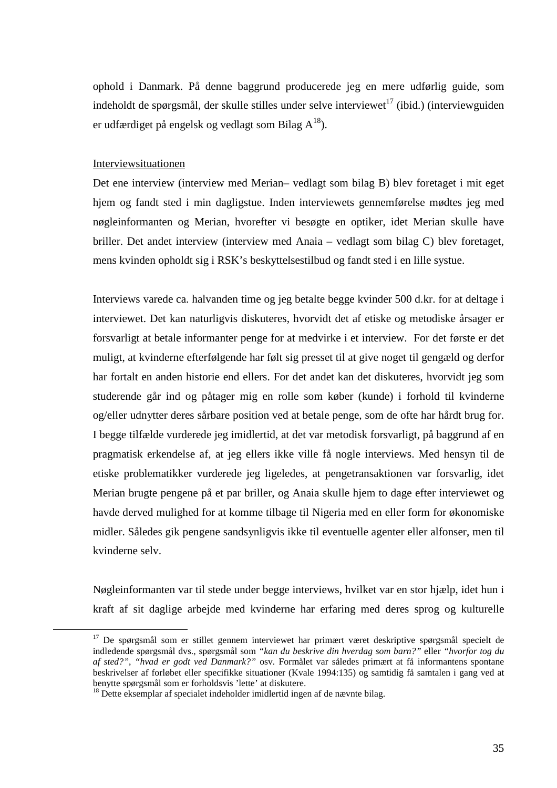ophold i Danmark. På denne baggrund producerede jeg en mere udførlig guide, som indeholdt de spørgsmål, der skulle stilles under selve interviewet<sup>17</sup> (ibid.) (interviewguiden er udfærdiget på engelsk og vedlagt som Bilag  $A^{18}$ ).

#### Interviewsituationen

 $\overline{a}$ 

Det ene interview (interview med Merian– vedlagt som bilag B) blev foretaget i mit eget hjem og fandt sted i min dagligstue. Inden interviewets gennemførelse mødtes jeg med nøgleinformanten og Merian, hvorefter vi besøgte en optiker, idet Merian skulle have briller. Det andet interview (interview med Anaia – vedlagt som bilag C) blev foretaget, mens kvinden opholdt sig i RSK's beskyttelsestilbud og fandt sted i en lille systue.

Interviews varede ca. halvanden time og jeg betalte begge kvinder 500 d.kr. for at deltage i interviewet. Det kan naturligvis diskuteres, hvorvidt det af etiske og metodiske årsager er forsvarligt at betale informanter penge for at medvirke i et interview. For det første er det muligt, at kvinderne efterfølgende har følt sig presset til at give noget til gengæld og derfor har fortalt en anden historie end ellers. For det andet kan det diskuteres, hvorvidt jeg som studerende går ind og påtager mig en rolle som køber (kunde) i forhold til kvinderne og/eller udnytter deres sårbare position ved at betale penge, som de ofte har hårdt brug for. I begge tilfælde vurderede jeg imidlertid, at det var metodisk forsvarligt, på baggrund af en pragmatisk erkendelse af, at jeg ellers ikke ville få nogle interviews. Med hensyn til de etiske problematikker vurderede jeg ligeledes, at pengetransaktionen var forsvarlig, idet Merian brugte pengene på et par briller, og Anaia skulle hjem to dage efter interviewet og havde derved mulighed for at komme tilbage til Nigeria med en eller form for økonomiske midler. Således gik pengene sandsynligvis ikke til eventuelle agenter eller alfonser, men til kvinderne selv.

Nøgleinformanten var til stede under begge interviews, hvilket var en stor hjælp, idet hun i kraft af sit daglige arbejde med kvinderne har erfaring med deres sprog og kulturelle

<sup>&</sup>lt;sup>17</sup> De spørgsmål som er stillet gennem interviewet har primært været deskriptive spørgsmål specielt de indledende spørgsmål dvs., spørgsmål som *"kan du beskrive din hverdag som barn?"* eller *"hvorfor tog du af sted?"*, *"hvad er godt ved Danmark?"* osv. Formålet var således primært at få informantens spontane beskrivelser af forløbet eller specifikke situationer (Kvale 1994:135) og samtidig få samtalen i gang ved at benytte spørgsmål som er forholdsvis 'lette' at diskutere.

<sup>&</sup>lt;sup>18</sup> Dette eksemplar af specialet indeholder imidlertid ingen af de nævnte bilag.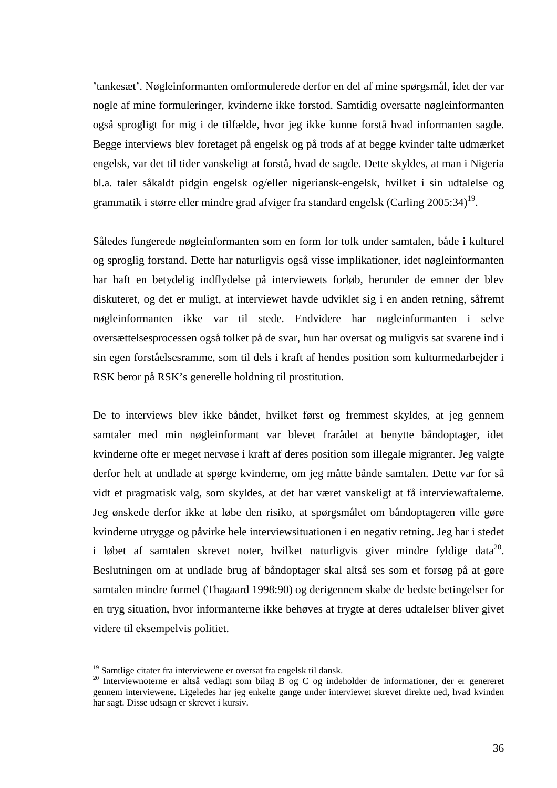'tankesæt'. Nøgleinformanten omformulerede derfor en del af mine spørgsmål, idet der var nogle af mine formuleringer, kvinderne ikke forstod. Samtidig oversatte nøgleinformanten også sprogligt for mig i de tilfælde, hvor jeg ikke kunne forstå hvad informanten sagde. Begge interviews blev foretaget på engelsk og på trods af at begge kvinder talte udmærket engelsk, var det til tider vanskeligt at forstå, hvad de sagde. Dette skyldes, at man i Nigeria bl.a. taler såkaldt pidgin engelsk og/eller nigeriansk-engelsk, hvilket i sin udtalelse og grammatik i større eller mindre grad afviger fra standard engelsk (Carling  $2005:34$ )<sup>19</sup>.

Således fungerede nøgleinformanten som en form for tolk under samtalen, både i kulturel og sproglig forstand. Dette har naturligvis også visse implikationer, idet nøgleinformanten har haft en betydelig indflydelse på interviewets forløb, herunder de emner der blev diskuteret, og det er muligt, at interviewet havde udviklet sig i en anden retning, såfremt nøgleinformanten ikke var til stede. Endvidere har nøgleinformanten i selve oversættelsesprocessen også tolket på de svar, hun har oversat og muligvis sat svarene ind i sin egen forståelsesramme, som til dels i kraft af hendes position som kulturmedarbejder i RSK beror på RSK's generelle holdning til prostitution.

De to interviews blev ikke båndet, hvilket først og fremmest skyldes, at jeg gennem samtaler med min nøgleinformant var blevet frarådet at benytte båndoptager, idet kvinderne ofte er meget nervøse i kraft af deres position som illegale migranter. Jeg valgte derfor helt at undlade at spørge kvinderne, om jeg måtte bånde samtalen. Dette var for så vidt et pragmatisk valg, som skyldes, at det har været vanskeligt at få interviewaftalerne. Jeg ønskede derfor ikke at løbe den risiko, at spørgsmålet om båndoptageren ville gøre kvinderne utrygge og påvirke hele interviewsituationen i en negativ retning. Jeg har i stedet i løbet af samtalen skrevet noter, hvilket naturligvis giver mindre fyldige data $^{20}$ . Beslutningen om at undlade brug af båndoptager skal altså ses som et forsøg på at gøre samtalen mindre formel (Thagaard 1998:90) og derigennem skabe de bedste betingelser for en tryg situation, hvor informanterne ikke behøves at frygte at deres udtalelser bliver givet videre til eksempelvis politiet.

<sup>19</sup> Samtlige citater fra interviewene er oversat fra engelsk til dansk.

<sup>&</sup>lt;sup>20</sup> Interviewnoterne er altså vedlagt som bilag B og C og indeholder de informationer, der er genereret gennem interviewene. Ligeledes har jeg enkelte gange under interviewet skrevet direkte ned, hvad kvinden har sagt. Disse udsagn er skrevet i kursiv.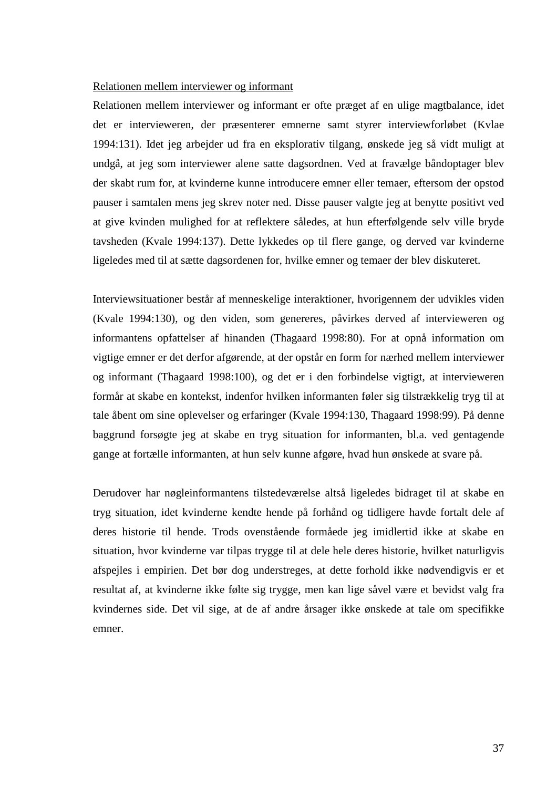### Relationen mellem interviewer og informant

Relationen mellem interviewer og informant er ofte præget af en ulige magtbalance, idet det er intervieweren, der præsenterer emnerne samt styrer interviewforløbet (Kvlae 1994:131). Idet jeg arbejder ud fra en eksplorativ tilgang, ønskede jeg så vidt muligt at undgå, at jeg som interviewer alene satte dagsordnen. Ved at fravælge båndoptager blev der skabt rum for, at kvinderne kunne introducere emner eller temaer, eftersom der opstod pauser i samtalen mens jeg skrev noter ned. Disse pauser valgte jeg at benytte positivt ved at give kvinden mulighed for at reflektere således, at hun efterfølgende selv ville bryde tavsheden (Kvale 1994:137). Dette lykkedes op til flere gange, og derved var kvinderne ligeledes med til at sætte dagsordenen for, hvilke emner og temaer der blev diskuteret.

Interviewsituationer består af menneskelige interaktioner, hvorigennem der udvikles viden (Kvale 1994:130), og den viden, som genereres, påvirkes derved af intervieweren og informantens opfattelser af hinanden (Thagaard 1998:80). For at opnå information om vigtige emner er det derfor afgørende, at der opstår en form for nærhed mellem interviewer og informant (Thagaard 1998:100), og det er i den forbindelse vigtigt, at intervieweren formår at skabe en kontekst, indenfor hvilken informanten føler sig tilstrækkelig tryg til at tale åbent om sine oplevelser og erfaringer (Kvale 1994:130, Thagaard 1998:99). På denne baggrund forsøgte jeg at skabe en tryg situation for informanten, bl.a. ved gentagende gange at fortælle informanten, at hun selv kunne afgøre, hvad hun ønskede at svare på.

Derudover har nøgleinformantens tilstedeværelse altså ligeledes bidraget til at skabe en tryg situation, idet kvinderne kendte hende på forhånd og tidligere havde fortalt dele af deres historie til hende. Trods ovenstående formåede jeg imidlertid ikke at skabe en situation, hvor kvinderne var tilpas trygge til at dele hele deres historie, hvilket naturligvis afspejles i empirien. Det bør dog understreges, at dette forhold ikke nødvendigvis er et resultat af, at kvinderne ikke følte sig trygge, men kan lige såvel være et bevidst valg fra kvindernes side. Det vil sige, at de af andre årsager ikke ønskede at tale om specifikke emner.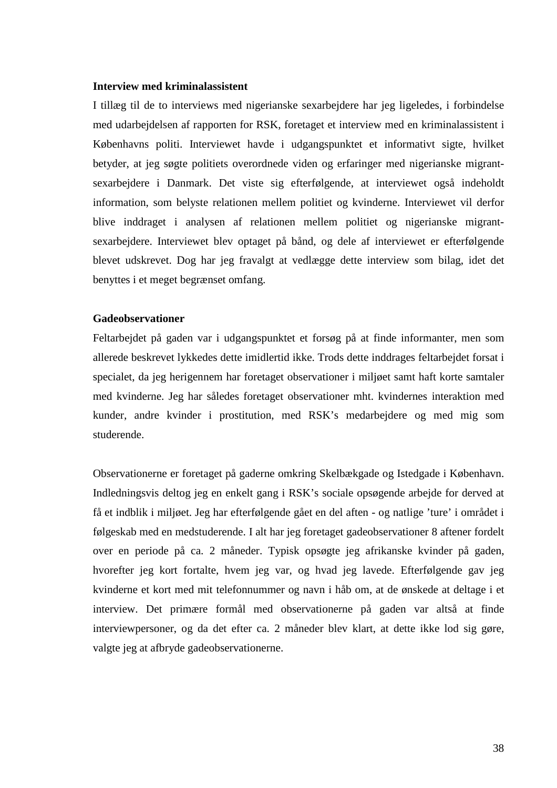### **Interview med kriminalassistent**

I tillæg til de to interviews med nigerianske sexarbejdere har jeg ligeledes, i forbindelse med udarbejdelsen af rapporten for RSK, foretaget et interview med en kriminalassistent i Københavns politi. Interviewet havde i udgangspunktet et informativt sigte, hvilket betyder, at jeg søgte politiets overordnede viden og erfaringer med nigerianske migrantsexarbejdere i Danmark. Det viste sig efterfølgende, at interviewet også indeholdt information, som belyste relationen mellem politiet og kvinderne. Interviewet vil derfor blive inddraget i analysen af relationen mellem politiet og nigerianske migrantsexarbejdere. Interviewet blev optaget på bånd, og dele af interviewet er efterfølgende blevet udskrevet. Dog har jeg fravalgt at vedlægge dette interview som bilag, idet det benyttes i et meget begrænset omfang.

### **Gadeobservationer**

Feltarbejdet på gaden var i udgangspunktet et forsøg på at finde informanter, men som allerede beskrevet lykkedes dette imidlertid ikke. Trods dette inddrages feltarbejdet forsat i specialet, da jeg herigennem har foretaget observationer i miljøet samt haft korte samtaler med kvinderne. Jeg har således foretaget observationer mht. kvindernes interaktion med kunder, andre kvinder i prostitution, med RSK's medarbejdere og med mig som studerende.

Observationerne er foretaget på gaderne omkring Skelbækgade og Istedgade i København. Indledningsvis deltog jeg en enkelt gang i RSK's sociale opsøgende arbejde for derved at få et indblik i miljøet. Jeg har efterfølgende gået en del aften - og natlige 'ture' i området i følgeskab med en medstuderende. I alt har jeg foretaget gadeobservationer 8 aftener fordelt over en periode på ca. 2 måneder. Typisk opsøgte jeg afrikanske kvinder på gaden, hvorefter jeg kort fortalte, hvem jeg var, og hvad jeg lavede. Efterfølgende gav jeg kvinderne et kort med mit telefonnummer og navn i håb om, at de ønskede at deltage i et interview. Det primære formål med observationerne på gaden var altså at finde interviewpersoner, og da det efter ca. 2 måneder blev klart, at dette ikke lod sig gøre, valgte jeg at afbryde gadeobservationerne.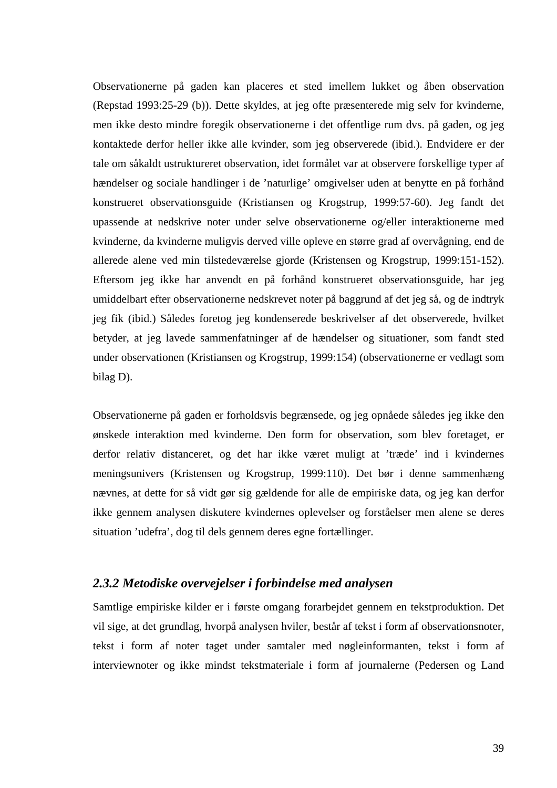Observationerne på gaden kan placeres et sted imellem lukket og åben observation (Repstad 1993:25-29 (b)). Dette skyldes, at jeg ofte præsenterede mig selv for kvinderne, men ikke desto mindre foregik observationerne i det offentlige rum dvs. på gaden, og jeg kontaktede derfor heller ikke alle kvinder, som jeg observerede (ibid.). Endvidere er der tale om såkaldt ustruktureret observation, idet formålet var at observere forskellige typer af hændelser og sociale handlinger i de 'naturlige' omgivelser uden at benytte en på forhånd konstrueret observationsguide (Kristiansen og Krogstrup, 1999:57-60). Jeg fandt det upassende at nedskrive noter under selve observationerne og/eller interaktionerne med kvinderne, da kvinderne muligvis derved ville opleve en større grad af overvågning, end de allerede alene ved min tilstedeværelse gjorde (Kristensen og Krogstrup, 1999:151-152). Eftersom jeg ikke har anvendt en på forhånd konstrueret observationsguide, har jeg umiddelbart efter observationerne nedskrevet noter på baggrund af det jeg så, og de indtryk jeg fik (ibid.) Således foretog jeg kondenserede beskrivelser af det observerede, hvilket betyder, at jeg lavede sammenfatninger af de hændelser og situationer, som fandt sted under observationen (Kristiansen og Krogstrup, 1999:154) (observationerne er vedlagt som bilag D).

Observationerne på gaden er forholdsvis begrænsede, og jeg opnåede således jeg ikke den ønskede interaktion med kvinderne. Den form for observation, som blev foretaget, er derfor relativ distanceret, og det har ikke været muligt at 'træde' ind i kvindernes meningsunivers (Kristensen og Krogstrup, 1999:110). Det bør i denne sammenhæng nævnes, at dette for så vidt gør sig gældende for alle de empiriske data, og jeg kan derfor ikke gennem analysen diskutere kvindernes oplevelser og forståelser men alene se deres situation 'udefra', dog til dels gennem deres egne fortællinger.

### *2.3.2 Metodiske overvejelser i forbindelse med analysen*

Samtlige empiriske kilder er i første omgang forarbejdet gennem en tekstproduktion. Det vil sige, at det grundlag, hvorpå analysen hviler, består af tekst i form af observationsnoter, tekst i form af noter taget under samtaler med nøgleinformanten, tekst i form af interviewnoter og ikke mindst tekstmateriale i form af journalerne (Pedersen og Land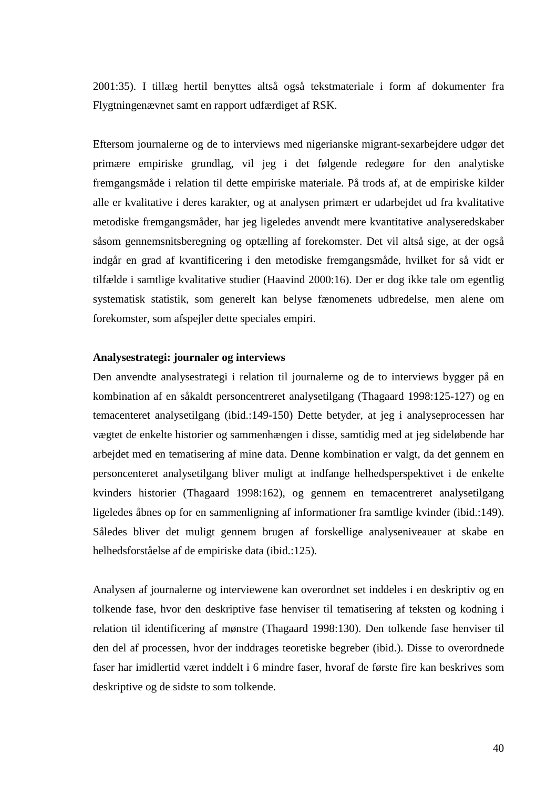2001:35). I tillæg hertil benyttes altså også tekstmateriale i form af dokumenter fra Flygtningenævnet samt en rapport udfærdiget af RSK.

Eftersom journalerne og de to interviews med nigerianske migrant-sexarbejdere udgør det primære empiriske grundlag, vil jeg i det følgende redegøre for den analytiske fremgangsmåde i relation til dette empiriske materiale. På trods af, at de empiriske kilder alle er kvalitative i deres karakter, og at analysen primært er udarbejdet ud fra kvalitative metodiske fremgangsmåder, har jeg ligeledes anvendt mere kvantitative analyseredskaber såsom gennemsnitsberegning og optælling af forekomster. Det vil altså sige, at der også indgår en grad af kvantificering i den metodiske fremgangsmåde, hvilket for så vidt er tilfælde i samtlige kvalitative studier (Haavind 2000:16). Der er dog ikke tale om egentlig systematisk statistik, som generelt kan belyse fænomenets udbredelse, men alene om forekomster, som afspejler dette speciales empiri.

### **Analysestrategi: journaler og interviews**

Den anvendte analysestrategi i relation til journalerne og de to interviews bygger på en kombination af en såkaldt personcentreret analysetilgang (Thagaard 1998:125-127) og en temacenteret analysetilgang (ibid.:149-150) Dette betyder, at jeg i analyseprocessen har vægtet de enkelte historier og sammenhængen i disse, samtidig med at jeg sideløbende har arbejdet med en tematisering af mine data. Denne kombination er valgt, da det gennem en personcenteret analysetilgang bliver muligt at indfange helhedsperspektivet i de enkelte kvinders historier (Thagaard 1998:162), og gennem en temacentreret analysetilgang ligeledes åbnes op for en sammenligning af informationer fra samtlige kvinder (ibid.:149). Således bliver det muligt gennem brugen af forskellige analyseniveauer at skabe en helhedsforståelse af de empiriske data (ibid.:125).

Analysen af journalerne og interviewene kan overordnet set inddeles i en deskriptiv og en tolkende fase, hvor den deskriptive fase henviser til tematisering af teksten og kodning i relation til identificering af mønstre (Thagaard 1998:130). Den tolkende fase henviser til den del af processen, hvor der inddrages teoretiske begreber (ibid.). Disse to overordnede faser har imidlertid været inddelt i 6 mindre faser, hvoraf de første fire kan beskrives som deskriptive og de sidste to som tolkende.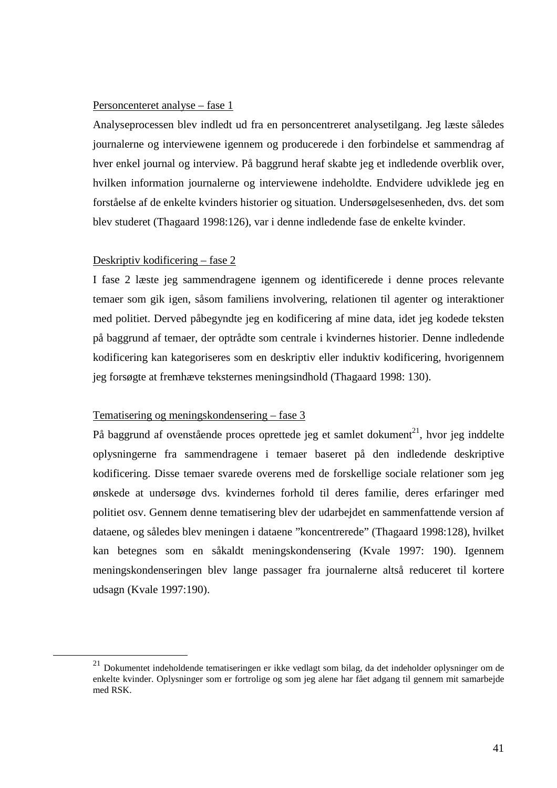### Personcenteret analyse – fase 1

Analyseprocessen blev indledt ud fra en personcentreret analysetilgang. Jeg læste således journalerne og interviewene igennem og producerede i den forbindelse et sammendrag af hver enkel journal og interview. På baggrund heraf skabte jeg et indledende overblik over, hvilken information journalerne og interviewene indeholdte. Endvidere udviklede jeg en forståelse af de enkelte kvinders historier og situation. Undersøgelsesenheden, dvs. det som blev studeret (Thagaard 1998:126), var i denne indledende fase de enkelte kvinder.

### Deskriptiv kodificering – fase 2

 $\overline{a}$ 

I fase 2 læste jeg sammendragene igennem og identificerede i denne proces relevante temaer som gik igen, såsom familiens involvering, relationen til agenter og interaktioner med politiet. Derved påbegyndte jeg en kodificering af mine data, idet jeg kodede teksten på baggrund af temaer, der optrådte som centrale i kvindernes historier. Denne indledende kodificering kan kategoriseres som en deskriptiv eller induktiv kodificering, hvorigennem jeg forsøgte at fremhæve teksternes meningsindhold (Thagaard 1998: 130).

#### Tematisering og meningskondensering – fase 3

På baggrund af ovenstående proces oprettede jeg et samlet dokument<sup>21</sup>, hvor jeg inddelte oplysningerne fra sammendragene i temaer baseret på den indledende deskriptive kodificering. Disse temaer svarede overens med de forskellige sociale relationer som jeg ønskede at undersøge dvs. kvindernes forhold til deres familie, deres erfaringer med politiet osv. Gennem denne tematisering blev der udarbejdet en sammenfattende version af dataene, og således blev meningen i dataene "koncentrerede" (Thagaard 1998:128), hvilket kan betegnes som en såkaldt meningskondensering (Kvale 1997: 190). Igennem meningskondenseringen blev lange passager fra journalerne altså reduceret til kortere udsagn (Kvale 1997:190).

<sup>21</sup> Dokumentet indeholdende tematiseringen er ikke vedlagt som bilag, da det indeholder oplysninger om de enkelte kvinder. Oplysninger som er fortrolige og som jeg alene har fået adgang til gennem mit samarbejde med RSK.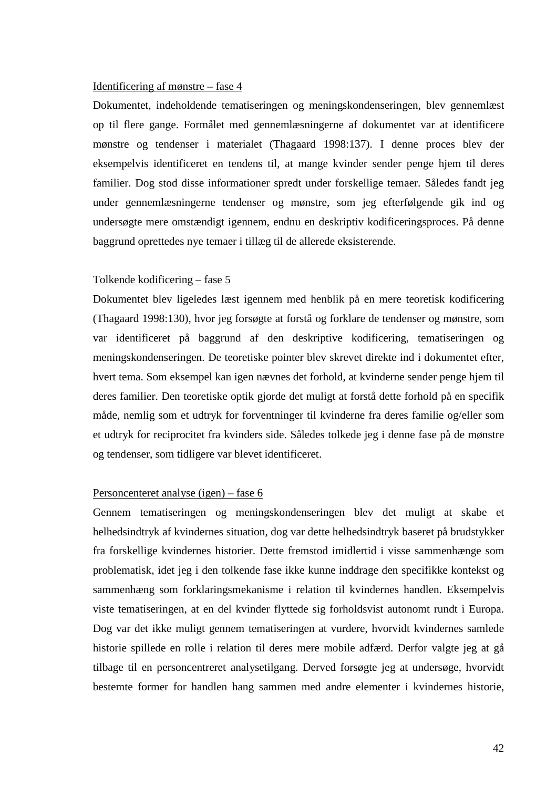### Identificering af mønstre – fase 4

Dokumentet, indeholdende tematiseringen og meningskondenseringen, blev gennemlæst op til flere gange. Formålet med gennemlæsningerne af dokumentet var at identificere mønstre og tendenser i materialet (Thagaard 1998:137). I denne proces blev der eksempelvis identificeret en tendens til, at mange kvinder sender penge hjem til deres familier. Dog stod disse informationer spredt under forskellige temaer. Således fandt jeg under gennemlæsningerne tendenser og mønstre, som jeg efterfølgende gik ind og undersøgte mere omstændigt igennem, endnu en deskriptiv kodificeringsproces. På denne baggrund oprettedes nye temaer i tillæg til de allerede eksisterende.

#### Tolkende kodificering – fase 5

Dokumentet blev ligeledes læst igennem med henblik på en mere teoretisk kodificering (Thagaard 1998:130), hvor jeg forsøgte at forstå og forklare de tendenser og mønstre, som var identificeret på baggrund af den deskriptive kodificering, tematiseringen og meningskondenseringen. De teoretiske pointer blev skrevet direkte ind i dokumentet efter, hvert tema. Som eksempel kan igen nævnes det forhold, at kvinderne sender penge hjem til deres familier. Den teoretiske optik gjorde det muligt at forstå dette forhold på en specifik måde, nemlig som et udtryk for forventninger til kvinderne fra deres familie og/eller som et udtryk for reciprocitet fra kvinders side. Således tolkede jeg i denne fase på de mønstre og tendenser, som tidligere var blevet identificeret.

### Personcenteret analyse (igen) – fase 6

Gennem tematiseringen og meningskondenseringen blev det muligt at skabe et helhedsindtryk af kvindernes situation, dog var dette helhedsindtryk baseret på brudstykker fra forskellige kvindernes historier. Dette fremstod imidlertid i visse sammenhænge som problematisk, idet jeg i den tolkende fase ikke kunne inddrage den specifikke kontekst og sammenhæng som forklaringsmekanisme i relation til kvindernes handlen. Eksempelvis viste tematiseringen, at en del kvinder flyttede sig forholdsvist autonomt rundt i Europa. Dog var det ikke muligt gennem tematiseringen at vurdere, hvorvidt kvindernes samlede historie spillede en rolle i relation til deres mere mobile adfærd. Derfor valgte jeg at gå tilbage til en personcentreret analysetilgang. Derved forsøgte jeg at undersøge, hvorvidt bestemte former for handlen hang sammen med andre elementer i kvindernes historie,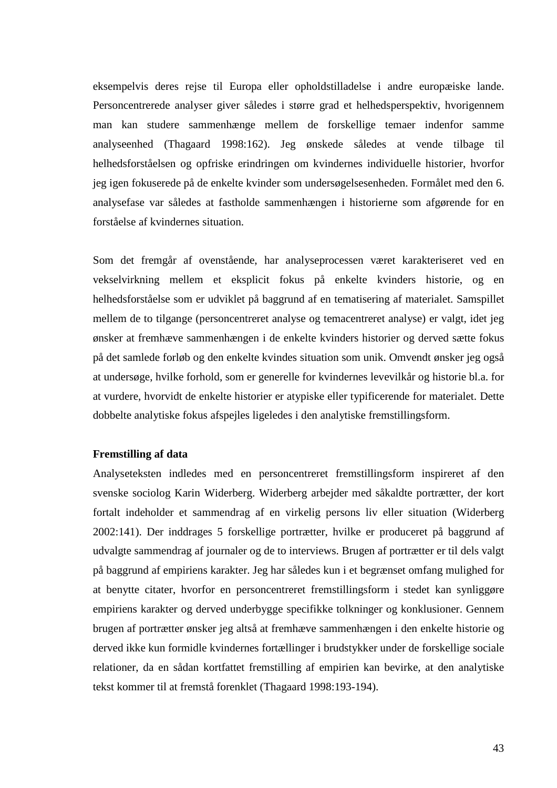eksempelvis deres rejse til Europa eller opholdstilladelse i andre europæiske lande. Personcentrerede analyser giver således i større grad et helhedsperspektiv, hvorigennem man kan studere sammenhænge mellem de forskellige temaer indenfor samme analyseenhed (Thagaard 1998:162). Jeg ønskede således at vende tilbage til helhedsforståelsen og opfriske erindringen om kvindernes individuelle historier, hvorfor jeg igen fokuserede på de enkelte kvinder som undersøgelsesenheden. Formålet med den 6. analysefase var således at fastholde sammenhængen i historierne som afgørende for en forståelse af kvindernes situation.

Som det fremgår af ovenstående, har analyseprocessen været karakteriseret ved en vekselvirkning mellem et eksplicit fokus på enkelte kvinders historie, og en helhedsforståelse som er udviklet på baggrund af en tematisering af materialet. Samspillet mellem de to tilgange (personcentreret analyse og temacentreret analyse) er valgt, idet jeg ønsker at fremhæve sammenhængen i de enkelte kvinders historier og derved sætte fokus på det samlede forløb og den enkelte kvindes situation som unik. Omvendt ønsker jeg også at undersøge, hvilke forhold, som er generelle for kvindernes levevilkår og historie bl.a. for at vurdere, hvorvidt de enkelte historier er atypiske eller typificerende for materialet. Dette dobbelte analytiske fokus afspejles ligeledes i den analytiske fremstillingsform.

### **Fremstilling af data**

Analyseteksten indledes med en personcentreret fremstillingsform inspireret af den svenske sociolog Karin Widerberg. Widerberg arbejder med såkaldte portrætter, der kort fortalt indeholder et sammendrag af en virkelig persons liv eller situation (Widerberg 2002:141). Der inddrages 5 forskellige portrætter, hvilke er produceret på baggrund af udvalgte sammendrag af journaler og de to interviews. Brugen af portrætter er til dels valgt på baggrund af empiriens karakter. Jeg har således kun i et begrænset omfang mulighed for at benytte citater, hvorfor en personcentreret fremstillingsform i stedet kan synliggøre empiriens karakter og derved underbygge specifikke tolkninger og konklusioner. Gennem brugen af portrætter ønsker jeg altså at fremhæve sammenhængen i den enkelte historie og derved ikke kun formidle kvindernes fortællinger i brudstykker under de forskellige sociale relationer, da en sådan kortfattet fremstilling af empirien kan bevirke, at den analytiske tekst kommer til at fremstå forenklet (Thagaard 1998:193-194).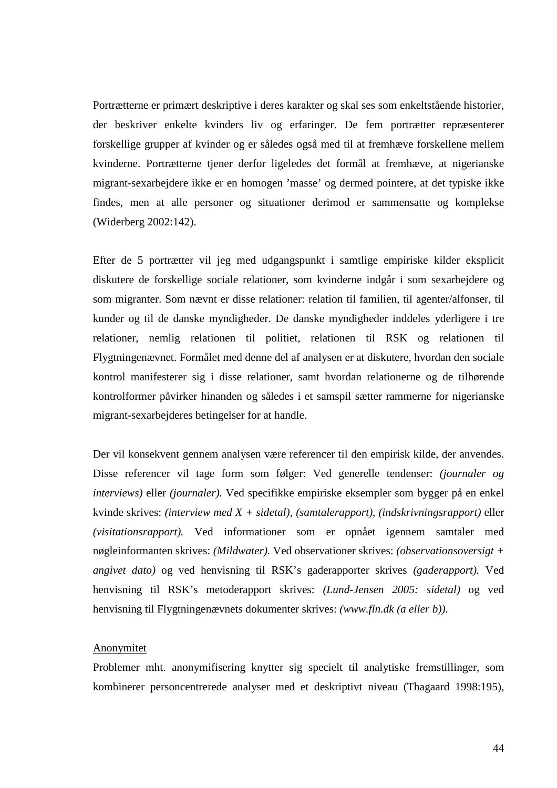Portrætterne er primært deskriptive i deres karakter og skal ses som enkeltstående historier, der beskriver enkelte kvinders liv og erfaringer. De fem portrætter repræsenterer forskellige grupper af kvinder og er således også med til at fremhæve forskellene mellem kvinderne. Portrætterne tjener derfor ligeledes det formål at fremhæve, at nigerianske migrant-sexarbejdere ikke er en homogen 'masse' og dermed pointere, at det typiske ikke findes, men at alle personer og situationer derimod er sammensatte og komplekse (Widerberg 2002:142).

Efter de 5 portrætter vil jeg med udgangspunkt i samtlige empiriske kilder eksplicit diskutere de forskellige sociale relationer, som kvinderne indgår i som sexarbejdere og som migranter. Som nævnt er disse relationer: relation til familien, til agenter/alfonser, til kunder og til de danske myndigheder. De danske myndigheder inddeles yderligere i tre relationer, nemlig relationen til politiet, relationen til RSK og relationen til Flygtningenævnet. Formålet med denne del af analysen er at diskutere, hvordan den sociale kontrol manifesterer sig i disse relationer, samt hvordan relationerne og de tilhørende kontrolformer påvirker hinanden og således i et samspil sætter rammerne for nigerianske migrant-sexarbejderes betingelser for at handle.

Der vil konsekvent gennem analysen være referencer til den empirisk kilde, der anvendes. Disse referencer vil tage form som følger: Ved generelle tendenser: *(journaler og interviews)* eller *(journaler).* Ved specifikke empiriske eksempler som bygger på en enkel kvinde skrives: *(interview med X + sidetal)*, *(samtalerapport), (indskrivningsrapport)* eller *(visitationsrapport).* Ved informationer som er opnået igennem samtaler med nøgleinformanten skrives: *(Mildwater).* Ved observationer skrives: *(observationsoversigt + angivet dato)* og ved henvisning til RSK's gaderapporter skrives *(gaderapport).* Ved henvisning til RSK's metoderapport skrives: *(Lund-Jensen 2005: sidetal)* og ved henvisning til Flygtningenævnets dokumenter skrives: *(www.fln.dk (a eller b))*.

#### **Anonymitet**

Problemer mht. anonymifisering knytter sig specielt til analytiske fremstillinger, som kombinerer personcentrerede analyser med et deskriptivt niveau (Thagaard 1998:195),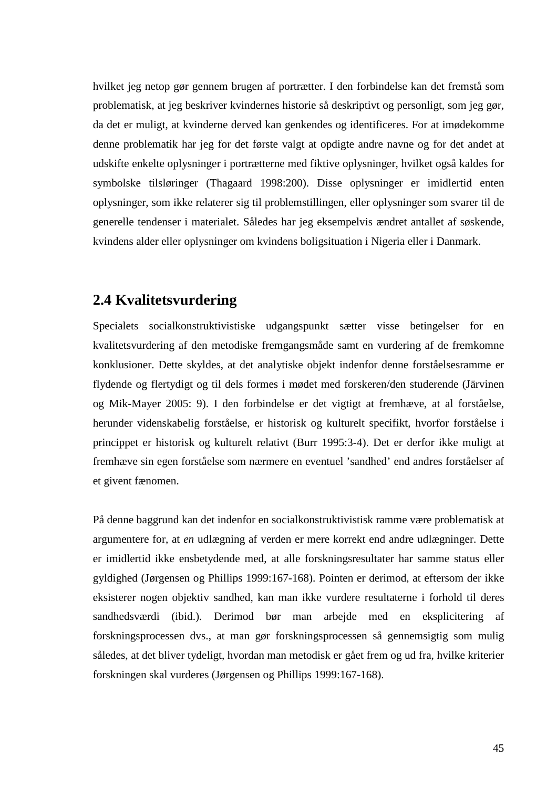hvilket jeg netop gør gennem brugen af portrætter. I den forbindelse kan det fremstå som problematisk, at jeg beskriver kvindernes historie så deskriptivt og personligt, som jeg gør, da det er muligt, at kvinderne derved kan genkendes og identificeres. For at imødekomme denne problematik har jeg for det første valgt at opdigte andre navne og for det andet at udskifte enkelte oplysninger i portrætterne med fiktive oplysninger, hvilket også kaldes for symbolske tilsløringer (Thagaard 1998:200). Disse oplysninger er imidlertid enten oplysninger, som ikke relaterer sig til problemstillingen, eller oplysninger som svarer til de generelle tendenser i materialet. Således har jeg eksempelvis ændret antallet af søskende, kvindens alder eller oplysninger om kvindens boligsituation i Nigeria eller i Danmark.

# **2.4 Kvalitetsvurdering**

Specialets socialkonstruktivistiske udgangspunkt sætter visse betingelser for en kvalitetsvurdering af den metodiske fremgangsmåde samt en vurdering af de fremkomne konklusioner. Dette skyldes, at det analytiske objekt indenfor denne forståelsesramme er flydende og flertydigt og til dels formes i mødet med forskeren/den studerende (Järvinen og Mik-Mayer 2005: 9). I den forbindelse er det vigtigt at fremhæve, at al forståelse, herunder videnskabelig forståelse, er historisk og kulturelt specifikt, hvorfor forståelse i princippet er historisk og kulturelt relativt (Burr 1995:3-4). Det er derfor ikke muligt at fremhæve sin egen forståelse som nærmere en eventuel 'sandhed' end andres forståelser af et givent fænomen.

På denne baggrund kan det indenfor en socialkonstruktivistisk ramme være problematisk at argumentere for, at *en* udlægning af verden er mere korrekt end andre udlægninger. Dette er imidlertid ikke ensbetydende med, at alle forskningsresultater har samme status eller gyldighed (Jørgensen og Phillips 1999:167-168). Pointen er derimod, at eftersom der ikke eksisterer nogen objektiv sandhed, kan man ikke vurdere resultaterne i forhold til deres sandhedsværdi (ibid.). Derimod bør man arbejde med en eksplicitering af forskningsprocessen dvs., at man gør forskningsprocessen så gennemsigtig som mulig således, at det bliver tydeligt, hvordan man metodisk er gået frem og ud fra, hvilke kriterier forskningen skal vurderes (Jørgensen og Phillips 1999:167-168).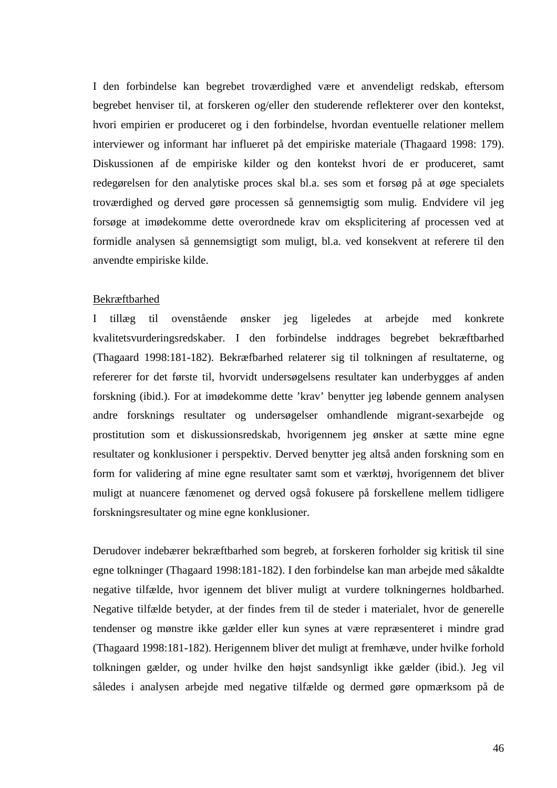I den forbindelse kan begrebet troværdighed være et anvendeligt redskab, eftersom begrebet henviser til, at forskeren og/eller den studerende reflekterer over den kontekst, hvori empirien er produceret og i den forbindelse, hvordan eventuelle relationer mellem interviewer og informant har influeret på det empiriske materiale (Thagaard 1998: 179). Diskussionen af de empiriske kilder og den kontekst hvori de er produceret, samt redegørelsen for den analytiske proces skal bl.a. ses som et forsøg på at øge specialets troværdighed og derved gøre processen så gennemsigtig som mulig. Endvidere vil jeg forsøge at imødekomme dette overordnede krav om eksplicitering af processen ved at formidle analysen så gennemsigtigt som muligt, bl.a. ved konsekvent at referere til den anvendte empiriske kilde.

#### Bekræftbarhed

I tillæg til ovenstående ønsker jeg ligeledes at arbejde med konkrete kvalitetsvurderingsredskaber. I den forbindelse inddrages begrebet bekræftbarhed (Thagaard 1998:181-182). Bekræfbarhed relaterer sig til tolkningen af resultaterne, og refererer for det første til, hvorvidt undersøgelsens resultater kan underbygges af anden forskning (ibid.). For at imødekomme dette 'krav' benytter jeg løbende gennem analysen andre forsknings resultater og undersøgelser omhandlende migrant-sexarbejde og prostitution som et diskussionsredskab, hvorigennem jeg ønsker at sætte mine egne resultater og konklusioner i perspektiv. Derved benytter jeg altså anden forskning som en form for validering af mine egne resultater samt som et værktøj, hvorigennem det bliver muligt at nuancere fænomenet og derved også fokusere på forskellene mellem tidligere forskningsresultater og mine egne konklusioner.

Derudover indebærer bekræftbarhed som begreb, at forskeren forholder sig kritisk til sine egne tolkninger (Thagaard 1998:181-182). I den forbindelse kan man arbejde med såkaldte negative tilfælde, hvor igennem det bliver muligt at vurdere tolkningernes holdbarhed. Negative tilfælde betyder, at der findes frem til de steder i materialet, hvor de generelle tendenser og mønstre ikke gælder eller kun synes at være repræsenteret i mindre grad (Thagaard 1998:181-182). Herigennem bliver det muligt at fremhæve, under hvilke forhold tolkningen gælder, og under hvilke den højst sandsynligt ikke gælder (ibid.). Jeg vil således i analysen arbejde med negative tilfælde og dermed gøre opmærksom på de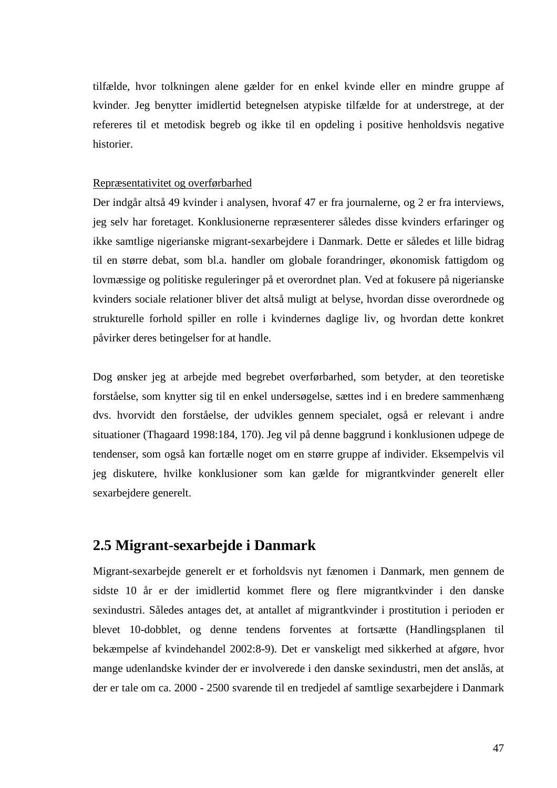tilfælde, hvor tolkningen alene gælder for en enkel kvinde eller en mindre gruppe af kvinder. Jeg benytter imidlertid betegnelsen atypiske tilfælde for at understrege, at der refereres til et metodisk begreb og ikke til en opdeling i positive henholdsvis negative historier.

#### Repræsentativitet og overførbarhed

Der indgår altså 49 kvinder i analysen, hvoraf 47 er fra journalerne, og 2 er fra interviews, jeg selv har foretaget. Konklusionerne repræsenterer således disse kvinders erfaringer og ikke samtlige nigerianske migrant-sexarbejdere i Danmark. Dette er således et lille bidrag til en større debat, som bl.a. handler om globale forandringer, økonomisk fattigdom og lovmæssige og politiske reguleringer på et overordnet plan. Ved at fokusere på nigerianske kvinders sociale relationer bliver det altså muligt at belyse, hvordan disse overordnede og strukturelle forhold spiller en rolle i kvindernes daglige liv, og hvordan dette konkret påvirker deres betingelser for at handle.

Dog ønsker jeg at arbejde med begrebet overførbarhed, som betyder, at den teoretiske forståelse, som knytter sig til en enkel undersøgelse, sættes ind i en bredere sammenhæng dvs. hvorvidt den forståelse, der udvikles gennem specialet, også er relevant i andre situationer (Thagaard 1998:184, 170). Jeg vil på denne baggrund i konklusionen udpege de tendenser, som også kan fortælle noget om en større gruppe af individer. Eksempelvis vil jeg diskutere, hvilke konklusioner som kan gælde for migrantkvinder generelt eller sexarbejdere generelt.

# **2.5 Migrant-sexarbejde i Danmark**

Migrant-sexarbejde generelt er et forholdsvis nyt fænomen i Danmark, men gennem de sidste 10 år er der imidlertid kommet flere og flere migrantkvinder i den danske sexindustri. Således antages det, at antallet af migrantkvinder i prostitution i perioden er blevet 10-dobblet, og denne tendens forventes at fortsætte (Handlingsplanen til bekæmpelse af kvindehandel 2002:8-9). Det er vanskeligt med sikkerhed at afgøre, hvor mange udenlandske kvinder der er involverede i den danske sexindustri, men det anslås, at der er tale om ca. 2000 - 2500 svarende til en tredjedel af samtlige sexarbejdere i Danmark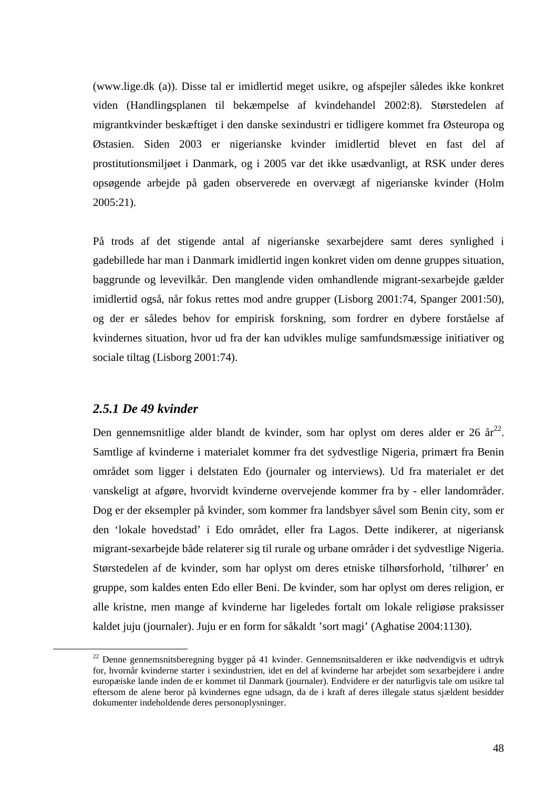(www.lige.dk (a)). Disse tal er imidlertid meget usikre, og afspejler således ikke konkret viden (Handlingsplanen til bekæmpelse af kvindehandel 2002:8). Størstedelen af migrantkvinder beskæftiget i den danske sexindustri er tidligere kommet fra Østeuropa og Østasien. Siden 2003 er nigerianske kvinder imidlertid blevet en fast del af prostitutionsmiljøet i Danmark, og i 2005 var det ikke usædvanligt, at RSK under deres opsøgende arbejde på gaden observerede en overvægt af nigerianske kvinder (Holm 2005:21).

På trods af det stigende antal af nigerianske sexarbejdere samt deres synlighed i gadebillede har man i Danmark imidlertid ingen konkret viden om denne gruppes situation, baggrunde og levevilkår. Den manglende viden omhandlende migrant-sexarbejde gælder imidlertid også, når fokus rettes mod andre grupper (Lisborg 2001:74, Spanger 2001:50), og der er således behov for empirisk forskning, som fordrer en dybere forståelse af kvindernes situation, hvor ud fra der kan udvikles mulige samfundsmæssige initiativer og sociale tiltag (Lisborg 2001:74).

### *2.5.1 De 49 kvinder*

 $\overline{a}$ 

Den gennemsnitlige alder blandt de kvinder, som har oplyst om deres alder er 26  $\ar{a}^{22}$ . Samtlige af kvinderne i materialet kommer fra det sydvestlige Nigeria, primært fra Benin området som ligger i delstaten Edo (journaler og interviews). Ud fra materialet er det vanskeligt at afgøre, hvorvidt kvinderne overvejende kommer fra by - eller landområder. Dog er der eksempler på kvinder, som kommer fra landsbyer såvel som Benin city, som er den 'lokale hovedstad' i Edo området, eller fra Lagos. Dette indikerer, at nigeriansk migrant-sexarbejde både relaterer sig til rurale og urbane områder i det sydvestlige Nigeria. Størstedelen af de kvinder, som har oplyst om deres etniske tilhørsforhold, 'tilhører' en gruppe, som kaldes enten Edo eller Beni. De kvinder, som har oplyst om deres religion, er alle kristne, men mange af kvinderne har ligeledes fortalt om lokale religiøse praksisser kaldet juju (journaler). Juju er en form for såkaldt 'sort magi' (Aghatise 2004:1130).

 $^{22}$  Denne gennemsnitsberegning bygger på 41 kvinder. Gennemsnitsalderen er ikke nødvendigvis et udtryk for, hvornår kvinderne starter i sexindustrien, idet en del af kvinderne har arbejdet som sexarbejdere i andre europæiske lande inden de er kommet til Danmark (journaler). Endvidere er der naturligvis tale om usikre tal eftersom de alene beror på kvindernes egne udsagn, da de i kraft af deres illegale status sjældent besidder dokumenter indeholdende deres personoplysninger.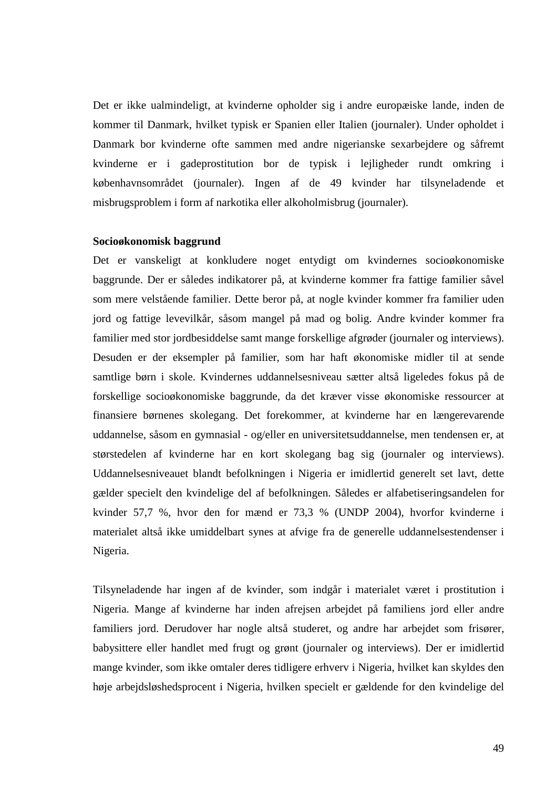Det er ikke ualmindeligt, at kvinderne opholder sig i andre europæiske lande, inden de kommer til Danmark, hvilket typisk er Spanien eller Italien (journaler). Under opholdet i Danmark bor kvinderne ofte sammen med andre nigerianske sexarbejdere og såfremt kvinderne er i gadeprostitution bor de typisk i lejligheder rundt omkring i københavnsområdet (journaler). Ingen af de 49 kvinder har tilsyneladende et misbrugsproblem i form af narkotika eller alkoholmisbrug (journaler).

### **Socioøkonomisk baggrund**

Det er vanskeligt at konkludere noget entydigt om kvindernes socioøkonomiske baggrunde. Der er således indikatorer på, at kvinderne kommer fra fattige familier såvel som mere velstående familier. Dette beror på, at nogle kvinder kommer fra familier uden jord og fattige levevilkår, såsom mangel på mad og bolig. Andre kvinder kommer fra familier med stor jordbesiddelse samt mange forskellige afgrøder (journaler og interviews). Desuden er der eksempler på familier, som har haft økonomiske midler til at sende samtlige børn i skole. Kvindernes uddannelsesniveau sætter altså ligeledes fokus på de forskellige socioøkonomiske baggrunde, da det kræver visse økonomiske ressourcer at finansiere børnenes skolegang. Det forekommer, at kvinderne har en længerevarende uddannelse, såsom en gymnasial - og/eller en universitetsuddannelse, men tendensen er, at størstedelen af kvinderne har en kort skolegang bag sig (journaler og interviews). Uddannelsesniveauet blandt befolkningen i Nigeria er imidlertid generelt set lavt, dette gælder specielt den kvindelige del af befolkningen. Således er alfabetiseringsandelen for kvinder 57,7 %, hvor den for mænd er 73,3 % (UNDP 2004), hvorfor kvinderne i materialet altså ikke umiddelbart synes at afvige fra de generelle uddannelsestendenser i Nigeria.

Tilsyneladende har ingen af de kvinder, som indgår i materialet været i prostitution i Nigeria. Mange af kvinderne har inden afrejsen arbejdet på familiens jord eller andre familiers jord. Derudover har nogle altså studeret, og andre har arbejdet som frisører, babysittere eller handlet med frugt og grønt (journaler og interviews). Der er imidlertid mange kvinder, som ikke omtaler deres tidligere erhverv i Nigeria, hvilket kan skyldes den høje arbejdsløshedsprocent i Nigeria, hvilken specielt er gældende for den kvindelige del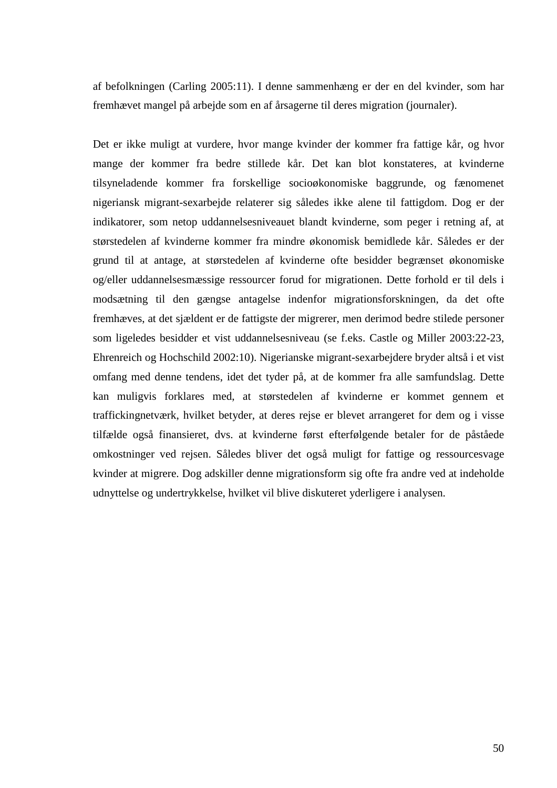af befolkningen (Carling 2005:11). I denne sammenhæng er der en del kvinder, som har fremhævet mangel på arbejde som en af årsagerne til deres migration (journaler).

Det er ikke muligt at vurdere, hvor mange kvinder der kommer fra fattige kår, og hvor mange der kommer fra bedre stillede kår. Det kan blot konstateres, at kvinderne tilsyneladende kommer fra forskellige socioøkonomiske baggrunde, og fænomenet nigeriansk migrant-sexarbejde relaterer sig således ikke alene til fattigdom. Dog er der indikatorer, som netop uddannelsesniveauet blandt kvinderne, som peger i retning af, at størstedelen af kvinderne kommer fra mindre økonomisk bemidlede kår. Således er der grund til at antage, at størstedelen af kvinderne ofte besidder begrænset økonomiske og/eller uddannelsesmæssige ressourcer forud for migrationen. Dette forhold er til dels i modsætning til den gængse antagelse indenfor migrationsforskningen, da det ofte fremhæves, at det sjældent er de fattigste der migrerer, men derimod bedre stilede personer som ligeledes besidder et vist uddannelsesniveau (se f.eks. Castle og Miller 2003:22-23, Ehrenreich og Hochschild 2002:10). Nigerianske migrant-sexarbejdere bryder altså i et vist omfang med denne tendens, idet det tyder på, at de kommer fra alle samfundslag. Dette kan muligvis forklares med, at størstedelen af kvinderne er kommet gennem et traffickingnetværk, hvilket betyder, at deres rejse er blevet arrangeret for dem og i visse tilfælde også finansieret, dvs. at kvinderne først efterfølgende betaler for de påståede omkostninger ved rejsen. Således bliver det også muligt for fattige og ressourcesvage kvinder at migrere. Dog adskiller denne migrationsform sig ofte fra andre ved at indeholde udnyttelse og undertrykkelse, hvilket vil blive diskuteret yderligere i analysen.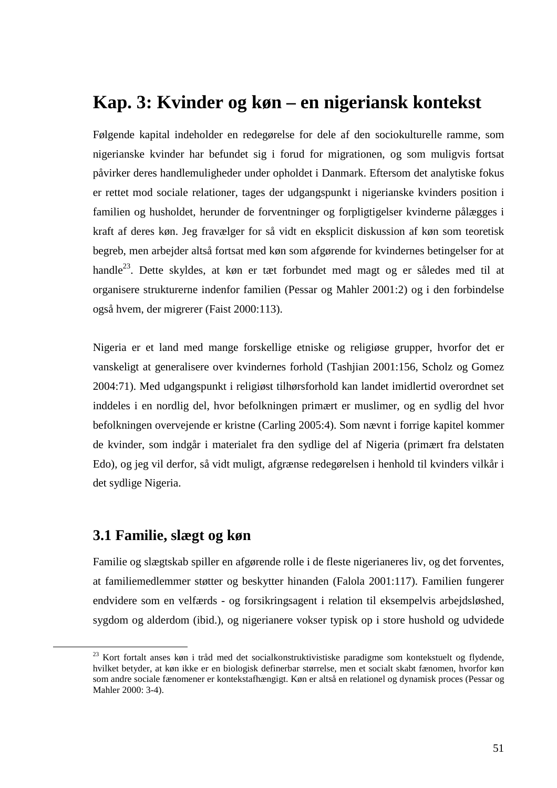# **Kap. 3: Kvinder og køn – en nigeriansk kontekst**

Følgende kapital indeholder en redegørelse for dele af den sociokulturelle ramme, som nigerianske kvinder har befundet sig i forud for migrationen, og som muligvis fortsat påvirker deres handlemuligheder under opholdet i Danmark. Eftersom det analytiske fokus er rettet mod sociale relationer, tages der udgangspunkt i nigerianske kvinders position i familien og husholdet, herunder de forventninger og forpligtigelser kvinderne pålægges i kraft af deres køn. Jeg fravælger for så vidt en eksplicit diskussion af køn som teoretisk begreb, men arbejder altså fortsat med køn som afgørende for kvindernes betingelser for at handle<sup>23</sup>. Dette skyldes, at køn er tæt forbundet med magt og er således med til at organisere strukturerne indenfor familien (Pessar og Mahler 2001:2) og i den forbindelse også hvem, der migrerer (Faist 2000:113).

Nigeria er et land med mange forskellige etniske og religiøse grupper, hvorfor det er vanskeligt at generalisere over kvindernes forhold (Tashjian 2001:156, Scholz og Gomez 2004:71). Med udgangspunkt i religiøst tilhørsforhold kan landet imidlertid overordnet set inddeles i en nordlig del, hvor befolkningen primært er muslimer, og en sydlig del hvor befolkningen overvejende er kristne (Carling 2005:4). Som nævnt i forrige kapitel kommer de kvinder, som indgår i materialet fra den sydlige del af Nigeria (primært fra delstaten Edo), og jeg vil derfor, så vidt muligt, afgrænse redegørelsen i henhold til kvinders vilkår i det sydlige Nigeria.

# **3.1 Familie, slægt og køn**

 $\overline{a}$ 

Familie og slægtskab spiller en afgørende rolle i de fleste nigerianeres liv, og det forventes, at familiemedlemmer støtter og beskytter hinanden (Falola 2001:117). Familien fungerer endvidere som en velfærds - og forsikringsagent i relation til eksempelvis arbejdsløshed, sygdom og alderdom (ibid.), og nigerianere vokser typisk op i store hushold og udvidede

<sup>&</sup>lt;sup>23</sup> Kort fortalt anses køn i tråd med det socialkonstruktivistiske paradigme som kontekstuelt og flydende, hvilket betyder, at køn ikke er en biologisk definerbar størrelse, men et socialt skabt fænomen, hvorfor køn som andre sociale fænomener er kontekstafhængigt. Køn er altså en relationel og dynamisk proces (Pessar og Mahler 2000: 3-4).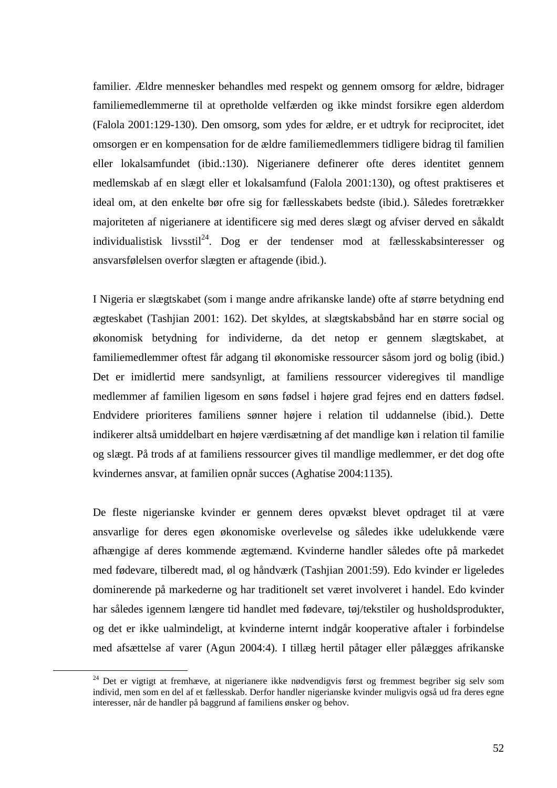familier. Ældre mennesker behandles med respekt og gennem omsorg for ældre, bidrager familiemedlemmerne til at opretholde velfærden og ikke mindst forsikre egen alderdom (Falola 2001:129-130). Den omsorg, som ydes for ældre, er et udtryk for reciprocitet, idet omsorgen er en kompensation for de ældre familiemedlemmers tidligere bidrag til familien eller lokalsamfundet (ibid.:130). Nigerianere definerer ofte deres identitet gennem medlemskab af en slægt eller et lokalsamfund (Falola 2001:130), og oftest praktiseres et ideal om, at den enkelte bør ofre sig for fællesskabets bedste (ibid.). Således foretrækker majoriteten af nigerianere at identificere sig med deres slægt og afviser derved en såkaldt individualistisk livsstil<sup>24</sup>. Dog er der tendenser mod at fællesskabsinteresser og ansvarsfølelsen overfor slægten er aftagende (ibid.).

I Nigeria er slægtskabet (som i mange andre afrikanske lande) ofte af større betydning end ægteskabet (Tashjian 2001: 162). Det skyldes, at slægtskabsbånd har en større social og økonomisk betydning for individerne, da det netop er gennem slægtskabet, at familiemedlemmer oftest får adgang til økonomiske ressourcer såsom jord og bolig (ibid.) Det er imidlertid mere sandsynligt, at familiens ressourcer videregives til mandlige medlemmer af familien ligesom en søns fødsel i højere grad fejres end en datters fødsel. Endvidere prioriteres familiens sønner højere i relation til uddannelse (ibid.). Dette indikerer altså umiddelbart en højere værdisætning af det mandlige køn i relation til familie og slægt. På trods af at familiens ressourcer gives til mandlige medlemmer, er det dog ofte kvindernes ansvar, at familien opnår succes (Aghatise 2004:1135).

De fleste nigerianske kvinder er gennem deres opvækst blevet opdraget til at være ansvarlige for deres egen økonomiske overlevelse og således ikke udelukkende være afhængige af deres kommende ægtemænd. Kvinderne handler således ofte på markedet med fødevare, tilberedt mad, øl og håndværk (Tashjian 2001:59). Edo kvinder er ligeledes dominerende på markederne og har traditionelt set været involveret i handel. Edo kvinder har således igennem længere tid handlet med fødevare, tøj/tekstiler og husholdsprodukter, og det er ikke ualmindeligt, at kvinderne internt indgår kooperative aftaler i forbindelse med afsættelse af varer (Agun 2004:4). I tillæg hertil påtager eller pålægges afrikanske

 $\overline{a}$ 

<sup>&</sup>lt;sup>24</sup> Det er vigtigt at fremhæve, at nigerianere ikke nødvendigvis først og fremmest begriber sig selv som individ, men som en del af et fællesskab. Derfor handler nigerianske kvinder muligvis også ud fra deres egne interesser, når de handler på baggrund af familiens ønsker og behov.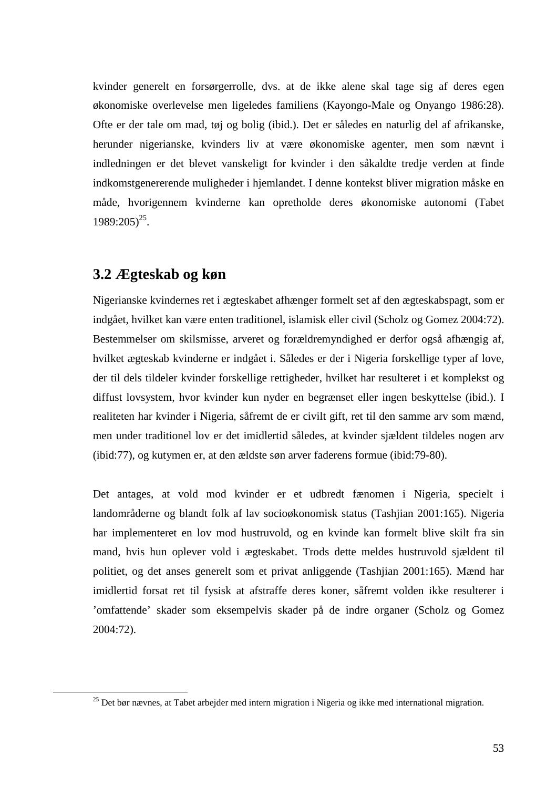kvinder generelt en forsørgerrolle, dvs. at de ikke alene skal tage sig af deres egen økonomiske overlevelse men ligeledes familiens (Kayongo-Male og Onyango 1986:28). Ofte er der tale om mad, tøj og bolig (ibid.). Det er således en naturlig del af afrikanske, herunder nigerianske, kvinders liv at være økonomiske agenter, men som nævnt i indledningen er det blevet vanskeligt for kvinder i den såkaldte tredje verden at finde indkomstgenererende muligheder i hjemlandet. I denne kontekst bliver migration måske en måde, hvorigennem kvinderne kan opretholde deres økonomiske autonomi (Tabet  $1989:205)^{25}$ .

# **3.2 Ægteskab og køn**

 $\overline{a}$ 

Nigerianske kvindernes ret i ægteskabet afhænger formelt set af den ægteskabspagt, som er indgået, hvilket kan være enten traditionel, islamisk eller civil (Scholz og Gomez 2004:72). Bestemmelser om skilsmisse, arveret og forældremyndighed er derfor også afhængig af, hvilket ægteskab kvinderne er indgået i. Således er der i Nigeria forskellige typer af love, der til dels tildeler kvinder forskellige rettigheder, hvilket har resulteret i et komplekst og diffust lovsystem, hvor kvinder kun nyder en begrænset eller ingen beskyttelse (ibid.). I realiteten har kvinder i Nigeria, såfremt de er civilt gift, ret til den samme arv som mænd, men under traditionel lov er det imidlertid således, at kvinder sjældent tildeles nogen arv (ibid:77), og kutymen er, at den ældste søn arver faderens formue (ibid:79-80).

Det antages, at vold mod kvinder er et udbredt fænomen i Nigeria, specielt i landområderne og blandt folk af lav socioøkonomisk status (Tashjian 2001:165). Nigeria har implementeret en lov mod hustruvold, og en kvinde kan formelt blive skilt fra sin mand, hvis hun oplever vold i ægteskabet. Trods dette meldes hustruvold sjældent til politiet, og det anses generelt som et privat anliggende (Tashjian 2001:165). Mænd har imidlertid forsat ret til fysisk at afstraffe deres koner, såfremt volden ikke resulterer i 'omfattende' skader som eksempelvis skader på de indre organer (Scholz og Gomez 2004:72).

 $^{25}$  Det bør nævnes, at Tabet arbejder med intern migration i Nigeria og ikke med international migration.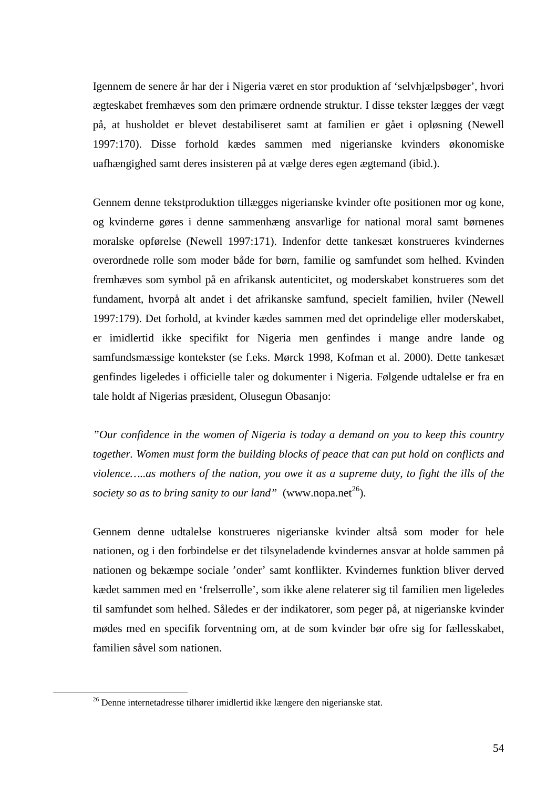Igennem de senere år har der i Nigeria været en stor produktion af 'selvhjælpsbøger', hvori ægteskabet fremhæves som den primære ordnende struktur. I disse tekster lægges der vægt på, at husholdet er blevet destabiliseret samt at familien er gået i opløsning (Newell 1997:170). Disse forhold kædes sammen med nigerianske kvinders økonomiske uafhængighed samt deres insisteren på at vælge deres egen ægtemand (ibid.).

Gennem denne tekstproduktion tillægges nigerianske kvinder ofte positionen mor og kone, og kvinderne gøres i denne sammenhæng ansvarlige for national moral samt børnenes moralske opførelse (Newell 1997:171). Indenfor dette tankesæt konstrueres kvindernes overordnede rolle som moder både for børn, familie og samfundet som helhed. Kvinden fremhæves som symbol på en afrikansk autenticitet, og moderskabet konstrueres som det fundament, hvorpå alt andet i det afrikanske samfund, specielt familien, hviler (Newell 1997:179). Det forhold, at kvinder kædes sammen med det oprindelige eller moderskabet, er imidlertid ikke specifikt for Nigeria men genfindes i mange andre lande og samfundsmæssige kontekster (se f.eks. Mørck 1998, Kofman et al. 2000). Dette tankesæt genfindes ligeledes i officielle taler og dokumenter i Nigeria. Følgende udtalelse er fra en tale holdt af Nigerias præsident, Olusegun Obasanjo:

*"Our confidence in the women of Nigeria is today a demand on you to keep this country together. Women must form the building blocks of peace that can put hold on conflicts and violence…..as mothers of the nation, you owe it as a supreme duty, to fight the ills of the society so as to bring sanity to our land*" (www.nopa.net<sup>26</sup>).

Gennem denne udtalelse konstrueres nigerianske kvinder altså som moder for hele nationen, og i den forbindelse er det tilsyneladende kvindernes ansvar at holde sammen på nationen og bekæmpe sociale 'onder' samt konflikter. Kvindernes funktion bliver derved kædet sammen med en 'frelserrolle', som ikke alene relaterer sig til familien men ligeledes til samfundet som helhed. Således er der indikatorer, som peger på, at nigerianske kvinder mødes med en specifik forventning om, at de som kvinder bør ofre sig for fællesskabet, familien såvel som nationen.

 $\overline{a}$ 

<sup>&</sup>lt;sup>26</sup> Denne internetadresse tilhører imidlertid ikke længere den nigerianske stat.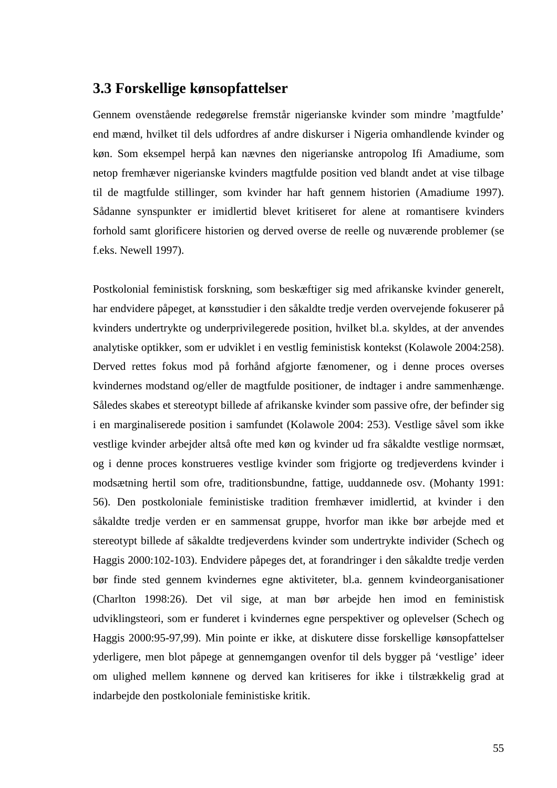### **3.3 Forskellige kønsopfattelser**

Gennem ovenstående redegørelse fremstår nigerianske kvinder som mindre 'magtfulde' end mænd, hvilket til dels udfordres af andre diskurser i Nigeria omhandlende kvinder og køn. Som eksempel herpå kan nævnes den nigerianske antropolog Ifi Amadiume, som netop fremhæver nigerianske kvinders magtfulde position ved blandt andet at vise tilbage til de magtfulde stillinger, som kvinder har haft gennem historien (Amadiume 1997). Sådanne synspunkter er imidlertid blevet kritiseret for alene at romantisere kvinders forhold samt glorificere historien og derved overse de reelle og nuværende problemer (se f.eks. Newell 1997).

Postkolonial feministisk forskning, som beskæftiger sig med afrikanske kvinder generelt, har endvidere påpeget, at kønsstudier i den såkaldte tredje verden overvejende fokuserer på kvinders undertrykte og underprivilegerede position, hvilket bl.a. skyldes, at der anvendes analytiske optikker, som er udviklet i en vestlig feministisk kontekst (Kolawole 2004:258). Derved rettes fokus mod på forhånd afgjorte fænomener, og i denne proces overses kvindernes modstand og/eller de magtfulde positioner, de indtager i andre sammenhænge. Således skabes et stereotypt billede af afrikanske kvinder som passive ofre, der befinder sig i en marginaliserede position i samfundet (Kolawole 2004: 253). Vestlige såvel som ikke vestlige kvinder arbejder altså ofte med køn og kvinder ud fra såkaldte vestlige normsæt, og i denne proces konstrueres vestlige kvinder som frigjorte og tredjeverdens kvinder i modsætning hertil som ofre, traditionsbundne, fattige, uuddannede osv. (Mohanty 1991: 56). Den postkoloniale feministiske tradition fremhæver imidlertid, at kvinder i den såkaldte tredje verden er en sammensat gruppe, hvorfor man ikke bør arbejde med et stereotypt billede af såkaldte tredjeverdens kvinder som undertrykte individer (Schech og Haggis 2000:102-103). Endvidere påpeges det, at forandringer i den såkaldte tredje verden bør finde sted gennem kvindernes egne aktiviteter, bl.a. gennem kvindeorganisationer (Charlton 1998:26). Det vil sige, at man bør arbejde hen imod en feministisk udviklingsteori, som er funderet i kvindernes egne perspektiver og oplevelser (Schech og Haggis 2000:95-97,99). Min pointe er ikke, at diskutere disse forskellige kønsopfattelser yderligere, men blot påpege at gennemgangen ovenfor til dels bygger på 'vestlige' ideer om ulighed mellem kønnene og derved kan kritiseres for ikke i tilstrækkelig grad at indarbejde den postkoloniale feministiske kritik.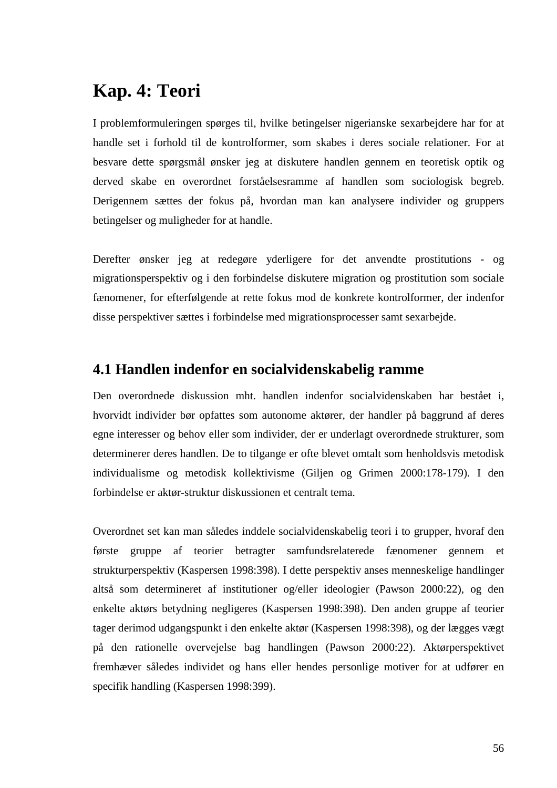# **Kap. 4: Teori**

I problemformuleringen spørges til, hvilke betingelser nigerianske sexarbejdere har for at handle set i forhold til de kontrolformer, som skabes i deres sociale relationer. For at besvare dette spørgsmål ønsker jeg at diskutere handlen gennem en teoretisk optik og derved skabe en overordnet forståelsesramme af handlen som sociologisk begreb. Derigennem sættes der fokus på, hvordan man kan analysere individer og gruppers betingelser og muligheder for at handle.

Derefter ønsker jeg at redegøre yderligere for det anvendte prostitutions - og migrationsperspektiv og i den forbindelse diskutere migration og prostitution som sociale fænomener, for efterfølgende at rette fokus mod de konkrete kontrolformer, der indenfor disse perspektiver sættes i forbindelse med migrationsprocesser samt sexarbejde.

# **4.1 Handlen indenfor en socialvidenskabelig ramme**

Den overordnede diskussion mht. handlen indenfor socialvidenskaben har bestået i, hvorvidt individer bør opfattes som autonome aktører, der handler på baggrund af deres egne interesser og behov eller som individer, der er underlagt overordnede strukturer, som determinerer deres handlen. De to tilgange er ofte blevet omtalt som henholdsvis metodisk individualisme og metodisk kollektivisme (Giljen og Grimen 2000:178-179). I den forbindelse er aktør-struktur diskussionen et centralt tema.

Overordnet set kan man således inddele socialvidenskabelig teori i to grupper, hvoraf den første gruppe af teorier betragter samfundsrelaterede fænomener gennem et strukturperspektiv (Kaspersen 1998:398). I dette perspektiv anses menneskelige handlinger altså som determineret af institutioner og/eller ideologier (Pawson 2000:22), og den enkelte aktørs betydning negligeres (Kaspersen 1998:398). Den anden gruppe af teorier tager derimod udgangspunkt i den enkelte aktør (Kaspersen 1998:398), og der lægges vægt på den rationelle overvejelse bag handlingen (Pawson 2000:22). Aktørperspektivet fremhæver således individet og hans eller hendes personlige motiver for at udfører en specifik handling (Kaspersen 1998:399).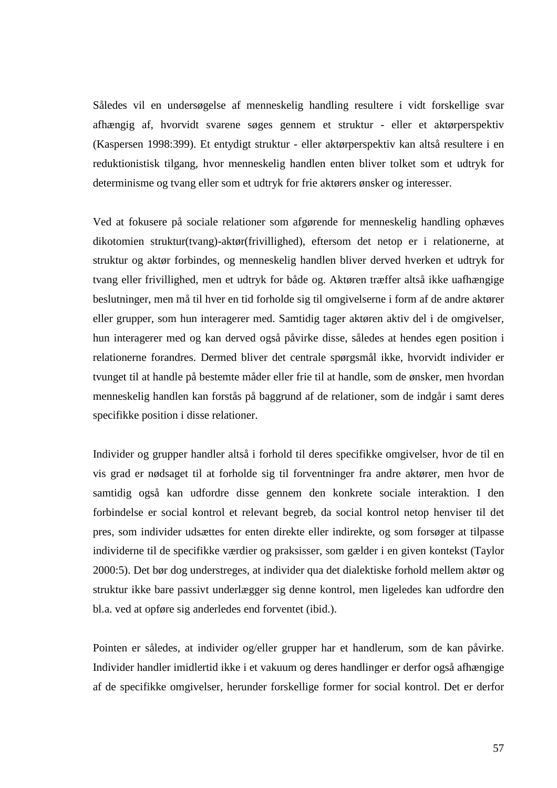Således vil en undersøgelse af menneskelig handling resultere i vidt forskellige svar afhængig af, hvorvidt svarene søges gennem et struktur - eller et aktørperspektiv (Kaspersen 1998:399). Et entydigt struktur - eller aktørperspektiv kan altså resultere i en reduktionistisk tilgang, hvor menneskelig handlen enten bliver tolket som et udtryk for determinisme og tvang eller som et udtryk for frie aktørers ønsker og interesser.

Ved at fokusere på sociale relationer som afgørende for menneskelig handling ophæves dikotomien struktur(tvang)-aktør(frivillighed), eftersom det netop er i relationerne, at struktur og aktør forbindes, og menneskelig handlen bliver derved hverken et udtryk for tvang eller frivillighed, men et udtryk for både og. Aktøren træffer altså ikke uafhængige beslutninger, men må til hver en tid forholde sig til omgivelserne i form af de andre aktører eller grupper, som hun interagerer med. Samtidig tager aktøren aktiv del i de omgivelser, hun interagerer med og kan derved også påvirke disse, således at hendes egen position i relationerne forandres. Dermed bliver det centrale spørgsmål ikke, hvorvidt individer er tvunget til at handle på bestemte måder eller frie til at handle, som de ønsker, men hvordan menneskelig handlen kan forstås på baggrund af de relationer, som de indgår i samt deres specifikke position i disse relationer.

Individer og grupper handler altså i forhold til deres specifikke omgivelser, hvor de til en vis grad er nødsaget til at forholde sig til forventninger fra andre aktører, men hvor de samtidig også kan udfordre disse gennem den konkrete sociale interaktion. I den forbindelse er social kontrol et relevant begreb, da social kontrol netop henviser til det pres, som individer udsættes for enten direkte eller indirekte, og som forsøger at tilpasse individerne til de specifikke værdier og praksisser, som gælder i en given kontekst (Taylor 2000:5). Det bør dog understreges, at individer qua det dialektiske forhold mellem aktør og struktur ikke bare passivt underlægger sig denne kontrol, men ligeledes kan udfordre den bl.a. ved at opføre sig anderledes end forventet (ibid.).

Pointen er således, at individer og/eller grupper har et handlerum, som de kan påvirke. Individer handler imidlertid ikke i et vakuum og deres handlinger er derfor også afhængige af de specifikke omgivelser, herunder forskellige former for social kontrol. Det er derfor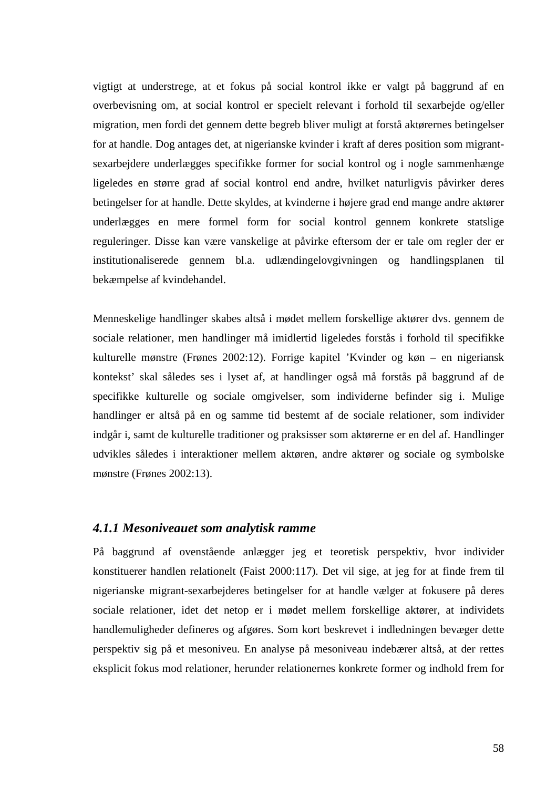vigtigt at understrege, at et fokus på social kontrol ikke er valgt på baggrund af en overbevisning om, at social kontrol er specielt relevant i forhold til sexarbejde og/eller migration, men fordi det gennem dette begreb bliver muligt at forstå aktørernes betingelser for at handle. Dog antages det, at nigerianske kvinder i kraft af deres position som migrantsexarbejdere underlægges specifikke former for social kontrol og i nogle sammenhænge ligeledes en større grad af social kontrol end andre, hvilket naturligvis påvirker deres betingelser for at handle. Dette skyldes, at kvinderne i højere grad end mange andre aktører underlægges en mere formel form for social kontrol gennem konkrete statslige reguleringer. Disse kan være vanskelige at påvirke eftersom der er tale om regler der er institutionaliserede gennem bl.a. udlændingelovgivningen og handlingsplanen til bekæmpelse af kvindehandel.

Menneskelige handlinger skabes altså i mødet mellem forskellige aktører dvs. gennem de sociale relationer, men handlinger må imidlertid ligeledes forstås i forhold til specifikke kulturelle mønstre (Frønes 2002:12). Forrige kapitel 'Kvinder og køn – en nigeriansk kontekst' skal således ses i lyset af, at handlinger også må forstås på baggrund af de specifikke kulturelle og sociale omgivelser, som individerne befinder sig i. Mulige handlinger er altså på en og samme tid bestemt af de sociale relationer, som individer indgår i, samt de kulturelle traditioner og praksisser som aktørerne er en del af. Handlinger udvikles således i interaktioner mellem aktøren, andre aktører og sociale og symbolske mønstre (Frønes 2002:13).

### *4.1.1 Mesoniveauet som analytisk ramme*

På baggrund af ovenstående anlægger jeg et teoretisk perspektiv, hvor individer konstituerer handlen relationelt (Faist 2000:117). Det vil sige, at jeg for at finde frem til nigerianske migrant-sexarbejderes betingelser for at handle vælger at fokusere på deres sociale relationer, idet det netop er i mødet mellem forskellige aktører, at individets handlemuligheder defineres og afgøres. Som kort beskrevet i indledningen bevæger dette perspektiv sig på et mesoniveu. En analyse på mesoniveau indebærer altså, at der rettes eksplicit fokus mod relationer, herunder relationernes konkrete former og indhold frem for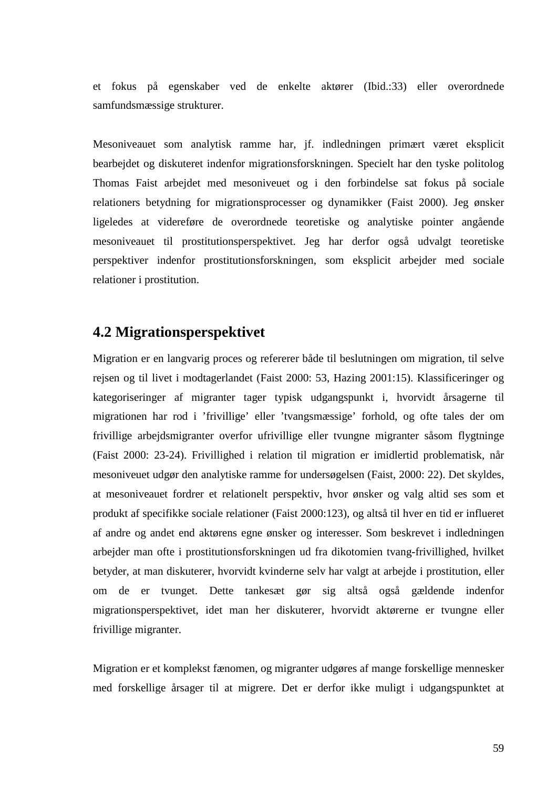et fokus på egenskaber ved de enkelte aktører (Ibid.:33) eller overordnede samfundsmæssige strukturer.

Mesoniveauet som analytisk ramme har, jf. indledningen primært været eksplicit bearbejdet og diskuteret indenfor migrationsforskningen. Specielt har den tyske politolog Thomas Faist arbejdet med mesoniveuet og i den forbindelse sat fokus på sociale relationers betydning for migrationsprocesser og dynamikker (Faist 2000). Jeg ønsker ligeledes at videreføre de overordnede teoretiske og analytiske pointer angående mesoniveauet til prostitutionsperspektivet. Jeg har derfor også udvalgt teoretiske perspektiver indenfor prostitutionsforskningen, som eksplicit arbejder med sociale relationer i prostitution.

# **4.2 Migrationsperspektivet**

Migration er en langvarig proces og refererer både til beslutningen om migration, til selve rejsen og til livet i modtagerlandet (Faist 2000: 53, Hazing 2001:15). Klassificeringer og kategoriseringer af migranter tager typisk udgangspunkt i, hvorvidt årsagerne til migrationen har rod i 'frivillige' eller 'tvangsmæssige' forhold, og ofte tales der om frivillige arbejdsmigranter overfor ufrivillige eller tvungne migranter såsom flygtninge (Faist 2000: 23-24). Frivillighed i relation til migration er imidlertid problematisk, når mesoniveuet udgør den analytiske ramme for undersøgelsen (Faist, 2000: 22). Det skyldes, at mesoniveauet fordrer et relationelt perspektiv, hvor ønsker og valg altid ses som et produkt af specifikke sociale relationer (Faist 2000:123), og altså til hver en tid er influeret af andre og andet end aktørens egne ønsker og interesser. Som beskrevet i indledningen arbejder man ofte i prostitutionsforskningen ud fra dikotomien tvang-frivillighed, hvilket betyder, at man diskuterer, hvorvidt kvinderne selv har valgt at arbejde i prostitution, eller om de er tvunget. Dette tankesæt gør sig altså også gældende indenfor migrationsperspektivet, idet man her diskuterer, hvorvidt aktørerne er tvungne eller frivillige migranter.

Migration er et komplekst fænomen, og migranter udgøres af mange forskellige mennesker med forskellige årsager til at migrere. Det er derfor ikke muligt i udgangspunktet at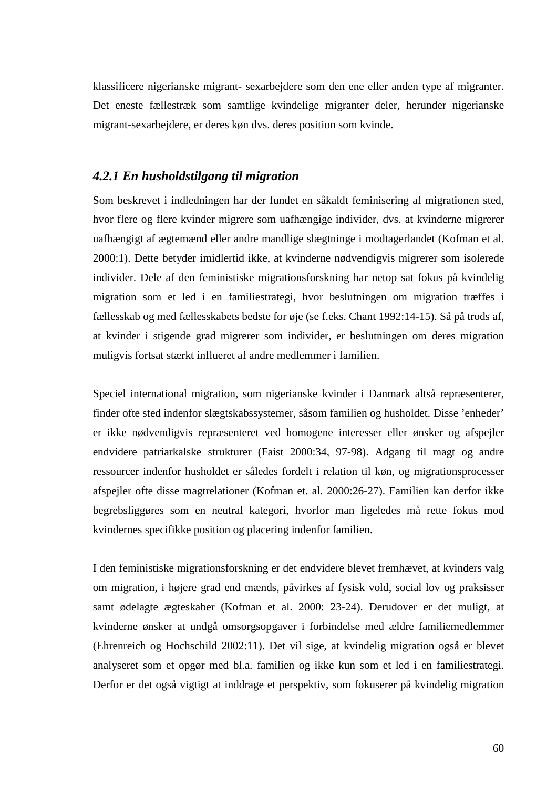klassificere nigerianske migrant- sexarbejdere som den ene eller anden type af migranter. Det eneste fællestræk som samtlige kvindelige migranter deler, herunder nigerianske migrant-sexarbejdere, er deres køn dvs. deres position som kvinde.

### *4.2.1 En husholdstilgang til migration*

Som beskrevet i indledningen har der fundet en såkaldt feminisering af migrationen sted, hvor flere og flere kvinder migrere som uafhængige individer, dvs. at kvinderne migrerer uafhængigt af ægtemænd eller andre mandlige slægtninge i modtagerlandet (Kofman et al. 2000:1). Dette betyder imidlertid ikke, at kvinderne nødvendigvis migrerer som isolerede individer. Dele af den feministiske migrationsforskning har netop sat fokus på kvindelig migration som et led i en familiestrategi, hvor beslutningen om migration træffes i fællesskab og med fællesskabets bedste for øje (se f.eks. Chant 1992:14-15). Så på trods af, at kvinder i stigende grad migrerer som individer, er beslutningen om deres migration muligvis fortsat stærkt influeret af andre medlemmer i familien.

Speciel international migration, som nigerianske kvinder i Danmark altså repræsenterer, finder ofte sted indenfor slægtskabssystemer, såsom familien og husholdet. Disse 'enheder' er ikke nødvendigvis repræsenteret ved homogene interesser eller ønsker og afspejler endvidere patriarkalske strukturer (Faist 2000:34, 97-98). Adgang til magt og andre ressourcer indenfor husholdet er således fordelt i relation til køn, og migrationsprocesser afspejler ofte disse magtrelationer (Kofman et. al. 2000:26-27). Familien kan derfor ikke begrebsliggøres som en neutral kategori, hvorfor man ligeledes må rette fokus mod kvindernes specifikke position og placering indenfor familien.

I den feministiske migrationsforskning er det endvidere blevet fremhævet, at kvinders valg om migration, i højere grad end mænds, påvirkes af fysisk vold, social lov og praksisser samt ødelagte ægteskaber (Kofman et al. 2000: 23-24). Derudover er det muligt, at kvinderne ønsker at undgå omsorgsopgaver i forbindelse med ældre familiemedlemmer (Ehrenreich og Hochschild 2002:11). Det vil sige, at kvindelig migration også er blevet analyseret som et opgør med bl.a. familien og ikke kun som et led i en familiestrategi. Derfor er det også vigtigt at inddrage et perspektiv, som fokuserer på kvindelig migration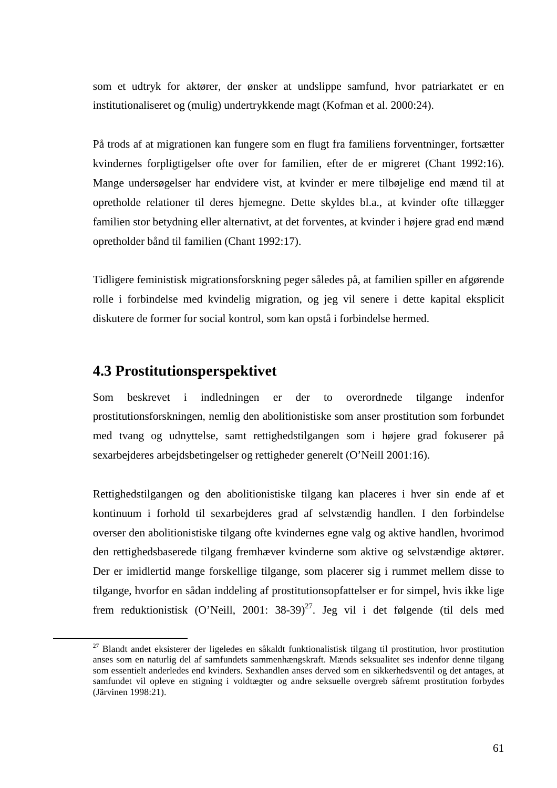som et udtryk for aktører, der ønsker at undslippe samfund, hvor patriarkatet er en institutionaliseret og (mulig) undertrykkende magt (Kofman et al. 2000:24).

På trods af at migrationen kan fungere som en flugt fra familiens forventninger, fortsætter kvindernes forpligtigelser ofte over for familien, efter de er migreret (Chant 1992:16). Mange undersøgelser har endvidere vist, at kvinder er mere tilbøjelige end mænd til at opretholde relationer til deres hjemegne. Dette skyldes bl.a., at kvinder ofte tillægger familien stor betydning eller alternativt, at det forventes, at kvinder i højere grad end mænd opretholder bånd til familien (Chant 1992:17).

Tidligere feministisk migrationsforskning peger således på, at familien spiller en afgørende rolle i forbindelse med kvindelig migration, og jeg vil senere i dette kapital eksplicit diskutere de former for social kontrol, som kan opstå i forbindelse hermed.

# **4.3 Prostitutionsperspektivet**

 $\overline{a}$ 

Som beskrevet i indledningen er der to overordnede tilgange indenfor prostitutionsforskningen, nemlig den abolitionistiske som anser prostitution som forbundet med tvang og udnyttelse, samt rettighedstilgangen som i højere grad fokuserer på sexarbejderes arbejdsbetingelser og rettigheder generelt (O'Neill 2001:16).

Rettighedstilgangen og den abolitionistiske tilgang kan placeres i hver sin ende af et kontinuum i forhold til sexarbejderes grad af selvstændig handlen. I den forbindelse overser den abolitionistiske tilgang ofte kvindernes egne valg og aktive handlen, hvorimod den rettighedsbaserede tilgang fremhæver kvinderne som aktive og selvstændige aktører. Der er imidlertid mange forskellige tilgange, som placerer sig i rummet mellem disse to tilgange, hvorfor en sådan inddeling af prostitutionsopfattelser er for simpel, hvis ikke lige frem reduktionistisk (O'Neill, 2001: 38-39)<sup>27</sup>. Jeg vil i det følgende (til dels med

<sup>&</sup>lt;sup>27</sup> Blandt andet eksisterer der ligeledes en såkaldt funktionalistisk tilgang til prostitution, hvor prostitution anses som en naturlig del af samfundets sammenhængskraft. Mænds seksualitet ses indenfor denne tilgang som essentielt anderledes end kvinders. Sexhandlen anses derved som en sikkerhedsventil og det antages, at samfundet vil opleve en stigning i voldtægter og andre seksuelle overgreb såfremt prostitution forbydes (Järvinen 1998:21).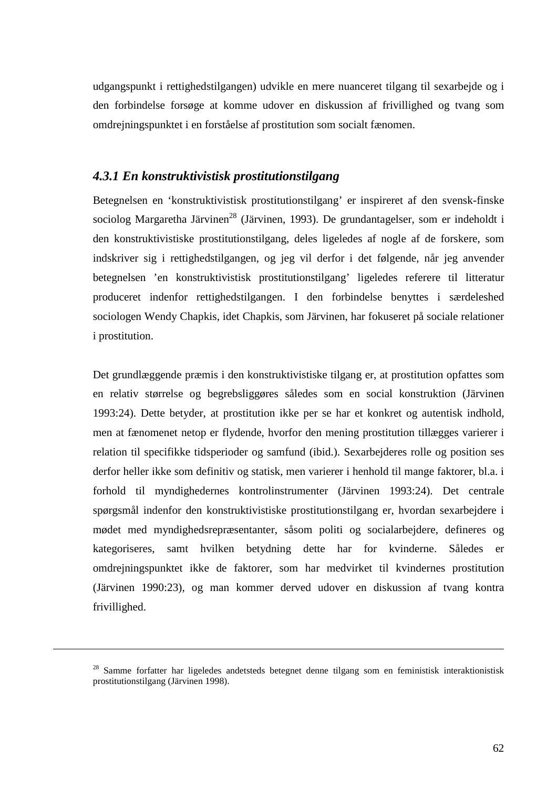udgangspunkt i rettighedstilgangen) udvikle en mere nuanceret tilgang til sexarbejde og i den forbindelse forsøge at komme udover en diskussion af frivillighed og tvang som omdrejningspunktet i en forståelse af prostitution som socialt fænomen.

### *4.3.1 En konstruktivistisk prostitutionstilgang*

Betegnelsen en 'konstruktivistisk prostitutionstilgang' er inspireret af den svensk-finske sociolog Margaretha Järvinen<sup>28</sup> (Järvinen, 1993). De grundantagelser, som er indeholdt i den konstruktivistiske prostitutionstilgang, deles ligeledes af nogle af de forskere, som indskriver sig i rettighedstilgangen, og jeg vil derfor i det følgende, når jeg anvender betegnelsen 'en konstruktivistisk prostitutionstilgang' ligeledes referere til litteratur produceret indenfor rettighedstilgangen. I den forbindelse benyttes i særdeleshed sociologen Wendy Chapkis, idet Chapkis, som Järvinen, har fokuseret på sociale relationer i prostitution.

Det grundlæggende præmis i den konstruktivistiske tilgang er, at prostitution opfattes som en relativ størrelse og begrebsliggøres således som en social konstruktion (Järvinen 1993:24). Dette betyder, at prostitution ikke per se har et konkret og autentisk indhold, men at fænomenet netop er flydende, hvorfor den mening prostitution tillægges varierer i relation til specifikke tidsperioder og samfund (ibid.). Sexarbejderes rolle og position ses derfor heller ikke som definitiv og statisk, men varierer i henhold til mange faktorer, bl.a. i forhold til myndighedernes kontrolinstrumenter (Järvinen 1993:24). Det centrale spørgsmål indenfor den konstruktivistiske prostitutionstilgang er, hvordan sexarbejdere i mødet med myndighedsrepræsentanter, såsom politi og socialarbejdere, defineres og kategoriseres, samt hvilken betydning dette har for kvinderne. Således er omdrejningspunktet ikke de faktorer, som har medvirket til kvindernes prostitution (Järvinen 1990:23), og man kommer derved udover en diskussion af tvang kontra frivillighed.

 $\overline{a}$ 

<sup>&</sup>lt;sup>28</sup> Samme forfatter har ligeledes andetsteds betegnet denne tilgang som en feministisk interaktionistisk prostitutionstilgang (Järvinen 1998).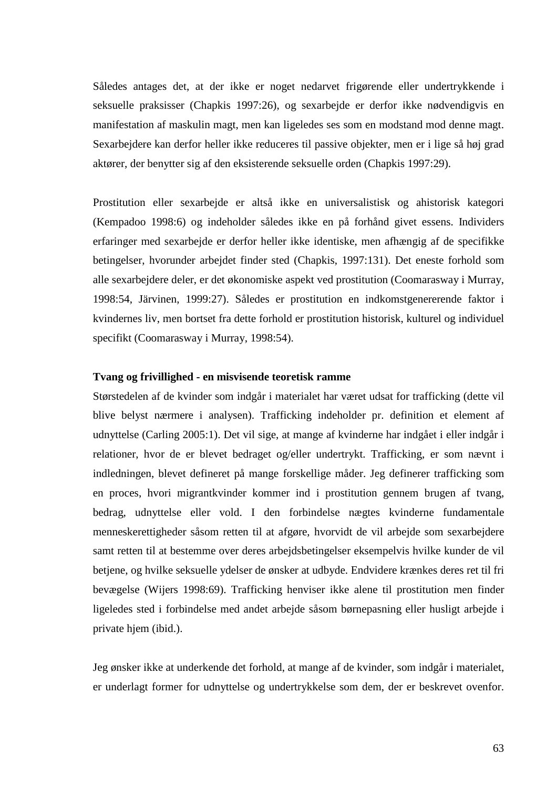Således antages det, at der ikke er noget nedarvet frigørende eller undertrykkende i seksuelle praksisser (Chapkis 1997:26), og sexarbejde er derfor ikke nødvendigvis en manifestation af maskulin magt, men kan ligeledes ses som en modstand mod denne magt. Sexarbejdere kan derfor heller ikke reduceres til passive objekter, men er i lige så høj grad aktører, der benytter sig af den eksisterende seksuelle orden (Chapkis 1997:29).

Prostitution eller sexarbejde er altså ikke en universalistisk og ahistorisk kategori (Kempadoo 1998:6) og indeholder således ikke en på forhånd givet essens. Individers erfaringer med sexarbejde er derfor heller ikke identiske, men afhængig af de specifikke betingelser, hvorunder arbejdet finder sted (Chapkis, 1997:131). Det eneste forhold som alle sexarbejdere deler, er det økonomiske aspekt ved prostitution (Coomarasway i Murray, 1998:54, Järvinen, 1999:27). Således er prostitution en indkomstgenererende faktor i kvindernes liv, men bortset fra dette forhold er prostitution historisk, kulturel og individuel specifikt (Coomarasway i Murray, 1998:54).

### **Tvang og frivillighed - en misvisende teoretisk ramme**

Størstedelen af de kvinder som indgår i materialet har været udsat for trafficking (dette vil blive belyst nærmere i analysen). Trafficking indeholder pr. definition et element af udnyttelse (Carling 2005:1). Det vil sige, at mange af kvinderne har indgået i eller indgår i relationer, hvor de er blevet bedraget og/eller undertrykt. Trafficking, er som nævnt i indledningen, blevet defineret på mange forskellige måder. Jeg definerer trafficking som en proces, hvori migrantkvinder kommer ind i prostitution gennem brugen af tvang, bedrag, udnyttelse eller vold. I den forbindelse nægtes kvinderne fundamentale menneskerettigheder såsom retten til at afgøre, hvorvidt de vil arbejde som sexarbejdere samt retten til at bestemme over deres arbejdsbetingelser eksempelvis hvilke kunder de vil betjene, og hvilke seksuelle ydelser de ønsker at udbyde. Endvidere krænkes deres ret til fri bevægelse (Wijers 1998:69). Trafficking henviser ikke alene til prostitution men finder ligeledes sted i forbindelse med andet arbejde såsom børnepasning eller husligt arbejde i private hjem (ibid.).

Jeg ønsker ikke at underkende det forhold, at mange af de kvinder, som indgår i materialet, er underlagt former for udnyttelse og undertrykkelse som dem, der er beskrevet ovenfor.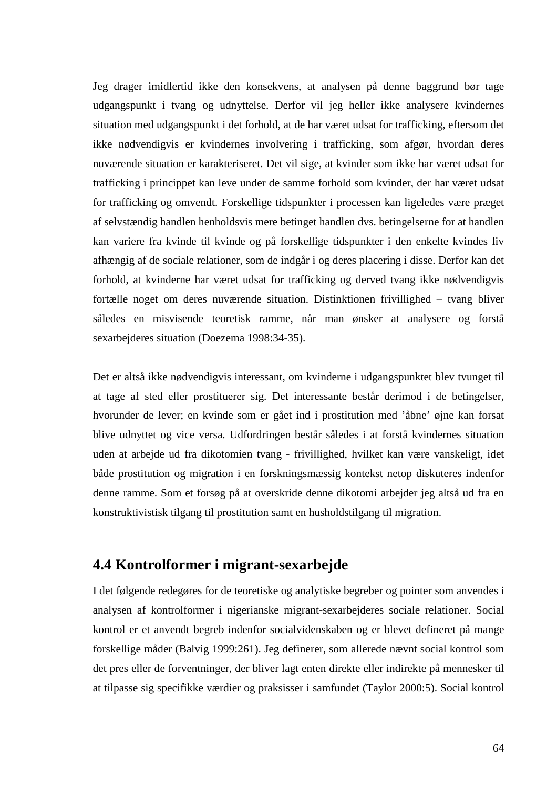Jeg drager imidlertid ikke den konsekvens, at analysen på denne baggrund bør tage udgangspunkt i tvang og udnyttelse. Derfor vil jeg heller ikke analysere kvindernes situation med udgangspunkt i det forhold, at de har været udsat for trafficking, eftersom det ikke nødvendigvis er kvindernes involvering i trafficking, som afgør, hvordan deres nuværende situation er karakteriseret. Det vil sige, at kvinder som ikke har været udsat for trafficking i princippet kan leve under de samme forhold som kvinder, der har været udsat for trafficking og omvendt. Forskellige tidspunkter i processen kan ligeledes være præget af selvstændig handlen henholdsvis mere betinget handlen dvs. betingelserne for at handlen kan variere fra kvinde til kvinde og på forskellige tidspunkter i den enkelte kvindes liv afhængig af de sociale relationer, som de indgår i og deres placering i disse. Derfor kan det forhold, at kvinderne har været udsat for trafficking og derved tvang ikke nødvendigvis fortælle noget om deres nuværende situation. Distinktionen frivillighed – tvang bliver således en misvisende teoretisk ramme, når man ønsker at analysere og forstå sexarbejderes situation (Doezema 1998:34-35).

Det er altså ikke nødvendigvis interessant, om kvinderne i udgangspunktet blev tvunget til at tage af sted eller prostituerer sig. Det interessante består derimod i de betingelser, hvorunder de lever; en kvinde som er gået ind i prostitution med 'åbne' øjne kan forsat blive udnyttet og vice versa. Udfordringen består således i at forstå kvindernes situation uden at arbejde ud fra dikotomien tvang - frivillighed, hvilket kan være vanskeligt, idet både prostitution og migration i en forskningsmæssig kontekst netop diskuteres indenfor denne ramme. Som et forsøg på at overskride denne dikotomi arbejder jeg altså ud fra en konstruktivistisk tilgang til prostitution samt en husholdstilgang til migration.

# **4.4 Kontrolformer i migrant-sexarbejde**

I det følgende redegøres for de teoretiske og analytiske begreber og pointer som anvendes i analysen af kontrolformer i nigerianske migrant-sexarbejderes sociale relationer. Social kontrol er et anvendt begreb indenfor socialvidenskaben og er blevet defineret på mange forskellige måder (Balvig 1999:261). Jeg definerer, som allerede nævnt social kontrol som det pres eller de forventninger, der bliver lagt enten direkte eller indirekte på mennesker til at tilpasse sig specifikke værdier og praksisser i samfundet (Taylor 2000:5). Social kontrol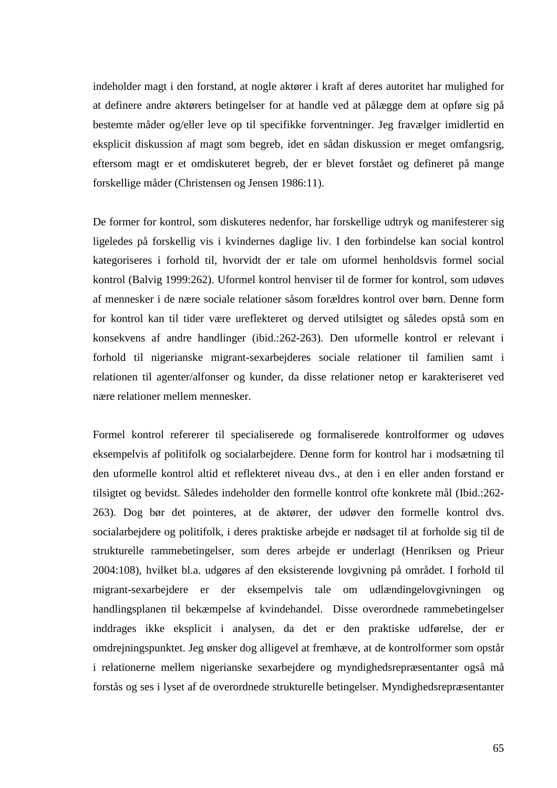indeholder magt i den forstand, at nogle aktører i kraft af deres autoritet har mulighed for at definere andre aktørers betingelser for at handle ved at pålægge dem at opføre sig på bestemte måder og/eller leve op til specifikke forventninger. Jeg fravælger imidlertid en eksplicit diskussion af magt som begreb, idet en sådan diskussion er meget omfangsrig, eftersom magt er et omdiskuteret begreb, der er blevet forstået og defineret på mange forskellige måder (Christensen og Jensen 1986:11).

De former for kontrol, som diskuteres nedenfor, har forskellige udtryk og manifesterer sig ligeledes på forskellig vis i kvindernes daglige liv. I den forbindelse kan social kontrol kategoriseres i forhold til, hvorvidt der er tale om uformel henholdsvis formel social kontrol (Balvig 1999:262). Uformel kontrol henviser til de former for kontrol, som udøves af mennesker i de nære sociale relationer såsom forældres kontrol over børn. Denne form for kontrol kan til tider være ureflekteret og derved utilsigtet og således opstå som en konsekvens af andre handlinger (ibid.:262-263). Den uformelle kontrol er relevant i forhold til nigerianske migrant-sexarbejderes sociale relationer til familien samt i relationen til agenter/alfonser og kunder, da disse relationer netop er karakteriseret ved nære relationer mellem mennesker.

Formel kontrol refererer til specialiserede og formaliserede kontrolformer og udøves eksempelvis af politifolk og socialarbejdere. Denne form for kontrol har i modsætning til den uformelle kontrol altid et reflekteret niveau dvs., at den i en eller anden forstand er tilsigtet og bevidst. Således indeholder den formelle kontrol ofte konkrete mål (Ibid.:262- 263). Dog bør det pointeres, at de aktører, der udøver den formelle kontrol dvs. socialarbejdere og politifolk, i deres praktiske arbejde er nødsaget til at forholde sig til de strukturelle rammebetingelser, som deres arbejde er underlagt (Henriksen og Prieur 2004:108), hvilket bl.a. udgøres af den eksisterende lovgivning på området. I forhold til migrant-sexarbejdere er der eksempelvis tale om udlændingelovgivningen og handlingsplanen til bekæmpelse af kvindehandel. Disse overordnede rammebetingelser inddrages ikke eksplicit i analysen, da det er den praktiske udførelse, der er omdrejningspunktet. Jeg ønsker dog alligevel at fremhæve, at de kontrolformer som opstår i relationerne mellem nigerianske sexarbejdere og myndighedsrepræsentanter også må forstås og ses i lyset af de overordnede strukturelle betingelser. Myndighedsrepræsentanter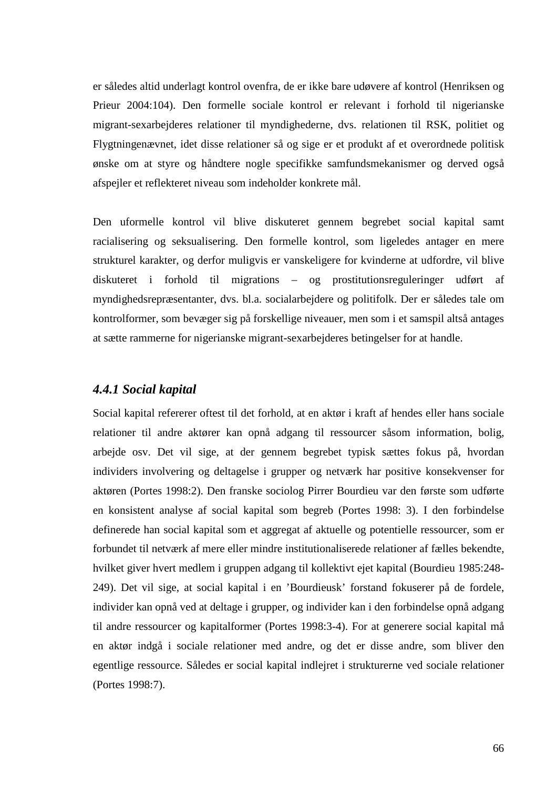er således altid underlagt kontrol ovenfra, de er ikke bare udøvere af kontrol (Henriksen og Prieur 2004:104). Den formelle sociale kontrol er relevant i forhold til nigerianske migrant-sexarbejderes relationer til myndighederne, dvs. relationen til RSK, politiet og Flygtningenævnet, idet disse relationer så og sige er et produkt af et overordnede politisk ønske om at styre og håndtere nogle specifikke samfundsmekanismer og derved også afspejler et reflekteret niveau som indeholder konkrete mål.

Den uformelle kontrol vil blive diskuteret gennem begrebet social kapital samt racialisering og seksualisering. Den formelle kontrol, som ligeledes antager en mere strukturel karakter, og derfor muligvis er vanskeligere for kvinderne at udfordre, vil blive diskuteret i forhold til migrations – og prostitutionsreguleringer udført af myndighedsrepræsentanter, dvs. bl.a. socialarbejdere og politifolk. Der er således tale om kontrolformer, som bevæger sig på forskellige niveauer, men som i et samspil altså antages at sætte rammerne for nigerianske migrant-sexarbejderes betingelser for at handle.

### *4.4.1 Social kapital*

Social kapital refererer oftest til det forhold, at en aktør i kraft af hendes eller hans sociale relationer til andre aktører kan opnå adgang til ressourcer såsom information, bolig, arbejde osv. Det vil sige, at der gennem begrebet typisk sættes fokus på, hvordan individers involvering og deltagelse i grupper og netværk har positive konsekvenser for aktøren (Portes 1998:2). Den franske sociolog Pirrer Bourdieu var den første som udførte en konsistent analyse af social kapital som begreb (Portes 1998: 3). I den forbindelse definerede han social kapital som et aggregat af aktuelle og potentielle ressourcer, som er forbundet til netværk af mere eller mindre institutionaliserede relationer af fælles bekendte, hvilket giver hvert medlem i gruppen adgang til kollektivt ejet kapital (Bourdieu 1985:248- 249). Det vil sige, at social kapital i en 'Bourdieusk' forstand fokuserer på de fordele, individer kan opnå ved at deltage i grupper, og individer kan i den forbindelse opnå adgang til andre ressourcer og kapitalformer (Portes 1998:3-4). For at generere social kapital må en aktør indgå i sociale relationer med andre, og det er disse andre, som bliver den egentlige ressource. Således er social kapital indlejret i strukturerne ved sociale relationer (Portes 1998:7).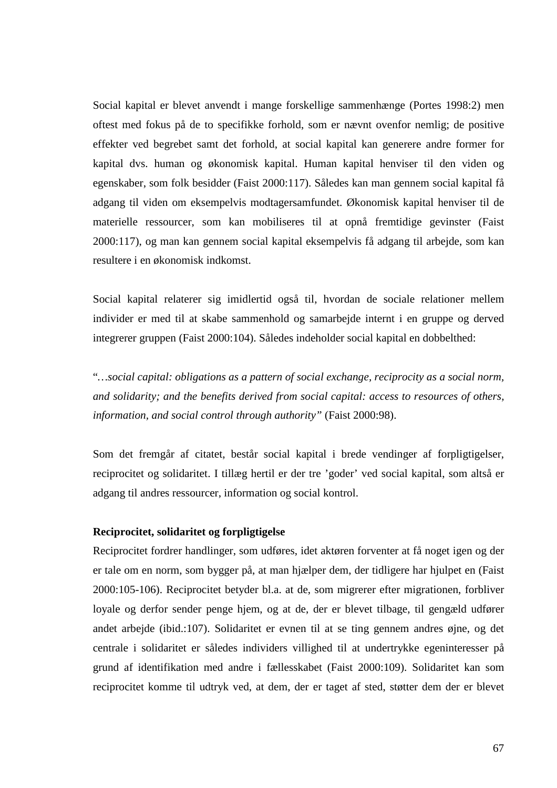Social kapital er blevet anvendt i mange forskellige sammenhænge (Portes 1998:2) men oftest med fokus på de to specifikke forhold, som er nævnt ovenfor nemlig; de positive effekter ved begrebet samt det forhold, at social kapital kan generere andre former for kapital dvs. human og økonomisk kapital. Human kapital henviser til den viden og egenskaber, som folk besidder (Faist 2000:117). Således kan man gennem social kapital få adgang til viden om eksempelvis modtagersamfundet. Økonomisk kapital henviser til de materielle ressourcer, som kan mobiliseres til at opnå fremtidige gevinster (Faist 2000:117), og man kan gennem social kapital eksempelvis få adgang til arbejde, som kan resultere i en økonomisk indkomst.

Social kapital relaterer sig imidlertid også til, hvordan de sociale relationer mellem individer er med til at skabe sammenhold og samarbejde internt i en gruppe og derved integrerer gruppen (Faist 2000:104). Således indeholder social kapital en dobbelthed:

"*…social capital: obligations as a pattern of social exchange, reciprocity as a social norm, and solidarity; and the benefits derived from social capital: access to resources of others, information, and social control through authority"* (Faist 2000:98).

Som det fremgår af citatet, består social kapital i brede vendinger af forpligtigelser, reciprocitet og solidaritet. I tillæg hertil er der tre 'goder' ved social kapital, som altså er adgang til andres ressourcer, information og social kontrol.

### **Reciprocitet, solidaritet og forpligtigelse**

Reciprocitet fordrer handlinger, som udføres, idet aktøren forventer at få noget igen og der er tale om en norm, som bygger på, at man hjælper dem, der tidligere har hjulpet en (Faist 2000:105-106). Reciprocitet betyder bl.a. at de, som migrerer efter migrationen, forbliver loyale og derfor sender penge hjem, og at de, der er blevet tilbage, til gengæld udfører andet arbejde (ibid.:107). Solidaritet er evnen til at se ting gennem andres øjne, og det centrale i solidaritet er således individers villighed til at undertrykke egeninteresser på grund af identifikation med andre i fællesskabet (Faist 2000:109). Solidaritet kan som reciprocitet komme til udtryk ved, at dem, der er taget af sted, støtter dem der er blevet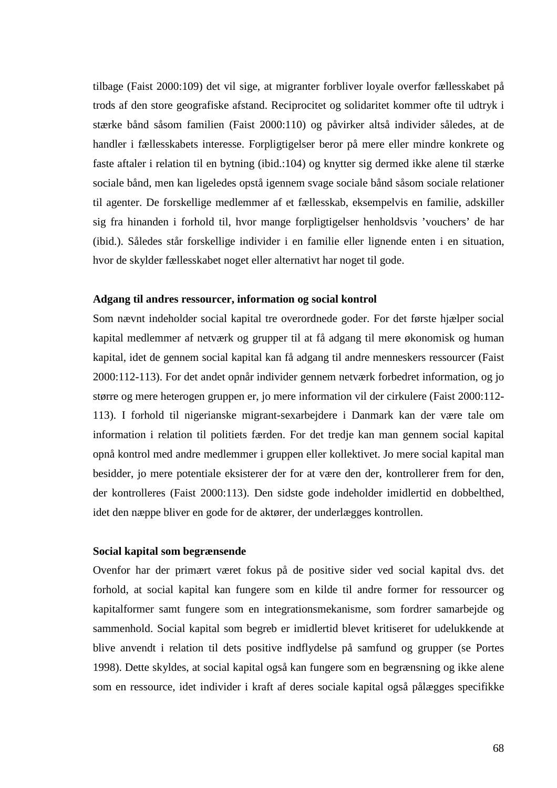tilbage (Faist 2000:109) det vil sige, at migranter forbliver loyale overfor fællesskabet på trods af den store geografiske afstand. Reciprocitet og solidaritet kommer ofte til udtryk i stærke bånd såsom familien (Faist 2000:110) og påvirker altså individer således, at de handler i fællesskabets interesse. Forpligtigelser beror på mere eller mindre konkrete og faste aftaler i relation til en bytning (ibid.:104) og knytter sig dermed ikke alene til stærke sociale bånd, men kan ligeledes opstå igennem svage sociale bånd såsom sociale relationer til agenter. De forskellige medlemmer af et fællesskab, eksempelvis en familie, adskiller sig fra hinanden i forhold til, hvor mange forpligtigelser henholdsvis 'vouchers' de har (ibid.). Således står forskellige individer i en familie eller lignende enten i en situation, hvor de skylder fællesskabet noget eller alternativt har noget til gode.

### **Adgang til andres ressourcer, information og social kontrol**

Som nævnt indeholder social kapital tre overordnede goder. For det første hjælper social kapital medlemmer af netværk og grupper til at få adgang til mere økonomisk og human kapital, idet de gennem social kapital kan få adgang til andre menneskers ressourcer (Faist 2000:112-113). For det andet opnår individer gennem netværk forbedret information, og jo større og mere heterogen gruppen er, jo mere information vil der cirkulere (Faist 2000:112- 113). I forhold til nigerianske migrant-sexarbejdere i Danmark kan der være tale om information i relation til politiets færden. For det tredje kan man gennem social kapital opnå kontrol med andre medlemmer i gruppen eller kollektivet. Jo mere social kapital man besidder, jo mere potentiale eksisterer der for at være den der, kontrollerer frem for den, der kontrolleres (Faist 2000:113). Den sidste gode indeholder imidlertid en dobbelthed, idet den næppe bliver en gode for de aktører, der underlægges kontrollen.

#### **Social kapital som begrænsende**

Ovenfor har der primært været fokus på de positive sider ved social kapital dvs. det forhold, at social kapital kan fungere som en kilde til andre former for ressourcer og kapitalformer samt fungere som en integrationsmekanisme, som fordrer samarbejde og sammenhold. Social kapital som begreb er imidlertid blevet kritiseret for udelukkende at blive anvendt i relation til dets positive indflydelse på samfund og grupper (se Portes 1998). Dette skyldes, at social kapital også kan fungere som en begrænsning og ikke alene som en ressource, idet individer i kraft af deres sociale kapital også pålægges specifikke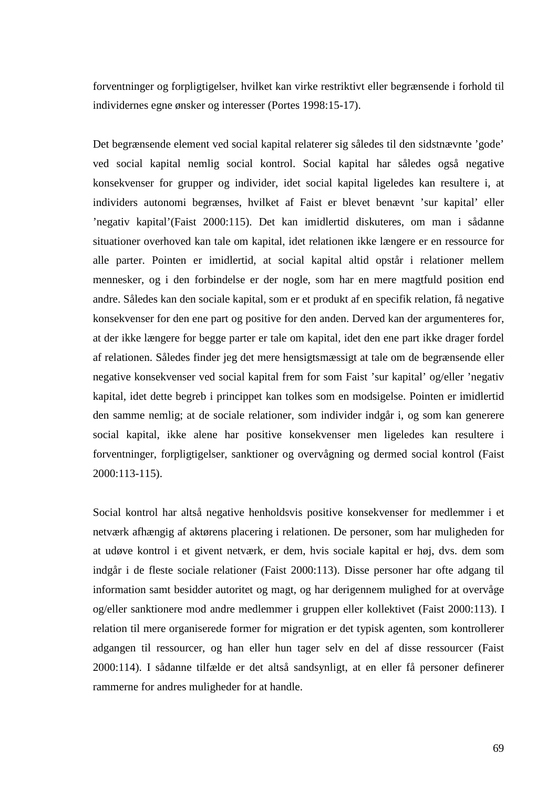forventninger og forpligtigelser, hvilket kan virke restriktivt eller begrænsende i forhold til individernes egne ønsker og interesser (Portes 1998:15-17).

Det begrænsende element ved social kapital relaterer sig således til den sidstnævnte 'gode' ved social kapital nemlig social kontrol. Social kapital har således også negative konsekvenser for grupper og individer, idet social kapital ligeledes kan resultere i, at individers autonomi begrænses, hvilket af Faist er blevet benævnt 'sur kapital' eller 'negativ kapital'(Faist 2000:115). Det kan imidlertid diskuteres, om man i sådanne situationer overhoved kan tale om kapital, idet relationen ikke længere er en ressource for alle parter. Pointen er imidlertid, at social kapital altid opstår i relationer mellem mennesker, og i den forbindelse er der nogle, som har en mere magtfuld position end andre. Således kan den sociale kapital, som er et produkt af en specifik relation, få negative konsekvenser for den ene part og positive for den anden. Derved kan der argumenteres for, at der ikke længere for begge parter er tale om kapital, idet den ene part ikke drager fordel af relationen. Således finder jeg det mere hensigtsmæssigt at tale om de begrænsende eller negative konsekvenser ved social kapital frem for som Faist 'sur kapital' og/eller 'negativ kapital, idet dette begreb i princippet kan tolkes som en modsigelse. Pointen er imidlertid den samme nemlig; at de sociale relationer, som individer indgår i, og som kan generere social kapital, ikke alene har positive konsekvenser men ligeledes kan resultere i forventninger, forpligtigelser, sanktioner og overvågning og dermed social kontrol (Faist 2000:113-115).

Social kontrol har altså negative henholdsvis positive konsekvenser for medlemmer i et netværk afhængig af aktørens placering i relationen. De personer, som har muligheden for at udøve kontrol i et givent netværk, er dem, hvis sociale kapital er høj, dvs. dem som indgår i de fleste sociale relationer (Faist 2000:113). Disse personer har ofte adgang til information samt besidder autoritet og magt, og har derigennem mulighed for at overvåge og/eller sanktionere mod andre medlemmer i gruppen eller kollektivet (Faist 2000:113). I relation til mere organiserede former for migration er det typisk agenten, som kontrollerer adgangen til ressourcer, og han eller hun tager selv en del af disse ressourcer (Faist 2000:114). I sådanne tilfælde er det altså sandsynligt, at en eller få personer definerer rammerne for andres muligheder for at handle.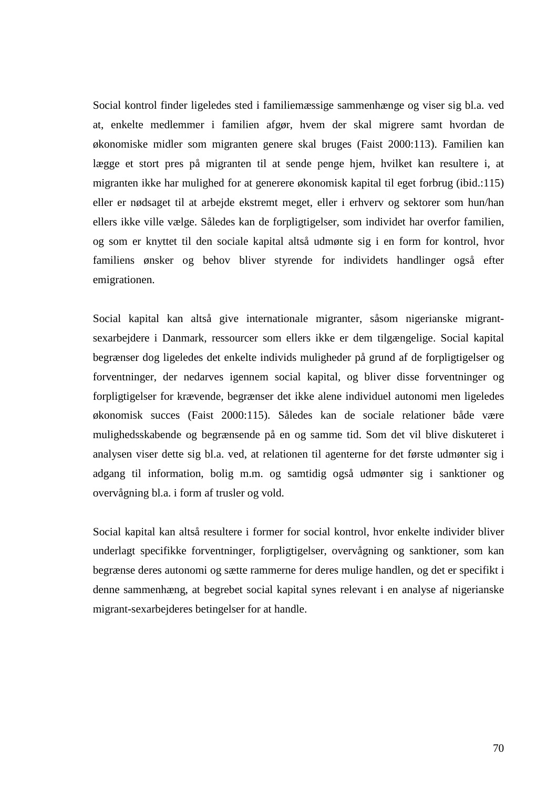Social kontrol finder ligeledes sted i familiemæssige sammenhænge og viser sig bl.a. ved at, enkelte medlemmer i familien afgør, hvem der skal migrere samt hvordan de økonomiske midler som migranten genere skal bruges (Faist 2000:113). Familien kan lægge et stort pres på migranten til at sende penge hjem, hvilket kan resultere i, at migranten ikke har mulighed for at generere økonomisk kapital til eget forbrug (ibid.:115) eller er nødsaget til at arbejde ekstremt meget, eller i erhverv og sektorer som hun/han ellers ikke ville vælge. Således kan de forpligtigelser, som individet har overfor familien, og som er knyttet til den sociale kapital altså udmønte sig i en form for kontrol, hvor familiens ønsker og behov bliver styrende for individets handlinger også efter emigrationen.

Social kapital kan altså give internationale migranter, såsom nigerianske migrantsexarbejdere i Danmark, ressourcer som ellers ikke er dem tilgængelige. Social kapital begrænser dog ligeledes det enkelte individs muligheder på grund af de forpligtigelser og forventninger, der nedarves igennem social kapital, og bliver disse forventninger og forpligtigelser for krævende, begrænser det ikke alene individuel autonomi men ligeledes økonomisk succes (Faist 2000:115). Således kan de sociale relationer både være mulighedsskabende og begrænsende på en og samme tid. Som det vil blive diskuteret i analysen viser dette sig bl.a. ved, at relationen til agenterne for det første udmønter sig i adgang til information, bolig m.m. og samtidig også udmønter sig i sanktioner og overvågning bl.a. i form af trusler og vold.

Social kapital kan altså resultere i former for social kontrol, hvor enkelte individer bliver underlagt specifikke forventninger, forpligtigelser, overvågning og sanktioner, som kan begrænse deres autonomi og sætte rammerne for deres mulige handlen, og det er specifikt i denne sammenhæng, at begrebet social kapital synes relevant i en analyse af nigerianske migrant-sexarbejderes betingelser for at handle.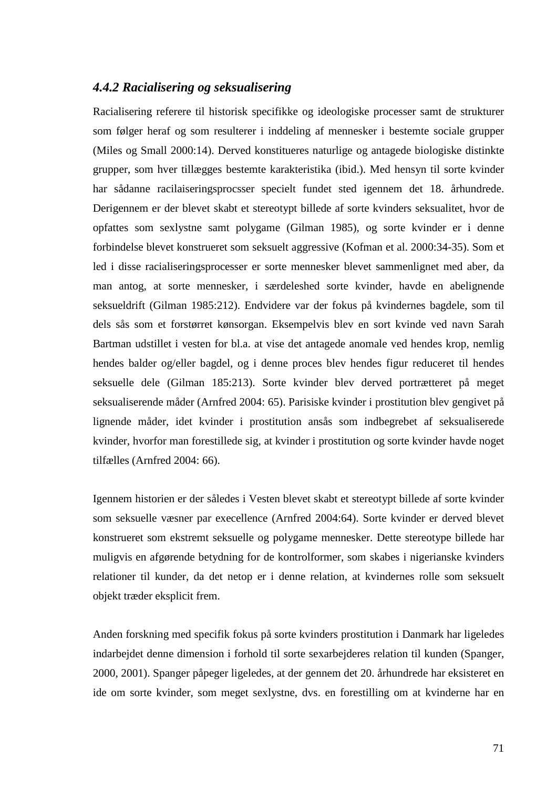### *4.4.2 Racialisering og seksualisering*

Racialisering referere til historisk specifikke og ideologiske processer samt de strukturer som følger heraf og som resulterer i inddeling af mennesker i bestemte sociale grupper (Miles og Small 2000:14). Derved konstitueres naturlige og antagede biologiske distinkte grupper, som hver tillægges bestemte karakteristika (ibid.). Med hensyn til sorte kvinder har sådanne racilaiseringsprocsser specielt fundet sted igennem det 18. århundrede. Derigennem er der blevet skabt et stereotypt billede af sorte kvinders seksualitet, hvor de opfattes som sexlystne samt polygame (Gilman 1985), og sorte kvinder er i denne forbindelse blevet konstrueret som seksuelt aggressive (Kofman et al. 2000:34-35). Som et led i disse racialiseringsprocesser er sorte mennesker blevet sammenlignet med aber, da man antog, at sorte mennesker, i særdeleshed sorte kvinder, havde en abelignende seksueldrift (Gilman 1985:212). Endvidere var der fokus på kvindernes bagdele, som til dels sås som et forstørret kønsorgan. Eksempelvis blev en sort kvinde ved navn Sarah Bartman udstillet i vesten for bl.a. at vise det antagede anomale ved hendes krop, nemlig hendes balder og/eller bagdel, og i denne proces blev hendes figur reduceret til hendes seksuelle dele (Gilman 185:213). Sorte kvinder blev derved portrætteret på meget seksualiserende måder (Arnfred 2004: 65). Parisiske kvinder i prostitution blev gengivet på lignende måder, idet kvinder i prostitution ansås som indbegrebet af seksualiserede kvinder, hvorfor man forestillede sig, at kvinder i prostitution og sorte kvinder havde noget tilfælles (Arnfred 2004: 66).

Igennem historien er der således i Vesten blevet skabt et stereotypt billede af sorte kvinder som seksuelle væsner par execellence (Arnfred 2004:64). Sorte kvinder er derved blevet konstrueret som ekstremt seksuelle og polygame mennesker. Dette stereotype billede har muligvis en afgørende betydning for de kontrolformer, som skabes i nigerianske kvinders relationer til kunder, da det netop er i denne relation, at kvindernes rolle som seksuelt objekt træder eksplicit frem.

Anden forskning med specifik fokus på sorte kvinders prostitution i Danmark har ligeledes indarbejdet denne dimension i forhold til sorte sexarbejderes relation til kunden (Spanger, 2000, 2001). Spanger påpeger ligeledes, at der gennem det 20. århundrede har eksisteret en ide om sorte kvinder, som meget sexlystne, dvs. en forestilling om at kvinderne har en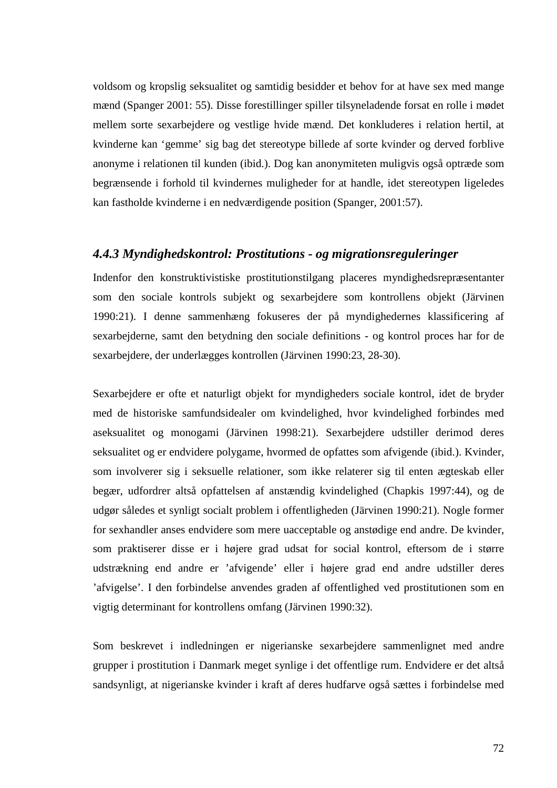voldsom og kropslig seksualitet og samtidig besidder et behov for at have sex med mange mænd (Spanger 2001: 55). Disse forestillinger spiller tilsyneladende forsat en rolle i mødet mellem sorte sexarbejdere og vestlige hvide mænd. Det konkluderes i relation hertil, at kvinderne kan 'gemme' sig bag det stereotype billede af sorte kvinder og derved forblive anonyme i relationen til kunden (ibid.). Dog kan anonymiteten muligvis også optræde som begrænsende i forhold til kvindernes muligheder for at handle, idet stereotypen ligeledes kan fastholde kvinderne i en nedværdigende position (Spanger, 2001:57).

### *4.4.3 Myndighedskontrol: Prostitutions - og migrationsreguleringer*

Indenfor den konstruktivistiske prostitutionstilgang placeres myndighedsrepræsentanter som den sociale kontrols subjekt og sexarbejdere som kontrollens objekt (Järvinen 1990:21). I denne sammenhæng fokuseres der på myndighedernes klassificering af sexarbejderne, samt den betydning den sociale definitions - og kontrol proces har for de sexarbejdere, der underlægges kontrollen (Järvinen 1990:23, 28-30).

Sexarbejdere er ofte et naturligt objekt for myndigheders sociale kontrol, idet de bryder med de historiske samfundsidealer om kvindelighed, hvor kvindelighed forbindes med aseksualitet og monogami (Järvinen 1998:21). Sexarbejdere udstiller derimod deres seksualitet og er endvidere polygame, hvormed de opfattes som afvigende (ibid.). Kvinder, som involverer sig i seksuelle relationer, som ikke relaterer sig til enten ægteskab eller begær, udfordrer altså opfattelsen af anstændig kvindelighed (Chapkis 1997:44), og de udgør således et synligt socialt problem i offentligheden (Järvinen 1990:21). Nogle former for sexhandler anses endvidere som mere uacceptable og anstødige end andre. De kvinder, som praktiserer disse er i højere grad udsat for social kontrol, eftersom de i større udstrækning end andre er 'afvigende' eller i højere grad end andre udstiller deres 'afvigelse'. I den forbindelse anvendes graden af offentlighed ved prostitutionen som en vigtig determinant for kontrollens omfang (Järvinen 1990:32).

Som beskrevet i indledningen er nigerianske sexarbejdere sammenlignet med andre grupper i prostitution i Danmark meget synlige i det offentlige rum. Endvidere er det altså sandsynligt, at nigerianske kvinder i kraft af deres hudfarve også sættes i forbindelse med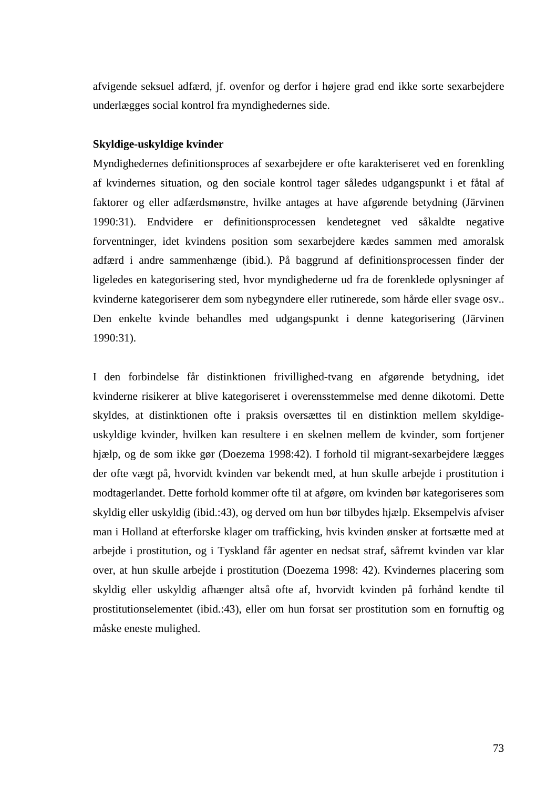afvigende seksuel adfærd, jf. ovenfor og derfor i højere grad end ikke sorte sexarbejdere underlægges social kontrol fra myndighedernes side.

### **Skyldige-uskyldige kvinder**

Myndighedernes definitionsproces af sexarbejdere er ofte karakteriseret ved en forenkling af kvindernes situation, og den sociale kontrol tager således udgangspunkt i et fåtal af faktorer og eller adfærdsmønstre, hvilke antages at have afgørende betydning (Järvinen 1990:31). Endvidere er definitionsprocessen kendetegnet ved såkaldte negative forventninger, idet kvindens position som sexarbejdere kædes sammen med amoralsk adfærd i andre sammenhænge (ibid.). På baggrund af definitionsprocessen finder der ligeledes en kategorisering sted, hvor myndighederne ud fra de forenklede oplysninger af kvinderne kategoriserer dem som nybegyndere eller rutinerede, som hårde eller svage osv.. Den enkelte kvinde behandles med udgangspunkt i denne kategorisering (Järvinen 1990:31).

I den forbindelse får distinktionen frivillighed-tvang en afgørende betydning, idet kvinderne risikerer at blive kategoriseret i overensstemmelse med denne dikotomi. Dette skyldes, at distinktionen ofte i praksis oversættes til en distinktion mellem skyldigeuskyldige kvinder, hvilken kan resultere i en skelnen mellem de kvinder, som fortjener hjælp, og de som ikke gør (Doezema 1998:42). I forhold til migrant-sexarbejdere lægges der ofte vægt på, hvorvidt kvinden var bekendt med, at hun skulle arbejde i prostitution i modtagerlandet. Dette forhold kommer ofte til at afgøre, om kvinden bør kategoriseres som skyldig eller uskyldig (ibid.:43), og derved om hun bør tilbydes hjælp. Eksempelvis afviser man i Holland at efterforske klager om trafficking, hvis kvinden ønsker at fortsætte med at arbejde i prostitution, og i Tyskland får agenter en nedsat straf, såfremt kvinden var klar over, at hun skulle arbejde i prostitution (Doezema 1998: 42). Kvindernes placering som skyldig eller uskyldig afhænger altså ofte af, hvorvidt kvinden på forhånd kendte til prostitutionselementet (ibid.:43), eller om hun forsat ser prostitution som en fornuftig og måske eneste mulighed.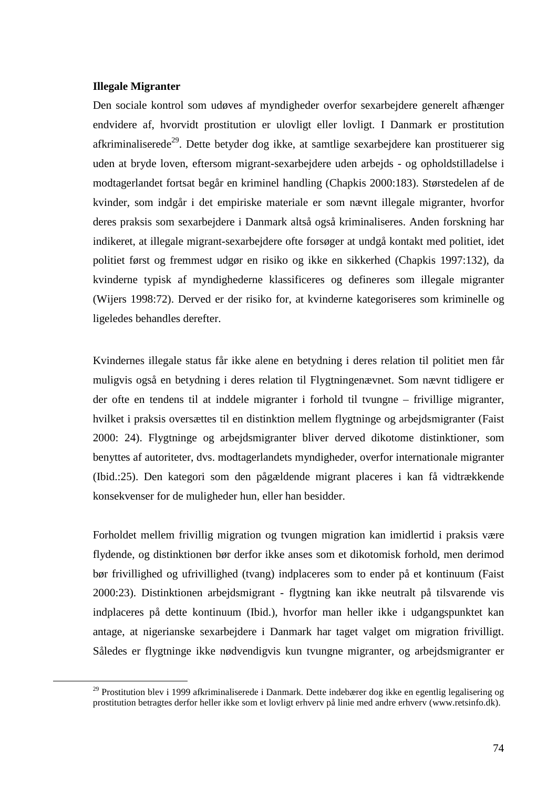### **Illegale Migranter**

 $\overline{a}$ 

Den sociale kontrol som udøves af myndigheder overfor sexarbejdere generelt afhænger endvidere af, hvorvidt prostitution er ulovligt eller lovligt. I Danmark er prostitution afkriminaliserede<sup>29</sup>. Dette betyder dog ikke, at samtlige sexarbejdere kan prostituerer sig uden at bryde loven, eftersom migrant-sexarbejdere uden arbejds - og opholdstilladelse i modtagerlandet fortsat begår en kriminel handling (Chapkis 2000:183). Størstedelen af de kvinder, som indgår i det empiriske materiale er som nævnt illegale migranter, hvorfor deres praksis som sexarbejdere i Danmark altså også kriminaliseres. Anden forskning har indikeret, at illegale migrant-sexarbejdere ofte forsøger at undgå kontakt med politiet, idet politiet først og fremmest udgør en risiko og ikke en sikkerhed (Chapkis 1997:132), da kvinderne typisk af myndighederne klassificeres og defineres som illegale migranter (Wijers 1998:72). Derved er der risiko for, at kvinderne kategoriseres som kriminelle og ligeledes behandles derefter.

Kvindernes illegale status får ikke alene en betydning i deres relation til politiet men får muligvis også en betydning i deres relation til Flygtningenævnet. Som nævnt tidligere er der ofte en tendens til at inddele migranter i forhold til tvungne – frivillige migranter, hvilket i praksis oversættes til en distinktion mellem flygtninge og arbejdsmigranter (Faist 2000: 24). Flygtninge og arbejdsmigranter bliver derved dikotome distinktioner, som benyttes af autoriteter, dvs. modtagerlandets myndigheder, overfor internationale migranter (Ibid.:25). Den kategori som den pågældende migrant placeres i kan få vidtrækkende konsekvenser for de muligheder hun, eller han besidder.

Forholdet mellem frivillig migration og tvungen migration kan imidlertid i praksis være flydende, og distinktionen bør derfor ikke anses som et dikotomisk forhold, men derimod bør frivillighed og ufrivillighed (tvang) indplaceres som to ender på et kontinuum (Faist 2000:23). Distinktionen arbejdsmigrant - flygtning kan ikke neutralt på tilsvarende vis indplaceres på dette kontinuum (Ibid.), hvorfor man heller ikke i udgangspunktet kan antage, at nigerianske sexarbejdere i Danmark har taget valget om migration frivilligt. Således er flygtninge ikke nødvendigvis kun tvungne migranter, og arbejdsmigranter er

<sup>&</sup>lt;sup>29</sup> Prostitution blev i 1999 afkriminaliserede i Danmark. Dette indebærer dog ikke en egentlig legalisering og prostitution betragtes derfor heller ikke som et lovligt erhverv på linie med andre erhverv (www.retsinfo.dk).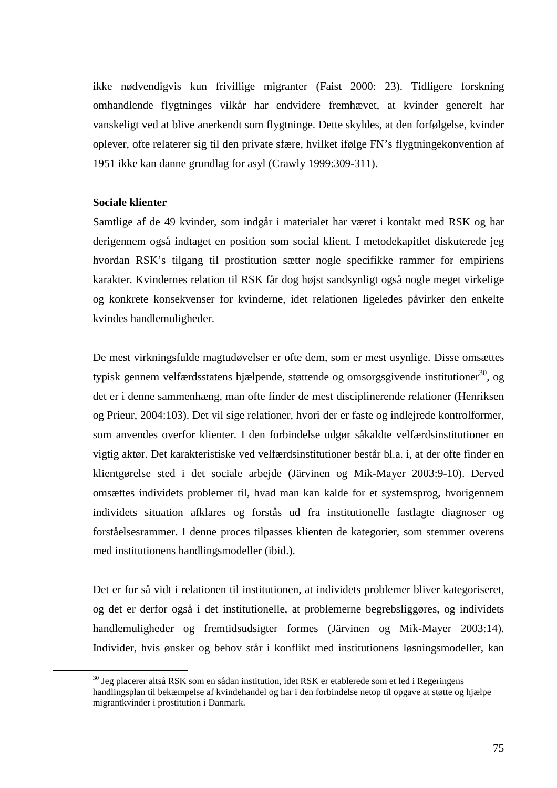ikke nødvendigvis kun frivillige migranter (Faist 2000: 23). Tidligere forskning omhandlende flygtninges vilkår har endvidere fremhævet, at kvinder generelt har vanskeligt ved at blive anerkendt som flygtninge. Dette skyldes, at den forfølgelse, kvinder oplever, ofte relaterer sig til den private sfære, hvilket ifølge FN's flygtningekonvention af 1951 ikke kan danne grundlag for asyl (Crawly 1999:309-311).

### **Sociale klienter**

 $\overline{a}$ 

Samtlige af de 49 kvinder, som indgår i materialet har været i kontakt med RSK og har derigennem også indtaget en position som social klient. I metodekapitlet diskuterede jeg hvordan RSK's tilgang til prostitution sætter nogle specifikke rammer for empiriens karakter. Kvindernes relation til RSK får dog højst sandsynligt også nogle meget virkelige og konkrete konsekvenser for kvinderne, idet relationen ligeledes påvirker den enkelte kvindes handlemuligheder.

De mest virkningsfulde magtudøvelser er ofte dem, som er mest usynlige. Disse omsættes typisk gennem velfærdsstatens hjælpende, støttende og omsorgsgivende institutioner<sup>30</sup>, og det er i denne sammenhæng, man ofte finder de mest disciplinerende relationer (Henriksen og Prieur, 2004:103). Det vil sige relationer, hvori der er faste og indlejrede kontrolformer, som anvendes overfor klienter. I den forbindelse udgør såkaldte velfærdsinstitutioner en vigtig aktør. Det karakteristiske ved velfærdsinstitutioner består bl.a. i, at der ofte finder en klientgørelse sted i det sociale arbejde (Järvinen og Mik-Mayer 2003:9-10). Derved omsættes individets problemer til, hvad man kan kalde for et systemsprog, hvorigennem individets situation afklares og forstås ud fra institutionelle fastlagte diagnoser og forståelsesrammer. I denne proces tilpasses klienten de kategorier, som stemmer overens med institutionens handlingsmodeller (ibid.).

Det er for så vidt i relationen til institutionen, at individets problemer bliver kategoriseret, og det er derfor også i det institutionelle, at problemerne begrebsliggøres, og individets handlemuligheder og fremtidsudsigter formes (Järvinen og Mik-Mayer 2003:14). Individer, hvis ønsker og behov står i konflikt med institutionens løsningsmodeller, kan

<sup>&</sup>lt;sup>30</sup> Jeg placerer altså RSK som en sådan institution, idet RSK er etablerede som et led i Regeringens handlingsplan til bekæmpelse af kvindehandel og har i den forbindelse netop til opgave at støtte og hjælpe migrantkvinder i prostitution i Danmark.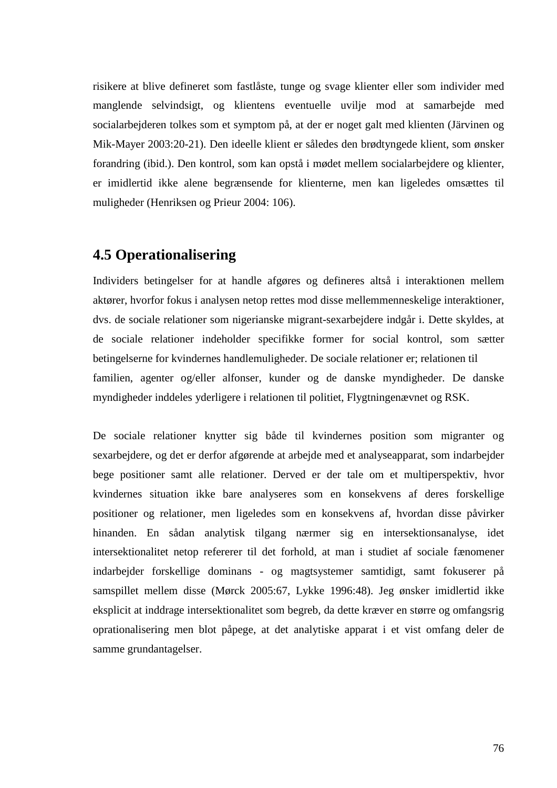risikere at blive defineret som fastlåste, tunge og svage klienter eller som individer med manglende selvindsigt, og klientens eventuelle uvilje mod at samarbejde med socialarbejderen tolkes som et symptom på, at der er noget galt med klienten (Järvinen og Mik-Mayer 2003:20-21). Den ideelle klient er således den brødtyngede klient, som ønsker forandring (ibid.). Den kontrol, som kan opstå i mødet mellem socialarbejdere og klienter, er imidlertid ikke alene begrænsende for klienterne, men kan ligeledes omsættes til muligheder (Henriksen og Prieur 2004: 106).

## **4.5 Operationalisering**

Individers betingelser for at handle afgøres og defineres altså i interaktionen mellem aktører, hvorfor fokus i analysen netop rettes mod disse mellemmenneskelige interaktioner, dvs. de sociale relationer som nigerianske migrant-sexarbejdere indgår i. Dette skyldes, at de sociale relationer indeholder specifikke former for social kontrol, som sætter betingelserne for kvindernes handlemuligheder. De sociale relationer er; relationen til familien, agenter og/eller alfonser, kunder og de danske myndigheder. De danske myndigheder inddeles yderligere i relationen til politiet, Flygtningenævnet og RSK.

De sociale relationer knytter sig både til kvindernes position som migranter og sexarbejdere, og det er derfor afgørende at arbejde med et analyseapparat, som indarbejder bege positioner samt alle relationer. Derved er der tale om et multiperspektiv, hvor kvindernes situation ikke bare analyseres som en konsekvens af deres forskellige positioner og relationer, men ligeledes som en konsekvens af, hvordan disse påvirker hinanden. En sådan analytisk tilgang nærmer sig en intersektionsanalyse, idet intersektionalitet netop refererer til det forhold, at man i studiet af sociale fænomener indarbejder forskellige dominans - og magtsystemer samtidigt, samt fokuserer på samspillet mellem disse (Mørck 2005:67, Lykke 1996:48). Jeg ønsker imidlertid ikke eksplicit at inddrage intersektionalitet som begreb, da dette kræver en større og omfangsrig oprationalisering men blot påpege, at det analytiske apparat i et vist omfang deler de samme grundantagelser.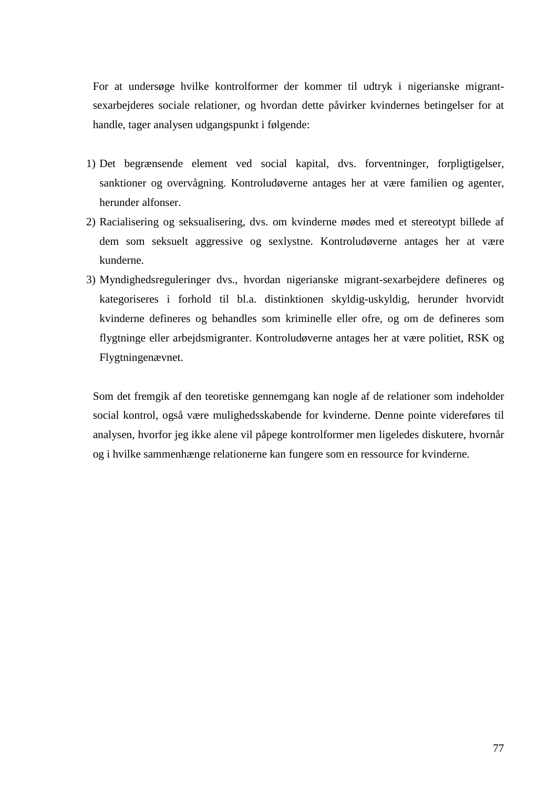For at undersøge hvilke kontrolformer der kommer til udtryk i nigerianske migrantsexarbejderes sociale relationer, og hvordan dette påvirker kvindernes betingelser for at handle, tager analysen udgangspunkt i følgende:

- 1) Det begrænsende element ved social kapital, dvs. forventninger, forpligtigelser, sanktioner og overvågning. Kontroludøverne antages her at være familien og agenter, herunder alfonser.
- 2) Racialisering og seksualisering, dvs. om kvinderne mødes med et stereotypt billede af dem som seksuelt aggressive og sexlystne. Kontroludøverne antages her at være kunderne.
- 3) Myndighedsreguleringer dvs., hvordan nigerianske migrant-sexarbejdere defineres og kategoriseres i forhold til bl.a. distinktionen skyldig-uskyldig, herunder hvorvidt kvinderne defineres og behandles som kriminelle eller ofre, og om de defineres som flygtninge eller arbejdsmigranter. Kontroludøverne antages her at være politiet, RSK og Flygtningenævnet.

Som det fremgik af den teoretiske gennemgang kan nogle af de relationer som indeholder social kontrol, også være mulighedsskabende for kvinderne. Denne pointe videreføres til analysen, hvorfor jeg ikke alene vil påpege kontrolformer men ligeledes diskutere, hvornår og i hvilke sammenhænge relationerne kan fungere som en ressource for kvinderne.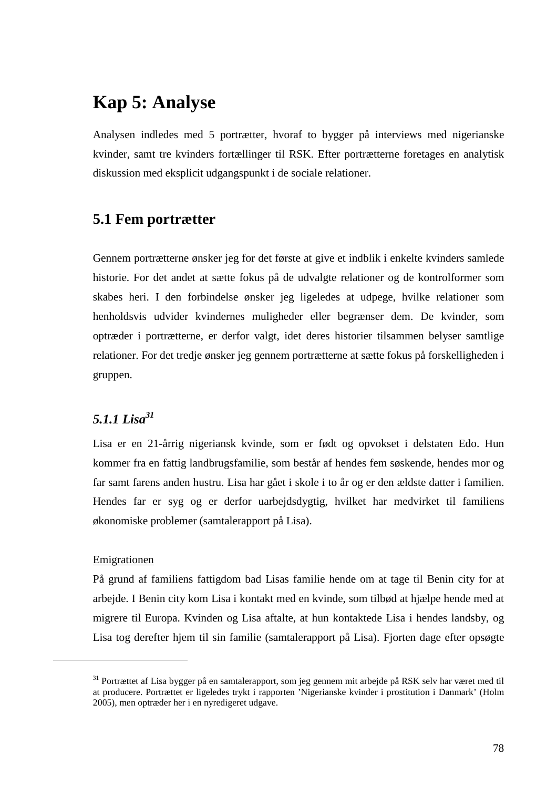# **Kap 5: Analyse**

Analysen indledes med 5 portrætter, hvoraf to bygger på interviews med nigerianske kvinder, samt tre kvinders fortællinger til RSK. Efter portrætterne foretages en analytisk diskussion med eksplicit udgangspunkt i de sociale relationer.

## **5.1 Fem portrætter**

Gennem portrætterne ønsker jeg for det første at give et indblik i enkelte kvinders samlede historie. For det andet at sætte fokus på de udvalgte relationer og de kontrolformer som skabes heri. I den forbindelse ønsker jeg ligeledes at udpege, hvilke relationer som henholdsvis udvider kvindernes muligheder eller begrænser dem. De kvinder, som optræder i portrætterne, er derfor valgt, idet deres historier tilsammen belyser samtlige relationer. For det tredje ønsker jeg gennem portrætterne at sætte fokus på forskelligheden i gruppen.

## *5.1.1 Lisa<sup>31</sup>*

Lisa er en 21-årrig nigeriansk kvinde, som er født og opvokset i delstaten Edo. Hun kommer fra en fattig landbrugsfamilie, som består af hendes fem søskende, hendes mor og far samt farens anden hustru. Lisa har gået i skole i to år og er den ældste datter i familien. Hendes far er syg og er derfor uarbejdsdygtig, hvilket har medvirket til familiens økonomiske problemer (samtalerapport på Lisa).

## Emigrationen

 $\overline{a}$ 

På grund af familiens fattigdom bad Lisas familie hende om at tage til Benin city for at arbejde. I Benin city kom Lisa i kontakt med en kvinde, som tilbød at hjælpe hende med at migrere til Europa. Kvinden og Lisa aftalte, at hun kontaktede Lisa i hendes landsby, og Lisa tog derefter hjem til sin familie (samtalerapport på Lisa). Fjorten dage efter opsøgte

<sup>&</sup>lt;sup>31</sup> Portrættet af Lisa bygger på en samtalerapport, som jeg gennem mit arbejde på RSK selv har været med til at producere. Portrættet er ligeledes trykt i rapporten 'Nigerianske kvinder i prostitution i Danmark' (Holm 2005), men optræder her i en nyredigeret udgave.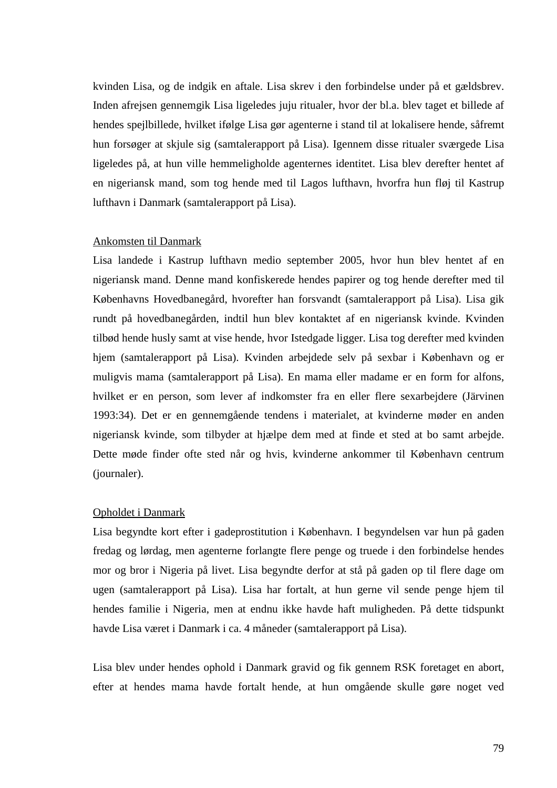kvinden Lisa, og de indgik en aftale. Lisa skrev i den forbindelse under på et gældsbrev. Inden afrejsen gennemgik Lisa ligeledes juju ritualer, hvor der bl.a. blev taget et billede af hendes spejlbillede, hvilket ifølge Lisa gør agenterne i stand til at lokalisere hende, såfremt hun forsøger at skjule sig (samtalerapport på Lisa). Igennem disse ritualer sværgede Lisa ligeledes på, at hun ville hemmeligholde agenternes identitet. Lisa blev derefter hentet af en nigeriansk mand, som tog hende med til Lagos lufthavn, hvorfra hun fløj til Kastrup lufthavn i Danmark (samtalerapport på Lisa).

#### Ankomsten til Danmark

Lisa landede i Kastrup lufthavn medio september 2005, hvor hun blev hentet af en nigeriansk mand. Denne mand konfiskerede hendes papirer og tog hende derefter med til Københavns Hovedbanegård, hvorefter han forsvandt (samtalerapport på Lisa). Lisa gik rundt på hovedbanegården, indtil hun blev kontaktet af en nigeriansk kvinde. Kvinden tilbød hende husly samt at vise hende, hvor Istedgade ligger. Lisa tog derefter med kvinden hjem (samtalerapport på Lisa). Kvinden arbejdede selv på sexbar i København og er muligvis mama (samtalerapport på Lisa). En mama eller madame er en form for alfons, hvilket er en person, som lever af indkomster fra en eller flere sexarbejdere (Järvinen 1993:34). Det er en gennemgående tendens i materialet, at kvinderne møder en anden nigeriansk kvinde, som tilbyder at hjælpe dem med at finde et sted at bo samt arbejde. Dette møde finder ofte sted når og hvis, kvinderne ankommer til København centrum (journaler).

#### Opholdet i Danmark

Lisa begyndte kort efter i gadeprostitution i København. I begyndelsen var hun på gaden fredag og lørdag, men agenterne forlangte flere penge og truede i den forbindelse hendes mor og bror i Nigeria på livet. Lisa begyndte derfor at stå på gaden op til flere dage om ugen (samtalerapport på Lisa). Lisa har fortalt, at hun gerne vil sende penge hjem til hendes familie i Nigeria, men at endnu ikke havde haft muligheden. På dette tidspunkt havde Lisa været i Danmark i ca. 4 måneder (samtalerapport på Lisa).

Lisa blev under hendes ophold i Danmark gravid og fik gennem RSK foretaget en abort, efter at hendes mama havde fortalt hende, at hun omgående skulle gøre noget ved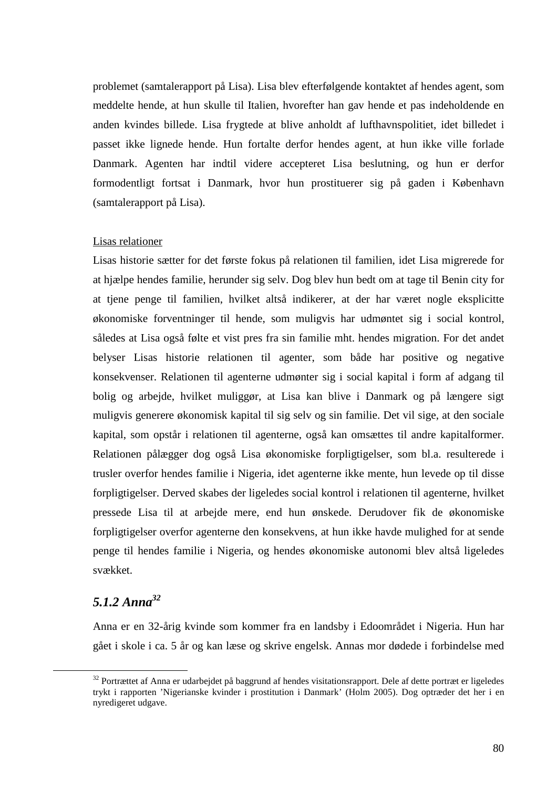problemet (samtalerapport på Lisa). Lisa blev efterfølgende kontaktet af hendes agent, som meddelte hende, at hun skulle til Italien, hvorefter han gav hende et pas indeholdende en anden kvindes billede. Lisa frygtede at blive anholdt af lufthavnspolitiet, idet billedet i passet ikke lignede hende. Hun fortalte derfor hendes agent, at hun ikke ville forlade Danmark. Agenten har indtil videre accepteret Lisa beslutning, og hun er derfor formodentligt fortsat i Danmark, hvor hun prostituerer sig på gaden i København (samtalerapport på Lisa).

## Lisas relationer

Lisas historie sætter for det første fokus på relationen til familien, idet Lisa migrerede for at hjælpe hendes familie, herunder sig selv. Dog blev hun bedt om at tage til Benin city for at tjene penge til familien, hvilket altså indikerer, at der har været nogle eksplicitte økonomiske forventninger til hende, som muligvis har udmøntet sig i social kontrol, således at Lisa også følte et vist pres fra sin familie mht. hendes migration. For det andet belyser Lisas historie relationen til agenter, som både har positive og negative konsekvenser. Relationen til agenterne udmønter sig i social kapital i form af adgang til bolig og arbejde, hvilket muliggør, at Lisa kan blive i Danmark og på længere sigt muligvis generere økonomisk kapital til sig selv og sin familie. Det vil sige, at den sociale kapital, som opstår i relationen til agenterne, også kan omsættes til andre kapitalformer. Relationen pålægger dog også Lisa økonomiske forpligtigelser, som bl.a. resulterede i trusler overfor hendes familie i Nigeria, idet agenterne ikke mente, hun levede op til disse forpligtigelser. Derved skabes der ligeledes social kontrol i relationen til agenterne, hvilket pressede Lisa til at arbejde mere, end hun ønskede. Derudover fik de økonomiske forpligtigelser overfor agenterne den konsekvens, at hun ikke havde mulighed for at sende penge til hendes familie i Nigeria, og hendes økonomiske autonomi blev altså ligeledes svækket.

## *5.1.2 Anna<sup>32</sup>*

 $\overline{a}$ 

Anna er en 32-årig kvinde som kommer fra en landsby i Edoområdet i Nigeria. Hun har gået i skole i ca. 5 år og kan læse og skrive engelsk. Annas mor dødede i forbindelse med

<sup>&</sup>lt;sup>32</sup> Portrættet af Anna er udarbejdet på baggrund af hendes visitationsrapport. Dele af dette portræt er ligeledes trykt i rapporten 'Nigerianske kvinder i prostitution i Danmark' (Holm 2005). Dog optræder det her i en nyredigeret udgave.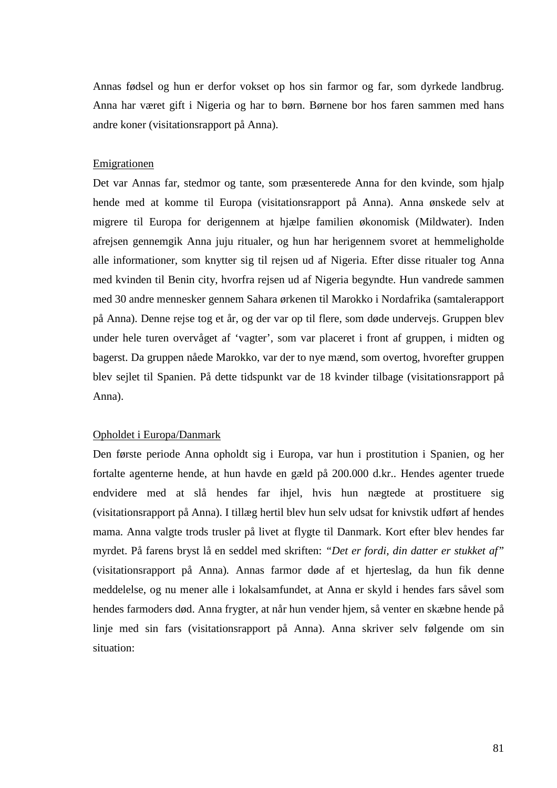Annas fødsel og hun er derfor vokset op hos sin farmor og far, som dyrkede landbrug. Anna har været gift i Nigeria og har to børn. Børnene bor hos faren sammen med hans andre koner (visitationsrapport på Anna).

### Emigrationen

Det var Annas far, stedmor og tante, som præsenterede Anna for den kvinde, som hjalp hende med at komme til Europa (visitationsrapport på Anna). Anna ønskede selv at migrere til Europa for derigennem at hjælpe familien økonomisk (Mildwater). Inden afrejsen gennemgik Anna juju ritualer, og hun har herigennem svoret at hemmeligholde alle informationer, som knytter sig til rejsen ud af Nigeria. Efter disse ritualer tog Anna med kvinden til Benin city, hvorfra rejsen ud af Nigeria begyndte. Hun vandrede sammen med 30 andre mennesker gennem Sahara ørkenen til Marokko i Nordafrika (samtalerapport på Anna). Denne rejse tog et år, og der var op til flere, som døde undervejs. Gruppen blev under hele turen overvåget af 'vagter', som var placeret i front af gruppen, i midten og bagerst. Da gruppen nåede Marokko, var der to nye mænd, som overtog, hvorefter gruppen blev sejlet til Spanien. På dette tidspunkt var de 18 kvinder tilbage (visitationsrapport på Anna).

## Opholdet i Europa/Danmark

Den første periode Anna opholdt sig i Europa, var hun i prostitution i Spanien, og her fortalte agenterne hende, at hun havde en gæld på 200.000 d.kr.. Hendes agenter truede endvidere med at slå hendes far ihjel, hvis hun nægtede at prostituere sig (visitationsrapport på Anna). I tillæg hertil blev hun selv udsat for knivstik udført af hendes mama. Anna valgte trods trusler på livet at flygte til Danmark. Kort efter blev hendes far myrdet. På farens bryst lå en seddel med skriften: *"Det er fordi, din datter er stukket af"* (visitationsrapport på Anna)*.* Annas farmor døde af et hjerteslag, da hun fik denne meddelelse, og nu mener alle i lokalsamfundet, at Anna er skyld i hendes fars såvel som hendes farmoders død. Anna frygter, at når hun vender hjem, så venter en skæbne hende på linje med sin fars (visitationsrapport på Anna). Anna skriver selv følgende om sin situation: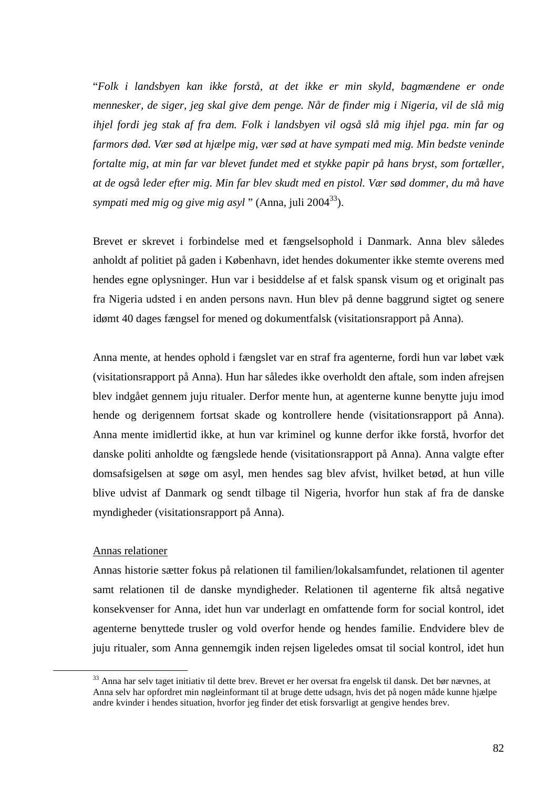"*Folk i landsbyen kan ikke forstå, at det ikke er min skyld, bagmændene er onde mennesker, de siger, jeg skal give dem penge. Når de finder mig i Nigeria, vil de slå mig ihjel fordi jeg stak af fra dem. Folk i landsbyen vil også slå mig ihjel pga. min far og farmors død. Vær sød at hjælpe mig, vær sød at have sympati med mig. Min bedste veninde fortalte mig, at min far var blevet fundet med et stykke papir på hans bryst, som fortæller, at de også leder efter mig. Min far blev skudt med en pistol. Vær sød dommer, du må have sympati med mig og give mig asyl* " (Anna, juli 2004<sup>33</sup>).

Brevet er skrevet i forbindelse med et fængselsophold i Danmark. Anna blev således anholdt af politiet på gaden i København, idet hendes dokumenter ikke stemte overens med hendes egne oplysninger. Hun var i besiddelse af et falsk spansk visum og et originalt pas fra Nigeria udsted i en anden persons navn. Hun blev på denne baggrund sigtet og senere idømt 40 dages fængsel for mened og dokumentfalsk (visitationsrapport på Anna).

Anna mente, at hendes ophold i fængslet var en straf fra agenterne, fordi hun var løbet væk (visitationsrapport på Anna). Hun har således ikke overholdt den aftale, som inden afrejsen blev indgået gennem juju ritualer. Derfor mente hun, at agenterne kunne benytte juju imod hende og derigennem fortsat skade og kontrollere hende (visitationsrapport på Anna). Anna mente imidlertid ikke, at hun var kriminel og kunne derfor ikke forstå, hvorfor det danske politi anholdte og fængslede hende (visitationsrapport på Anna). Anna valgte efter domsafsigelsen at søge om asyl, men hendes sag blev afvist, hvilket betød, at hun ville blive udvist af Danmark og sendt tilbage til Nigeria, hvorfor hun stak af fra de danske myndigheder (visitationsrapport på Anna).

#### Annas relationer

 $\overline{a}$ 

Annas historie sætter fokus på relationen til familien/lokalsamfundet, relationen til agenter samt relationen til de danske myndigheder. Relationen til agenterne fik altså negative konsekvenser for Anna, idet hun var underlagt en omfattende form for social kontrol, idet agenterne benyttede trusler og vold overfor hende og hendes familie. Endvidere blev de juju ritualer, som Anna gennemgik inden rejsen ligeledes omsat til social kontrol, idet hun

<sup>33</sup> Anna har selv taget initiativ til dette brev. Brevet er her oversat fra engelsk til dansk. Det bør nævnes, at Anna selv har opfordret min nøgleinformant til at bruge dette udsagn, hvis det på nogen måde kunne hjælpe andre kvinder i hendes situation, hvorfor jeg finder det etisk forsvarligt at gengive hendes brev.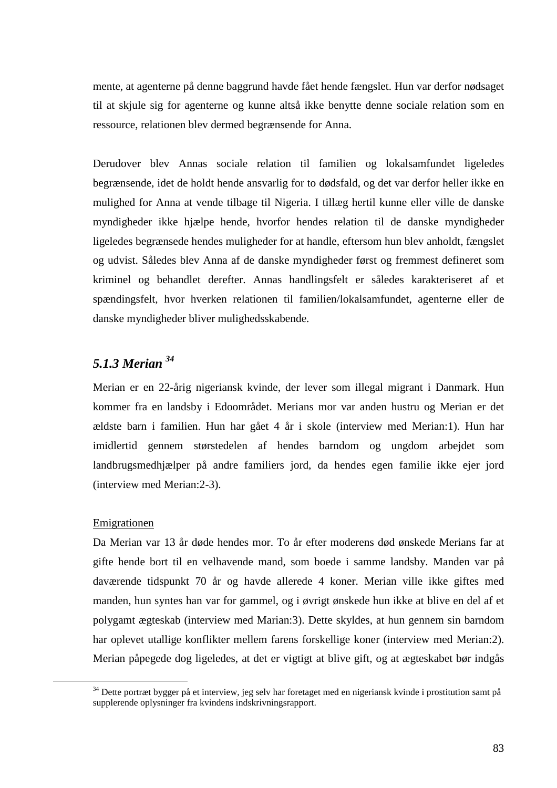mente, at agenterne på denne baggrund havde fået hende fængslet. Hun var derfor nødsaget til at skjule sig for agenterne og kunne altså ikke benytte denne sociale relation som en ressource, relationen blev dermed begrænsende for Anna.

Derudover blev Annas sociale relation til familien og lokalsamfundet ligeledes begrænsende, idet de holdt hende ansvarlig for to dødsfald, og det var derfor heller ikke en mulighed for Anna at vende tilbage til Nigeria. I tillæg hertil kunne eller ville de danske myndigheder ikke hjælpe hende, hvorfor hendes relation til de danske myndigheder ligeledes begrænsede hendes muligheder for at handle, eftersom hun blev anholdt, fængslet og udvist. Således blev Anna af de danske myndigheder først og fremmest defineret som kriminel og behandlet derefter. Annas handlingsfelt er således karakteriseret af et spændingsfelt, hvor hverken relationen til familien/lokalsamfundet, agenterne eller de danske myndigheder bliver mulighedsskabende.

## *5.1.3 Merian <sup>34</sup>*

Merian er en 22-årig nigeriansk kvinde, der lever som illegal migrant i Danmark. Hun kommer fra en landsby i Edoområdet. Merians mor var anden hustru og Merian er det ældste barn i familien. Hun har gået 4 år i skole (interview med Merian:1). Hun har imidlertid gennem størstedelen af hendes barndom og ungdom arbejdet som landbrugsmedhjælper på andre familiers jord, da hendes egen familie ikke ejer jord (interview med Merian:2-3).

## Emigrationen

 $\overline{a}$ 

Da Merian var 13 år døde hendes mor. To år efter moderens død ønskede Merians far at gifte hende bort til en velhavende mand, som boede i samme landsby. Manden var på daværende tidspunkt 70 år og havde allerede 4 koner. Merian ville ikke giftes med manden, hun syntes han var for gammel, og i øvrigt ønskede hun ikke at blive en del af et polygamt ægteskab (interview med Marian:3). Dette skyldes, at hun gennem sin barndom har oplevet utallige konflikter mellem farens forskellige koner (interview med Merian:2). Merian påpegede dog ligeledes, at det er vigtigt at blive gift, og at ægteskabet bør indgås

<sup>34</sup> Dette portræt bygger på et interview, jeg selv har foretaget med en nigeriansk kvinde i prostitution samt på supplerende oplysninger fra kvindens indskrivningsrapport.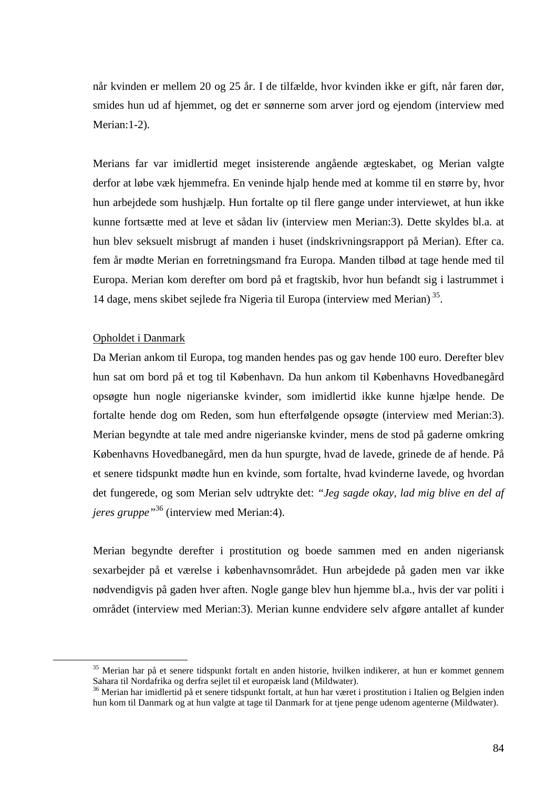når kvinden er mellem 20 og 25 år. I de tilfælde, hvor kvinden ikke er gift, når faren dør, smides hun ud af hjemmet, og det er sønnerne som arver jord og ejendom (interview med Merian: 1-2).

Merians far var imidlertid meget insisterende angående ægteskabet, og Merian valgte derfor at løbe væk hjemmefra. En veninde hjalp hende med at komme til en større by, hvor hun arbejdede som hushjælp. Hun fortalte op til flere gange under interviewet, at hun ikke kunne fortsætte med at leve et sådan liv (interview men Merian:3). Dette skyldes bl.a. at hun blev seksuelt misbrugt af manden i huset (indskrivningsrapport på Merian). Efter ca. fem år mødte Merian en forretningsmand fra Europa. Manden tilbød at tage hende med til Europa. Merian kom derefter om bord på et fragtskib, hvor hun befandt sig i lastrummet i 14 dage, mens skibet sejlede fra Nigeria til Europa (interview med Merian)<sup>35</sup>.

### Opholdet i Danmark

 $\overline{a}$ 

Da Merian ankom til Europa, tog manden hendes pas og gav hende 100 euro. Derefter blev hun sat om bord på et tog til København. Da hun ankom til Københavns Hovedbanegård opsøgte hun nogle nigerianske kvinder, som imidlertid ikke kunne hjælpe hende. De fortalte hende dog om Reden, som hun efterfølgende opsøgte (interview med Merian:3). Merian begyndte at tale med andre nigerianske kvinder, mens de stod på gaderne omkring Københavns Hovedbanegård, men da hun spurgte, hvad de lavede, grinede de af hende. På et senere tidspunkt mødte hun en kvinde, som fortalte, hvad kvinderne lavede, og hvordan det fungerede, og som Merian selv udtrykte det: *"Jeg sagde okay, lad mig blive en del af jeres gruppe"*<sup>36</sup> (interview med Merian:4).

Merian begyndte derefter i prostitution og boede sammen med en anden nigeriansk sexarbejder på et værelse i københavnsområdet. Hun arbejdede på gaden men var ikke nødvendigvis på gaden hver aften. Nogle gange blev hun hjemme bl.a., hvis der var politi i området (interview med Merian:3). Merian kunne endvidere selv afgøre antallet af kunder

<sup>35</sup> Merian har på et senere tidspunkt fortalt en anden historie, hvilken indikerer, at hun er kommet gennem Sahara til Nordafrika og derfra sejlet til et europæisk land (Mildwater).

<sup>&</sup>lt;sup>36</sup> Merian har imidlertid på et senere tidspunkt fortalt, at hun har været i prostitution i Italien og Belgien inden hun kom til Danmark og at hun valgte at tage til Danmark for at tjene penge udenom agenterne (Mildwater).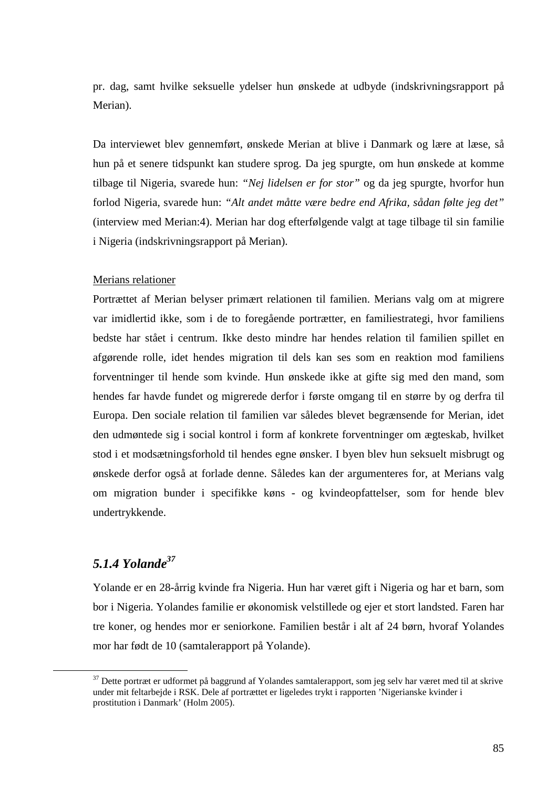pr. dag, samt hvilke seksuelle ydelser hun ønskede at udbyde (indskrivningsrapport på Merian).

Da interviewet blev gennemført, ønskede Merian at blive i Danmark og lære at læse, så hun på et senere tidspunkt kan studere sprog. Da jeg spurgte, om hun ønskede at komme tilbage til Nigeria, svarede hun: *"Nej lidelsen er for stor"* og da jeg spurgte, hvorfor hun forlod Nigeria, svarede hun: *"Alt andet måtte være bedre end Afrika, sådan følte jeg det"* (interview med Merian:4). Merian har dog efterfølgende valgt at tage tilbage til sin familie i Nigeria (indskrivningsrapport på Merian).

## Merians relationer

Portrættet af Merian belyser primært relationen til familien. Merians valg om at migrere var imidlertid ikke, som i de to foregående portrætter, en familiestrategi, hvor familiens bedste har stået i centrum. Ikke desto mindre har hendes relation til familien spillet en afgørende rolle, idet hendes migration til dels kan ses som en reaktion mod familiens forventninger til hende som kvinde. Hun ønskede ikke at gifte sig med den mand, som hendes far havde fundet og migrerede derfor i første omgang til en større by og derfra til Europa. Den sociale relation til familien var således blevet begrænsende for Merian, idet den udmøntede sig i social kontrol i form af konkrete forventninger om ægteskab, hvilket stod i et modsætningsforhold til hendes egne ønsker. I byen blev hun seksuelt misbrugt og ønskede derfor også at forlade denne. Således kan der argumenteres for, at Merians valg om migration bunder i specifikke køns - og kvindeopfattelser, som for hende blev undertrykkende.

## *5.1.4 Yolande<sup>37</sup>*

 $\overline{a}$ 

Yolande er en 28-årrig kvinde fra Nigeria. Hun har været gift i Nigeria og har et barn, som bor i Nigeria. Yolandes familie er økonomisk velstillede og ejer et stort landsted. Faren har tre koner, og hendes mor er seniorkone. Familien består i alt af 24 børn, hvoraf Yolandes mor har født de 10 (samtalerapport på Yolande).

<sup>&</sup>lt;sup>37</sup> Dette portræt er udformet på baggrund af Yolandes samtalerapport, som jeg selv har været med til at skrive under mit feltarbejde i RSK. Dele af portrættet er ligeledes trykt i rapporten 'Nigerianske kvinder i prostitution i Danmark' (Holm 2005).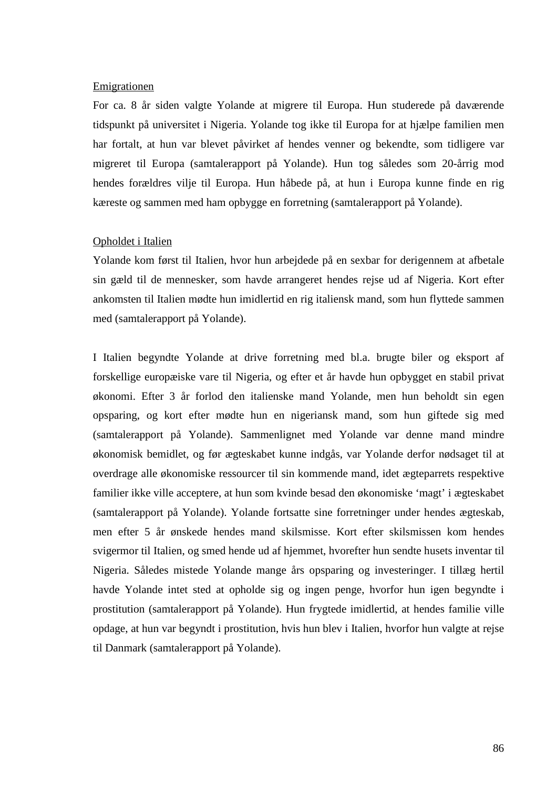#### **Emigrationen**

For ca. 8 år siden valgte Yolande at migrere til Europa. Hun studerede på daværende tidspunkt på universitet i Nigeria. Yolande tog ikke til Europa for at hjælpe familien men har fortalt, at hun var blevet påvirket af hendes venner og bekendte, som tidligere var migreret til Europa (samtalerapport på Yolande). Hun tog således som 20-årrig mod hendes forældres vilje til Europa. Hun håbede på, at hun i Europa kunne finde en rig kæreste og sammen med ham opbygge en forretning (samtalerapport på Yolande).

### Opholdet i Italien

Yolande kom først til Italien, hvor hun arbejdede på en sexbar for derigennem at afbetale sin gæld til de mennesker, som havde arrangeret hendes rejse ud af Nigeria. Kort efter ankomsten til Italien mødte hun imidlertid en rig italiensk mand, som hun flyttede sammen med (samtalerapport på Yolande).

I Italien begyndte Yolande at drive forretning med bl.a. brugte biler og eksport af forskellige europæiske vare til Nigeria, og efter et år havde hun opbygget en stabil privat økonomi. Efter 3 år forlod den italienske mand Yolande, men hun beholdt sin egen opsparing, og kort efter mødte hun en nigeriansk mand, som hun giftede sig med (samtalerapport på Yolande). Sammenlignet med Yolande var denne mand mindre økonomisk bemidlet, og før ægteskabet kunne indgås, var Yolande derfor nødsaget til at overdrage alle økonomiske ressourcer til sin kommende mand, idet ægteparrets respektive familier ikke ville acceptere, at hun som kvinde besad den økonomiske 'magt' i ægteskabet (samtalerapport på Yolande). Yolande fortsatte sine forretninger under hendes ægteskab, men efter 5 år ønskede hendes mand skilsmisse. Kort efter skilsmissen kom hendes svigermor til Italien, og smed hende ud af hjemmet, hvorefter hun sendte husets inventar til Nigeria. Således mistede Yolande mange års opsparing og investeringer. I tillæg hertil havde Yolande intet sted at opholde sig og ingen penge, hvorfor hun igen begyndte i prostitution (samtalerapport på Yolande). Hun frygtede imidlertid, at hendes familie ville opdage, at hun var begyndt i prostitution, hvis hun blev i Italien, hvorfor hun valgte at rejse til Danmark (samtalerapport på Yolande).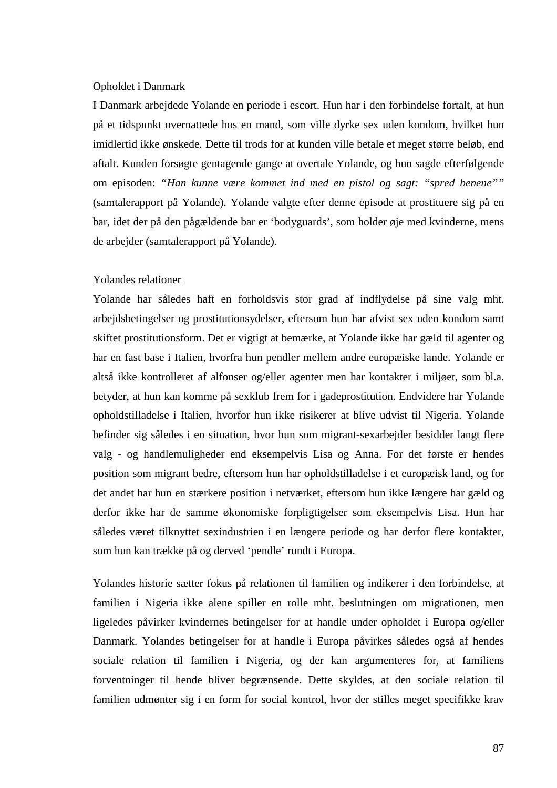#### Opholdet i Danmark

I Danmark arbejdede Yolande en periode i escort. Hun har i den forbindelse fortalt, at hun på et tidspunkt overnattede hos en mand, som ville dyrke sex uden kondom, hvilket hun imidlertid ikke ønskede. Dette til trods for at kunden ville betale et meget større beløb, end aftalt. Kunden forsøgte gentagende gange at overtale Yolande, og hun sagde efterfølgende om episoden: *"Han kunne være kommet ind med en pistol og sagt: "spred benene""*  (samtalerapport på Yolande). Yolande valgte efter denne episode at prostituere sig på en bar, idet der på den pågældende bar er 'bodyguards', som holder øje med kvinderne, mens de arbejder (samtalerapport på Yolande).

## Yolandes relationer

Yolande har således haft en forholdsvis stor grad af indflydelse på sine valg mht. arbejdsbetingelser og prostitutionsydelser, eftersom hun har afvist sex uden kondom samt skiftet prostitutionsform. Det er vigtigt at bemærke, at Yolande ikke har gæld til agenter og har en fast base i Italien, hvorfra hun pendler mellem andre europæiske lande. Yolande er altså ikke kontrolleret af alfonser og/eller agenter men har kontakter i miljøet, som bl.a. betyder, at hun kan komme på sexklub frem for i gadeprostitution. Endvidere har Yolande opholdstilladelse i Italien, hvorfor hun ikke risikerer at blive udvist til Nigeria. Yolande befinder sig således i en situation, hvor hun som migrant-sexarbejder besidder langt flere valg - og handlemuligheder end eksempelvis Lisa og Anna. For det første er hendes position som migrant bedre, eftersom hun har opholdstilladelse i et europæisk land, og for det andet har hun en stærkere position i netværket, eftersom hun ikke længere har gæld og derfor ikke har de samme økonomiske forpligtigelser som eksempelvis Lisa. Hun har således været tilknyttet sexindustrien i en længere periode og har derfor flere kontakter, som hun kan trække på og derved 'pendle' rundt i Europa.

Yolandes historie sætter fokus på relationen til familien og indikerer i den forbindelse, at familien i Nigeria ikke alene spiller en rolle mht. beslutningen om migrationen, men ligeledes påvirker kvindernes betingelser for at handle under opholdet i Europa og/eller Danmark. Yolandes betingelser for at handle i Europa påvirkes således også af hendes sociale relation til familien i Nigeria, og der kan argumenteres for, at familiens forventninger til hende bliver begrænsende. Dette skyldes, at den sociale relation til familien udmønter sig i en form for social kontrol, hvor der stilles meget specifikke krav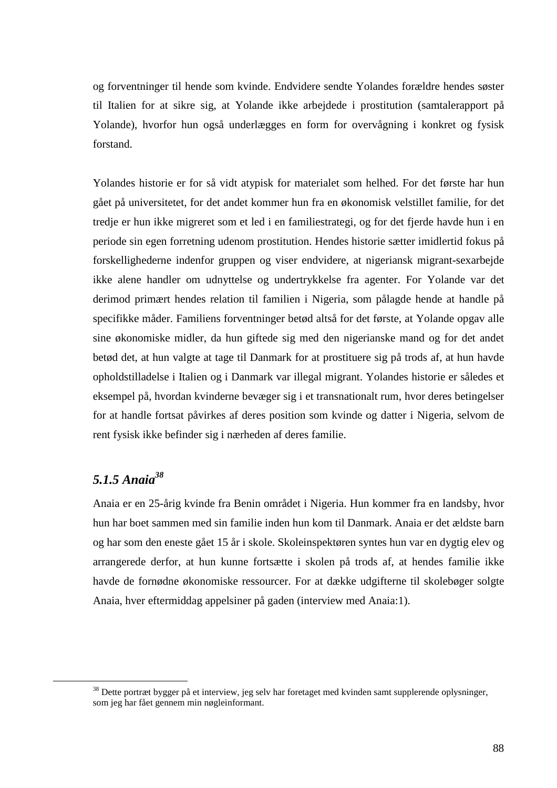og forventninger til hende som kvinde. Endvidere sendte Yolandes forældre hendes søster til Italien for at sikre sig, at Yolande ikke arbejdede i prostitution (samtalerapport på Yolande), hvorfor hun også underlægges en form for overvågning i konkret og fysisk forstand.

Yolandes historie er for så vidt atypisk for materialet som helhed. For det første har hun gået på universitetet, for det andet kommer hun fra en økonomisk velstillet familie, for det tredje er hun ikke migreret som et led i en familiestrategi, og for det fjerde havde hun i en periode sin egen forretning udenom prostitution. Hendes historie sætter imidlertid fokus på forskellighederne indenfor gruppen og viser endvidere, at nigeriansk migrant-sexarbejde ikke alene handler om udnyttelse og undertrykkelse fra agenter. For Yolande var det derimod primært hendes relation til familien i Nigeria, som pålagde hende at handle på specifikke måder. Familiens forventninger betød altså for det første, at Yolande opgav alle sine økonomiske midler, da hun giftede sig med den nigerianske mand og for det andet betød det, at hun valgte at tage til Danmark for at prostituere sig på trods af, at hun havde opholdstilladelse i Italien og i Danmark var illegal migrant. Yolandes historie er således et eksempel på, hvordan kvinderne bevæger sig i et transnationalt rum, hvor deres betingelser for at handle fortsat påvirkes af deres position som kvinde og datter i Nigeria, selvom de rent fysisk ikke befinder sig i nærheden af deres familie.

## *5.1.5 Anaia<sup>38</sup>*

 $\overline{a}$ 

Anaia er en 25-årig kvinde fra Benin området i Nigeria. Hun kommer fra en landsby, hvor hun har boet sammen med sin familie inden hun kom til Danmark. Anaia er det ældste barn og har som den eneste gået 15 år i skole. Skoleinspektøren syntes hun var en dygtig elev og arrangerede derfor, at hun kunne fortsætte i skolen på trods af, at hendes familie ikke havde de fornødne økonomiske ressourcer. For at dække udgifterne til skolebøger solgte Anaia, hver eftermiddag appelsiner på gaden (interview med Anaia:1).

<sup>&</sup>lt;sup>38</sup> Dette portræt bygger på et interview, jeg selv har foretaget med kvinden samt supplerende oplysninger, som jeg har fået gennem min nøgleinformant.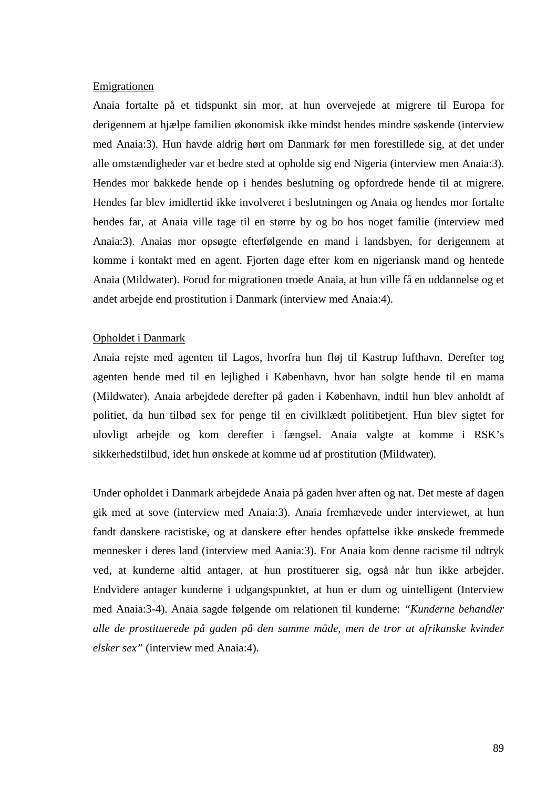#### **Emigrationen**

Anaia fortalte på et tidspunkt sin mor, at hun overvejede at migrere til Europa for derigennem at hjælpe familien økonomisk ikke mindst hendes mindre søskende (interview med Anaia:3). Hun havde aldrig hørt om Danmark før men forestillede sig, at det under alle omstændigheder var et bedre sted at opholde sig end Nigeria (interview men Anaia:3). Hendes mor bakkede hende op i hendes beslutning og opfordrede hende til at migrere. Hendes far blev imidlertid ikke involveret i beslutningen og Anaia og hendes mor fortalte hendes far, at Anaia ville tage til en større by og bo hos noget familie (interview med Anaia:3). Anaias mor opsøgte efterfølgende en mand i landsbyen, for derigennem at komme i kontakt med en agent. Fjorten dage efter kom en nigeriansk mand og hentede Anaia (Mildwater). Forud for migrationen troede Anaia, at hun ville få en uddannelse og et andet arbejde end prostitution i Danmark (interview med Anaia:4).

## Opholdet i Danmark

Anaia rejste med agenten til Lagos, hvorfra hun fløj til Kastrup lufthavn. Derefter tog agenten hende med til en lejlighed i København, hvor han solgte hende til en mama (Mildwater). Anaia arbejdede derefter på gaden i København, indtil hun blev anholdt af politiet, da hun tilbød sex for penge til en civilklædt politibetjent. Hun blev sigtet for ulovligt arbejde og kom derefter i fængsel. Anaia valgte at komme i RSK's sikkerhedstilbud, idet hun ønskede at komme ud af prostitution (Mildwater).

Under opholdet i Danmark arbejdede Anaia på gaden hver aften og nat. Det meste af dagen gik med at sove (interview med Anaia:3). Anaia fremhævede under interviewet, at hun fandt danskere racistiske, og at danskere efter hendes opfattelse ikke ønskede fremmede mennesker i deres land (interview med Aania:3). For Anaia kom denne racisme til udtryk ved, at kunderne altid antager, at hun prostituerer sig, også når hun ikke arbejder. Endvidere antager kunderne i udgangspunktet, at hun er dum og uintelligent (Interview med Anaia:3-4). Anaia sagde følgende om relationen til kunderne: *"Kunderne behandler alle de prostituerede på gaden på den samme måde, men de tror at afrikanske kvinder elsker sex"* (interview med Anaia:4).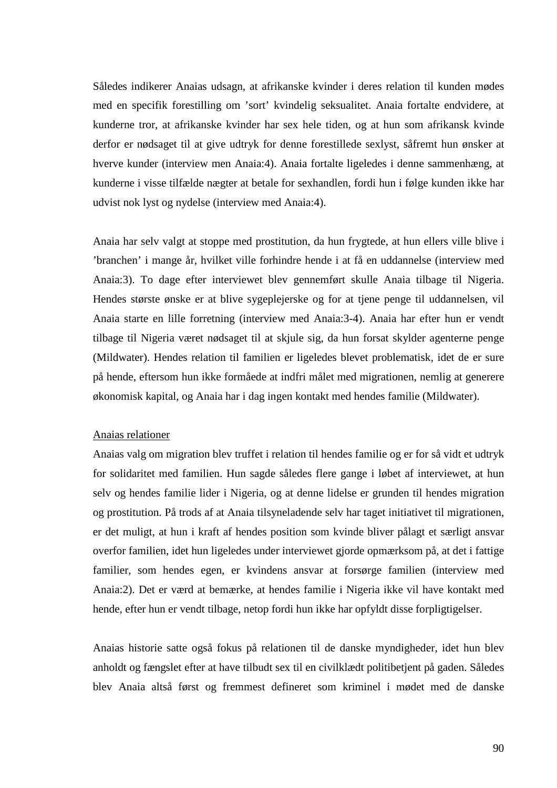Således indikerer Anaias udsagn, at afrikanske kvinder i deres relation til kunden mødes med en specifik forestilling om 'sort' kvindelig seksualitet. Anaia fortalte endvidere, at kunderne tror, at afrikanske kvinder har sex hele tiden, og at hun som afrikansk kvinde derfor er nødsaget til at give udtryk for denne forestillede sexlyst, såfremt hun ønsker at hverve kunder (interview men Anaia:4). Anaia fortalte ligeledes i denne sammenhæng, at kunderne i visse tilfælde nægter at betale for sexhandlen, fordi hun i følge kunden ikke har udvist nok lyst og nydelse (interview med Anaia:4).

Anaia har selv valgt at stoppe med prostitution, da hun frygtede, at hun ellers ville blive i 'branchen' i mange år, hvilket ville forhindre hende i at få en uddannelse (interview med Anaia:3). To dage efter interviewet blev gennemført skulle Anaia tilbage til Nigeria. Hendes største ønske er at blive sygeplejerske og for at tjene penge til uddannelsen, vil Anaia starte en lille forretning (interview med Anaia:3-4). Anaia har efter hun er vendt tilbage til Nigeria været nødsaget til at skjule sig, da hun forsat skylder agenterne penge (Mildwater). Hendes relation til familien er ligeledes blevet problematisk, idet de er sure på hende, eftersom hun ikke formåede at indfri målet med migrationen, nemlig at generere økonomisk kapital, og Anaia har i dag ingen kontakt med hendes familie (Mildwater).

#### Anaias relationer

Anaias valg om migration blev truffet i relation til hendes familie og er for så vidt et udtryk for solidaritet med familien. Hun sagde således flere gange i løbet af interviewet, at hun selv og hendes familie lider i Nigeria, og at denne lidelse er grunden til hendes migration og prostitution. På trods af at Anaia tilsyneladende selv har taget initiativet til migrationen, er det muligt, at hun i kraft af hendes position som kvinde bliver pålagt et særligt ansvar overfor familien, idet hun ligeledes under interviewet gjorde opmærksom på, at det i fattige familier, som hendes egen, er kvindens ansvar at forsørge familien (interview med Anaia:2). Det er værd at bemærke, at hendes familie i Nigeria ikke vil have kontakt med hende, efter hun er vendt tilbage, netop fordi hun ikke har opfyldt disse forpligtigelser.

Anaias historie satte også fokus på relationen til de danske myndigheder, idet hun blev anholdt og fængslet efter at have tilbudt sex til en civilklædt politibetjent på gaden. Således blev Anaia altså først og fremmest defineret som kriminel i mødet med de danske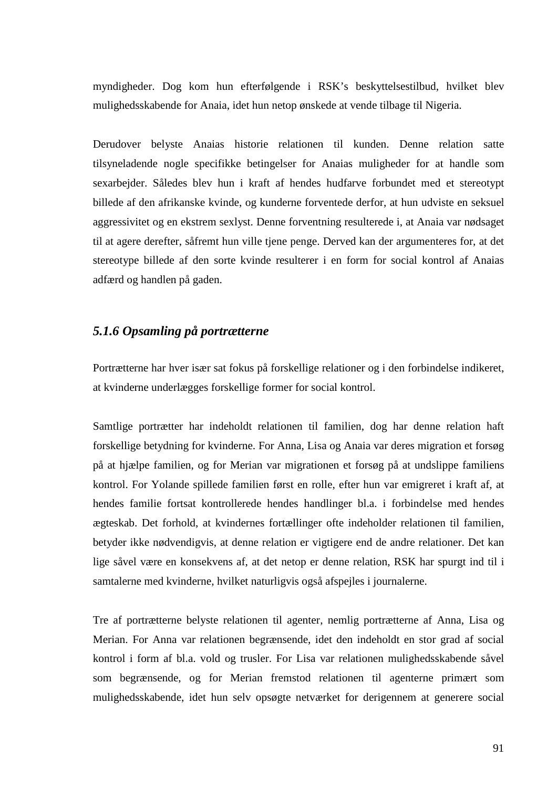myndigheder. Dog kom hun efterfølgende i RSK's beskyttelsestilbud, hvilket blev mulighedsskabende for Anaia, idet hun netop ønskede at vende tilbage til Nigeria.

Derudover belyste Anaias historie relationen til kunden. Denne relation satte tilsyneladende nogle specifikke betingelser for Anaias muligheder for at handle som sexarbejder. Således blev hun i kraft af hendes hudfarve forbundet med et stereotypt billede af den afrikanske kvinde, og kunderne forventede derfor, at hun udviste en seksuel aggressivitet og en ekstrem sexlyst. Denne forventning resulterede i, at Anaia var nødsaget til at agere derefter, såfremt hun ville tjene penge. Derved kan der argumenteres for, at det stereotype billede af den sorte kvinde resulterer i en form for social kontrol af Anaias adfærd og handlen på gaden.

## *5.1.6 Opsamling på portrætterne*

Portrætterne har hver især sat fokus på forskellige relationer og i den forbindelse indikeret, at kvinderne underlægges forskellige former for social kontrol.

Samtlige portrætter har indeholdt relationen til familien, dog har denne relation haft forskellige betydning for kvinderne. For Anna, Lisa og Anaia var deres migration et forsøg på at hjælpe familien, og for Merian var migrationen et forsøg på at undslippe familiens kontrol. For Yolande spillede familien først en rolle, efter hun var emigreret i kraft af, at hendes familie fortsat kontrollerede hendes handlinger bl.a. i forbindelse med hendes ægteskab. Det forhold, at kvindernes fortællinger ofte indeholder relationen til familien, betyder ikke nødvendigvis, at denne relation er vigtigere end de andre relationer. Det kan lige såvel være en konsekvens af, at det netop er denne relation, RSK har spurgt ind til i samtalerne med kvinderne, hvilket naturligvis også afspejles i journalerne.

Tre af portrætterne belyste relationen til agenter, nemlig portrætterne af Anna, Lisa og Merian. For Anna var relationen begrænsende, idet den indeholdt en stor grad af social kontrol i form af bl.a. vold og trusler. For Lisa var relationen mulighedsskabende såvel som begrænsende, og for Merian fremstod relationen til agenterne primært som mulighedsskabende, idet hun selv opsøgte netværket for derigennem at generere social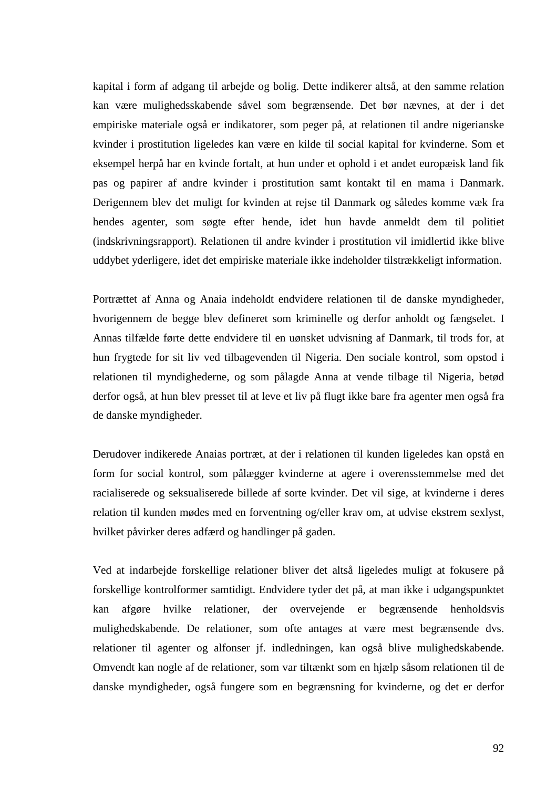kapital i form af adgang til arbejde og bolig. Dette indikerer altså, at den samme relation kan være mulighedsskabende såvel som begrænsende. Det bør nævnes, at der i det empiriske materiale også er indikatorer, som peger på, at relationen til andre nigerianske kvinder i prostitution ligeledes kan være en kilde til social kapital for kvinderne. Som et eksempel herpå har en kvinde fortalt, at hun under et ophold i et andet europæisk land fik pas og papirer af andre kvinder i prostitution samt kontakt til en mama i Danmark. Derigennem blev det muligt for kvinden at rejse til Danmark og således komme væk fra hendes agenter, som søgte efter hende, idet hun havde anmeldt dem til politiet (indskrivningsrapport). Relationen til andre kvinder i prostitution vil imidlertid ikke blive uddybet yderligere, idet det empiriske materiale ikke indeholder tilstrækkeligt information.

Portrættet af Anna og Anaia indeholdt endvidere relationen til de danske myndigheder, hvorigennem de begge blev defineret som kriminelle og derfor anholdt og fængselet. I Annas tilfælde førte dette endvidere til en uønsket udvisning af Danmark, til trods for, at hun frygtede for sit liv ved tilbagevenden til Nigeria. Den sociale kontrol, som opstod i relationen til myndighederne, og som pålagde Anna at vende tilbage til Nigeria, betød derfor også, at hun blev presset til at leve et liv på flugt ikke bare fra agenter men også fra de danske myndigheder.

Derudover indikerede Anaias portræt, at der i relationen til kunden ligeledes kan opstå en form for social kontrol, som pålægger kvinderne at agere i overensstemmelse med det racialiserede og seksualiserede billede af sorte kvinder. Det vil sige, at kvinderne i deres relation til kunden mødes med en forventning og/eller krav om, at udvise ekstrem sexlyst, hvilket påvirker deres adfærd og handlinger på gaden.

Ved at indarbejde forskellige relationer bliver det altså ligeledes muligt at fokusere på forskellige kontrolformer samtidigt. Endvidere tyder det på, at man ikke i udgangspunktet kan afgøre hvilke relationer, der overvejende er begrænsende henholdsvis mulighedskabende. De relationer, som ofte antages at være mest begrænsende dvs. relationer til agenter og alfonser jf. indledningen, kan også blive mulighedskabende. Omvendt kan nogle af de relationer, som var tiltænkt som en hjælp såsom relationen til de danske myndigheder, også fungere som en begrænsning for kvinderne, og det er derfor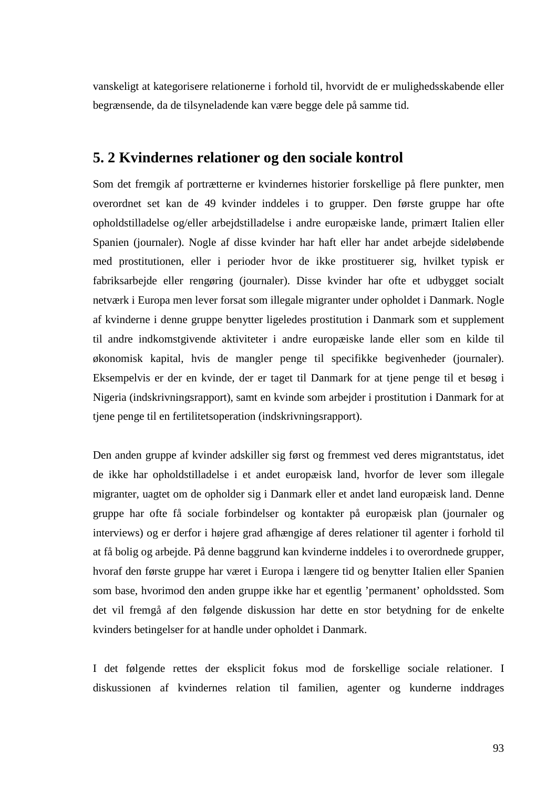vanskeligt at kategorisere relationerne i forhold til, hvorvidt de er mulighedsskabende eller begrænsende, da de tilsyneladende kan være begge dele på samme tid.

## **5. 2 Kvindernes relationer og den sociale kontrol**

Som det fremgik af portrætterne er kvindernes historier forskellige på flere punkter, men overordnet set kan de 49 kvinder inddeles i to grupper. Den første gruppe har ofte opholdstilladelse og/eller arbejdstilladelse i andre europæiske lande, primært Italien eller Spanien (journaler). Nogle af disse kvinder har haft eller har andet arbejde sideløbende med prostitutionen, eller i perioder hvor de ikke prostituerer sig, hvilket typisk er fabriksarbejde eller rengøring (journaler). Disse kvinder har ofte et udbygget socialt netværk i Europa men lever forsat som illegale migranter under opholdet i Danmark. Nogle af kvinderne i denne gruppe benytter ligeledes prostitution i Danmark som et supplement til andre indkomstgivende aktiviteter i andre europæiske lande eller som en kilde til økonomisk kapital, hvis de mangler penge til specifikke begivenheder (journaler). Eksempelvis er der en kvinde, der er taget til Danmark for at tjene penge til et besøg i Nigeria (indskrivningsrapport), samt en kvinde som arbejder i prostitution i Danmark for at tjene penge til en fertilitetsoperation (indskrivningsrapport).

Den anden gruppe af kvinder adskiller sig først og fremmest ved deres migrantstatus, idet de ikke har opholdstilladelse i et andet europæisk land, hvorfor de lever som illegale migranter, uagtet om de opholder sig i Danmark eller et andet land europæisk land. Denne gruppe har ofte få sociale forbindelser og kontakter på europæisk plan (journaler og interviews) og er derfor i højere grad afhængige af deres relationer til agenter i forhold til at få bolig og arbejde. På denne baggrund kan kvinderne inddeles i to overordnede grupper, hvoraf den første gruppe har været i Europa i længere tid og benytter Italien eller Spanien som base, hvorimod den anden gruppe ikke har et egentlig 'permanent' opholdssted. Som det vil fremgå af den følgende diskussion har dette en stor betydning for de enkelte kvinders betingelser for at handle under opholdet i Danmark.

I det følgende rettes der eksplicit fokus mod de forskellige sociale relationer. I diskussionen af kvindernes relation til familien, agenter og kunderne inddrages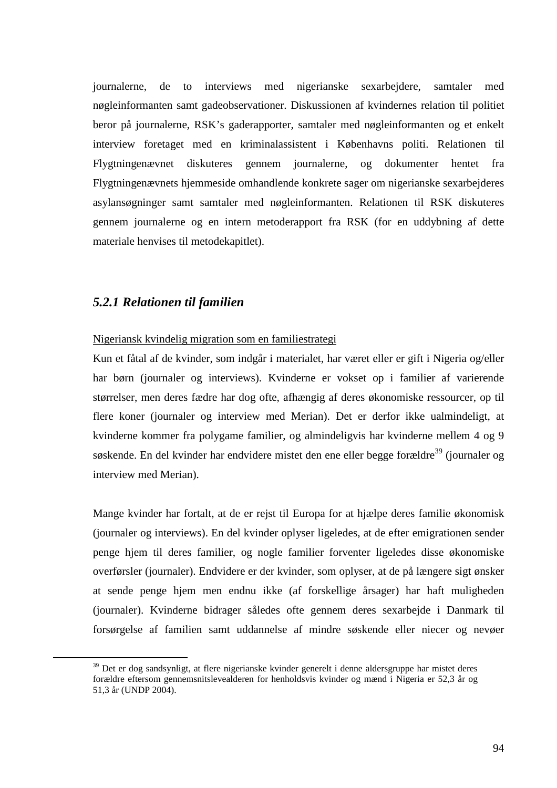journalerne, de to interviews med nigerianske sexarbejdere, samtaler med nøgleinformanten samt gadeobservationer. Diskussionen af kvindernes relation til politiet beror på journalerne, RSK's gaderapporter, samtaler med nøgleinformanten og et enkelt interview foretaget med en kriminalassistent i Københavns politi. Relationen til Flygtningenævnet diskuteres gennem journalerne, og dokumenter hentet fra Flygtningenævnets hjemmeside omhandlende konkrete sager om nigerianske sexarbejderes asylansøgninger samt samtaler med nøgleinformanten. Relationen til RSK diskuteres gennem journalerne og en intern metoderapport fra RSK (for en uddybning af dette materiale henvises til metodekapitlet).

## *5.2.1 Relationen til familien*

 $\overline{a}$ 

Nigeriansk kvindelig migration som en familiestrategi

Kun et fåtal af de kvinder, som indgår i materialet, har været eller er gift i Nigeria og/eller har børn (journaler og interviews). Kvinderne er vokset op i familier af varierende størrelser, men deres fædre har dog ofte, afhængig af deres økonomiske ressourcer, op til flere koner (journaler og interview med Merian). Det er derfor ikke ualmindeligt, at kvinderne kommer fra polygame familier, og almindeligvis har kvinderne mellem 4 og 9 søskende. En del kvinder har endvidere mistet den ene eller begge forældre<sup>39</sup> (journaler og interview med Merian).

Mange kvinder har fortalt, at de er rejst til Europa for at hjælpe deres familie økonomisk (journaler og interviews). En del kvinder oplyser ligeledes, at de efter emigrationen sender penge hjem til deres familier, og nogle familier forventer ligeledes disse økonomiske overførsler (journaler). Endvidere er der kvinder, som oplyser, at de på længere sigt ønsker at sende penge hjem men endnu ikke (af forskellige årsager) har haft muligheden (journaler). Kvinderne bidrager således ofte gennem deres sexarbejde i Danmark til forsørgelse af familien samt uddannelse af mindre søskende eller niecer og nevøer

<sup>&</sup>lt;sup>39</sup> Det er dog sandsynligt, at flere nigerianske kvinder generelt i denne aldersgruppe har mistet deres forældre eftersom gennemsnitslevealderen for henholdsvis kvinder og mænd i Nigeria er 52,3 år og 51,3 år (UNDP 2004).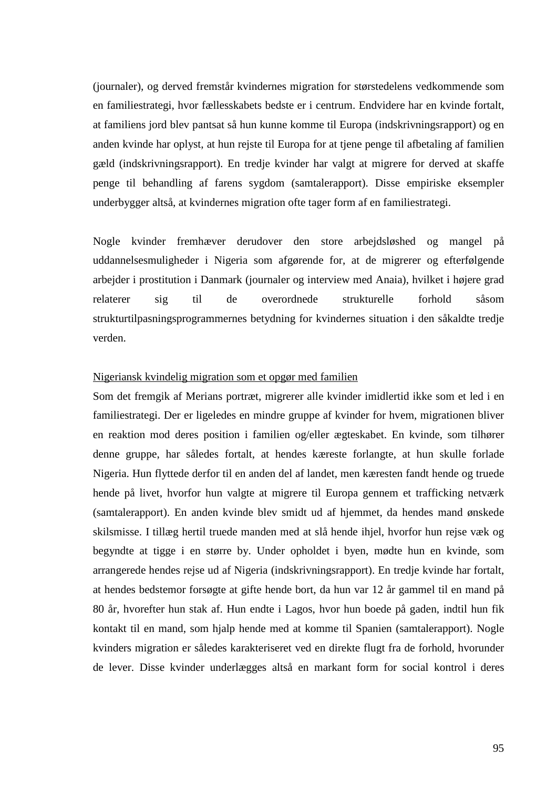(journaler), og derved fremstår kvindernes migration for størstedelens vedkommende som en familiestrategi, hvor fællesskabets bedste er i centrum. Endvidere har en kvinde fortalt, at familiens jord blev pantsat så hun kunne komme til Europa (indskrivningsrapport) og en anden kvinde har oplyst, at hun rejste til Europa for at tjene penge til afbetaling af familien gæld (indskrivningsrapport). En tredje kvinder har valgt at migrere for derved at skaffe penge til behandling af farens sygdom (samtalerapport). Disse empiriske eksempler underbygger altså, at kvindernes migration ofte tager form af en familiestrategi.

Nogle kvinder fremhæver derudover den store arbejdsløshed og mangel på uddannelsesmuligheder i Nigeria som afgørende for, at de migrerer og efterfølgende arbejder i prostitution i Danmark (journaler og interview med Anaia), hvilket i højere grad relaterer sig til de overordnede strukturelle forhold såsom strukturtilpasningsprogrammernes betydning for kvindernes situation i den såkaldte tredje verden.

### Nigeriansk kvindelig migration som et opgør med familien

Som det fremgik af Merians portræt, migrerer alle kvinder imidlertid ikke som et led i en familiestrategi. Der er ligeledes en mindre gruppe af kvinder for hvem, migrationen bliver en reaktion mod deres position i familien og/eller ægteskabet. En kvinde, som tilhører denne gruppe, har således fortalt, at hendes kæreste forlangte, at hun skulle forlade Nigeria. Hun flyttede derfor til en anden del af landet, men kæresten fandt hende og truede hende på livet, hvorfor hun valgte at migrere til Europa gennem et trafficking netværk (samtalerapport). En anden kvinde blev smidt ud af hjemmet, da hendes mand ønskede skilsmisse. I tillæg hertil truede manden med at slå hende ihjel, hvorfor hun rejse væk og begyndte at tigge i en større by. Under opholdet i byen, mødte hun en kvinde, som arrangerede hendes rejse ud af Nigeria (indskrivningsrapport). En tredje kvinde har fortalt, at hendes bedstemor forsøgte at gifte hende bort, da hun var 12 år gammel til en mand på 80 år, hvorefter hun stak af. Hun endte i Lagos, hvor hun boede på gaden, indtil hun fik kontakt til en mand, som hjalp hende med at komme til Spanien (samtalerapport). Nogle kvinders migration er således karakteriseret ved en direkte flugt fra de forhold, hvorunder de lever. Disse kvinder underlægges altså en markant form for social kontrol i deres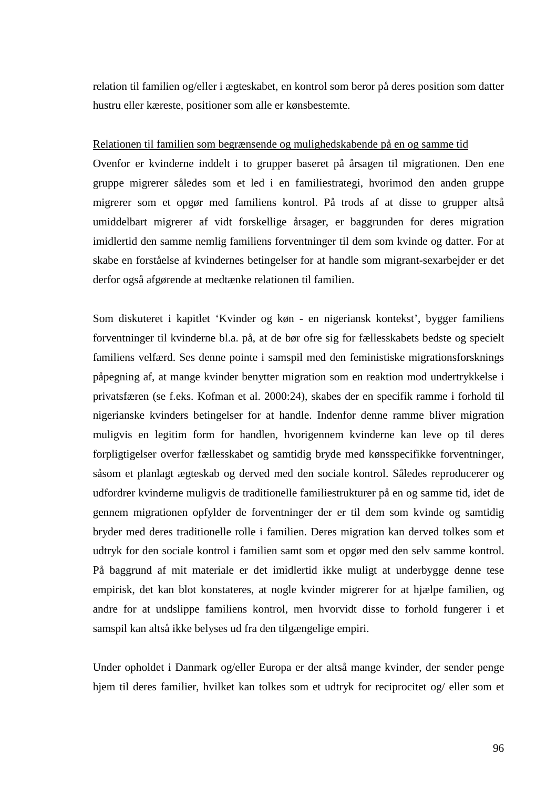relation til familien og/eller i ægteskabet, en kontrol som beror på deres position som datter hustru eller kæreste, positioner som alle er kønsbestemte.

#### Relationen til familien som begrænsende og mulighedskabende på en og samme tid

Ovenfor er kvinderne inddelt i to grupper baseret på årsagen til migrationen. Den ene gruppe migrerer således som et led i en familiestrategi, hvorimod den anden gruppe migrerer som et opgør med familiens kontrol. På trods af at disse to grupper altså umiddelbart migrerer af vidt forskellige årsager, er baggrunden for deres migration imidlertid den samme nemlig familiens forventninger til dem som kvinde og datter. For at skabe en forståelse af kvindernes betingelser for at handle som migrant-sexarbejder er det derfor også afgørende at medtænke relationen til familien.

Som diskuteret i kapitlet 'Kvinder og køn - en nigeriansk kontekst', bygger familiens forventninger til kvinderne bl.a. på, at de bør ofre sig for fællesskabets bedste og specielt familiens velfærd. Ses denne pointe i samspil med den feministiske migrationsforsknings påpegning af, at mange kvinder benytter migration som en reaktion mod undertrykkelse i privatsfæren (se f.eks. Kofman et al. 2000:24), skabes der en specifik ramme i forhold til nigerianske kvinders betingelser for at handle. Indenfor denne ramme bliver migration muligvis en legitim form for handlen, hvorigennem kvinderne kan leve op til deres forpligtigelser overfor fællesskabet og samtidig bryde med kønsspecifikke forventninger, såsom et planlagt ægteskab og derved med den sociale kontrol. Således reproducerer og udfordrer kvinderne muligvis de traditionelle familiestrukturer på en og samme tid, idet de gennem migrationen opfylder de forventninger der er til dem som kvinde og samtidig bryder med deres traditionelle rolle i familien. Deres migration kan derved tolkes som et udtryk for den sociale kontrol i familien samt som et opgør med den selv samme kontrol. På baggrund af mit materiale er det imidlertid ikke muligt at underbygge denne tese empirisk, det kan blot konstateres, at nogle kvinder migrerer for at hjælpe familien, og andre for at undslippe familiens kontrol, men hvorvidt disse to forhold fungerer i et samspil kan altså ikke belyses ud fra den tilgængelige empiri.

Under opholdet i Danmark og/eller Europa er der altså mange kvinder, der sender penge hjem til deres familier, hvilket kan tolkes som et udtryk for reciprocitet og/ eller som et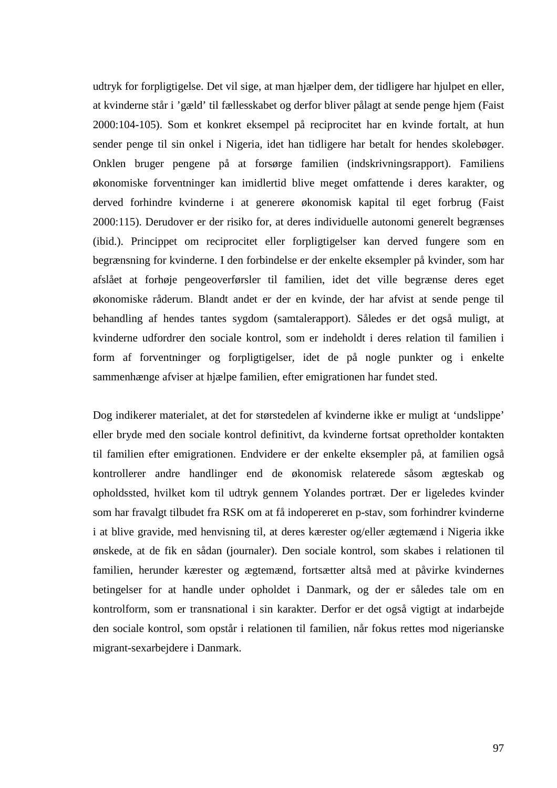udtryk for forpligtigelse. Det vil sige, at man hjælper dem, der tidligere har hjulpet en eller, at kvinderne står i 'gæld' til fællesskabet og derfor bliver pålagt at sende penge hjem (Faist 2000:104-105). Som et konkret eksempel på reciprocitet har en kvinde fortalt, at hun sender penge til sin onkel i Nigeria, idet han tidligere har betalt for hendes skolebøger. Onklen bruger pengene på at forsørge familien (indskrivningsrapport). Familiens økonomiske forventninger kan imidlertid blive meget omfattende i deres karakter, og derved forhindre kvinderne i at generere økonomisk kapital til eget forbrug (Faist 2000:115). Derudover er der risiko for, at deres individuelle autonomi generelt begrænses (ibid.). Princippet om reciprocitet eller forpligtigelser kan derved fungere som en begrænsning for kvinderne. I den forbindelse er der enkelte eksempler på kvinder, som har afslået at forhøje pengeoverførsler til familien, idet det ville begrænse deres eget økonomiske råderum. Blandt andet er der en kvinde, der har afvist at sende penge til behandling af hendes tantes sygdom (samtalerapport). Således er det også muligt, at kvinderne udfordrer den sociale kontrol, som er indeholdt i deres relation til familien i form af forventninger og forpligtigelser, idet de på nogle punkter og i enkelte sammenhænge afviser at hjælpe familien, efter emigrationen har fundet sted.

Dog indikerer materialet, at det for størstedelen af kvinderne ikke er muligt at 'undslippe' eller bryde med den sociale kontrol definitivt, da kvinderne fortsat opretholder kontakten til familien efter emigrationen. Endvidere er der enkelte eksempler på, at familien også kontrollerer andre handlinger end de økonomisk relaterede såsom ægteskab og opholdssted, hvilket kom til udtryk gennem Yolandes portræt. Der er ligeledes kvinder som har fravalgt tilbudet fra RSK om at få indopereret en p-stav, som forhindrer kvinderne i at blive gravide, med henvisning til, at deres kærester og/eller ægtemænd i Nigeria ikke ønskede, at de fik en sådan (journaler). Den sociale kontrol, som skabes i relationen til familien, herunder kærester og ægtemænd, fortsætter altså med at påvirke kvindernes betingelser for at handle under opholdet i Danmark, og der er således tale om en kontrolform, som er transnational i sin karakter. Derfor er det også vigtigt at indarbejde den sociale kontrol, som opstår i relationen til familien, når fokus rettes mod nigerianske migrant-sexarbejdere i Danmark.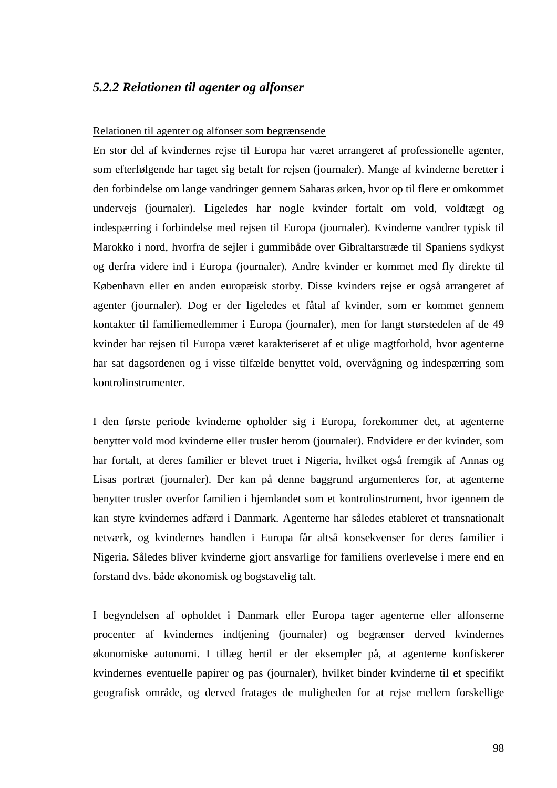## *5.2.2 Relationen til agenter og alfonser*

#### Relationen til agenter og alfonser som begrænsende

En stor del af kvindernes rejse til Europa har været arrangeret af professionelle agenter, som efterfølgende har taget sig betalt for rejsen (journaler). Mange af kvinderne beretter i den forbindelse om lange vandringer gennem Saharas ørken, hvor op til flere er omkommet undervejs (journaler). Ligeledes har nogle kvinder fortalt om vold, voldtægt og indespærring i forbindelse med rejsen til Europa (journaler). Kvinderne vandrer typisk til Marokko i nord, hvorfra de sejler i gummibåde over Gibraltarstræde til Spaniens sydkyst og derfra videre ind i Europa (journaler). Andre kvinder er kommet med fly direkte til København eller en anden europæisk storby. Disse kvinders rejse er også arrangeret af agenter (journaler). Dog er der ligeledes et fåtal af kvinder, som er kommet gennem kontakter til familiemedlemmer i Europa (journaler), men for langt størstedelen af de 49 kvinder har rejsen til Europa været karakteriseret af et ulige magtforhold, hvor agenterne har sat dagsordenen og i visse tilfælde benyttet vold, overvågning og indespærring som kontrolinstrumenter.

I den første periode kvinderne opholder sig i Europa, forekommer det, at agenterne benytter vold mod kvinderne eller trusler herom (journaler). Endvidere er der kvinder, som har fortalt, at deres familier er blevet truet i Nigeria, hvilket også fremgik af Annas og Lisas portræt (journaler). Der kan på denne baggrund argumenteres for, at agenterne benytter trusler overfor familien i hjemlandet som et kontrolinstrument, hvor igennem de kan styre kvindernes adfærd i Danmark. Agenterne har således etableret et transnationalt netværk, og kvindernes handlen i Europa får altså konsekvenser for deres familier i Nigeria. Således bliver kvinderne gjort ansvarlige for familiens overlevelse i mere end en forstand dvs. både økonomisk og bogstavelig talt.

I begyndelsen af opholdet i Danmark eller Europa tager agenterne eller alfonserne procenter af kvindernes indtjening (journaler) og begrænser derved kvindernes økonomiske autonomi. I tillæg hertil er der eksempler på, at agenterne konfiskerer kvindernes eventuelle papirer og pas (journaler), hvilket binder kvinderne til et specifikt geografisk område, og derved fratages de muligheden for at rejse mellem forskellige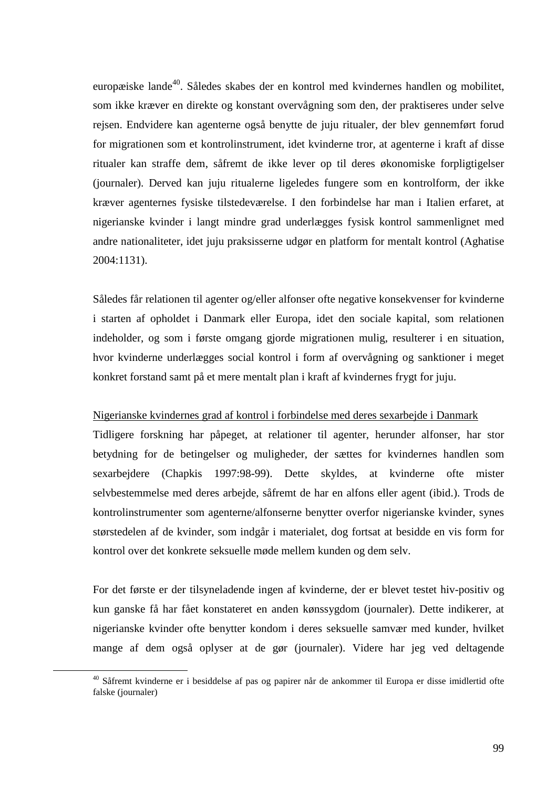europæiske lande<sup>40</sup>. Således skabes der en kontrol med kvindernes handlen og mobilitet, som ikke kræver en direkte og konstant overvågning som den, der praktiseres under selve rejsen. Endvidere kan agenterne også benytte de juju ritualer, der blev gennemført forud for migrationen som et kontrolinstrument, idet kvinderne tror, at agenterne i kraft af disse ritualer kan straffe dem, såfremt de ikke lever op til deres økonomiske forpligtigelser (journaler). Derved kan juju ritualerne ligeledes fungere som en kontrolform, der ikke kræver agenternes fysiske tilstedeværelse. I den forbindelse har man i Italien erfaret, at nigerianske kvinder i langt mindre grad underlægges fysisk kontrol sammenlignet med andre nationaliteter, idet juju praksisserne udgør en platform for mentalt kontrol (Aghatise 2004:1131).

Således får relationen til agenter og/eller alfonser ofte negative konsekvenser for kvinderne i starten af opholdet i Danmark eller Europa, idet den sociale kapital, som relationen indeholder, og som i første omgang gjorde migrationen mulig, resulterer i en situation, hvor kvinderne underlægges social kontrol i form af overvågning og sanktioner i meget konkret forstand samt på et mere mentalt plan i kraft af kvindernes frygt for juju.

#### Nigerianske kvindernes grad af kontrol i forbindelse med deres sexarbejde i Danmark

Tidligere forskning har påpeget, at relationer til agenter, herunder alfonser, har stor betydning for de betingelser og muligheder, der sættes for kvindernes handlen som sexarbejdere (Chapkis 1997:98-99). Dette skyldes, at kvinderne ofte mister selvbestemmelse med deres arbejde, såfremt de har en alfons eller agent (ibid.). Trods de kontrolinstrumenter som agenterne/alfonserne benytter overfor nigerianske kvinder, synes størstedelen af de kvinder, som indgår i materialet, dog fortsat at besidde en vis form for kontrol over det konkrete seksuelle møde mellem kunden og dem selv.

For det første er der tilsyneladende ingen af kvinderne, der er blevet testet hiv-positiv og kun ganske få har fået konstateret en anden kønssygdom (journaler). Dette indikerer, at nigerianske kvinder ofte benytter kondom i deres seksuelle samvær med kunder, hvilket mange af dem også oplyser at de gør (journaler). Videre har jeg ved deltagende

 $\overline{a}$ 

<sup>&</sup>lt;sup>40</sup> Såfremt kvinderne er i besiddelse af pas og papirer når de ankommer til Europa er disse imidlertid ofte falske (journaler)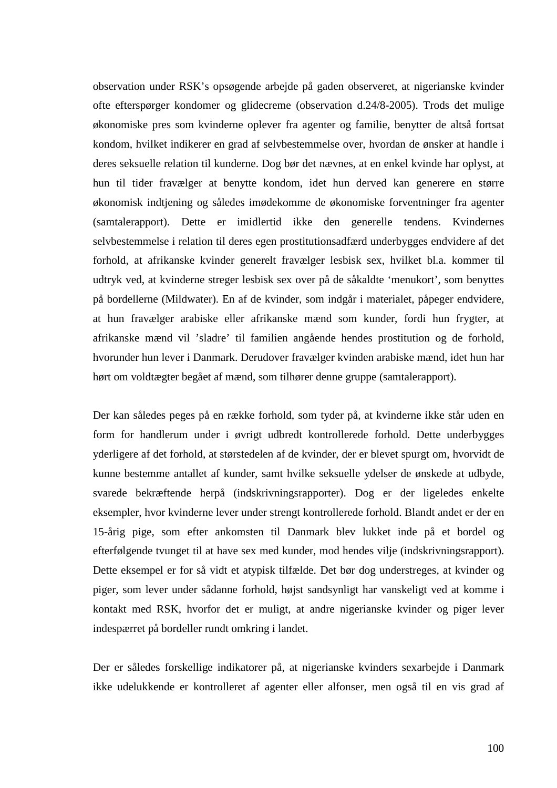observation under RSK's opsøgende arbejde på gaden observeret, at nigerianske kvinder ofte efterspørger kondomer og glidecreme (observation d.24/8-2005). Trods det mulige økonomiske pres som kvinderne oplever fra agenter og familie, benytter de altså fortsat kondom, hvilket indikerer en grad af selvbestemmelse over, hvordan de ønsker at handle i deres seksuelle relation til kunderne. Dog bør det nævnes, at en enkel kvinde har oplyst, at hun til tider fravælger at benytte kondom, idet hun derved kan generere en større økonomisk indtjening og således imødekomme de økonomiske forventninger fra agenter (samtalerapport). Dette er imidlertid ikke den generelle tendens. Kvindernes selvbestemmelse i relation til deres egen prostitutionsadfærd underbygges endvidere af det forhold, at afrikanske kvinder generelt fravælger lesbisk sex, hvilket bl.a. kommer til udtryk ved, at kvinderne streger lesbisk sex over på de såkaldte 'menukort', som benyttes på bordellerne (Mildwater). En af de kvinder, som indgår i materialet, påpeger endvidere, at hun fravælger arabiske eller afrikanske mænd som kunder, fordi hun frygter, at afrikanske mænd vil 'sladre' til familien angående hendes prostitution og de forhold, hvorunder hun lever i Danmark. Derudover fravælger kvinden arabiske mænd, idet hun har hørt om voldtægter begået af mænd, som tilhører denne gruppe (samtalerapport).

Der kan således peges på en række forhold, som tyder på, at kvinderne ikke står uden en form for handlerum under i øvrigt udbredt kontrollerede forhold. Dette underbygges yderligere af det forhold, at størstedelen af de kvinder, der er blevet spurgt om, hvorvidt de kunne bestemme antallet af kunder, samt hvilke seksuelle ydelser de ønskede at udbyde, svarede bekræftende herpå (indskrivningsrapporter). Dog er der ligeledes enkelte eksempler, hvor kvinderne lever under strengt kontrollerede forhold. Blandt andet er der en 15-årig pige, som efter ankomsten til Danmark blev lukket inde på et bordel og efterfølgende tvunget til at have sex med kunder, mod hendes vilje (indskrivningsrapport). Dette eksempel er for så vidt et atypisk tilfælde. Det bør dog understreges, at kvinder og piger, som lever under sådanne forhold, højst sandsynligt har vanskeligt ved at komme i kontakt med RSK, hvorfor det er muligt, at andre nigerianske kvinder og piger lever indespærret på bordeller rundt omkring i landet.

Der er således forskellige indikatorer på, at nigerianske kvinders sexarbejde i Danmark ikke udelukkende er kontrolleret af agenter eller alfonser, men også til en vis grad af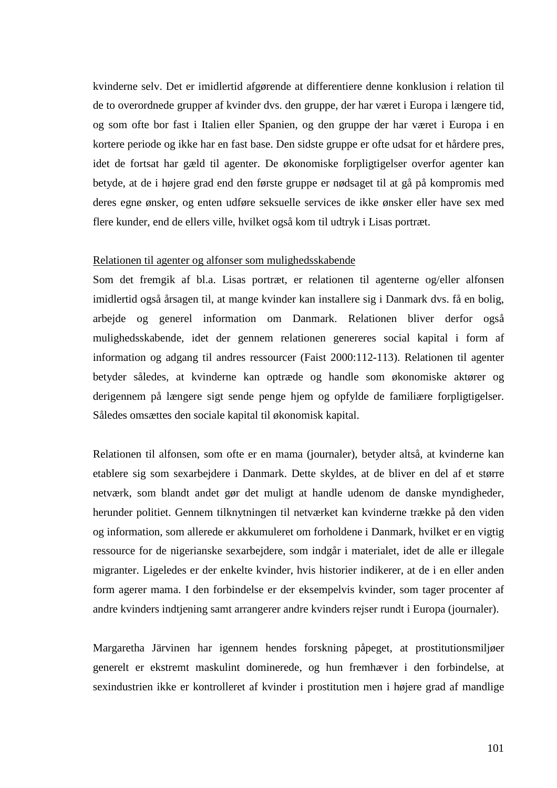kvinderne selv. Det er imidlertid afgørende at differentiere denne konklusion i relation til de to overordnede grupper af kvinder dvs. den gruppe, der har været i Europa i længere tid, og som ofte bor fast i Italien eller Spanien, og den gruppe der har været i Europa i en kortere periode og ikke har en fast base. Den sidste gruppe er ofte udsat for et hårdere pres, idet de fortsat har gæld til agenter. De økonomiske forpligtigelser overfor agenter kan betyde, at de i højere grad end den første gruppe er nødsaget til at gå på kompromis med deres egne ønsker, og enten udføre seksuelle services de ikke ønsker eller have sex med flere kunder, end de ellers ville, hvilket også kom til udtryk i Lisas portræt.

#### Relationen til agenter og alfonser som mulighedsskabende

Som det fremgik af bl.a. Lisas portræt, er relationen til agenterne og/eller alfonsen imidlertid også årsagen til, at mange kvinder kan installere sig i Danmark dvs. få en bolig, arbejde og generel information om Danmark. Relationen bliver derfor også mulighedsskabende, idet der gennem relationen genereres social kapital i form af information og adgang til andres ressourcer (Faist 2000:112-113). Relationen til agenter betyder således, at kvinderne kan optræde og handle som økonomiske aktører og derigennem på længere sigt sende penge hjem og opfylde de familiære forpligtigelser. Således omsættes den sociale kapital til økonomisk kapital.

Relationen til alfonsen, som ofte er en mama (journaler), betyder altså, at kvinderne kan etablere sig som sexarbejdere i Danmark. Dette skyldes, at de bliver en del af et større netværk, som blandt andet gør det muligt at handle udenom de danske myndigheder, herunder politiet. Gennem tilknytningen til netværket kan kvinderne trække på den viden og information, som allerede er akkumuleret om forholdene i Danmark, hvilket er en vigtig ressource for de nigerianske sexarbejdere, som indgår i materialet, idet de alle er illegale migranter. Ligeledes er der enkelte kvinder, hvis historier indikerer, at de i en eller anden form agerer mama. I den forbindelse er der eksempelvis kvinder, som tager procenter af andre kvinders indtjening samt arrangerer andre kvinders rejser rundt i Europa (journaler).

Margaretha Järvinen har igennem hendes forskning påpeget, at prostitutionsmiljøer generelt er ekstremt maskulint dominerede, og hun fremhæver i den forbindelse, at sexindustrien ikke er kontrolleret af kvinder i prostitution men i højere grad af mandlige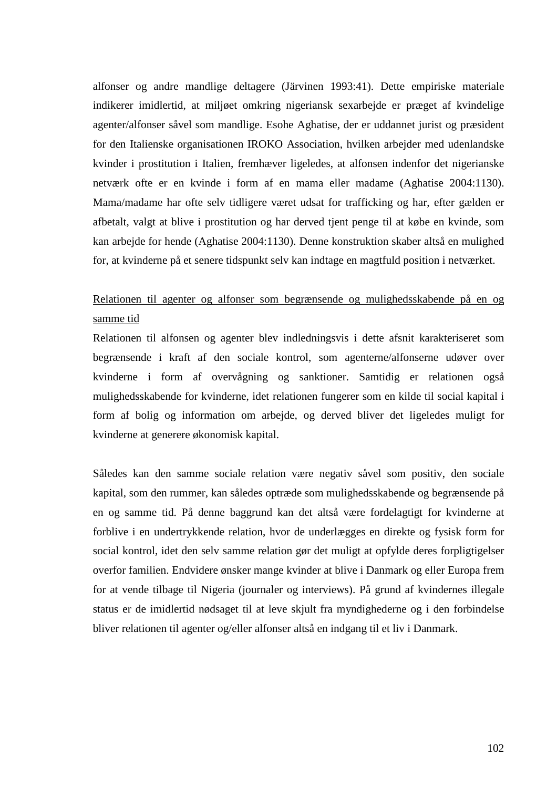alfonser og andre mandlige deltagere (Järvinen 1993:41). Dette empiriske materiale indikerer imidlertid, at miljøet omkring nigeriansk sexarbejde er præget af kvindelige agenter/alfonser såvel som mandlige. Esohe Aghatise, der er uddannet jurist og præsident for den Italienske organisationen IROKO Association, hvilken arbejder med udenlandske kvinder i prostitution i Italien, fremhæver ligeledes, at alfonsen indenfor det nigerianske netværk ofte er en kvinde i form af en mama eller madame (Aghatise 2004:1130). Mama/madame har ofte selv tidligere været udsat for trafficking og har, efter gælden er afbetalt, valgt at blive i prostitution og har derved tjent penge til at købe en kvinde, som kan arbejde for hende (Aghatise 2004:1130). Denne konstruktion skaber altså en mulighed for, at kvinderne på et senere tidspunkt selv kan indtage en magtfuld position i netværket.

## Relationen til agenter og alfonser som begrænsende og mulighedsskabende på en og samme tid

Relationen til alfonsen og agenter blev indledningsvis i dette afsnit karakteriseret som begrænsende i kraft af den sociale kontrol, som agenterne/alfonserne udøver over kvinderne i form af overvågning og sanktioner. Samtidig er relationen også mulighedsskabende for kvinderne, idet relationen fungerer som en kilde til social kapital i form af bolig og information om arbejde, og derved bliver det ligeledes muligt for kvinderne at generere økonomisk kapital.

Således kan den samme sociale relation være negativ såvel som positiv, den sociale kapital, som den rummer, kan således optræde som mulighedsskabende og begrænsende på en og samme tid. På denne baggrund kan det altså være fordelagtigt for kvinderne at forblive i en undertrykkende relation, hvor de underlægges en direkte og fysisk form for social kontrol, idet den selv samme relation gør det muligt at opfylde deres forpligtigelser overfor familien. Endvidere ønsker mange kvinder at blive i Danmark og eller Europa frem for at vende tilbage til Nigeria (journaler og interviews). På grund af kvindernes illegale status er de imidlertid nødsaget til at leve skjult fra myndighederne og i den forbindelse bliver relationen til agenter og/eller alfonser altså en indgang til et liv i Danmark.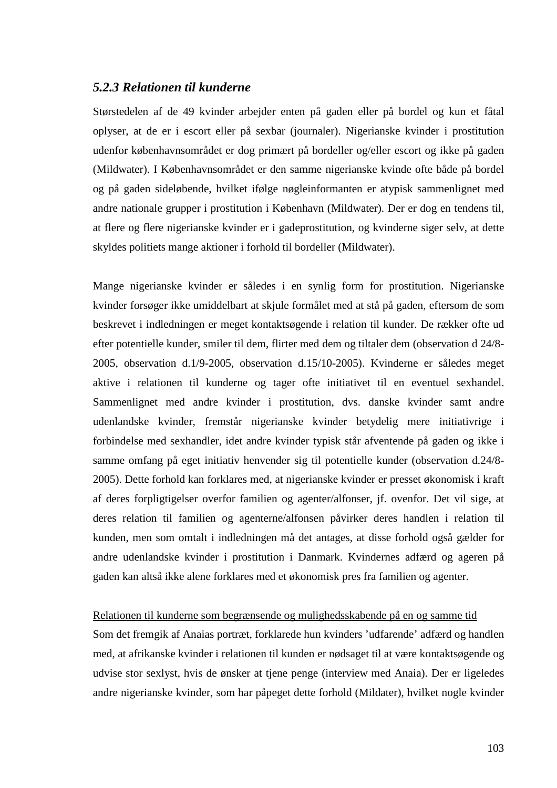## *5.2.3 Relationen til kunderne*

Størstedelen af de 49 kvinder arbejder enten på gaden eller på bordel og kun et fåtal oplyser, at de er i escort eller på sexbar (journaler). Nigerianske kvinder i prostitution udenfor københavnsområdet er dog primært på bordeller og/eller escort og ikke på gaden (Mildwater). I Københavnsområdet er den samme nigerianske kvinde ofte både på bordel og på gaden sideløbende, hvilket ifølge nøgleinformanten er atypisk sammenlignet med andre nationale grupper i prostitution i København (Mildwater). Der er dog en tendens til, at flere og flere nigerianske kvinder er i gadeprostitution, og kvinderne siger selv, at dette skyldes politiets mange aktioner i forhold til bordeller (Mildwater).

Mange nigerianske kvinder er således i en synlig form for prostitution. Nigerianske kvinder forsøger ikke umiddelbart at skjule formålet med at stå på gaden, eftersom de som beskrevet i indledningen er meget kontaktsøgende i relation til kunder. De rækker ofte ud efter potentielle kunder, smiler til dem, flirter med dem og tiltaler dem (observation d 24/8- 2005, observation d.1/9-2005, observation d.15/10-2005). Kvinderne er således meget aktive i relationen til kunderne og tager ofte initiativet til en eventuel sexhandel. Sammenlignet med andre kvinder i prostitution, dvs. danske kvinder samt andre udenlandske kvinder, fremstår nigerianske kvinder betydelig mere initiativrige i forbindelse med sexhandler, idet andre kvinder typisk står afventende på gaden og ikke i samme omfang på eget initiativ henvender sig til potentielle kunder (observation d.24/8- 2005). Dette forhold kan forklares med, at nigerianske kvinder er presset økonomisk i kraft af deres forpligtigelser overfor familien og agenter/alfonser, jf. ovenfor. Det vil sige, at deres relation til familien og agenterne/alfonsen påvirker deres handlen i relation til kunden, men som omtalt i indledningen må det antages, at disse forhold også gælder for andre udenlandske kvinder i prostitution i Danmark. Kvindernes adfærd og ageren på gaden kan altså ikke alene forklares med et økonomisk pres fra familien og agenter.

### Relationen til kunderne som begrænsende og mulighedsskabende på en og samme tid

Som det fremgik af Anaias portræt, forklarede hun kvinders 'udfarende' adfærd og handlen med, at afrikanske kvinder i relationen til kunden er nødsaget til at være kontaktsøgende og udvise stor sexlyst, hvis de ønsker at tjene penge (interview med Anaia). Der er ligeledes andre nigerianske kvinder, som har påpeget dette forhold (Mildater), hvilket nogle kvinder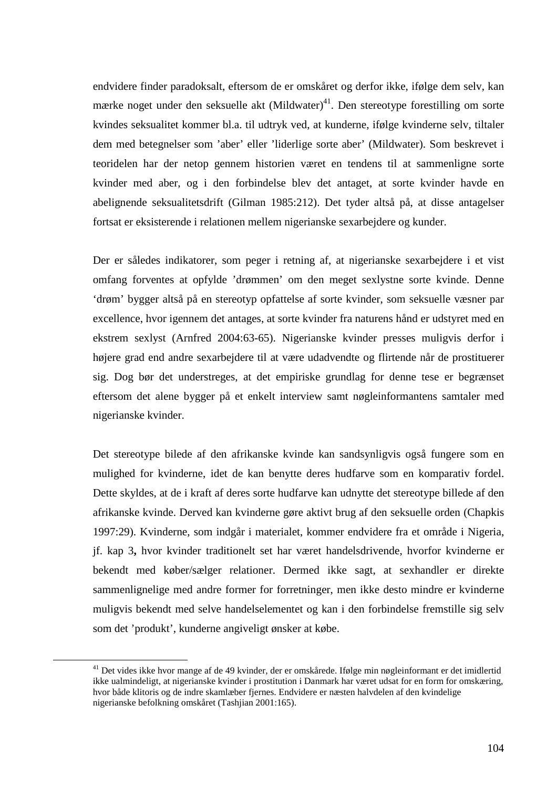endvidere finder paradoksalt, eftersom de er omskåret og derfor ikke, ifølge dem selv, kan mærke noget under den seksuelle akt  $(Mildwater)^{41}$ . Den stereotype forestilling om sorte kvindes seksualitet kommer bl.a. til udtryk ved, at kunderne, ifølge kvinderne selv, tiltaler dem med betegnelser som 'aber' eller 'liderlige sorte aber' (Mildwater). Som beskrevet i teoridelen har der netop gennem historien været en tendens til at sammenligne sorte kvinder med aber, og i den forbindelse blev det antaget, at sorte kvinder havde en abelignende seksualitetsdrift (Gilman 1985:212). Det tyder altså på, at disse antagelser fortsat er eksisterende i relationen mellem nigerianske sexarbejdere og kunder.

Der er således indikatorer, som peger i retning af, at nigerianske sexarbejdere i et vist omfang forventes at opfylde 'drømmen' om den meget sexlystne sorte kvinde. Denne 'drøm' bygger altså på en stereotyp opfattelse af sorte kvinder, som seksuelle væsner par excellence, hvor igennem det antages, at sorte kvinder fra naturens hånd er udstyret med en ekstrem sexlyst (Arnfred 2004:63-65). Nigerianske kvinder presses muligvis derfor i højere grad end andre sexarbejdere til at være udadvendte og flirtende når de prostituerer sig. Dog bør det understreges, at det empiriske grundlag for denne tese er begrænset eftersom det alene bygger på et enkelt interview samt nøgleinformantens samtaler med nigerianske kvinder.

Det stereotype bilede af den afrikanske kvinde kan sandsynligvis også fungere som en mulighed for kvinderne, idet de kan benytte deres hudfarve som en komparativ fordel. Dette skyldes, at de i kraft af deres sorte hudfarve kan udnytte det stereotype billede af den afrikanske kvinde. Derved kan kvinderne gøre aktivt brug af den seksuelle orden (Chapkis 1997:29). Kvinderne, som indgår i materialet, kommer endvidere fra et område i Nigeria, jf. kap 3**,** hvor kvinder traditionelt set har været handelsdrivende, hvorfor kvinderne er bekendt med køber/sælger relationer. Dermed ikke sagt, at sexhandler er direkte sammenlignelige med andre former for forretninger, men ikke desto mindre er kvinderne muligvis bekendt med selve handelselementet og kan i den forbindelse fremstille sig selv som det 'produkt', kunderne angiveligt ønsker at købe.

 $\overline{a}$ 

<sup>&</sup>lt;sup>41</sup> Det vides ikke hvor mange af de 49 kvinder, der er omskårede. Ifølge min nøgleinformant er det imidlertid ikke ualmindeligt, at nigerianske kvinder i prostitution i Danmark har været udsat for en form for omskæring, hvor både klitoris og de indre skamlæber fjernes. Endvidere er næsten halvdelen af den kvindelige nigerianske befolkning omskåret (Tashjian 2001:165).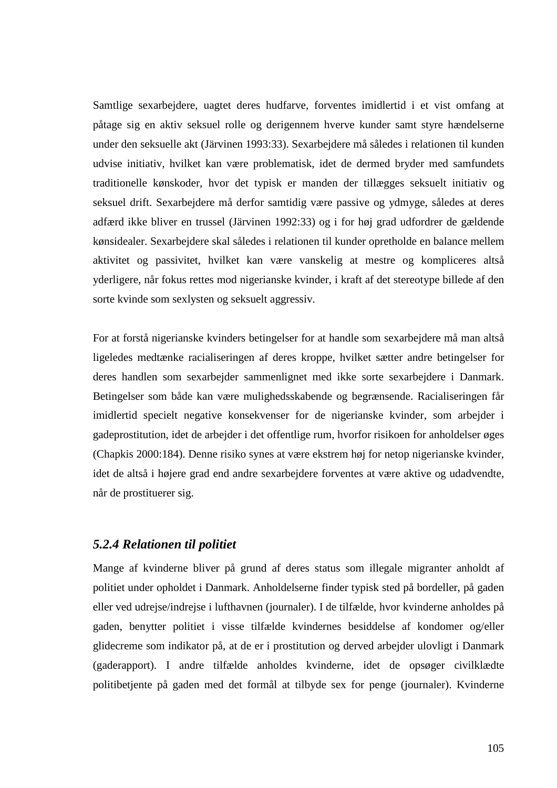Samtlige sexarbejdere, uagtet deres hudfarve, forventes imidlertid i et vist omfang at påtage sig en aktiv seksuel rolle og derigennem hverve kunder samt styre hændelserne under den seksuelle akt (Järvinen 1993:33). Sexarbejdere må således i relationen til kunden udvise initiativ, hvilket kan være problematisk, idet de dermed bryder med samfundets traditionelle kønskoder, hvor det typisk er manden der tillægges seksuelt initiativ og seksuel drift. Sexarbejdere må derfor samtidig være passive og ydmyge, således at deres adfærd ikke bliver en trussel (Järvinen 1992:33) og i for høj grad udfordrer de gældende kønsidealer. Sexarbejdere skal således i relationen til kunder opretholde en balance mellem aktivitet og passivitet, hvilket kan være vanskelig at mestre og kompliceres altså yderligere, når fokus rettes mod nigerianske kvinder, i kraft af det stereotype billede af den sorte kvinde som sexlysten og seksuelt aggressiv.

For at forstå nigerianske kvinders betingelser for at handle som sexarbejdere må man altså ligeledes medtænke racialiseringen af deres kroppe, hvilket sætter andre betingelser for deres handlen som sexarbejder sammenlignet med ikke sorte sexarbejdere i Danmark. Betingelser som både kan være mulighedsskabende og begrænsende. Racialiseringen får imidlertid specielt negative konsekvenser for de nigerianske kvinder, som arbejder i gadeprostitution, idet de arbejder i det offentlige rum, hvorfor risikoen for anholdelser øges (Chapkis 2000:184). Denne risiko synes at være ekstrem høj for netop nigerianske kvinder, idet de altså i højere grad end andre sexarbejdere forventes at være aktive og udadvendte, når de prostituerer sig.

## *5.2.4 Relationen til politiet*

Mange af kvinderne bliver på grund af deres status som illegale migranter anholdt af politiet under opholdet i Danmark. Anholdelserne finder typisk sted på bordeller, på gaden eller ved udrejse/indrejse i lufthavnen (journaler). I de tilfælde, hvor kvinderne anholdes på gaden, benytter politiet i visse tilfælde kvindernes besiddelse af kondomer og/eller glidecreme som indikator på, at de er i prostitution og derved arbejder ulovligt i Danmark (gaderapport). I andre tilfælde anholdes kvinderne, idet de opsøger civilklædte politibetjente på gaden med det formål at tilbyde sex for penge (journaler). Kvinderne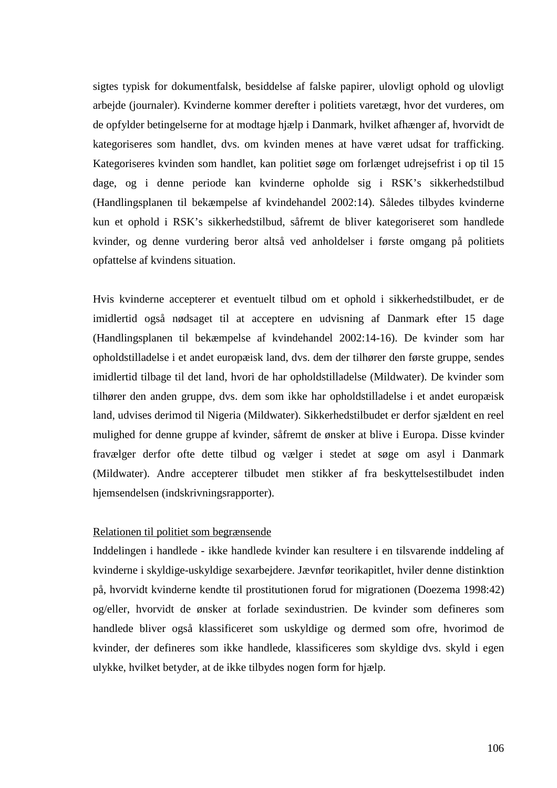sigtes typisk for dokumentfalsk, besiddelse af falske papirer, ulovligt ophold og ulovligt arbejde (journaler). Kvinderne kommer derefter i politiets varetægt, hvor det vurderes, om de opfylder betingelserne for at modtage hjælp i Danmark, hvilket afhænger af, hvorvidt de kategoriseres som handlet, dvs. om kvinden menes at have været udsat for trafficking. Kategoriseres kvinden som handlet, kan politiet søge om forlænget udrejsefrist i op til 15 dage, og i denne periode kan kvinderne opholde sig i RSK's sikkerhedstilbud (Handlingsplanen til bekæmpelse af kvindehandel 2002:14). Således tilbydes kvinderne kun et ophold i RSK's sikkerhedstilbud, såfremt de bliver kategoriseret som handlede kvinder, og denne vurdering beror altså ved anholdelser i første omgang på politiets opfattelse af kvindens situation.

Hvis kvinderne accepterer et eventuelt tilbud om et ophold i sikkerhedstilbudet, er de imidlertid også nødsaget til at acceptere en udvisning af Danmark efter 15 dage (Handlingsplanen til bekæmpelse af kvindehandel 2002:14-16). De kvinder som har opholdstilladelse i et andet europæisk land, dvs. dem der tilhører den første gruppe, sendes imidlertid tilbage til det land, hvori de har opholdstilladelse (Mildwater). De kvinder som tilhører den anden gruppe, dvs. dem som ikke har opholdstilladelse i et andet europæisk land, udvises derimod til Nigeria (Mildwater). Sikkerhedstilbudet er derfor sjældent en reel mulighed for denne gruppe af kvinder, såfremt de ønsker at blive i Europa. Disse kvinder fravælger derfor ofte dette tilbud og vælger i stedet at søge om asyl i Danmark (Mildwater). Andre accepterer tilbudet men stikker af fra beskyttelsestilbudet inden hjemsendelsen (indskrivningsrapporter).

## Relationen til politiet som begrænsende

Inddelingen i handlede - ikke handlede kvinder kan resultere i en tilsvarende inddeling af kvinderne i skyldige-uskyldige sexarbejdere. Jævnfør teorikapitlet, hviler denne distinktion på, hvorvidt kvinderne kendte til prostitutionen forud for migrationen (Doezema 1998:42) og/eller, hvorvidt de ønsker at forlade sexindustrien. De kvinder som defineres som handlede bliver også klassificeret som uskyldige og dermed som ofre, hvorimod de kvinder, der defineres som ikke handlede, klassificeres som skyldige dvs. skyld i egen ulykke, hvilket betyder, at de ikke tilbydes nogen form for hjælp.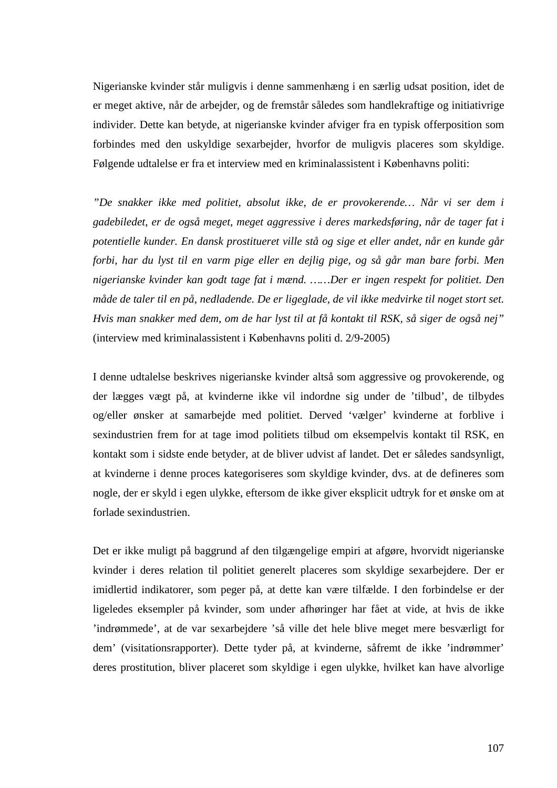Nigerianske kvinder står muligvis i denne sammenhæng i en særlig udsat position, idet de er meget aktive, når de arbejder, og de fremstår således som handlekraftige og initiativrige individer. Dette kan betyde, at nigerianske kvinder afviger fra en typisk offerposition som forbindes med den uskyldige sexarbejder, hvorfor de muligvis placeres som skyldige. Følgende udtalelse er fra et interview med en kriminalassistent i Københavns politi:

*"De snakker ikke med politiet, absolut ikke, de er provokerende… Når vi ser dem i gadebiledet, er de også meget, meget aggressive i deres markedsføring, når de tager fat i potentielle kunder. En dansk prostitueret ville stå og sige et eller andet, når en kunde går forbi, har du lyst til en varm pige eller en dejlig pige, og så går man bare forbi. Men nigerianske kvinder kan godt tage fat i mænd. ……Der er ingen respekt for politiet. Den måde de taler til en på, nedladende. De er ligeglade, de vil ikke medvirke til noget stort set. Hvis man snakker med dem, om de har lyst til at få kontakt til RSK, så siger de også nej"*  (interview med kriminalassistent i Københavns politi d. 2/9-2005)

I denne udtalelse beskrives nigerianske kvinder altså som aggressive og provokerende, og der lægges vægt på, at kvinderne ikke vil indordne sig under de 'tilbud', de tilbydes og/eller ønsker at samarbejde med politiet. Derved 'vælger' kvinderne at forblive i sexindustrien frem for at tage imod politiets tilbud om eksempelvis kontakt til RSK, en kontakt som i sidste ende betyder, at de bliver udvist af landet. Det er således sandsynligt, at kvinderne i denne proces kategoriseres som skyldige kvinder, dvs. at de defineres som nogle, der er skyld i egen ulykke, eftersom de ikke giver eksplicit udtryk for et ønske om at forlade sexindustrien.

Det er ikke muligt på baggrund af den tilgængelige empiri at afgøre, hvorvidt nigerianske kvinder i deres relation til politiet generelt placeres som skyldige sexarbejdere. Der er imidlertid indikatorer, som peger på, at dette kan være tilfælde. I den forbindelse er der ligeledes eksempler på kvinder, som under afhøringer har fået at vide, at hvis de ikke 'indrømmede', at de var sexarbejdere 'så ville det hele blive meget mere besværligt for dem' (visitationsrapporter). Dette tyder på, at kvinderne, såfremt de ikke 'indrømmer' deres prostitution, bliver placeret som skyldige i egen ulykke, hvilket kan have alvorlige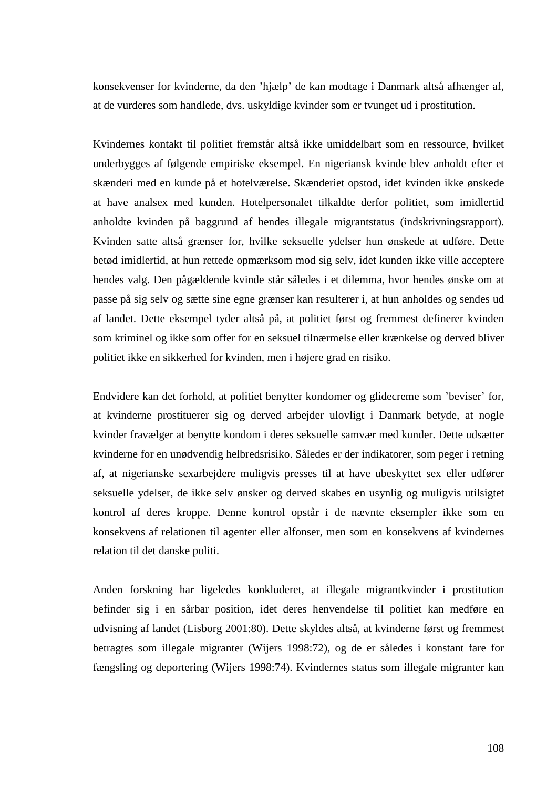konsekvenser for kvinderne, da den 'hjælp' de kan modtage i Danmark altså afhænger af, at de vurderes som handlede, dvs. uskyldige kvinder som er tvunget ud i prostitution.

Kvindernes kontakt til politiet fremstår altså ikke umiddelbart som en ressource, hvilket underbygges af følgende empiriske eksempel. En nigeriansk kvinde blev anholdt efter et skænderi med en kunde på et hotelværelse. Skænderiet opstod, idet kvinden ikke ønskede at have analsex med kunden. Hotelpersonalet tilkaldte derfor politiet, som imidlertid anholdte kvinden på baggrund af hendes illegale migrantstatus (indskrivningsrapport). Kvinden satte altså grænser for, hvilke seksuelle ydelser hun ønskede at udføre. Dette betød imidlertid, at hun rettede opmærksom mod sig selv, idet kunden ikke ville acceptere hendes valg. Den pågældende kvinde står således i et dilemma, hvor hendes ønske om at passe på sig selv og sætte sine egne grænser kan resulterer i, at hun anholdes og sendes ud af landet. Dette eksempel tyder altså på, at politiet først og fremmest definerer kvinden som kriminel og ikke som offer for en seksuel tilnærmelse eller krænkelse og derved bliver politiet ikke en sikkerhed for kvinden, men i højere grad en risiko.

Endvidere kan det forhold, at politiet benytter kondomer og glidecreme som 'beviser' for, at kvinderne prostituerer sig og derved arbejder ulovligt i Danmark betyde, at nogle kvinder fravælger at benytte kondom i deres seksuelle samvær med kunder. Dette udsætter kvinderne for en unødvendig helbredsrisiko. Således er der indikatorer, som peger i retning af, at nigerianske sexarbejdere muligvis presses til at have ubeskyttet sex eller udfører seksuelle ydelser, de ikke selv ønsker og derved skabes en usynlig og muligvis utilsigtet kontrol af deres kroppe. Denne kontrol opstår i de nævnte eksempler ikke som en konsekvens af relationen til agenter eller alfonser, men som en konsekvens af kvindernes relation til det danske politi.

Anden forskning har ligeledes konkluderet, at illegale migrantkvinder i prostitution befinder sig i en sårbar position, idet deres henvendelse til politiet kan medføre en udvisning af landet (Lisborg 2001:80). Dette skyldes altså, at kvinderne først og fremmest betragtes som illegale migranter (Wijers 1998:72), og de er således i konstant fare for fængsling og deportering (Wijers 1998:74). Kvindernes status som illegale migranter kan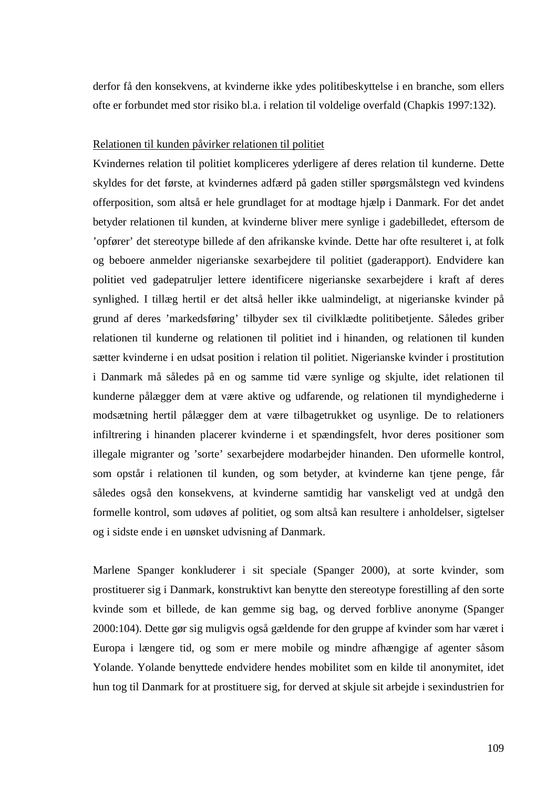derfor få den konsekvens, at kvinderne ikke ydes politibeskyttelse i en branche, som ellers ofte er forbundet med stor risiko bl.a. i relation til voldelige overfald (Chapkis 1997:132).

#### Relationen til kunden påvirker relationen til politiet

Kvindernes relation til politiet kompliceres yderligere af deres relation til kunderne. Dette skyldes for det første, at kvindernes adfærd på gaden stiller spørgsmålstegn ved kvindens offerposition, som altså er hele grundlaget for at modtage hjælp i Danmark. For det andet betyder relationen til kunden, at kvinderne bliver mere synlige i gadebilledet, eftersom de 'opfører' det stereotype billede af den afrikanske kvinde. Dette har ofte resulteret i, at folk og beboere anmelder nigerianske sexarbejdere til politiet (gaderapport). Endvidere kan politiet ved gadepatruljer lettere identificere nigerianske sexarbejdere i kraft af deres synlighed. I tillæg hertil er det altså heller ikke ualmindeligt, at nigerianske kvinder på grund af deres 'markedsføring' tilbyder sex til civilklædte politibetjente. Således griber relationen til kunderne og relationen til politiet ind i hinanden, og relationen til kunden sætter kvinderne i en udsat position i relation til politiet. Nigerianske kvinder i prostitution i Danmark må således på en og samme tid være synlige og skjulte, idet relationen til kunderne pålægger dem at være aktive og udfarende, og relationen til myndighederne i modsætning hertil pålægger dem at være tilbagetrukket og usynlige. De to relationers infiltrering i hinanden placerer kvinderne i et spændingsfelt, hvor deres positioner som illegale migranter og 'sorte' sexarbejdere modarbejder hinanden. Den uformelle kontrol, som opstår i relationen til kunden, og som betyder, at kvinderne kan tjene penge, får således også den konsekvens, at kvinderne samtidig har vanskeligt ved at undgå den formelle kontrol, som udøves af politiet, og som altså kan resultere i anholdelser, sigtelser og i sidste ende i en uønsket udvisning af Danmark.

Marlene Spanger konkluderer i sit speciale (Spanger 2000), at sorte kvinder, som prostituerer sig i Danmark, konstruktivt kan benytte den stereotype forestilling af den sorte kvinde som et billede, de kan gemme sig bag, og derved forblive anonyme (Spanger 2000:104). Dette gør sig muligvis også gældende for den gruppe af kvinder som har været i Europa i længere tid, og som er mere mobile og mindre afhængige af agenter såsom Yolande. Yolande benyttede endvidere hendes mobilitet som en kilde til anonymitet, idet hun tog til Danmark for at prostituere sig, for derved at skjule sit arbejde i sexindustrien for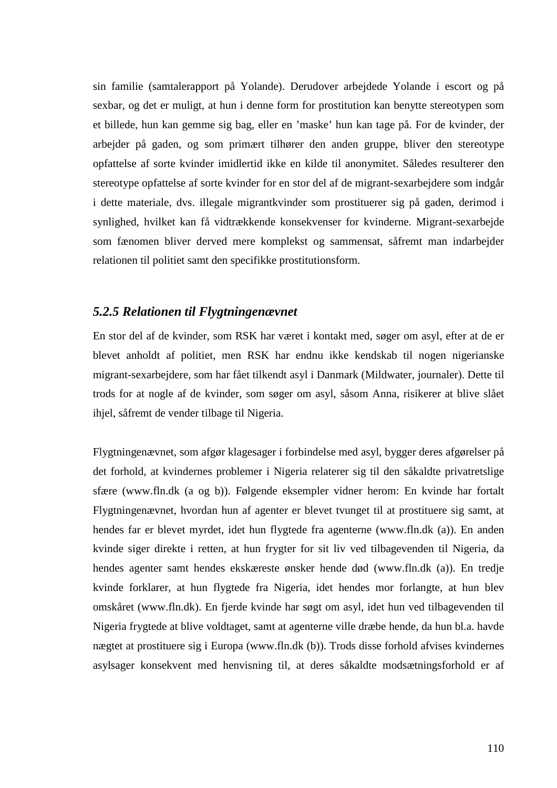sin familie (samtalerapport på Yolande). Derudover arbejdede Yolande i escort og på sexbar, og det er muligt, at hun i denne form for prostitution kan benytte stereotypen som et billede, hun kan gemme sig bag, eller en 'maske' hun kan tage på. For de kvinder, der arbejder på gaden, og som primært tilhører den anden gruppe, bliver den stereotype opfattelse af sorte kvinder imidlertid ikke en kilde til anonymitet. Således resulterer den stereotype opfattelse af sorte kvinder for en stor del af de migrant-sexarbejdere som indgår i dette materiale, dvs. illegale migrantkvinder som prostituerer sig på gaden, derimod i synlighed, hvilket kan få vidtrækkende konsekvenser for kvinderne. Migrant-sexarbejde som fænomen bliver derved mere komplekst og sammensat, såfremt man indarbejder relationen til politiet samt den specifikke prostitutionsform.

# *5.2.5 Relationen til Flygtningenævnet*

En stor del af de kvinder, som RSK har været i kontakt med, søger om asyl, efter at de er blevet anholdt af politiet, men RSK har endnu ikke kendskab til nogen nigerianske migrant-sexarbejdere, som har fået tilkendt asyl i Danmark (Mildwater, journaler). Dette til trods for at nogle af de kvinder, som søger om asyl, såsom Anna, risikerer at blive slået ihjel, såfremt de vender tilbage til Nigeria.

Flygtningenævnet, som afgør klagesager i forbindelse med asyl, bygger deres afgørelser på det forhold, at kvindernes problemer i Nigeria relaterer sig til den såkaldte privatretslige sfære (www.fln.dk (a og b)). Følgende eksempler vidner herom: En kvinde har fortalt Flygtningenævnet, hvordan hun af agenter er blevet tvunget til at prostituere sig samt, at hendes far er blevet myrdet, idet hun flygtede fra agenterne (www.fln.dk (a)). En anden kvinde siger direkte i retten, at hun frygter for sit liv ved tilbagevenden til Nigeria, da hendes agenter samt hendes ekskæreste ønsker hende død (www.fln.dk (a)). En tredje kvinde forklarer, at hun flygtede fra Nigeria, idet hendes mor forlangte, at hun blev omskåret (www.fln.dk). En fjerde kvinde har søgt om asyl, idet hun ved tilbagevenden til Nigeria frygtede at blive voldtaget, samt at agenterne ville dræbe hende, da hun bl.a. havde nægtet at prostituere sig i Europa (www.fln.dk (b)). Trods disse forhold afvises kvindernes asylsager konsekvent med henvisning til, at deres såkaldte modsætningsforhold er af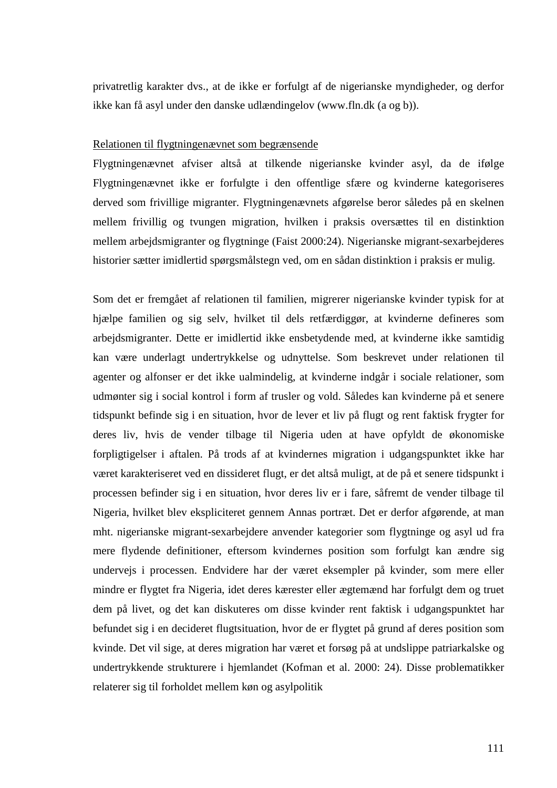privatretlig karakter dvs., at de ikke er forfulgt af de nigerianske myndigheder, og derfor ikke kan få asyl under den danske udlændingelov (www.fln.dk (a og b)).

#### Relationen til flygtningenævnet som begrænsende

Flygtningenævnet afviser altså at tilkende nigerianske kvinder asyl, da de ifølge Flygtningenævnet ikke er forfulgte i den offentlige sfære og kvinderne kategoriseres derved som frivillige migranter. Flygtningenævnets afgørelse beror således på en skelnen mellem frivillig og tvungen migration, hvilken i praksis oversættes til en distinktion mellem arbejdsmigranter og flygtninge (Faist 2000:24). Nigerianske migrant-sexarbejderes historier sætter imidlertid spørgsmålstegn ved, om en sådan distinktion i praksis er mulig.

Som det er fremgået af relationen til familien, migrerer nigerianske kvinder typisk for at hjælpe familien og sig selv, hvilket til dels retfærdiggør, at kvinderne defineres som arbejdsmigranter. Dette er imidlertid ikke ensbetydende med, at kvinderne ikke samtidig kan være underlagt undertrykkelse og udnyttelse. Som beskrevet under relationen til agenter og alfonser er det ikke ualmindelig, at kvinderne indgår i sociale relationer, som udmønter sig i social kontrol i form af trusler og vold. Således kan kvinderne på et senere tidspunkt befinde sig i en situation, hvor de lever et liv på flugt og rent faktisk frygter for deres liv, hvis de vender tilbage til Nigeria uden at have opfyldt de økonomiske forpligtigelser i aftalen. På trods af at kvindernes migration i udgangspunktet ikke har været karakteriseret ved en dissideret flugt, er det altså muligt, at de på et senere tidspunkt i processen befinder sig i en situation, hvor deres liv er i fare, såfremt de vender tilbage til Nigeria, hvilket blev ekspliciteret gennem Annas portræt. Det er derfor afgørende, at man mht. nigerianske migrant-sexarbejdere anvender kategorier som flygtninge og asyl ud fra mere flydende definitioner, eftersom kvindernes position som forfulgt kan ændre sig undervejs i processen. Endvidere har der været eksempler på kvinder, som mere eller mindre er flygtet fra Nigeria, idet deres kærester eller ægtemænd har forfulgt dem og truet dem på livet, og det kan diskuteres om disse kvinder rent faktisk i udgangspunktet har befundet sig i en decideret flugtsituation, hvor de er flygtet på grund af deres position som kvinde. Det vil sige, at deres migration har været et forsøg på at undslippe patriarkalske og undertrykkende strukturere i hjemlandet (Kofman et al. 2000: 24). Disse problematikker relaterer sig til forholdet mellem køn og asylpolitik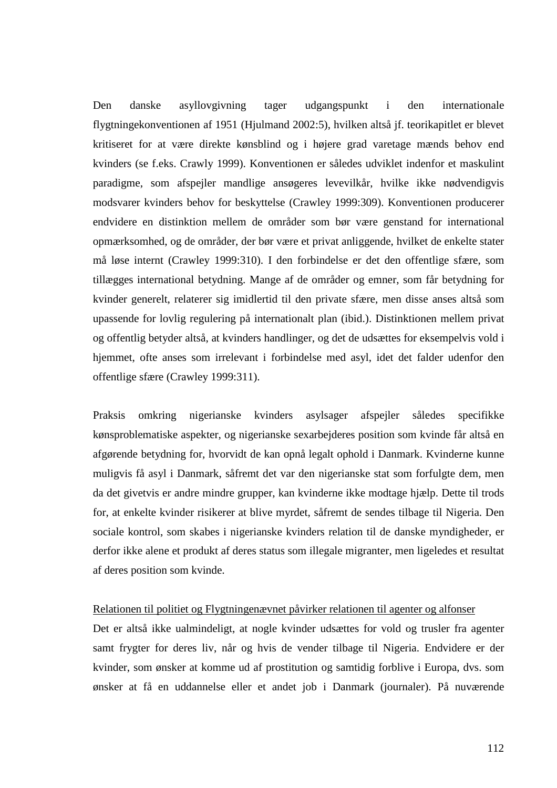Den danske asyllovgivning tager udgangspunkt i den internationale flygtningekonventionen af 1951 (Hjulmand 2002:5), hvilken altså jf. teorikapitlet er blevet kritiseret for at være direkte kønsblind og i højere grad varetage mænds behov end kvinders (se f.eks. Crawly 1999). Konventionen er således udviklet indenfor et maskulint paradigme, som afspejler mandlige ansøgeres levevilkår, hvilke ikke nødvendigvis modsvarer kvinders behov for beskyttelse (Crawley 1999:309). Konventionen producerer endvidere en distinktion mellem de områder som bør være genstand for international opmærksomhed, og de områder, der bør være et privat anliggende, hvilket de enkelte stater må løse internt (Crawley 1999:310). I den forbindelse er det den offentlige sfære, som tillægges international betydning. Mange af de områder og emner, som får betydning for kvinder generelt, relaterer sig imidlertid til den private sfære, men disse anses altså som upassende for lovlig regulering på internationalt plan (ibid.). Distinktionen mellem privat og offentlig betyder altså, at kvinders handlinger, og det de udsættes for eksempelvis vold i hjemmet, ofte anses som irrelevant i forbindelse med asyl, idet det falder udenfor den offentlige sfære (Crawley 1999:311).

Praksis omkring nigerianske kvinders asylsager afspejler således specifikke kønsproblematiske aspekter, og nigerianske sexarbejderes position som kvinde får altså en afgørende betydning for, hvorvidt de kan opnå legalt ophold i Danmark. Kvinderne kunne muligvis få asyl i Danmark, såfremt det var den nigerianske stat som forfulgte dem, men da det givetvis er andre mindre grupper, kan kvinderne ikke modtage hjælp. Dette til trods for, at enkelte kvinder risikerer at blive myrdet, såfremt de sendes tilbage til Nigeria. Den sociale kontrol, som skabes i nigerianske kvinders relation til de danske myndigheder, er derfor ikke alene et produkt af deres status som illegale migranter, men ligeledes et resultat af deres position som kvinde.

#### Relationen til politiet og Flygtningenævnet påvirker relationen til agenter og alfonser

Det er altså ikke ualmindeligt, at nogle kvinder udsættes for vold og trusler fra agenter samt frygter for deres liv, når og hvis de vender tilbage til Nigeria. Endvidere er der kvinder, som ønsker at komme ud af prostitution og samtidig forblive i Europa, dvs. som ønsker at få en uddannelse eller et andet job i Danmark (journaler). På nuværende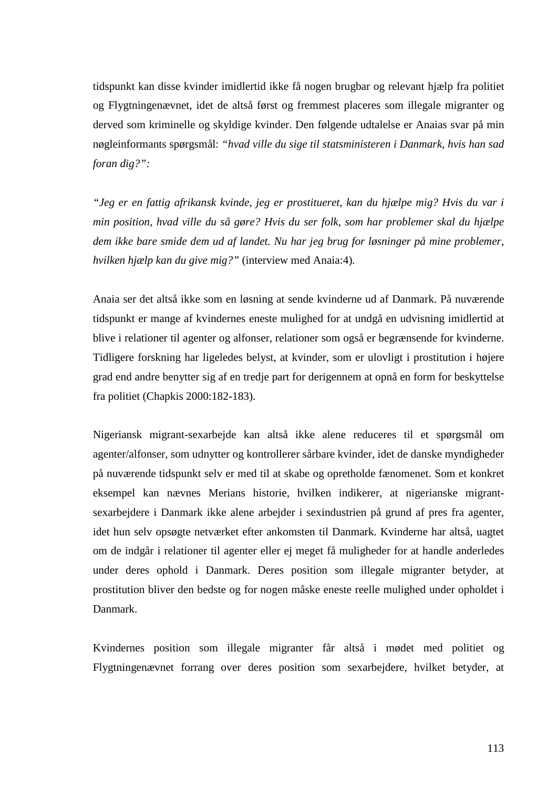tidspunkt kan disse kvinder imidlertid ikke få nogen brugbar og relevant hjælp fra politiet og Flygtningenævnet, idet de altså først og fremmest placeres som illegale migranter og derved som kriminelle og skyldige kvinder. Den følgende udtalelse er Anaias svar på min nøgleinformants spørgsmål: *"hvad ville du sige til statsministeren i Danmark, hvis han sad foran dig?":* 

*"Jeg er en fattig afrikansk kvinde, jeg er prostitueret, kan du hjælpe mig? Hvis du var i min position, hvad ville du så gøre? Hvis du ser folk, som har problemer skal du hjælpe dem ikke bare smide dem ud af landet. Nu har jeg brug for løsninger på mine problemer, hvilken hjælp kan du give mig?"* (interview med Anaia:4)*.* 

Anaia ser det altså ikke som en løsning at sende kvinderne ud af Danmark. På nuværende tidspunkt er mange af kvindernes eneste mulighed for at undgå en udvisning imidlertid at blive i relationer til agenter og alfonser, relationer som også er begrænsende for kvinderne. Tidligere forskning har ligeledes belyst, at kvinder, som er ulovligt i prostitution i højere grad end andre benytter sig af en tredje part for derigennem at opnå en form for beskyttelse fra politiet (Chapkis 2000:182-183).

Nigeriansk migrant-sexarbejde kan altså ikke alene reduceres til et spørgsmål om agenter/alfonser, som udnytter og kontrollerer sårbare kvinder, idet de danske myndigheder på nuværende tidspunkt selv er med til at skabe og opretholde fænomenet. Som et konkret eksempel kan nævnes Merians historie, hvilken indikerer, at nigerianske migrantsexarbejdere i Danmark ikke alene arbejder i sexindustrien på grund af pres fra agenter, idet hun selv opsøgte netværket efter ankomsten til Danmark. Kvinderne har altså, uagtet om de indgår i relationer til agenter eller ej meget få muligheder for at handle anderledes under deres ophold i Danmark. Deres position som illegale migranter betyder, at prostitution bliver den bedste og for nogen måske eneste reelle mulighed under opholdet i Danmark.

Kvindernes position som illegale migranter får altså i mødet med politiet og Flygtningenævnet forrang over deres position som sexarbejdere, hvilket betyder, at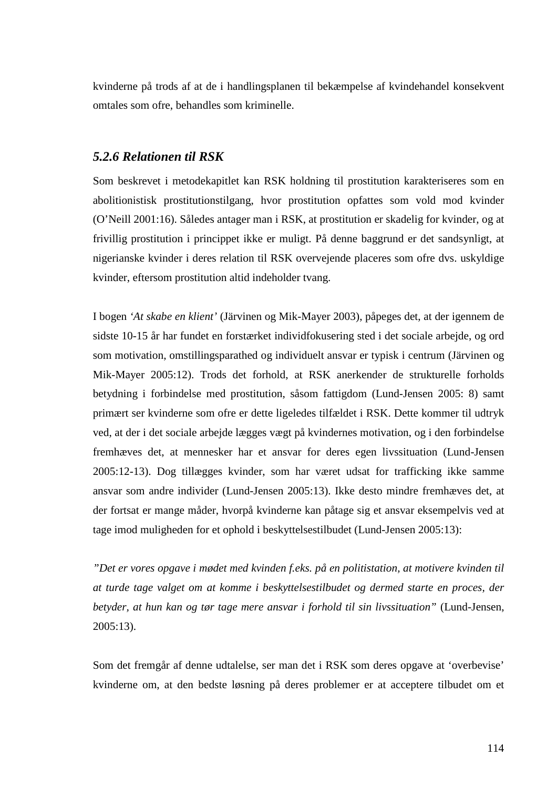kvinderne på trods af at de i handlingsplanen til bekæmpelse af kvindehandel konsekvent omtales som ofre, behandles som kriminelle.

# *5.2.6 Relationen til RSK*

Som beskrevet i metodekapitlet kan RSK holdning til prostitution karakteriseres som en abolitionistisk prostitutionstilgang, hvor prostitution opfattes som vold mod kvinder (O'Neill 2001:16). Således antager man i RSK, at prostitution er skadelig for kvinder, og at frivillig prostitution i princippet ikke er muligt. På denne baggrund er det sandsynligt, at nigerianske kvinder i deres relation til RSK overvejende placeres som ofre dvs. uskyldige kvinder, eftersom prostitution altid indeholder tvang.

I bogen *'At skabe en klient'* (Järvinen og Mik-Mayer 2003), påpeges det, at der igennem de sidste 10-15 år har fundet en forstærket individfokusering sted i det sociale arbejde, og ord som motivation, omstillingsparathed og individuelt ansvar er typisk i centrum (Järvinen og Mik-Mayer 2005:12). Trods det forhold, at RSK anerkender de strukturelle forholds betydning i forbindelse med prostitution, såsom fattigdom (Lund-Jensen 2005: 8) samt primært ser kvinderne som ofre er dette ligeledes tilfældet i RSK. Dette kommer til udtryk ved, at der i det sociale arbejde lægges vægt på kvindernes motivation, og i den forbindelse fremhæves det, at mennesker har et ansvar for deres egen livssituation (Lund-Jensen 2005:12-13). Dog tillægges kvinder, som har været udsat for trafficking ikke samme ansvar som andre individer (Lund-Jensen 2005:13). Ikke desto mindre fremhæves det, at der fortsat er mange måder, hvorpå kvinderne kan påtage sig et ansvar eksempelvis ved at tage imod muligheden for et ophold i beskyttelsestilbudet (Lund-Jensen 2005:13):

*"Det er vores opgave i mødet med kvinden f.eks. på en politistation, at motivere kvinden til at turde tage valget om at komme i beskyttelsestilbudet og dermed starte en proces, der betyder, at hun kan og tør tage mere ansvar i forhold til sin livssituation"* (Lund-Jensen, 2005:13).

Som det fremgår af denne udtalelse, ser man det i RSK som deres opgave at 'overbevise' kvinderne om, at den bedste løsning på deres problemer er at acceptere tilbudet om et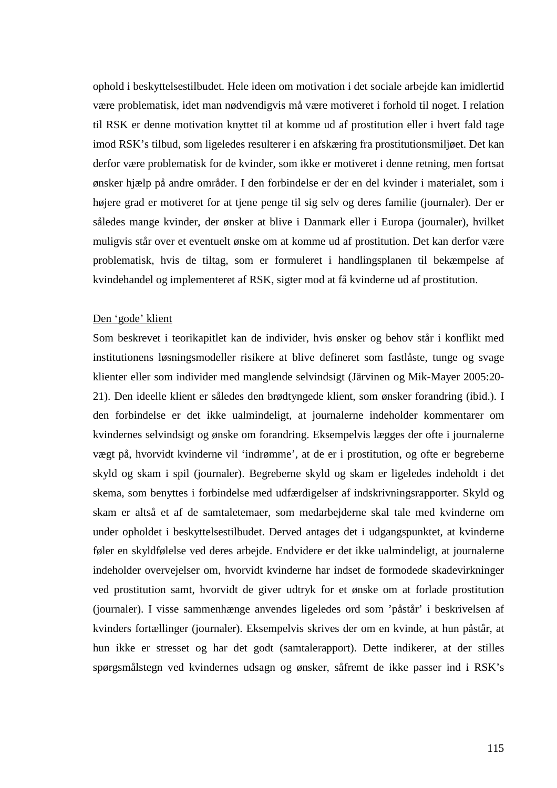ophold i beskyttelsestilbudet. Hele ideen om motivation i det sociale arbejde kan imidlertid være problematisk, idet man nødvendigvis må være motiveret i forhold til noget. I relation til RSK er denne motivation knyttet til at komme ud af prostitution eller i hvert fald tage imod RSK's tilbud, som ligeledes resulterer i en afskæring fra prostitutionsmiljøet. Det kan derfor være problematisk for de kvinder, som ikke er motiveret i denne retning, men fortsat ønsker hjælp på andre områder. I den forbindelse er der en del kvinder i materialet, som i højere grad er motiveret for at tjene penge til sig selv og deres familie (journaler). Der er således mange kvinder, der ønsker at blive i Danmark eller i Europa (journaler), hvilket muligvis står over et eventuelt ønske om at komme ud af prostitution. Det kan derfor være problematisk, hvis de tiltag, som er formuleret i handlingsplanen til bekæmpelse af kvindehandel og implementeret af RSK, sigter mod at få kvinderne ud af prostitution.

#### Den 'gode' klient

Som beskrevet i teorikapitlet kan de individer, hvis ønsker og behov står i konflikt med institutionens løsningsmodeller risikere at blive defineret som fastlåste, tunge og svage klienter eller som individer med manglende selvindsigt (Järvinen og Mik-Mayer 2005:20- 21). Den ideelle klient er således den brødtyngede klient, som ønsker forandring (ibid.). I den forbindelse er det ikke ualmindeligt, at journalerne indeholder kommentarer om kvindernes selvindsigt og ønske om forandring. Eksempelvis lægges der ofte i journalerne vægt på, hvorvidt kvinderne vil 'indrømme', at de er i prostitution, og ofte er begreberne skyld og skam i spil (journaler). Begreberne skyld og skam er ligeledes indeholdt i det skema, som benyttes i forbindelse med udfærdigelser af indskrivningsrapporter. Skyld og skam er altså et af de samtaletemaer, som medarbejderne skal tale med kvinderne om under opholdet i beskyttelsestilbudet. Derved antages det i udgangspunktet, at kvinderne føler en skyldfølelse ved deres arbejde. Endvidere er det ikke ualmindeligt, at journalerne indeholder overvejelser om, hvorvidt kvinderne har indset de formodede skadevirkninger ved prostitution samt, hvorvidt de giver udtryk for et ønske om at forlade prostitution (journaler). I visse sammenhænge anvendes ligeledes ord som 'påstår' i beskrivelsen af kvinders fortællinger (journaler). Eksempelvis skrives der om en kvinde, at hun påstår, at hun ikke er stresset og har det godt (samtalerapport). Dette indikerer, at der stilles spørgsmålstegn ved kvindernes udsagn og ønsker, såfremt de ikke passer ind i RSK's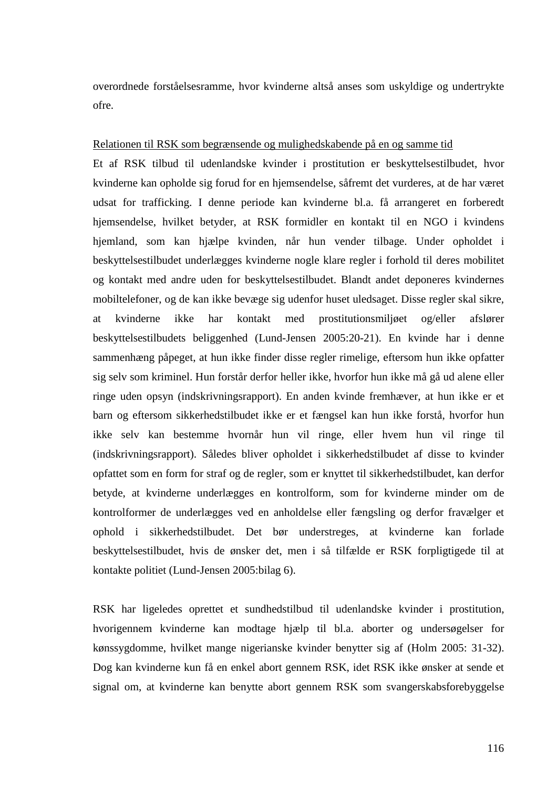overordnede forståelsesramme, hvor kvinderne altså anses som uskyldige og undertrykte ofre.

#### Relationen til RSK som begrænsende og mulighedskabende på en og samme tid

Et af RSK tilbud til udenlandske kvinder i prostitution er beskyttelsestilbudet, hvor kvinderne kan opholde sig forud for en hjemsendelse, såfremt det vurderes, at de har været udsat for trafficking. I denne periode kan kvinderne bl.a. få arrangeret en forberedt hjemsendelse, hvilket betyder, at RSK formidler en kontakt til en NGO i kvindens hjemland, som kan hjælpe kvinden, når hun vender tilbage. Under opholdet i beskyttelsestilbudet underlægges kvinderne nogle klare regler i forhold til deres mobilitet og kontakt med andre uden for beskyttelsestilbudet. Blandt andet deponeres kvindernes mobiltelefoner, og de kan ikke bevæge sig udenfor huset uledsaget. Disse regler skal sikre, at kvinderne ikke har kontakt med prostitutionsmiljøet og/eller afslører beskyttelsestilbudets beliggenhed (Lund-Jensen 2005:20-21). En kvinde har i denne sammenhæng påpeget, at hun ikke finder disse regler rimelige, eftersom hun ikke opfatter sig selv som kriminel. Hun forstår derfor heller ikke, hvorfor hun ikke må gå ud alene eller ringe uden opsyn (indskrivningsrapport). En anden kvinde fremhæver, at hun ikke er et barn og eftersom sikkerhedstilbudet ikke er et fængsel kan hun ikke forstå, hvorfor hun ikke selv kan bestemme hvornår hun vil ringe, eller hvem hun vil ringe til (indskrivningsrapport). Således bliver opholdet i sikkerhedstilbudet af disse to kvinder opfattet som en form for straf og de regler, som er knyttet til sikkerhedstilbudet, kan derfor betyde, at kvinderne underlægges en kontrolform, som for kvinderne minder om de kontrolformer de underlægges ved en anholdelse eller fængsling og derfor fravælger et ophold i sikkerhedstilbudet. Det bør understreges, at kvinderne kan forlade beskyttelsestilbudet, hvis de ønsker det, men i så tilfælde er RSK forpligtigede til at kontakte politiet (Lund-Jensen 2005:bilag 6).

RSK har ligeledes oprettet et sundhedstilbud til udenlandske kvinder i prostitution, hvorigennem kvinderne kan modtage hjælp til bl.a. aborter og undersøgelser for kønssygdomme, hvilket mange nigerianske kvinder benytter sig af (Holm 2005: 31-32). Dog kan kvinderne kun få en enkel abort gennem RSK, idet RSK ikke ønsker at sende et signal om, at kvinderne kan benytte abort gennem RSK som svangerskabsforebyggelse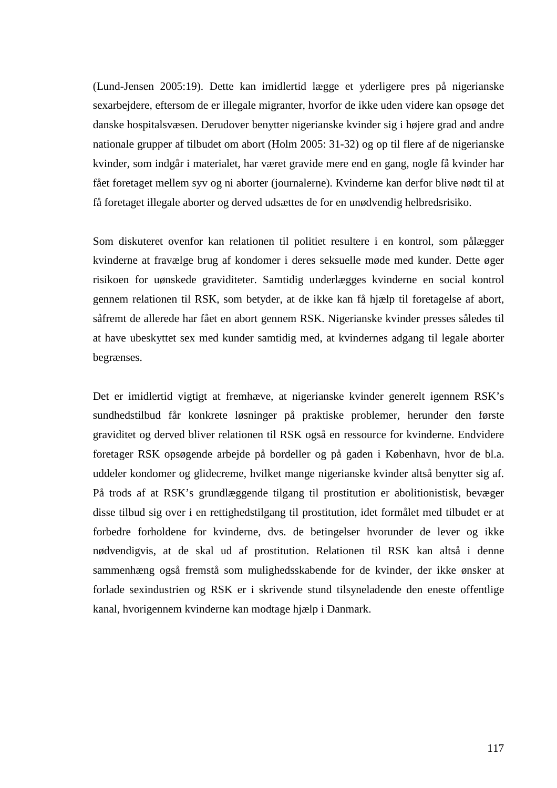(Lund-Jensen 2005:19). Dette kan imidlertid lægge et yderligere pres på nigerianske sexarbejdere, eftersom de er illegale migranter, hvorfor de ikke uden videre kan opsøge det danske hospitalsvæsen. Derudover benytter nigerianske kvinder sig i højere grad and andre nationale grupper af tilbudet om abort (Holm 2005: 31-32) og op til flere af de nigerianske kvinder, som indgår i materialet, har været gravide mere end en gang, nogle få kvinder har fået foretaget mellem syv og ni aborter (journalerne). Kvinderne kan derfor blive nødt til at få foretaget illegale aborter og derved udsættes de for en unødvendig helbredsrisiko.

Som diskuteret ovenfor kan relationen til politiet resultere i en kontrol, som pålægger kvinderne at fravælge brug af kondomer i deres seksuelle møde med kunder. Dette øger risikoen for uønskede graviditeter. Samtidig underlægges kvinderne en social kontrol gennem relationen til RSK, som betyder, at de ikke kan få hjælp til foretagelse af abort, såfremt de allerede har fået en abort gennem RSK. Nigerianske kvinder presses således til at have ubeskyttet sex med kunder samtidig med, at kvindernes adgang til legale aborter begrænses.

Det er imidlertid vigtigt at fremhæve, at nigerianske kvinder generelt igennem RSK's sundhedstilbud får konkrete løsninger på praktiske problemer, herunder den første graviditet og derved bliver relationen til RSK også en ressource for kvinderne. Endvidere foretager RSK opsøgende arbejde på bordeller og på gaden i København, hvor de bl.a. uddeler kondomer og glidecreme, hvilket mange nigerianske kvinder altså benytter sig af. På trods af at RSK's grundlæggende tilgang til prostitution er abolitionistisk, bevæger disse tilbud sig over i en rettighedstilgang til prostitution, idet formålet med tilbudet er at forbedre forholdene for kvinderne, dvs. de betingelser hvorunder de lever og ikke nødvendigvis, at de skal ud af prostitution. Relationen til RSK kan altså i denne sammenhæng også fremstå som mulighedsskabende for de kvinder, der ikke ønsker at forlade sexindustrien og RSK er i skrivende stund tilsyneladende den eneste offentlige kanal, hvorigennem kvinderne kan modtage hjælp i Danmark.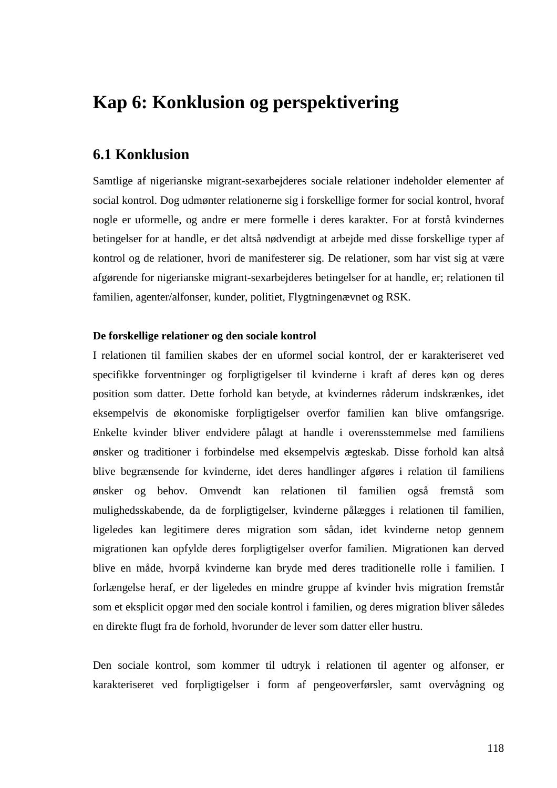# **Kap 6: Konklusion og perspektivering**

# **6.1 Konklusion**

Samtlige af nigerianske migrant-sexarbejderes sociale relationer indeholder elementer af social kontrol. Dog udmønter relationerne sig i forskellige former for social kontrol, hvoraf nogle er uformelle, og andre er mere formelle i deres karakter. For at forstå kvindernes betingelser for at handle, er det altså nødvendigt at arbejde med disse forskellige typer af kontrol og de relationer, hvori de manifesterer sig. De relationer, som har vist sig at være afgørende for nigerianske migrant-sexarbejderes betingelser for at handle, er; relationen til familien, agenter/alfonser, kunder, politiet, Flygtningenævnet og RSK.

## **De forskellige relationer og den sociale kontrol**

I relationen til familien skabes der en uformel social kontrol, der er karakteriseret ved specifikke forventninger og forpligtigelser til kvinderne i kraft af deres køn og deres position som datter. Dette forhold kan betyde, at kvindernes råderum indskrænkes, idet eksempelvis de økonomiske forpligtigelser overfor familien kan blive omfangsrige. Enkelte kvinder bliver endvidere pålagt at handle i overensstemmelse med familiens ønsker og traditioner i forbindelse med eksempelvis ægteskab. Disse forhold kan altså blive begrænsende for kvinderne, idet deres handlinger afgøres i relation til familiens ønsker og behov. Omvendt kan relationen til familien også fremstå som mulighedsskabende, da de forpligtigelser, kvinderne pålægges i relationen til familien, ligeledes kan legitimere deres migration som sådan, idet kvinderne netop gennem migrationen kan opfylde deres forpligtigelser overfor familien. Migrationen kan derved blive en måde, hvorpå kvinderne kan bryde med deres traditionelle rolle i familien. I forlængelse heraf, er der ligeledes en mindre gruppe af kvinder hvis migration fremstår som et eksplicit opgør med den sociale kontrol i familien, og deres migration bliver således en direkte flugt fra de forhold, hvorunder de lever som datter eller hustru.

Den sociale kontrol, som kommer til udtryk i relationen til agenter og alfonser, er karakteriseret ved forpligtigelser i form af pengeoverførsler, samt overvågning og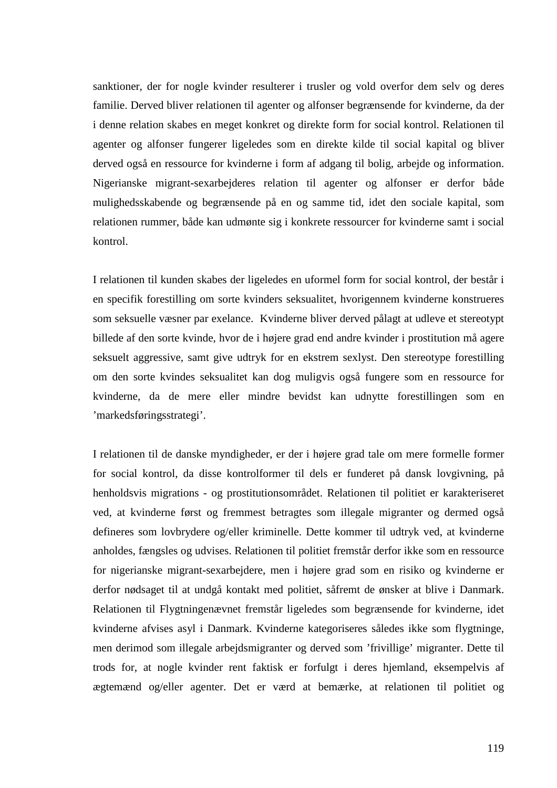sanktioner, der for nogle kvinder resulterer i trusler og vold overfor dem selv og deres familie. Derved bliver relationen til agenter og alfonser begrænsende for kvinderne, da der i denne relation skabes en meget konkret og direkte form for social kontrol. Relationen til agenter og alfonser fungerer ligeledes som en direkte kilde til social kapital og bliver derved også en ressource for kvinderne i form af adgang til bolig, arbejde og information. Nigerianske migrant-sexarbejderes relation til agenter og alfonser er derfor både mulighedsskabende og begrænsende på en og samme tid, idet den sociale kapital, som relationen rummer, både kan udmønte sig i konkrete ressourcer for kvinderne samt i social kontrol.

I relationen til kunden skabes der ligeledes en uformel form for social kontrol, der består i en specifik forestilling om sorte kvinders seksualitet, hvorigennem kvinderne konstrueres som seksuelle væsner par exelance. Kvinderne bliver derved pålagt at udleve et stereotypt billede af den sorte kvinde, hvor de i højere grad end andre kvinder i prostitution må agere seksuelt aggressive, samt give udtryk for en ekstrem sexlyst. Den stereotype forestilling om den sorte kvindes seksualitet kan dog muligvis også fungere som en ressource for kvinderne, da de mere eller mindre bevidst kan udnytte forestillingen som en 'markedsføringsstrategi'.

I relationen til de danske myndigheder, er der i højere grad tale om mere formelle former for social kontrol, da disse kontrolformer til dels er funderet på dansk lovgivning, på henholdsvis migrations - og prostitutionsområdet. Relationen til politiet er karakteriseret ved, at kvinderne først og fremmest betragtes som illegale migranter og dermed også defineres som lovbrydere og/eller kriminelle. Dette kommer til udtryk ved, at kvinderne anholdes, fængsles og udvises. Relationen til politiet fremstår derfor ikke som en ressource for nigerianske migrant-sexarbejdere, men i højere grad som en risiko og kvinderne er derfor nødsaget til at undgå kontakt med politiet, såfremt de ønsker at blive i Danmark. Relationen til Flygtningenævnet fremstår ligeledes som begrænsende for kvinderne, idet kvinderne afvises asyl i Danmark. Kvinderne kategoriseres således ikke som flygtninge, men derimod som illegale arbejdsmigranter og derved som 'frivillige' migranter. Dette til trods for, at nogle kvinder rent faktisk er forfulgt i deres hjemland, eksempelvis af ægtemænd og/eller agenter. Det er værd at bemærke, at relationen til politiet og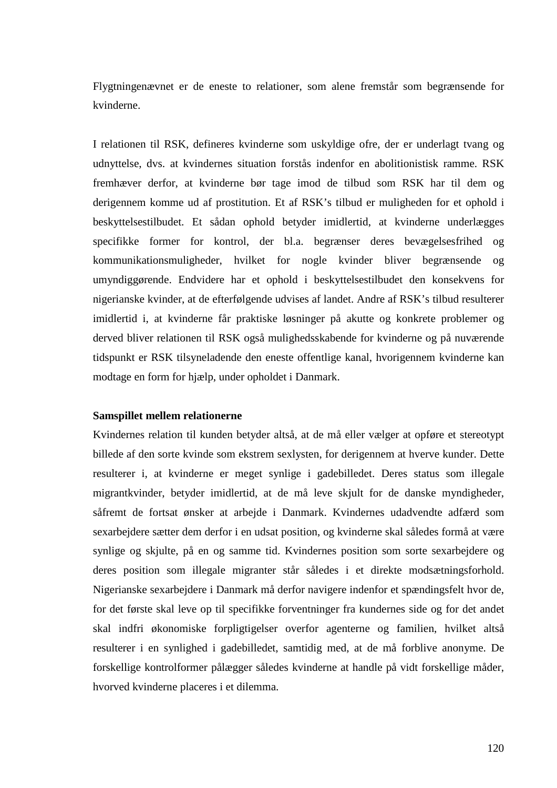Flygtningenævnet er de eneste to relationer, som alene fremstår som begrænsende for kvinderne.

I relationen til RSK, defineres kvinderne som uskyldige ofre, der er underlagt tvang og udnyttelse, dvs. at kvindernes situation forstås indenfor en abolitionistisk ramme. RSK fremhæver derfor, at kvinderne bør tage imod de tilbud som RSK har til dem og derigennem komme ud af prostitution. Et af RSK's tilbud er muligheden for et ophold i beskyttelsestilbudet. Et sådan ophold betyder imidlertid, at kvinderne underlægges specifikke former for kontrol, der bl.a. begrænser deres bevægelsesfrihed og kommunikationsmuligheder, hvilket for nogle kvinder bliver begrænsende og umyndiggørende. Endvidere har et ophold i beskyttelsestilbudet den konsekvens for nigerianske kvinder, at de efterfølgende udvises af landet. Andre af RSK's tilbud resulterer imidlertid i, at kvinderne får praktiske løsninger på akutte og konkrete problemer og derved bliver relationen til RSK også mulighedsskabende for kvinderne og på nuværende tidspunkt er RSK tilsyneladende den eneste offentlige kanal, hvorigennem kvinderne kan modtage en form for hjælp, under opholdet i Danmark.

#### **Samspillet mellem relationerne**

Kvindernes relation til kunden betyder altså, at de må eller vælger at opføre et stereotypt billede af den sorte kvinde som ekstrem sexlysten, for derigennem at hverve kunder. Dette resulterer i, at kvinderne er meget synlige i gadebilledet. Deres status som illegale migrantkvinder, betyder imidlertid, at de må leve skjult for de danske myndigheder, såfremt de fortsat ønsker at arbejde i Danmark. Kvindernes udadvendte adfærd som sexarbejdere sætter dem derfor i en udsat position, og kvinderne skal således formå at være synlige og skjulte, på en og samme tid. Kvindernes position som sorte sexarbejdere og deres position som illegale migranter står således i et direkte modsætningsforhold. Nigerianske sexarbejdere i Danmark må derfor navigere indenfor et spændingsfelt hvor de, for det første skal leve op til specifikke forventninger fra kundernes side og for det andet skal indfri økonomiske forpligtigelser overfor agenterne og familien, hvilket altså resulterer i en synlighed i gadebilledet, samtidig med, at de må forblive anonyme. De forskellige kontrolformer pålægger således kvinderne at handle på vidt forskellige måder, hvorved kvinderne placeres i et dilemma.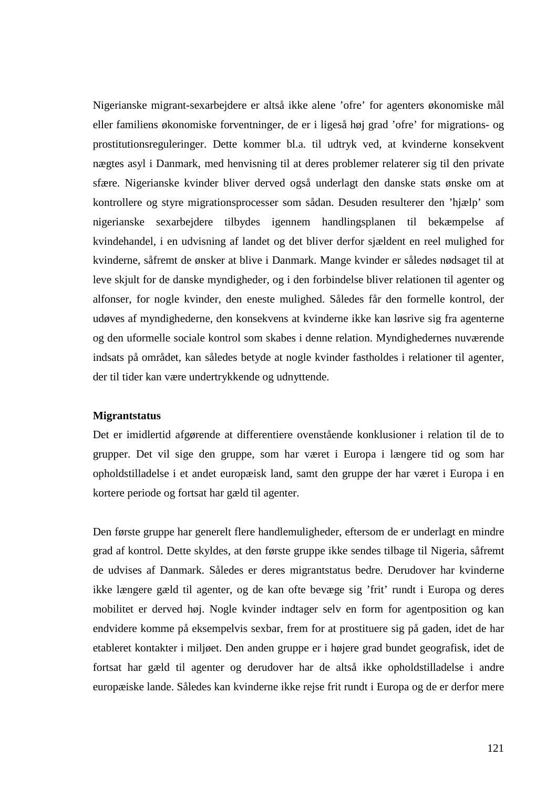Nigerianske migrant-sexarbejdere er altså ikke alene 'ofre' for agenters økonomiske mål eller familiens økonomiske forventninger, de er i ligeså høj grad 'ofre' for migrations- og prostitutionsreguleringer. Dette kommer bl.a. til udtryk ved, at kvinderne konsekvent nægtes asyl i Danmark, med henvisning til at deres problemer relaterer sig til den private sfære. Nigerianske kvinder bliver derved også underlagt den danske stats ønske om at kontrollere og styre migrationsprocesser som sådan. Desuden resulterer den 'hjælp' som nigerianske sexarbejdere tilbydes igennem handlingsplanen til bekæmpelse af kvindehandel, i en udvisning af landet og det bliver derfor sjældent en reel mulighed for kvinderne, såfremt de ønsker at blive i Danmark. Mange kvinder er således nødsaget til at leve skjult for de danske myndigheder, og i den forbindelse bliver relationen til agenter og alfonser, for nogle kvinder, den eneste mulighed. Således får den formelle kontrol, der udøves af myndighederne, den konsekvens at kvinderne ikke kan løsrive sig fra agenterne og den uformelle sociale kontrol som skabes i denne relation. Myndighedernes nuværende indsats på området, kan således betyde at nogle kvinder fastholdes i relationer til agenter, der til tider kan være undertrykkende og udnyttende.

#### **Migrantstatus**

Det er imidlertid afgørende at differentiere ovenstående konklusioner i relation til de to grupper. Det vil sige den gruppe, som har været i Europa i længere tid og som har opholdstilladelse i et andet europæisk land, samt den gruppe der har været i Europa i en kortere periode og fortsat har gæld til agenter.

Den første gruppe har generelt flere handlemuligheder, eftersom de er underlagt en mindre grad af kontrol. Dette skyldes, at den første gruppe ikke sendes tilbage til Nigeria, såfremt de udvises af Danmark. Således er deres migrantstatus bedre. Derudover har kvinderne ikke længere gæld til agenter, og de kan ofte bevæge sig 'frit' rundt i Europa og deres mobilitet er derved høj. Nogle kvinder indtager selv en form for agentposition og kan endvidere komme på eksempelvis sexbar, frem for at prostituere sig på gaden, idet de har etableret kontakter i miljøet. Den anden gruppe er i højere grad bundet geografisk, idet de fortsat har gæld til agenter og derudover har de altså ikke opholdstilladelse i andre europæiske lande. Således kan kvinderne ikke rejse frit rundt i Europa og de er derfor mere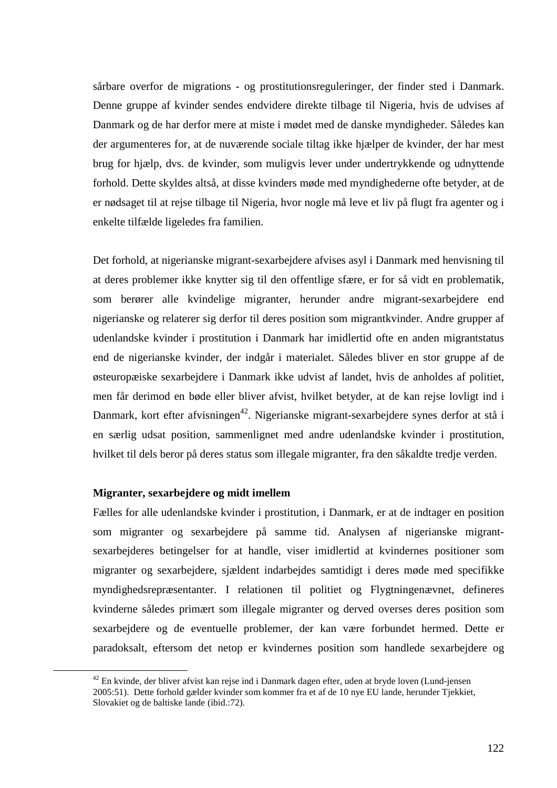sårbare overfor de migrations - og prostitutionsreguleringer, der finder sted i Danmark. Denne gruppe af kvinder sendes endvidere direkte tilbage til Nigeria, hvis de udvises af Danmark og de har derfor mere at miste i mødet med de danske myndigheder. Således kan der argumenteres for, at de nuværende sociale tiltag ikke hjælper de kvinder, der har mest brug for hjælp, dvs. de kvinder, som muligvis lever under undertrykkende og udnyttende forhold. Dette skyldes altså, at disse kvinders møde med myndighederne ofte betyder, at de er nødsaget til at rejse tilbage til Nigeria, hvor nogle må leve et liv på flugt fra agenter og i enkelte tilfælde ligeledes fra familien.

Det forhold, at nigerianske migrant-sexarbejdere afvises asyl i Danmark med henvisning til at deres problemer ikke knytter sig til den offentlige sfære, er for så vidt en problematik, som berører alle kvindelige migranter, herunder andre migrant-sexarbejdere end nigerianske og relaterer sig derfor til deres position som migrantkvinder. Andre grupper af udenlandske kvinder i prostitution i Danmark har imidlertid ofte en anden migrantstatus end de nigerianske kvinder, der indgår i materialet. Således bliver en stor gruppe af de østeuropæiske sexarbejdere i Danmark ikke udvist af landet, hvis de anholdes af politiet, men får derimod en bøde eller bliver afvist, hvilket betyder, at de kan rejse lovligt ind i Danmark, kort efter afvisningen<sup>42</sup>. Nigerianske migrant-sexarbeidere synes derfor at stå i en særlig udsat position, sammenlignet med andre udenlandske kvinder i prostitution, hvilket til dels beror på deres status som illegale migranter, fra den såkaldte tredje verden.

#### **Migranter, sexarbejdere og midt imellem**

 $\overline{a}$ 

Fælles for alle udenlandske kvinder i prostitution, i Danmark, er at de indtager en position som migranter og sexarbejdere på samme tid. Analysen af nigerianske migrantsexarbejderes betingelser for at handle, viser imidlertid at kvindernes positioner som migranter og sexarbejdere, sjældent indarbejdes samtidigt i deres møde med specifikke myndighedsrepræsentanter. I relationen til politiet og Flygtningenævnet, defineres kvinderne således primært som illegale migranter og derved overses deres position som sexarbejdere og de eventuelle problemer, der kan være forbundet hermed. Dette er paradoksalt, eftersom det netop er kvindernes position som handlede sexarbejdere og

<sup>&</sup>lt;sup>42</sup> En kvinde, der bliver afvist kan rejse ind i Danmark dagen efter, uden at bryde loven (Lund-jensen 2005:51). Dette forhold gælder kvinder som kommer fra et af de 10 nye EU lande, herunder Tjekkiet, Slovakiet og de baltiske lande (ibid.:72).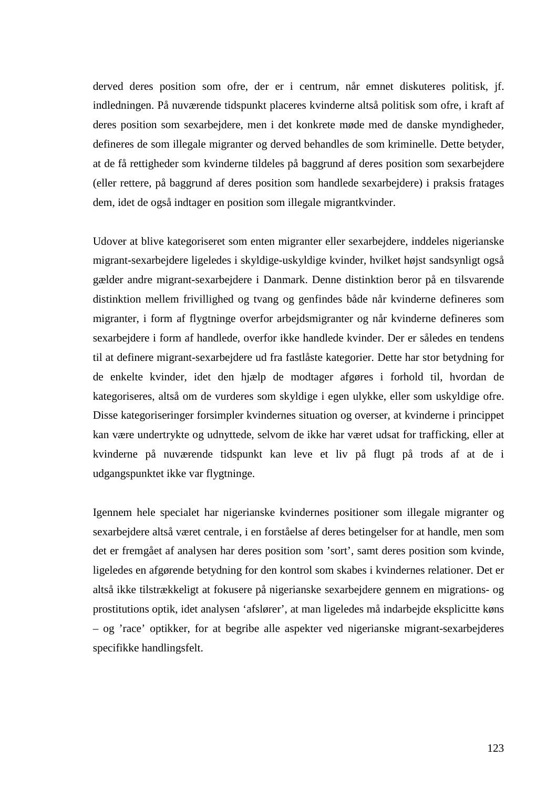derved deres position som ofre, der er i centrum, når emnet diskuteres politisk, jf. indledningen. På nuværende tidspunkt placeres kvinderne altså politisk som ofre, i kraft af deres position som sexarbejdere, men i det konkrete møde med de danske myndigheder, defineres de som illegale migranter og derved behandles de som kriminelle. Dette betyder, at de få rettigheder som kvinderne tildeles på baggrund af deres position som sexarbejdere (eller rettere, på baggrund af deres position som handlede sexarbejdere) i praksis fratages dem, idet de også indtager en position som illegale migrantkvinder.

Udover at blive kategoriseret som enten migranter eller sexarbejdere, inddeles nigerianske migrant-sexarbejdere ligeledes i skyldige-uskyldige kvinder, hvilket højst sandsynligt også gælder andre migrant-sexarbejdere i Danmark. Denne distinktion beror på en tilsvarende distinktion mellem frivillighed og tvang og genfindes både når kvinderne defineres som migranter, i form af flygtninge overfor arbejdsmigranter og når kvinderne defineres som sexarbejdere i form af handlede, overfor ikke handlede kvinder. Der er således en tendens til at definere migrant-sexarbejdere ud fra fastlåste kategorier. Dette har stor betydning for de enkelte kvinder, idet den hjælp de modtager afgøres i forhold til, hvordan de kategoriseres, altså om de vurderes som skyldige i egen ulykke, eller som uskyldige ofre. Disse kategoriseringer forsimpler kvindernes situation og overser, at kvinderne i princippet kan være undertrykte og udnyttede, selvom de ikke har været udsat for trafficking, eller at kvinderne på nuværende tidspunkt kan leve et liv på flugt på trods af at de i udgangspunktet ikke var flygtninge.

Igennem hele specialet har nigerianske kvindernes positioner som illegale migranter og sexarbejdere altså været centrale, i en forståelse af deres betingelser for at handle, men som det er fremgået af analysen har deres position som 'sort', samt deres position som kvinde, ligeledes en afgørende betydning for den kontrol som skabes i kvindernes relationer. Det er altså ikke tilstrækkeligt at fokusere på nigerianske sexarbejdere gennem en migrations- og prostitutions optik, idet analysen 'afslører', at man ligeledes må indarbejde eksplicitte køns – og 'race' optikker, for at begribe alle aspekter ved nigerianske migrant-sexarbejderes specifikke handlingsfelt.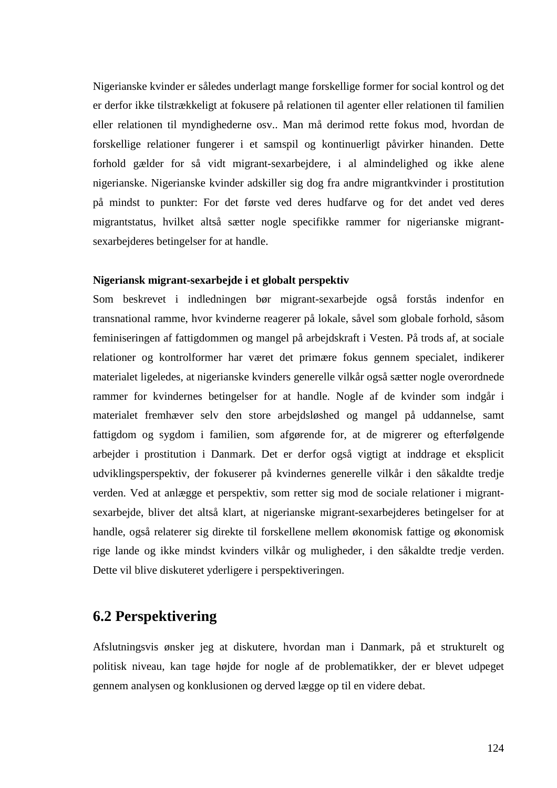Nigerianske kvinder er således underlagt mange forskellige former for social kontrol og det er derfor ikke tilstrækkeligt at fokusere på relationen til agenter eller relationen til familien eller relationen til myndighederne osv.. Man må derimod rette fokus mod, hvordan de forskellige relationer fungerer i et samspil og kontinuerligt påvirker hinanden. Dette forhold gælder for så vidt migrant-sexarbejdere, i al almindelighed og ikke alene nigerianske. Nigerianske kvinder adskiller sig dog fra andre migrantkvinder i prostitution på mindst to punkter: For det første ved deres hudfarve og for det andet ved deres migrantstatus, hvilket altså sætter nogle specifikke rammer for nigerianske migrantsexarbejderes betingelser for at handle.

#### **Nigeriansk migrant-sexarbejde i et globalt perspektiv**

Som beskrevet i indledningen bør migrant-sexarbejde også forstås indenfor en transnational ramme, hvor kvinderne reagerer på lokale, såvel som globale forhold, såsom feminiseringen af fattigdommen og mangel på arbejdskraft i Vesten. På trods af, at sociale relationer og kontrolformer har været det primære fokus gennem specialet, indikerer materialet ligeledes, at nigerianske kvinders generelle vilkår også sætter nogle overordnede rammer for kvindernes betingelser for at handle. Nogle af de kvinder som indgår i materialet fremhæver selv den store arbejdsløshed og mangel på uddannelse, samt fattigdom og sygdom i familien, som afgørende for, at de migrerer og efterfølgende arbejder i prostitution i Danmark. Det er derfor også vigtigt at inddrage et eksplicit udviklingsperspektiv, der fokuserer på kvindernes generelle vilkår i den såkaldte tredje verden. Ved at anlægge et perspektiv, som retter sig mod de sociale relationer i migrantsexarbejde, bliver det altså klart, at nigerianske migrant-sexarbejderes betingelser for at handle, også relaterer sig direkte til forskellene mellem økonomisk fattige og økonomisk rige lande og ikke mindst kvinders vilkår og muligheder, i den såkaldte tredje verden. Dette vil blive diskuteret yderligere i perspektiveringen.

# **6.2 Perspektivering**

Afslutningsvis ønsker jeg at diskutere, hvordan man i Danmark, på et strukturelt og politisk niveau, kan tage højde for nogle af de problematikker, der er blevet udpeget gennem analysen og konklusionen og derved lægge op til en videre debat.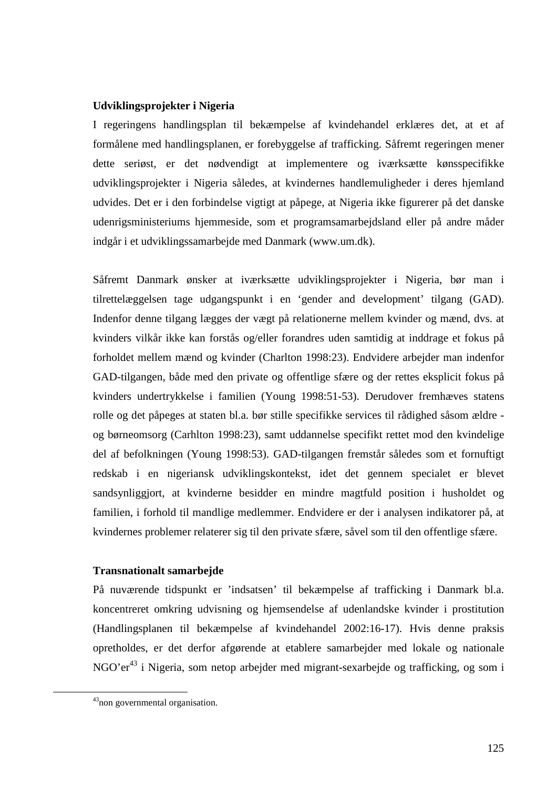#### **Udviklingsprojekter i Nigeria**

I regeringens handlingsplan til bekæmpelse af kvindehandel erklæres det, at et af formålene med handlingsplanen, er forebyggelse af trafficking. Såfremt regeringen mener dette seriøst, er det nødvendigt at implementere og iværksætte kønsspecifikke udviklingsprojekter i Nigeria således, at kvindernes handlemuligheder i deres hjemland udvides. Det er i den forbindelse vigtigt at påpege, at Nigeria ikke figurerer på det danske udenrigsministeriums hjemmeside, som et programsamarbejdsland eller på andre måder indgår i et udviklingssamarbejde med Danmark (www.um.dk).

Såfremt Danmark ønsker at iværksætte udviklingsprojekter i Nigeria, bør man i tilrettelæggelsen tage udgangspunkt i en 'gender and development' tilgang (GAD). Indenfor denne tilgang lægges der vægt på relationerne mellem kvinder og mænd, dvs. at kvinders vilkår ikke kan forstås og/eller forandres uden samtidig at inddrage et fokus på forholdet mellem mænd og kvinder (Charlton 1998:23). Endvidere arbejder man indenfor GAD-tilgangen, både med den private og offentlige sfære og der rettes eksplicit fokus på kvinders undertrykkelse i familien (Young 1998:51-53). Derudover fremhæves statens rolle og det påpeges at staten bl.a. bør stille specifikke services til rådighed såsom ældre og børneomsorg (Carhlton 1998:23), samt uddannelse specifikt rettet mod den kvindelige del af befolkningen (Young 1998:53). GAD-tilgangen fremstår således som et fornuftigt redskab i en nigeriansk udviklingskontekst, idet det gennem specialet er blevet sandsynliggjort, at kvinderne besidder en mindre magtfuld position i husholdet og familien, i forhold til mandlige medlemmer. Endvidere er der i analysen indikatorer på, at kvindernes problemer relaterer sig til den private sfære, såvel som til den offentlige sfære.

## **Transnationalt samarbejde**

På nuværende tidspunkt er 'indsatsen' til bekæmpelse af trafficking i Danmark bl.a. koncentreret omkring udvisning og hjemsendelse af udenlandske kvinder i prostitution (Handlingsplanen til bekæmpelse af kvindehandel 2002:16-17). Hvis denne praksis opretholdes, er det derfor afgørende at etablere samarbejder med lokale og nationale NGO'er<sup>43</sup> i Nigeria, som netop arbejder med migrant-sexarbejde og trafficking, og som i

 $\overline{a}$ 

<sup>43</sup>non governmental organisation.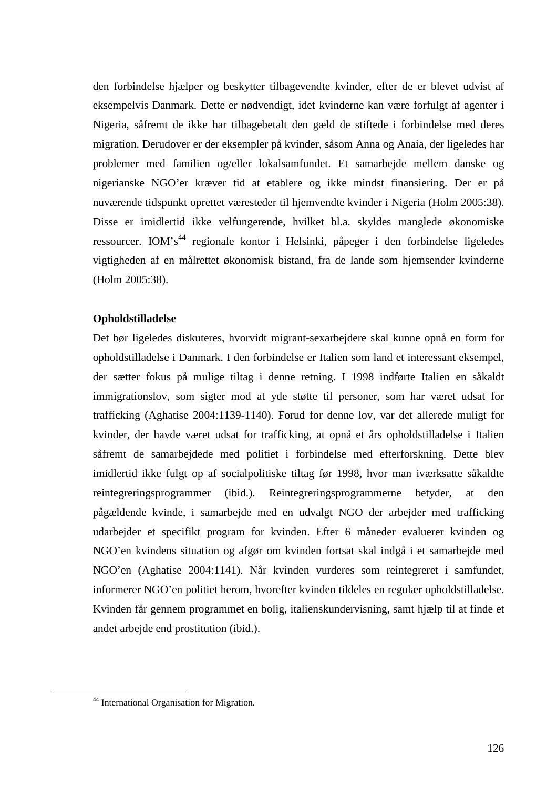den forbindelse hjælper og beskytter tilbagevendte kvinder, efter de er blevet udvist af eksempelvis Danmark. Dette er nødvendigt, idet kvinderne kan være forfulgt af agenter i Nigeria, såfremt de ikke har tilbagebetalt den gæld de stiftede i forbindelse med deres migration. Derudover er der eksempler på kvinder, såsom Anna og Anaia, der ligeledes har problemer med familien og/eller lokalsamfundet. Et samarbejde mellem danske og nigerianske NGO'er kræver tid at etablere og ikke mindst finansiering. Der er på nuværende tidspunkt oprettet væresteder til hjemvendte kvinder i Nigeria (Holm 2005:38). Disse er imidlertid ikke velfungerende, hvilket bl.a. skyldes manglede økonomiske ressourcer. IOM's<sup>44</sup> regionale kontor i Helsinki, påpeger i den forbindelse ligeledes vigtigheden af en målrettet økonomisk bistand, fra de lande som hjemsender kvinderne (Holm 2005:38).

## **Opholdstilladelse**

Det bør ligeledes diskuteres, hvorvidt migrant-sexarbejdere skal kunne opnå en form for opholdstilladelse i Danmark. I den forbindelse er Italien som land et interessant eksempel, der sætter fokus på mulige tiltag i denne retning. I 1998 indførte Italien en såkaldt immigrationslov, som sigter mod at yde støtte til personer, som har været udsat for trafficking (Aghatise 2004:1139-1140). Forud for denne lov, var det allerede muligt for kvinder, der havde været udsat for trafficking, at opnå et års opholdstilladelse i Italien såfremt de samarbejdede med politiet i forbindelse med efterforskning. Dette blev imidlertid ikke fulgt op af socialpolitiske tiltag før 1998, hvor man iværksatte såkaldte reintegreringsprogrammer (ibid.). Reintegreringsprogrammerne betyder, at den pågældende kvinde, i samarbejde med en udvalgt NGO der arbejder med trafficking udarbejder et specifikt program for kvinden. Efter 6 måneder evaluerer kvinden og NGO'en kvindens situation og afgør om kvinden fortsat skal indgå i et samarbejde med NGO'en (Aghatise 2004:1141). Når kvinden vurderes som reintegreret i samfundet, informerer NGO'en politiet herom, hvorefter kvinden tildeles en regulær opholdstilladelse. Kvinden får gennem programmet en bolig, italienskundervisning, samt hjælp til at finde et andet arbejde end prostitution (ibid.).

 $\overline{a}$ 

<sup>44</sup> International Organisation for Migration.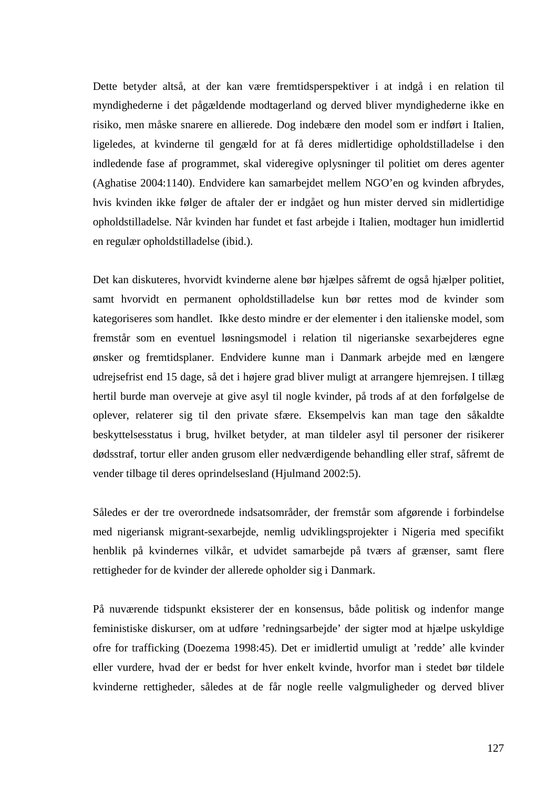Dette betyder altså, at der kan være fremtidsperspektiver i at indgå i en relation til myndighederne i det pågældende modtagerland og derved bliver myndighederne ikke en risiko, men måske snarere en allierede. Dog indebære den model som er indført i Italien, ligeledes, at kvinderne til gengæld for at få deres midlertidige opholdstilladelse i den indledende fase af programmet, skal videregive oplysninger til politiet om deres agenter (Aghatise 2004:1140). Endvidere kan samarbejdet mellem NGO'en og kvinden afbrydes, hvis kvinden ikke følger de aftaler der er indgået og hun mister derved sin midlertidige opholdstilladelse. Når kvinden har fundet et fast arbejde i Italien, modtager hun imidlertid en regulær opholdstilladelse (ibid.).

Det kan diskuteres, hvorvidt kvinderne alene bør hjælpes såfremt de også hjælper politiet, samt hvorvidt en permanent opholdstilladelse kun bør rettes mod de kvinder som kategoriseres som handlet. Ikke desto mindre er der elementer i den italienske model, som fremstår som en eventuel løsningsmodel i relation til nigerianske sexarbejderes egne ønsker og fremtidsplaner. Endvidere kunne man i Danmark arbejde med en længere udrejsefrist end 15 dage, så det i højere grad bliver muligt at arrangere hjemrejsen. I tillæg hertil burde man overveje at give asyl til nogle kvinder, på trods af at den forfølgelse de oplever, relaterer sig til den private sfære. Eksempelvis kan man tage den såkaldte beskyttelsesstatus i brug, hvilket betyder, at man tildeler asyl til personer der risikerer dødsstraf, tortur eller anden grusom eller nedværdigende behandling eller straf, såfremt de vender tilbage til deres oprindelsesland (Hjulmand 2002:5).

Således er der tre overordnede indsatsområder, der fremstår som afgørende i forbindelse med nigeriansk migrant-sexarbejde, nemlig udviklingsprojekter i Nigeria med specifikt henblik på kvindernes vilkår, et udvidet samarbejde på tværs af grænser, samt flere rettigheder for de kvinder der allerede opholder sig i Danmark.

På nuværende tidspunkt eksisterer der en konsensus, både politisk og indenfor mange feministiske diskurser, om at udføre 'redningsarbejde' der sigter mod at hjælpe uskyldige ofre for trafficking (Doezema 1998:45). Det er imidlertid umuligt at 'redde' alle kvinder eller vurdere, hvad der er bedst for hver enkelt kvinde, hvorfor man i stedet bør tildele kvinderne rettigheder, således at de får nogle reelle valgmuligheder og derved bliver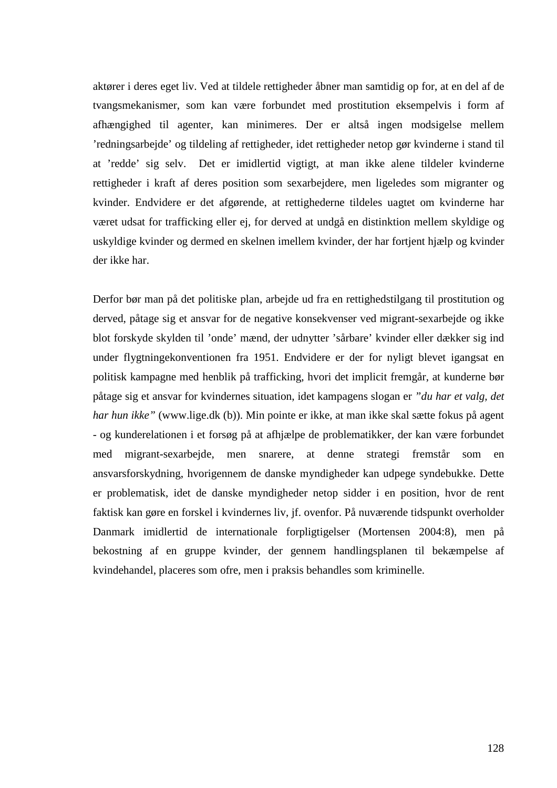aktører i deres eget liv. Ved at tildele rettigheder åbner man samtidig op for, at en del af de tvangsmekanismer, som kan være forbundet med prostitution eksempelvis i form af afhængighed til agenter, kan minimeres. Der er altså ingen modsigelse mellem 'redningsarbejde' og tildeling af rettigheder, idet rettigheder netop gør kvinderne i stand til at 'redde' sig selv. Det er imidlertid vigtigt, at man ikke alene tildeler kvinderne rettigheder i kraft af deres position som sexarbejdere, men ligeledes som migranter og kvinder. Endvidere er det afgørende, at rettighederne tildeles uagtet om kvinderne har været udsat for trafficking eller ej, for derved at undgå en distinktion mellem skyldige og uskyldige kvinder og dermed en skelnen imellem kvinder, der har fortjent hjælp og kvinder der ikke har.

Derfor bør man på det politiske plan, arbejde ud fra en rettighedstilgang til prostitution og derved, påtage sig et ansvar for de negative konsekvenser ved migrant-sexarbejde og ikke blot forskyde skylden til 'onde' mænd, der udnytter 'sårbare' kvinder eller dækker sig ind under flygtningekonventionen fra 1951. Endvidere er der for nyligt blevet igangsat en politisk kampagne med henblik på trafficking, hvori det implicit fremgår, at kunderne bør påtage sig et ansvar for kvindernes situation, idet kampagens slogan er *"du har et valg, det har hun ikke"* (www.lige.dk (b)). Min pointe er ikke, at man ikke skal sætte fokus på agent - og kunderelationen i et forsøg på at afhjælpe de problematikker, der kan være forbundet med migrant-sexarbejde, men snarere, at denne strategi fremstår som en ansvarsforskydning, hvorigennem de danske myndigheder kan udpege syndebukke. Dette er problematisk, idet de danske myndigheder netop sidder i en position, hvor de rent faktisk kan gøre en forskel i kvindernes liv, jf. ovenfor. På nuværende tidspunkt overholder Danmark imidlertid de internationale forpligtigelser (Mortensen 2004:8), men på bekostning af en gruppe kvinder, der gennem handlingsplanen til bekæmpelse af kvindehandel, placeres som ofre, men i praksis behandles som kriminelle.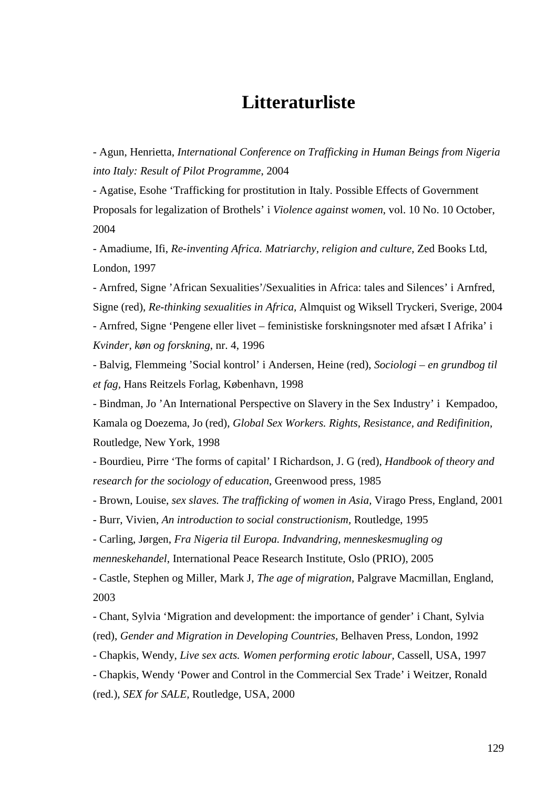# **Litteraturliste**

- Agun, Henrietta, *International Conference on Trafficking in Human Beings from Nigeria into Italy: Result of Pilot Programme*, 2004

- Agatise, Esohe 'Trafficking for prostitution in Italy. Possible Effects of Government Proposals for legalization of Brothels' i *Violence against women*, vol. 10 No. 10 October, 2004

- Amadiume, Ifi, *Re-inventing Africa. Matriarchy, religion and culture,* Zed Books Ltd, London, 1997

- Arnfred, Signe 'African Sexualities'/Sexualities in Africa: tales and Silences' i Arnfred, Signe (red), *Re-thinking sexualities in Africa,* Almquist og Wiksell Tryckeri, Sverige, 2004 - Arnfred, Signe 'Pengene eller livet – feministiske forskningsnoter med afsæt I Afrika' i

*Kvinder, køn og forskning*, nr. 4, 1996

- Balvig, Flemmeing 'Social kontrol' i Andersen, Heine (red), *Sociologi – en grundbog til et fag,* Hans Reitzels Forlag, København, 1998

- Bindman, Jo 'An International Perspective on Slavery in the Sex Industry' i Kempadoo, Kamala og Doezema, Jo (red), *Global Sex Workers. Rights, Resistance, and Redifinition,*  Routledge, New York, 1998

- Bourdieu, Pirre 'The forms of capital' I Richardson, J. G (red), *Handbook of theory and research for the sociology of education*, Greenwood press, 1985

- Brown, Louise, *sex slaves. The trafficking of women in Asia,* Virago Press, England, 2001

- Burr, Vivien, *An introduction to social constructionism,* Routledge, 1995

- Carling, Jørgen, *Fra Nigeria til Europa. Indvandring, menneskesmugling og menneskehandel*, International Peace Research Institute, Oslo (PRIO), 2005

- Castle, Stephen og Miller, Mark J, *The age of migration,* Palgrave Macmillan, England, 2003

- Chant, Sylvia 'Migration and development: the importance of gender' i Chant, Sylvia (red), *Gender and Migration in Developing Countries,* Belhaven Press, London, 1992

- Chapkis, Wendy, *Live sex acts. Women performing erotic labour,* Cassell, USA, 1997

- Chapkis, Wendy 'Power and Control in the Commercial Sex Trade' i Weitzer, Ronald (red.), *SEX for SALE,* Routledge, USA, 2000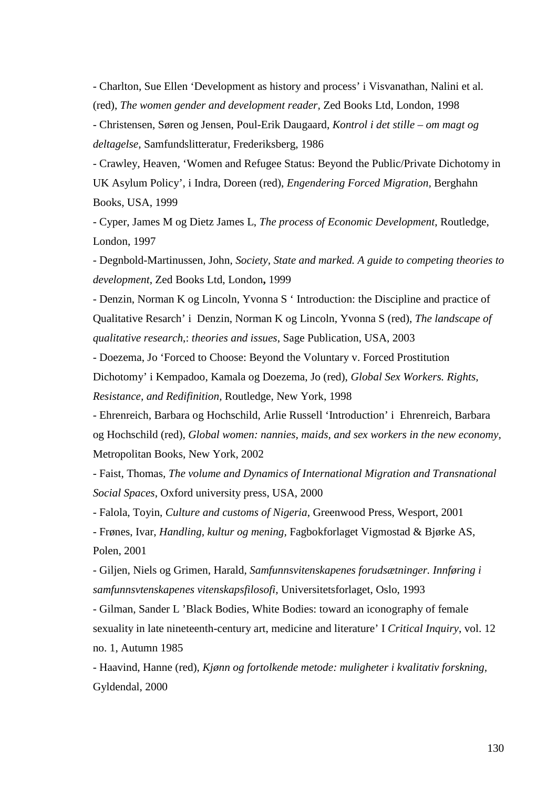- Charlton, Sue Ellen 'Development as history and process' i Visvanathan, Nalini et al. (red), *The women gender and development reader,* Zed Books Ltd, London, 1998

- Christensen, Søren og Jensen, Poul-Erik Daugaard, *Kontrol i det stille – om magt og deltagelse,* Samfundslitteratur, Frederiksberg, 1986

- Crawley, Heaven, 'Women and Refugee Status: Beyond the Public/Private Dichotomy in UK Asylum Policy', i Indra, Doreen (red), *Engendering Forced Migration,* Berghahn Books, USA, 1999

- Cyper, James M og Dietz James L, *The process of Economic Development*, Routledge, London, 1997

- Degnbold-Martinussen, John, *Society, State and marked. A guide to competing theories to development*, Zed Books Ltd, London**,** 1999

- Denzin, Norman K og Lincoln, Yvonna S ' Introduction: the Discipline and practice of Qualitative Resarch' i Denzin, Norman K og Lincoln, Yvonna S (red), *The landscape of qualitative research*,: *theories and issues*, Sage Publication, USA, 2003

- Doezema, Jo 'Forced to Choose: Beyond the Voluntary v. Forced Prostitution Dichotomy' i Kempadoo, Kamala og Doezema, Jo (red), *Global Sex Workers. Rights, Resistance, and Redifinition,* Routledge, New York, 1998

- Ehrenreich, Barbara og Hochschild, Arlie Russell 'Introduction' i Ehrenreich, Barbara og Hochschild (red), *Global women: nannies, maids, and sex workers in the new economy,* Metropolitan Books, New York, 2002

- Faist, Thomas*, The volume and Dynamics of International Migration and Transnational Social Spaces*, Oxford university press, USA, 2000

- Falola, Toyin, *Culture and customs of Nigeria*, Greenwood Press, Wesport, 2001

- Frønes, Ivar, *Handling, kultur og mening,* Fagbokforlaget Vigmostad & Bjørke AS, Polen, 2001

- Giljen, Niels og Grimen, Harald, *Samfunnsvitenskapenes forudsætninger. Innføring i samfunnsvtenskapenes vitenskapsfilosofi,* Universitetsforlaget, Oslo, 1993

- Gilman, Sander L 'Black Bodies, White Bodies: toward an iconography of female sexuality in late nineteenth-century art, medicine and literature' I *Critical Inquiry*, vol. 12 no. 1, Autumn 1985

- Haavind, Hanne (red), *Kjønn og fortolkende metode: muligheter i kvalitativ forskning,*  Gyldendal, 2000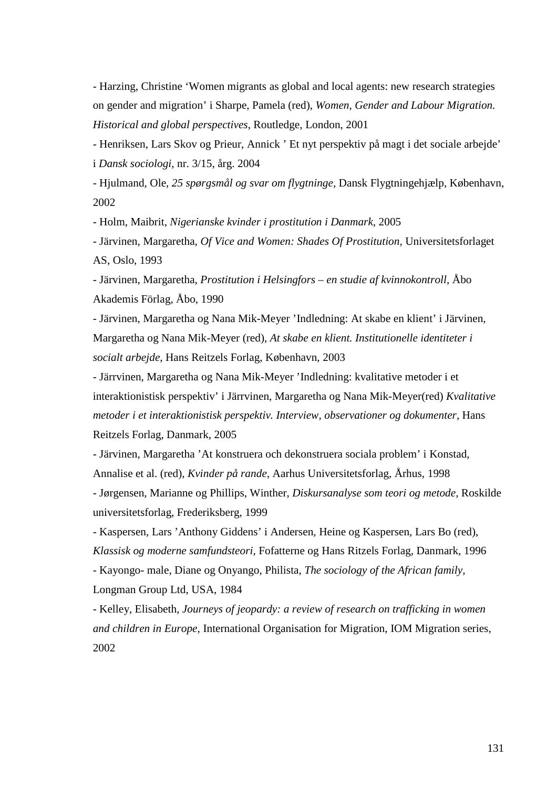- Harzing, Christine 'Women migrants as global and local agents: new research strategies on gender and migration' i Sharpe, Pamela (red), *Women, Gender and Labour Migration. Historical and global perspectives*, Routledge, London, 2001

- Henriksen, Lars Skov og Prieur, Annick ' Et nyt perspektiv på magt i det sociale arbejde' i *Dansk sociologi,* nr. 3/15, årg. 2004

- Hjulmand, Ole, *25 spørgsmål og svar om flygtninge,* Dansk Flygtningehjælp, København, 2002

- Holm, Maibrit, *Nigerianske kvinder i prostitution i Danmark,* 2005

- Järvinen, Margaretha, *Of Vice and Women: Shades Of Prostitution,* Universitetsforlaget AS, Oslo, 1993

- Järvinen, Margaretha, *Prostitution i Helsingfors – en studie af kvinnokontroll,* Åbo Akademis Förlag, Åbo, 1990

- Järvinen, Margaretha og Nana Mik-Meyer 'Indledning: At skabe en klient' i Järvinen, Margaretha og Nana Mik-Meyer (red), *At skabe en klient. Institutionelle identiteter i socialt arbejde,* Hans Reitzels Forlag, København, 2003

- Järrvinen, Margaretha og Nana Mik-Meyer 'Indledning: kvalitative metoder i et interaktionistisk perspektiv' i Järrvinen, Margaretha og Nana Mik-Meyer(red) *Kvalitative metoder i et interaktionistisk perspektiv. Interview, observationer og dokumenter, Hans* Reitzels Forlag, Danmark, 2005

- Järvinen, Margaretha 'At konstruera och dekonstruera sociala problem' i Konstad, Annalise et al. (red), *Kvinder på rande,* Aarhus Universitetsforlag, Århus, 1998

- Jørgensen, Marianne og Phillips, Winther, *Diskursanalyse som teori og metode,* Roskilde universitetsforlag, Frederiksberg, 1999

- Kaspersen, Lars 'Anthony Giddens' i Andersen, Heine og Kaspersen, Lars Bo (red), *Klassisk og moderne samfundsteori,* Fofatterne og Hans Ritzels Forlag, Danmark, 1996

- Kayongo- male, Diane og Onyango, Philista, *The sociology of the African family,*  Longman Group Ltd, USA, 1984

- Kelley, Elisabeth, *Journeys of jeopardy: a review of research on trafficking in women and children in Europe,* International Organisation for Migration, IOM Migration series, 2002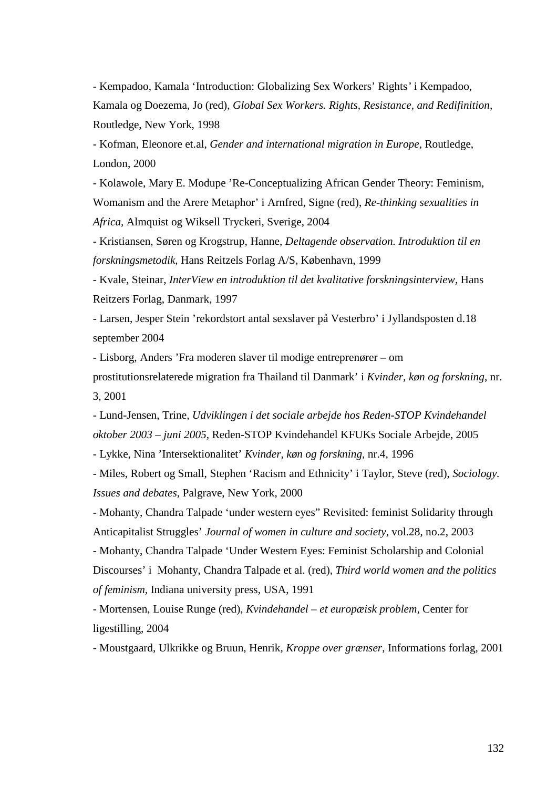- Kempadoo, Kamala 'Introduction: Globalizing Sex Workers' Rights*'* i Kempadoo, Kamala og Doezema, Jo (red), *Global Sex Workers. Rights, Resistance, and Redifinition,*  Routledge, New York, 1998

- Kofman, Eleonore et.al, *Gender and international migration in Europe,* Routledge, London, 2000

- Kolawole, Mary E. Modupe 'Re-Conceptualizing African Gender Theory: Feminism, Womanism and the Arere Metaphor' i Arnfred, Signe (red), *Re-thinking sexualities in Africa,* Almquist og Wiksell Tryckeri, Sverige, 2004

- Kristiansen, Søren og Krogstrup, Hanne, *Deltagende observation. Introduktion til en forskningsmetodik,* Hans Reitzels Forlag A/S, København, 1999

- Kvale, Steinar, *InterView en introduktion til det kvalitative forskningsinterview,* Hans Reitzers Forlag, Danmark, 1997

- Larsen, Jesper Stein 'rekordstort antal sexslaver på Vesterbro' i Jyllandsposten d.18 september 2004

- Lisborg, Anders 'Fra moderen slaver til modige entreprenører – om

prostitutionsrelaterede migration fra Thailand til Danmark' i *Kvinder, køn og forskning*, nr. 3, 2001

- Lund-Jensen, Trine, *Udviklingen i det sociale arbejde hos Reden-STOP Kvindehandel oktober 2003 – juni 2005,* Reden-STOP Kvindehandel KFUKs Sociale Arbejde, 2005

- Lykke, Nina 'Intersektionalitet' *Kvinder, køn og forskning*, nr.4, 1996

- Miles, Robert og Small, Stephen 'Racism and Ethnicity' i Taylor, Steve (red), *Sociology. Issues and debates,* Palgrave, New York, 2000

- Mohanty, Chandra Talpade 'under western eyes" Revisited: feminist Solidarity through Anticapitalist Struggles' *Journal of women in culture and society*, vol.28, no.2, 2003

- Mohanty, Chandra Talpade 'Under Western Eyes: Feminist Scholarship and Colonial Discourses' i Mohanty, Chandra Talpade et al. (red), *Third world women and the politics of feminism,* Indiana university press, USA, 1991

- Mortensen, Louise Runge (red), *Kvindehandel – et europæisk problem,* Center for ligestilling, 2004

- Moustgaard, Ulkrikke og Bruun, Henrik, *Kroppe over grænser*, Informations forlag, 2001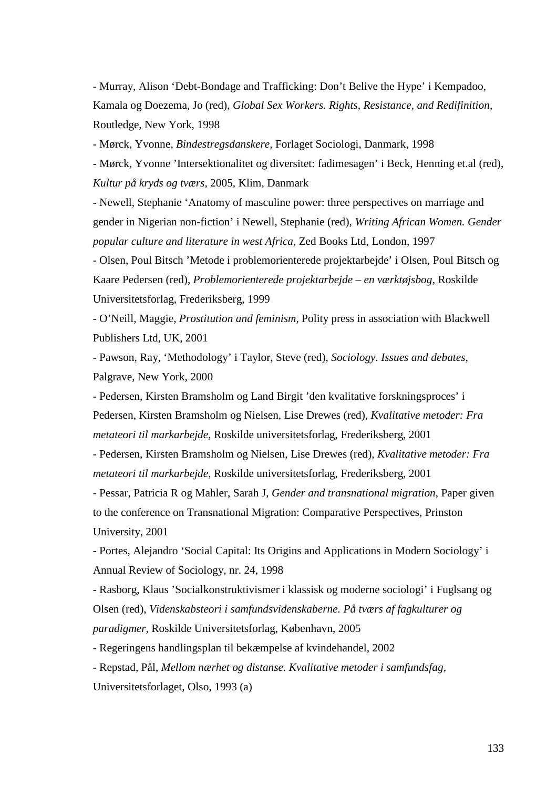- Murray, Alison 'Debt-Bondage and Trafficking: Don't Belive the Hype' i Kempadoo, Kamala og Doezema, Jo (red), *Global Sex Workers. Rights, Resistance, and Redifinition,* Routledge, New York, 1998

- Mørck, Yvonne, *Bindestregsdanskere,* Forlaget Sociologi, Danmark, 1998

- Mørck, Yvonne 'Intersektionalitet og diversitet: fadimesagen' i Beck, Henning et.al (red), *Kultur på kryds og tværs,* 2005, Klim, Danmark

- Newell, Stephanie 'Anatomy of masculine power: three perspectives on marriage and gender in Nigerian non-fiction' i Newell, Stephanie (red), *Writing African Women. Gender popular culture and literature in west Africa*, Zed Books Ltd, London, 1997

- Olsen, Poul Bitsch 'Metode i problemorienterede projektarbejde' i Olsen, Poul Bitsch og Kaare Pedersen (red), *Problemorienterede projektarbejde – en værktøjsbog*, Roskilde Universitetsforlag, Frederiksberg, 1999

- O'Neill, Maggie, *Prostitution and feminism,* Polity press in association with Blackwell Publishers Ltd, UK, 2001

- Pawson, Ray, 'Methodology' i Taylor, Steve (red), *Sociology. Issues and debates,*  Palgrave, New York, 2000

- Pedersen, Kirsten Bramsholm og Land Birgit 'den kvalitative forskningsproces' i Pedersen, Kirsten Bramsholm og Nielsen, Lise Drewes (red), *Kvalitative metoder: Fra metateori til markarbejde*, Roskilde universitetsforlag, Frederiksberg, 2001

- Pedersen, Kirsten Bramsholm og Nielsen, Lise Drewes (red), *Kvalitative metoder: Fra metateori til markarbejde*, Roskilde universitetsforlag, Frederiksberg, 2001

- Pessar, Patricia R og Mahler, Sarah J, *Gender and transnational migration*, Paper given to the conference on Transnational Migration: Comparative Perspectives, Prinston University, 2001

- Portes, Alejandro 'Social Capital: Its Origins and Applications in Modern Sociology' i Annual Review of Sociology, nr. 24, 1998

- Rasborg, Klaus 'Socialkonstruktivismer i klassisk og moderne sociologi' i Fuglsang og Olsen (red), *Videnskabsteori i samfundsvidenskaberne. På tværs af fagkulturer og paradigmer,* Roskilde Universitetsforlag, København, 2005

- Regeringens handlingsplan til bekæmpelse af kvindehandel, 2002

- Repstad, Pål, *Mellom nærhet og distanse. Kvalitative metoder i samfundsfag,*  Universitetsforlaget, Olso, 1993 (a)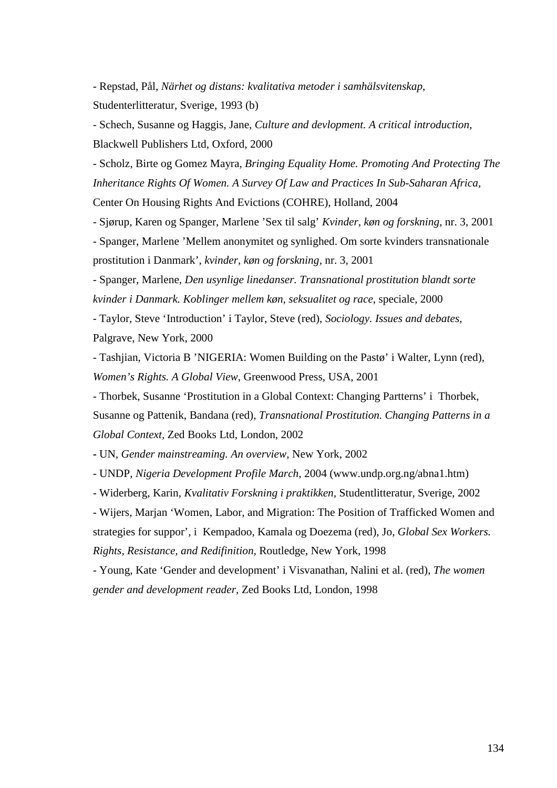- Repstad, Pål, *Närhet og distans: kvalitativa metoder i samhälsvitenskap*, Studenterlitteratur, Sverige, 1993 (b)

- Schech, Susanne og Haggis, Jane, *Culture and devlopment. A critical introduction,*  Blackwell Publishers Ltd, Oxford, 2000

- Scholz, Birte og Gomez Mayra, *Bringing Equality Home. Promoting And Protecting The Inheritance Rights Of Women. A Survey Of Law and Practices In Sub-Saharan Africa,*

Center On Housing Rights And Evictions (COHRE), Holland, 2004

- Sjørup, Karen og Spanger, Marlene 'Sex til salg' *Kvinder, køn og forskning,* nr. 3, 2001

- Spanger, Marlene 'Mellem anonymitet og synlighed. Om sorte kvinders transnationale prostitution i Danmark'*, kvinder, køn og forskning,* nr. 3, 2001

- Spanger, Marlene, *Den usynlige linedanser. Transnational prostitution blandt sorte kvinder i Danmark. Koblinger mellem køn, seksualitet og race*, speciale, 2000

- Taylor, Steve 'Introduction' i Taylor, Steve (red), *Sociology. Issues and debates,*  Palgrave, New York, 2000

- Tashjian, Victoria B 'NIGERIA: Women Building on the Pastø' i Walter, Lynn (red), *Women's Rights. A Global View*, Greenwood Press, USA, 2001

- Thorbek, Susanne 'Prostitution in a Global Context: Changing Partterns' i Thorbek, Susanne og Pattenik, Bandana (red), *Transnational Prostitution. Changing Patterns in a Global Context,* Zed Books Ltd, London, 2002

**-** UN, *Gender mainstreaming. An overview,* New York, 2002

- UNDP, *Nigeria Development Profile March*, 2004 (www.undp.org.ng/abna1.htm)

- Widerberg, Karin, *Kvalitativ Forskning i praktikken,* Studentlitteratur, Sverige, 2002

- Wijers, Marjan 'Women, Labor, and Migration: The Position of Trafficked Women and strategies for suppor'*,* iKempadoo, Kamala og Doezema (red), Jo, *Global Sex Workers. Rights, Resistance, and Redifinition,* Routledge, New York, 1998

- Young, Kate 'Gender and development' i Visvanathan, Nalini et al. (red), *The women gender and development reader,* Zed Books Ltd, London, 1998